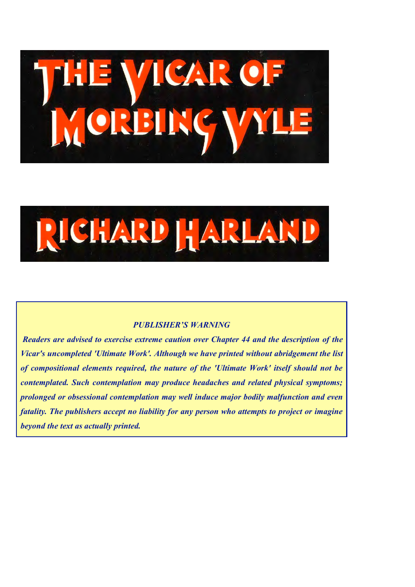



#### *PUBLISHER'S WARNING*

 *Readers are advised to exercise extreme caution over Chapter 44 and the description of the Vicar's uncompleted 'Ultimate Work'. Although we have printed without abridgement the list of compositional elements required, the nature of the 'Ultimate Work' itself should not be contemplated. Such contemplation may produce headaches and related physical symptoms; prolonged or obsessional contemplation may well induce major bodily malfunction and even fatality. The publishers accept no liability for any person who attempts to project or imagine beyond the text as actually printed.*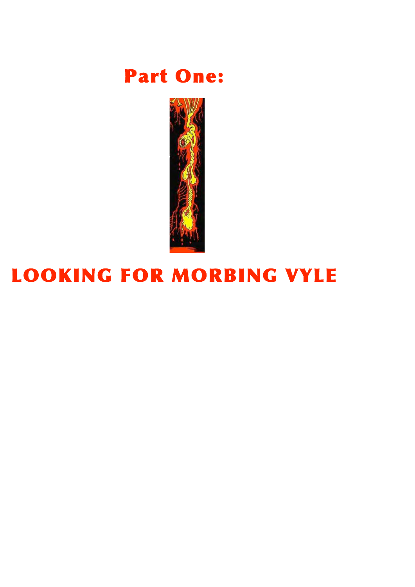



# LOOKING FOR MORBING VYLE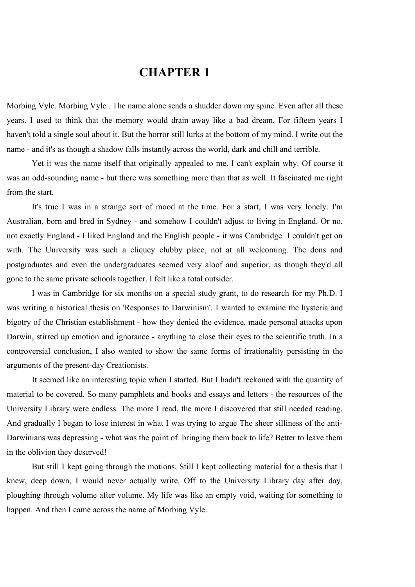# **CHAPTER 1**

Morbing Vyle. Morbing Vyle . The name alone sends a shudder down my spine. Even after all these years. I used to think that the memory would drain away like a bad dream. For fifteen years I haven't told a single soul about it. But the horror still lurks at the bottom of my mind. I write out the name - and it's as though a shadow falls instantly across the world, dark and chill and terrible.

Yet it was the name itself that originally appealed to me. I can't explain why. Of course it was an odd-sounding name - but there was something more than that as well. It fascinated me right from the start.

It's true I was in a strange sort of mood at the time. For a start, I was very lonely. I'm Australian, born and bred in Sydney - and somehow I couldn't adjust to living in England. Or no, not exactly England - I liked England and the English people - it was Cambridge I couldn't get on with. The University was such a cliquey clubby place, not at all welcoming. The dons and postgraduates and even the undergraduates seemed very aloof and superior, as though they'd all gone to the same private schools together. I felt like a total outsider.

I was in Cambridge for six months on a special study grant, to do research for my Ph.D. I was writing a historical thesis on 'Responses to Darwinism'. I wanted to examine the hysteria and bigotry of the Christian establishment - how they denied the evidence, made personal attacks upon Darwin, stirred up emotion and ignorance - anything to close their eyes to the scientific truth. In a controversial conclusion, I also wanted to show the same forms of irrationality persisting in the arguments of the present-day Creationists.

It seemed like an interesting topic when I started. But I hadn't reckoned with the quantity of material to be covered. So many pamphlets and books and essays and letters - the resources of the University Library were endless. The more I read, the more I discovered that still needed reading. And gradually I began to lose interest in what I was trying to argue The sheer silliness of the anti-Darwinians was depressing - what was the point of bringing them back to life? Better to leave them in the oblivion they deserved!

But still I kept going through the motions. Still I kept collecting material for a thesis that I knew, deep down, I would never actually write. Off to the University Library day after day, ploughing through volume after volume. My life was like an empty void, waiting for something to happen. And then I came across the name of Morbing Vyle.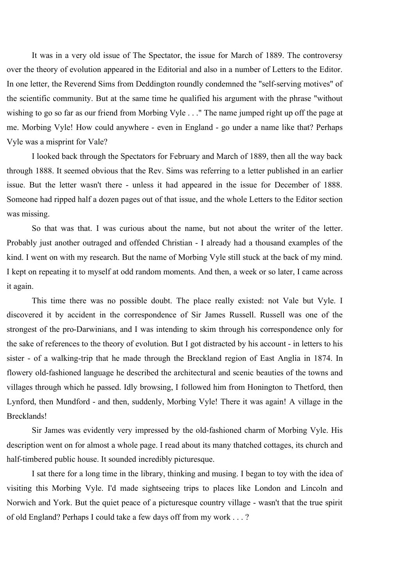It was in a very old issue of The Spectator, the issue for March of 1889. The controversy over the theory of evolution appeared in the Editorial and also in a number of Letters to the Editor. In one letter, the Reverend Sims from Deddington roundly condemned the "self-serving motives" of the scientific community. But at the same time he qualified his argument with the phrase "without wishing to go so far as our friend from Morbing Vyle . . ." The name jumped right up off the page at me. Morbing Vyle! How could anywhere - even in England - go under a name like that? Perhaps Vyle was a misprint for Vale?

I looked back through the Spectators for February and March of 1889, then all the way back through 1888. It seemed obvious that the Rev. Sims was referring to a letter published in an earlier issue. But the letter wasn't there - unless it had appeared in the issue for December of 1888. Someone had ripped half a dozen pages out of that issue, and the whole Letters to the Editor section was missing.

So that was that. I was curious about the name, but not about the writer of the letter. Probably just another outraged and offended Christian - I already had a thousand examples of the kind. I went on with my research. But the name of Morbing Vyle still stuck at the back of my mind. I kept on repeating it to myself at odd random moments. And then, a week or so later, I came across it again.

This time there was no possible doubt. The place really existed: not Vale but Vyle. I discovered it by accident in the correspondence of Sir James Russell. Russell was one of the strongest of the pro-Darwinians, and I was intending to skim through his correspondence only for the sake of references to the theory of evolution. But I got distracted by his account - in letters to his sister - of a walking-trip that he made through the Breckland region of East Anglia in 1874. In flowery old-fashioned language he described the architectural and scenic beauties of the towns and villages through which he passed. Idly browsing, I followed him from Honington to Thetford, then Lynford, then Mundford - and then, suddenly, Morbing Vyle! There it was again! A village in the Brecklands!

Sir James was evidently very impressed by the old-fashioned charm of Morbing Vyle. His description went on for almost a whole page. I read about its many thatched cottages, its church and half-timbered public house. It sounded incredibly picturesque.

I sat there for a long time in the library, thinking and musing. I began to toy with the idea of visiting this Morbing Vyle. I'd made sightseeing trips to places like London and Lincoln and Norwich and York. But the quiet peace of a picturesque country village - wasn't that the true spirit of old England? Perhaps I could take a few days off from my work . . . ?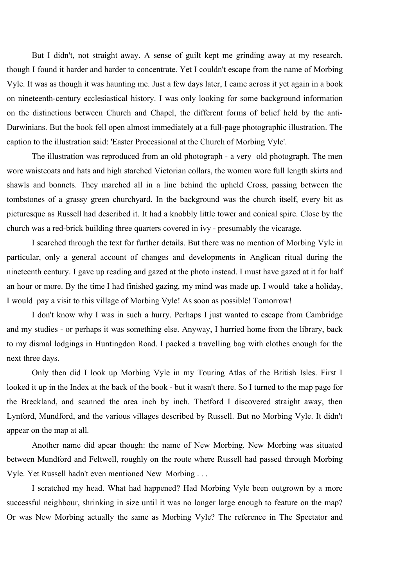But I didn't, not straight away. A sense of guilt kept me grinding away at my research, though I found it harder and harder to concentrate. Yet I couldn't escape from the name of Morbing Vyle. It was as though it was haunting me. Just a few days later, I came across it yet again in a book on nineteenth-century ecclesiastical history. I was only looking for some background information on the distinctions between Church and Chapel, the different forms of belief held by the anti-Darwinians. But the book fell open almost immediately at a full-page photographic illustration. The caption to the illustration said: 'Easter Processional at the Church of Morbing Vyle'.

The illustration was reproduced from an old photograph - a very old photograph. The men wore waistcoats and hats and high starched Victorian collars, the women wore full length skirts and shawls and bonnets. They marched all in a line behind the upheld Cross, passing between the tombstones of a grassy green churchyard. In the background was the church itself, every bit as picturesque as Russell had described it. It had a knobbly little tower and conical spire. Close by the church was a red-brick building three quarters covered in ivy - presumably the vicarage.

I searched through the text for further details. But there was no mention of Morbing Vyle in particular, only a general account of changes and developments in Anglican ritual during the nineteenth century. I gave up reading and gazed at the photo instead. I must have gazed at it for half an hour or more. By the time I had finished gazing, my mind was made up. I would take a holiday, I would pay a visit to this village of Morbing Vyle! As soon as possible! Tomorrow!

I don't know why I was in such a hurry. Perhaps I just wanted to escape from Cambridge and my studies - or perhaps it was something else. Anyway, I hurried home from the library, back to my dismal lodgings in Huntingdon Road. I packed a travelling bag with clothes enough for the next three days.

Only then did I look up Morbing Vyle in my Touring Atlas of the British Isles. First I looked it up in the Index at the back of the book - but it wasn't there. So I turned to the map page for the Breckland, and scanned the area inch by inch. Thetford I discovered straight away, then Lynford, Mundford, and the various villages described by Russell. But no Morbing Vyle. It didn't appear on the map at all.

Another name did apear though: the name of New Morbing. New Morbing was situated between Mundford and Feltwell, roughly on the route where Russell had passed through Morbing Vyle. Yet Russell hadn't even mentioned New Morbing . . .

I scratched my head. What had happened? Had Morbing Vyle been outgrown by a more successful neighbour, shrinking in size until it was no longer large enough to feature on the map? Or was New Morbing actually the same as Morbing Vyle? The reference in The Spectator and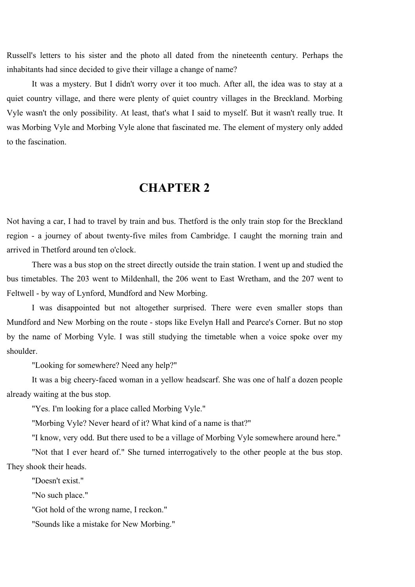Russell's letters to his sister and the photo all dated from the nineteenth century. Perhaps the inhabitants had since decided to give their village a change of name?

It was a mystery. But I didn't worry over it too much. After all, the idea was to stay at a quiet country village, and there were plenty of quiet country villages in the Breckland. Morbing Vyle wasn't the only possibility. At least, that's what I said to myself. But it wasn't really true. It was Morbing Vyle and Morbing Vyle alone that fascinated me. The element of mystery only added to the fascination.

#### **CHAPTER 2**

Not having a car, I had to travel by train and bus. Thetford is the only train stop for the Breckland region - a journey of about twenty-five miles from Cambridge. I caught the morning train and arrived in Thetford around ten o'clock.

There was a bus stop on the street directly outside the train station. I went up and studied the bus timetables. The 203 went to Mildenhall, the 206 went to East Wretham, and the 207 went to Feltwell - by way of Lynford, Mundford and New Morbing.

I was disappointed but not altogether surprised. There were even smaller stops than Mundford and New Morbing on the route - stops like Evelyn Hall and Pearce's Corner. But no stop by the name of Morbing Vyle. I was still studying the timetable when a voice spoke over my shoulder.

"Looking for somewhere? Need any help?"

It was a big cheery-faced woman in a yellow headscarf. She was one of half a dozen people already waiting at the bus stop.

"Yes. I'm looking for a place called Morbing Vyle."

"Morbing Vyle? Never heard of it? What kind of a name is that?"

"I know, very odd. But there used to be a village of Morbing Vyle somewhere around here."

"Not that I ever heard of." She turned interrogatively to the other people at the bus stop. They shook their heads.

"Doesn't exist."

"No such place."

"Got hold of the wrong name, I reckon."

"Sounds like a mistake for New Morbing."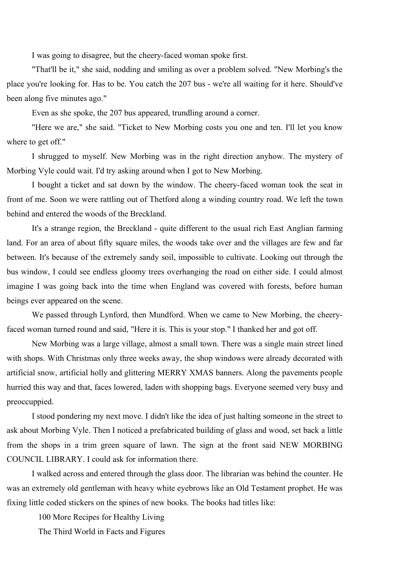I was going to disagree, but the cheery-faced woman spoke first.

"That'll be it," she said, nodding and smiling as over a problem solved. "New Morbing's the place you're looking for. Has to be. You catch the 207 bus - we're all waiting for it here. Should've been along five minutes ago."

Even as she spoke, the 207 bus appeared, trundling around a corner.

"Here we are," she said. "Ticket to New Morbing costs you one and ten. I'll let you know where to get off."

I shrugged to myself. New Morbing was in the right direction anyhow. The mystery of Morbing Vyle could wait. I'd try asking around when I got to New Morbing.

I bought a ticket and sat down by the window. The cheery-faced woman took the seat in front of me. Soon we were rattling out of Thetford along a winding country road. We left the town behind and entered the woods of the Breckland.

It's a strange region, the Breckland - quite different to the usual rich East Anglian farming land. For an area of about fifty square miles, the woods take over and the villages are few and far between. It's because of the extremely sandy soil, impossible to cultivate. Looking out through the bus window, I could see endless gloomy trees overhanging the road on either side. I could almost imagine I was going back into the time when England was covered with forests, before human beings ever appeared on the scene.

We passed through Lynford, then Mundford. When we came to New Morbing, the cheeryfaced woman turned round and said, "Here it is. This is your stop." I thanked her and got off.

New Morbing was a large village, almost a small town. There was a single main street lined with shops. With Christmas only three weeks away, the shop windows were already decorated with artificial snow, artificial holly and glittering MERRY XMAS banners. Along the pavements people hurried this way and that, faces lowered, laden with shopping bags. Everyone seemed very busy and preoccuppied.

I stood pondering my next move. I didn't like the idea of just halting someone in the street to ask about Morbing Vyle. Then I noticed a prefabricated building of glass and wood, set back a little from the shops in a trim green square of lawn. The sign at the front said NEW MORBING COUNCIL LIBRARY. I could ask for information there.

I walked across and entered through the glass door. The librarian was behind the counter. He was an extremely old gentleman with heavy white eyebrows like an Old Testament prophet. He was fixing little coded stickers on the spines of new books. The books had titles like:

 100 More Recipes for Healthy Living The Third World in Facts and Figures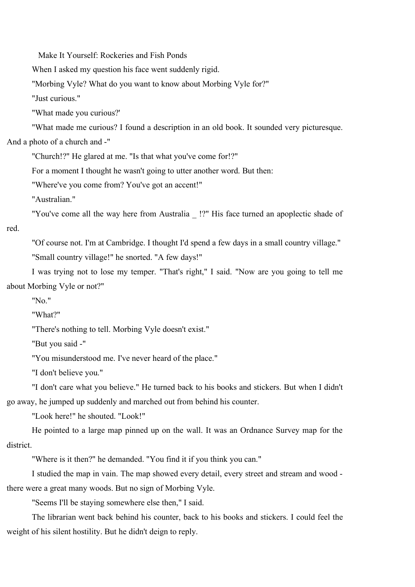Make It Yourself: Rockeries and Fish Ponds

When I asked my question his face went suddenly rigid.

"Morbing Vyle? What do you want to know about Morbing Vyle for?"

"Just curious."

"What made you curious?'

"What made me curious? I found a description in an old book. It sounded very picturesque. And a photo of a church and -"

"Church!?" He glared at me. "Is that what you've come for!?"

For a moment I thought he wasn't going to utter another word. But then:

"Where've you come from? You've got an accent!"

"Australian."

"You've come all the way here from Australia \_ !?" His face turned an apoplectic shade of red.

"Of course not. I'm at Cambridge. I thought I'd spend a few days in a small country village." "Small country village!" he snorted. "A few days!"

I was trying not to lose my temper. "That's right," I said. "Now are you going to tell me about Morbing Vyle or not?"

"No."

"What?"

"There's nothing to tell. Morbing Vyle doesn't exist."

"But you said -"

"You misunderstood me. I've never heard of the place."

"I don't believe you."

"I don't care what you believe." He turned back to his books and stickers. But when I didn't go away, he jumped up suddenly and marched out from behind his counter.

"Look here!" he shouted. "Look!"

He pointed to a large map pinned up on the wall. It was an Ordnance Survey map for the district.

"Where is it then?" he demanded. "You find it if you think you can."

I studied the map in vain. The map showed every detail, every street and stream and wood there were a great many woods. But no sign of Morbing Vyle.

"Seems I'll be staying somewhere else then," I said.

The librarian went back behind his counter, back to his books and stickers. I could feel the weight of his silent hostility. But he didn't deign to reply.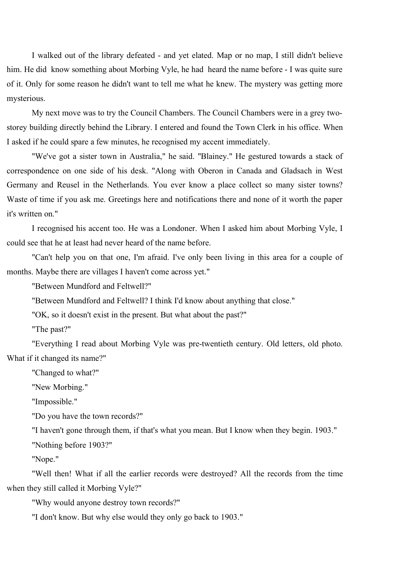I walked out of the library defeated - and yet elated. Map or no map, I still didn't believe him. He did know something about Morbing Vyle, he had heard the name before - I was quite sure of it. Only for some reason he didn't want to tell me what he knew. The mystery was getting more mysterious.

My next move was to try the Council Chambers. The Council Chambers were in a grey twostorey building directly behind the Library. I entered and found the Town Clerk in his office. When I asked if he could spare a few minutes, he recognised my accent immediately.

"We've got a sister town in Australia," he said. "Blainey." He gestured towards a stack of correspondence on one side of his desk. "Along with Oberon in Canada and Gladsach in West Germany and Reusel in the Netherlands. You ever know a place collect so many sister towns? Waste of time if you ask me. Greetings here and notifications there and none of it worth the paper it's written on."

I recognised his accent too. He was a Londoner. When I asked him about Morbing Vyle, I could see that he at least had never heard of the name before.

"Can't help you on that one, I'm afraid. I've only been living in this area for a couple of months. Maybe there are villages I haven't come across yet."

"Between Mundford and Feltwell?"

"Between Mundford and Feltwell? I think I'd know about anything that close."

"OK, so it doesn't exist in the present. But what about the past?"

"The past?"

"Everything I read about Morbing Vyle was pre-twentieth century. Old letters, old photo. What if it changed its name?"

"Changed to what?"

"New Morbing."

"Impossible."

"Do you have the town records?"

"I haven't gone through them, if that's what you mean. But I know when they begin. 1903."

"Nothing before 1903?"

"Nope."

"Well then! What if all the earlier records were destroyed? All the records from the time when they still called it Morbing Vyle?"

"Why would anyone destroy town records?"

"I don't know. But why else would they only go back to 1903."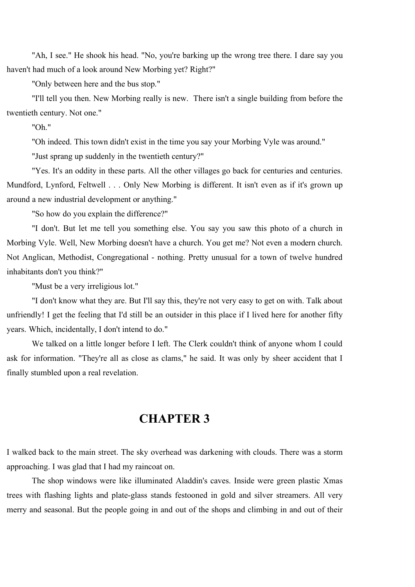"Ah, I see." He shook his head. "No, you're barking up the wrong tree there. I dare say you haven't had much of a look around New Morbing yet? Right?"

"Only between here and the bus stop."

"I'll tell you then. New Morbing really is new. There isn't a single building from before the twentieth century. Not one."

"Oh."

"Oh indeed. This town didn't exist in the time you say your Morbing Vyle was around."

"Just sprang up suddenly in the twentieth century?"

"Yes. It's an oddity in these parts. All the other villages go back for centuries and centuries. Mundford, Lynford, Feltwell . . . Only New Morbing is different. It isn't even as if it's grown up around a new industrial development or anything."

"So how do you explain the difference?"

"I don't. But let me tell you something else. You say you saw this photo of a church in Morbing Vyle. Well, New Morbing doesn't have a church. You get me? Not even a modern church. Not Anglican, Methodist, Congregational - nothing. Pretty unusual for a town of twelve hundred inhabitants don't you think?"

"Must be a very irreligious lot."

"I don't know what they are. But I'll say this, they're not very easy to get on with. Talk about unfriendly! I get the feeling that I'd still be an outsider in this place if I lived here for another fifty years. Which, incidentally, I don't intend to do."

We talked on a little longer before I left. The Clerk couldn't think of anyone whom I could ask for information. "They're all as close as clams," he said. It was only by sheer accident that I finally stumbled upon a real revelation.

### **CHAPTER 3**

I walked back to the main street. The sky overhead was darkening with clouds. There was a storm approaching. I was glad that I had my raincoat on.

The shop windows were like illuminated Aladdin's caves. Inside were green plastic Xmas trees with flashing lights and plate-glass stands festooned in gold and silver streamers. All very merry and seasonal. But the people going in and out of the shops and climbing in and out of their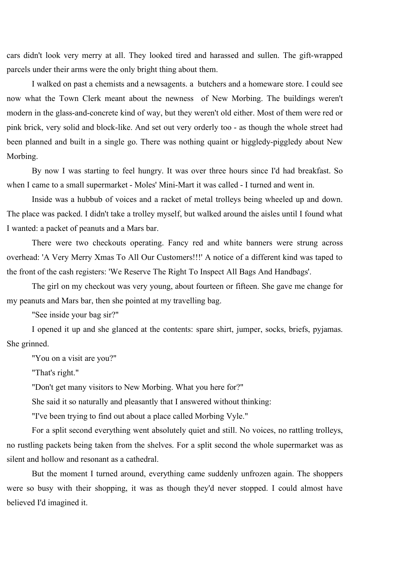cars didn't look very merry at all. They looked tired and harassed and sullen. The gift-wrapped parcels under their arms were the only bright thing about them.

I walked on past a chemists and a newsagents. a butchers and a homeware store. I could see now what the Town Clerk meant about the newness of New Morbing. The buildings weren't modern in the glass-and-concrete kind of way, but they weren't old either. Most of them were red or pink brick, very solid and block-like. And set out very orderly too - as though the whole street had been planned and built in a single go. There was nothing quaint or higgledy-piggledy about New Morbing.

By now I was starting to feel hungry. It was over three hours since I'd had breakfast. So when I came to a small supermarket - Moles' Mini-Mart it was called - I turned and went in.

Inside was a hubbub of voices and a racket of metal trolleys being wheeled up and down. The place was packed. I didn't take a trolley myself, but walked around the aisles until I found what I wanted: a packet of peanuts and a Mars bar.

There were two checkouts operating. Fancy red and white banners were strung across overhead: 'A Very Merry Xmas To All Our Customers!!!' A notice of a different kind was taped to the front of the cash registers: 'We Reserve The Right To Inspect All Bags And Handbags'.

The girl on my checkout was very young, about fourteen or fifteen. She gave me change for my peanuts and Mars bar, then she pointed at my travelling bag.

"See inside your bag sir?"

I opened it up and she glanced at the contents: spare shirt, jumper, socks, briefs, pyjamas. She grinned.

"You on a visit are you?"

"That's right."

"Don't get many visitors to New Morbing. What you here for?"

She said it so naturally and pleasantly that I answered without thinking:

"I've been trying to find out about a place called Morbing Vyle."

For a split second everything went absolutely quiet and still. No voices, no rattling trolleys, no rustling packets being taken from the shelves. For a split second the whole supermarket was as silent and hollow and resonant as a cathedral.

But the moment I turned around, everything came suddenly unfrozen again. The shoppers were so busy with their shopping, it was as though they'd never stopped. I could almost have believed I'd imagined it.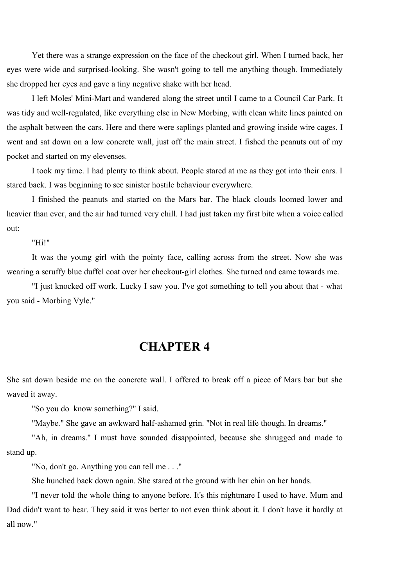Yet there was a strange expression on the face of the checkout girl. When I turned back, her eyes were wide and surprised-looking. She wasn't going to tell me anything though. Immediately she dropped her eyes and gave a tiny negative shake with her head.

I left Moles' Mini-Mart and wandered along the street until I came to a Council Car Park. It was tidy and well-regulated, like everything else in New Morbing, with clean white lines painted on the asphalt between the cars. Here and there were saplings planted and growing inside wire cages. I went and sat down on a low concrete wall, just off the main street. I fished the peanuts out of my pocket and started on my elevenses.

I took my time. I had plenty to think about. People stared at me as they got into their cars. I stared back. I was beginning to see sinister hostile behaviour everywhere.

I finished the peanuts and started on the Mars bar. The black clouds loomed lower and heavier than ever, and the air had turned very chill. I had just taken my first bite when a voice called out:

"Hi!"

It was the young girl with the pointy face, calling across from the street. Now she was wearing a scruffy blue duffel coat over her checkout-girl clothes. She turned and came towards me.

"I just knocked off work. Lucky I saw you. I've got something to tell you about that - what you said - Morbing Vyle."

# **CHAPTER 4**

She sat down beside me on the concrete wall. I offered to break off a piece of Mars bar but she waved it away.

"So you do know something?" I said.

"Maybe." She gave an awkward half-ashamed grin. "Not in real life though. In dreams."

"Ah, in dreams." I must have sounded disappointed, because she shrugged and made to stand up.

"No, don't go. Anything you can tell me . . ."

She hunched back down again. She stared at the ground with her chin on her hands.

"I never told the whole thing to anyone before. It's this nightmare I used to have. Mum and Dad didn't want to hear. They said it was better to not even think about it. I don't have it hardly at all now."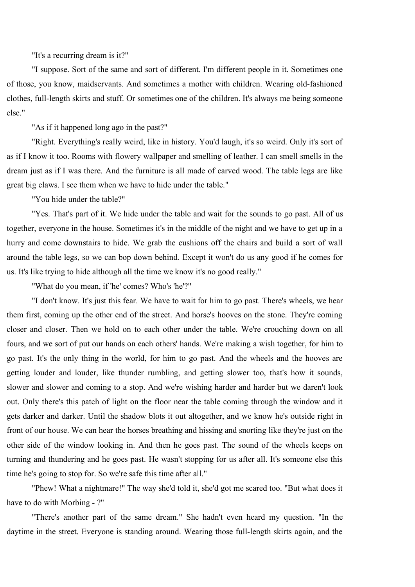"It's a recurring dream is it?"

"I suppose. Sort of the same and sort of different. I'm different people in it. Sometimes one of those, you know, maidservants. And sometimes a mother with children. Wearing old-fashioned clothes, full-length skirts and stuff. Or sometimes one of the children. It's always me being someone else."

"As if it happened long ago in the past?"

"Right. Everything's really weird, like in history. You'd laugh, it's so weird. Only it's sort of as if I know it too. Rooms with flowery wallpaper and smelling of leather. I can smell smells in the dream just as if I was there. And the furniture is all made of carved wood. The table legs are like great big claws. I see them when we have to hide under the table."

"You hide under the table?"

"Yes. That's part of it. We hide under the table and wait for the sounds to go past. All of us together, everyone in the house. Sometimes it's in the middle of the night and we have to get up in a hurry and come downstairs to hide. We grab the cushions off the chairs and build a sort of wall around the table legs, so we can bop down behind. Except it won't do us any good if he comes for us. It's like trying to hide although all the time we know it's no good really."

"What do you mean, if 'he' comes? Who's 'he'?"

"I don't know. It's just this fear. We have to wait for him to go past. There's wheels, we hear them first, coming up the other end of the street. And horse's hooves on the stone. They're coming closer and closer. Then we hold on to each other under the table. We're crouching down on all fours, and we sort of put our hands on each others' hands. We're making a wish together, for him to go past. It's the only thing in the world, for him to go past. And the wheels and the hooves are getting louder and louder, like thunder rumbling, and getting slower too, that's how it sounds, slower and slower and coming to a stop. And we're wishing harder and harder but we daren't look out. Only there's this patch of light on the floor near the table coming through the window and it gets darker and darker. Until the shadow blots it out altogether, and we know he's outside right in front of our house. We can hear the horses breathing and hissing and snorting like they're just on the other side of the window looking in. And then he goes past. The sound of the wheels keeps on turning and thundering and he goes past. He wasn't stopping for us after all. It's someone else this time he's going to stop for. So we're safe this time after all."

"Phew! What a nightmare!" The way she'd told it, she'd got me scared too. "But what does it have to do with Morbing - ?"

"There's another part of the same dream." She hadn't even heard my question. "In the daytime in the street. Everyone is standing around. Wearing those full-length skirts again, and the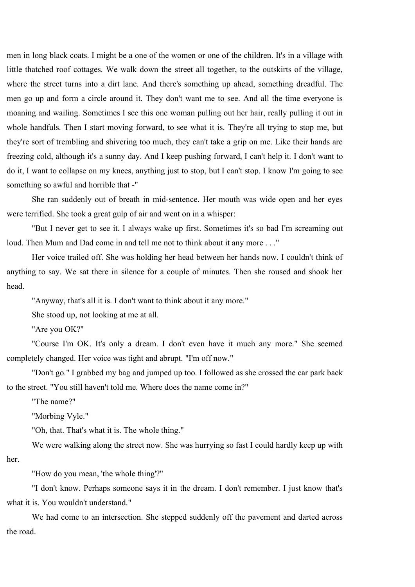men in long black coats. I might be a one of the women or one of the children. It's in a village with little thatched roof cottages. We walk down the street all together, to the outskirts of the village, where the street turns into a dirt lane. And there's something up ahead, something dreadful. The men go up and form a circle around it. They don't want me to see. And all the time everyone is moaning and wailing. Sometimes I see this one woman pulling out her hair, really pulling it out in whole handfuls. Then I start moving forward, to see what it is. They're all trying to stop me, but they're sort of trembling and shivering too much, they can't take a grip on me. Like their hands are freezing cold, although it's a sunny day. And I keep pushing forward, I can't help it. I don't want to do it, I want to collapse on my knees, anything just to stop, but I can't stop. I know I'm going to see something so awful and horrible that -"

She ran suddenly out of breath in mid-sentence. Her mouth was wide open and her eyes were terrified. She took a great gulp of air and went on in a whisper:

"But I never get to see it. I always wake up first. Sometimes it's so bad I'm screaming out loud. Then Mum and Dad come in and tell me not to think about it any more . . ."

Her voice trailed off. She was holding her head between her hands now. I couldn't think of anything to say. We sat there in silence for a couple of minutes. Then she roused and shook her head.

"Anyway, that's all it is. I don't want to think about it any more."

She stood up, not looking at me at all.

"Are you OK?"

"Course I'm OK. It's only a dream. I don't even have it much any more." She seemed completely changed. Her voice was tight and abrupt. "I'm off now."

"Don't go." I grabbed my bag and jumped up too. I followed as she crossed the car park back to the street. "You still haven't told me. Where does the name come in?"

"The name?"

"Morbing Vyle."

"Oh, that. That's what it is. The whole thing."

We were walking along the street now. She was hurrying so fast I could hardly keep up with

her.

"How do you mean, 'the whole thing'?"

"I don't know. Perhaps someone says it in the dream. I don't remember. I just know that's what it is. You wouldn't understand."

We had come to an intersection. She stepped suddenly off the pavement and darted across the road.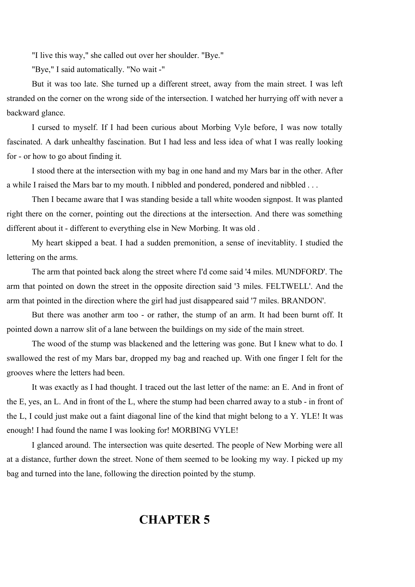"I live this way," she called out over her shoulder. "Bye."

"Bye," I said automatically. "No wait -"

But it was too late. She turned up a different street, away from the main street. I was left stranded on the corner on the wrong side of the intersection. I watched her hurrying off with never a backward glance.

I cursed to myself. If I had been curious about Morbing Vyle before, I was now totally fascinated. A dark unhealthy fascination. But I had less and less idea of what I was really looking for - or how to go about finding it.

I stood there at the intersection with my bag in one hand and my Mars bar in the other. After a while I raised the Mars bar to my mouth. I nibbled and pondered, pondered and nibbled . . .

Then I became aware that I was standing beside a tall white wooden signpost. It was planted right there on the corner, pointing out the directions at the intersection. And there was something different about it - different to everything else in New Morbing. It was old .

My heart skipped a beat. I had a sudden premonition, a sense of inevitablity. I studied the lettering on the arms.

The arm that pointed back along the street where I'd come said '4 miles. MUNDFORD'. The arm that pointed on down the street in the opposite direction said '3 miles. FELTWELL'. And the arm that pointed in the direction where the girl had just disappeared said '7 miles. BRANDON'.

But there was another arm too - or rather, the stump of an arm. It had been burnt off. It pointed down a narrow slit of a lane between the buildings on my side of the main street.

The wood of the stump was blackened and the lettering was gone. But I knew what to do. I swallowed the rest of my Mars bar, dropped my bag and reached up. With one finger I felt for the grooves where the letters had been.

It was exactly as I had thought. I traced out the last letter of the name: an E. And in front of the E, yes, an L. And in front of the L, where the stump had been charred away to a stub - in front of the L, I could just make out a faint diagonal line of the kind that might belong to a Y. YLE! It was enough! I had found the name I was looking for! MORBING VYLE!

I glanced around. The intersection was quite deserted. The people of New Morbing were all at a distance, further down the street. None of them seemed to be looking my way. I picked up my bag and turned into the lane, following the direction pointed by the stump.

### **CHAPTER 5**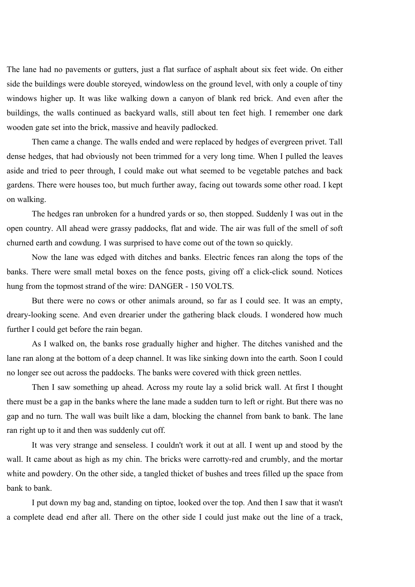The lane had no pavements or gutters, just a flat surface of asphalt about six feet wide. On either side the buildings were double storeyed, windowless on the ground level, with only a couple of tiny windows higher up. It was like walking down a canyon of blank red brick. And even after the buildings, the walls continued as backyard walls, still about ten feet high. I remember one dark wooden gate set into the brick, massive and heavily padlocked.

Then came a change. The walls ended and were replaced by hedges of evergreen privet. Tall dense hedges, that had obviously not been trimmed for a very long time. When I pulled the leaves aside and tried to peer through, I could make out what seemed to be vegetable patches and back gardens. There were houses too, but much further away, facing out towards some other road. I kept on walking.

The hedges ran unbroken for a hundred yards or so, then stopped. Suddenly I was out in the open country. All ahead were grassy paddocks, flat and wide. The air was full of the smell of soft churned earth and cowdung. I was surprised to have come out of the town so quickly.

Now the lane was edged with ditches and banks. Electric fences ran along the tops of the banks. There were small metal boxes on the fence posts, giving off a click-click sound. Notices hung from the topmost strand of the wire: DANGER - 150 VOLTS.

But there were no cows or other animals around, so far as I could see. It was an empty, dreary-looking scene. And even drearier under the gathering black clouds. I wondered how much further I could get before the rain began.

As I walked on, the banks rose gradually higher and higher. The ditches vanished and the lane ran along at the bottom of a deep channel. It was like sinking down into the earth. Soon I could no longer see out across the paddocks. The banks were covered with thick green nettles.

Then I saw something up ahead. Across my route lay a solid brick wall. At first I thought there must be a gap in the banks where the lane made a sudden turn to left or right. But there was no gap and no turn. The wall was built like a dam, blocking the channel from bank to bank. The lane ran right up to it and then was suddenly cut off.

It was very strange and senseless. I couldn't work it out at all. I went up and stood by the wall. It came about as high as my chin. The bricks were carrotty-red and crumbly, and the mortar white and powdery. On the other side, a tangled thicket of bushes and trees filled up the space from bank to bank.

I put down my bag and, standing on tiptoe, looked over the top. And then I saw that it wasn't a complete dead end after all. There on the other side I could just make out the line of a track,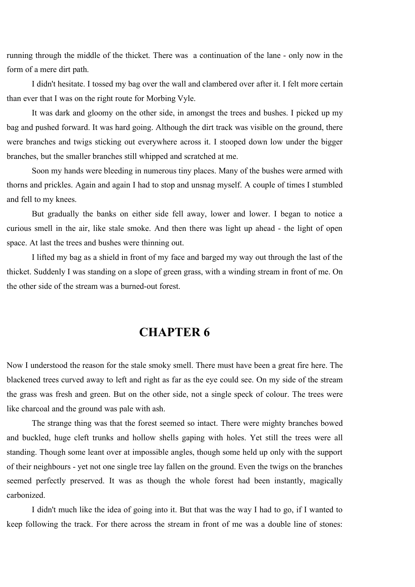running through the middle of the thicket. There was a continuation of the lane - only now in the form of a mere dirt path.

I didn't hesitate. I tossed my bag over the wall and clambered over after it. I felt more certain than ever that I was on the right route for Morbing Vyle.

It was dark and gloomy on the other side, in amongst the trees and bushes. I picked up my bag and pushed forward. It was hard going. Although the dirt track was visible on the ground, there were branches and twigs sticking out everywhere across it. I stooped down low under the bigger branches, but the smaller branches still whipped and scratched at me.

Soon my hands were bleeding in numerous tiny places. Many of the bushes were armed with thorns and prickles. Again and again I had to stop and unsnag myself. A couple of times I stumbled and fell to my knees.

But gradually the banks on either side fell away, lower and lower. I began to notice a curious smell in the air, like stale smoke. And then there was light up ahead - the light of open space. At last the trees and bushes were thinning out.

I lifted my bag as a shield in front of my face and barged my way out through the last of the thicket. Suddenly I was standing on a slope of green grass, with a winding stream in front of me. On the other side of the stream was a burned-out forest.

# **CHAPTER 6**

Now I understood the reason for the stale smoky smell. There must have been a great fire here. The blackened trees curved away to left and right as far as the eye could see. On my side of the stream the grass was fresh and green. But on the other side, not a single speck of colour. The trees were like charcoal and the ground was pale with ash.

The strange thing was that the forest seemed so intact. There were mighty branches bowed and buckled, huge cleft trunks and hollow shells gaping with holes. Yet still the trees were all standing. Though some leant over at impossible angles, though some held up only with the support of their neighbours - yet not one single tree lay fallen on the ground. Even the twigs on the branches seemed perfectly preserved. It was as though the whole forest had been instantly, magically carbonized.

I didn't much like the idea of going into it. But that was the way I had to go, if I wanted to keep following the track. For there across the stream in front of me was a double line of stones: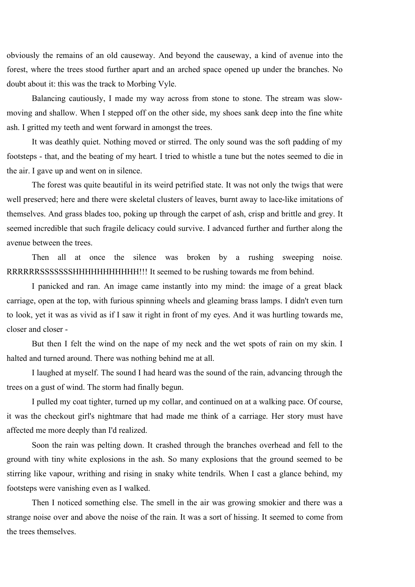obviously the remains of an old causeway. And beyond the causeway, a kind of avenue into the forest, where the trees stood further apart and an arched space opened up under the branches. No doubt about it: this was the track to Morbing Vyle.

Balancing cautiously, I made my way across from stone to stone. The stream was slowmoving and shallow. When I stepped off on the other side, my shoes sank deep into the fine white ash. I gritted my teeth and went forward in amongst the trees.

It was deathly quiet. Nothing moved or stirred. The only sound was the soft padding of my footsteps - that, and the beating of my heart. I tried to whistle a tune but the notes seemed to die in the air. I gave up and went on in silence.

The forest was quite beautiful in its weird petrified state. It was not only the twigs that were well preserved; here and there were skeletal clusters of leaves, burnt away to lace-like imitations of themselves. And grass blades too, poking up through the carpet of ash, crisp and brittle and grey. It seemed incredible that such fragile delicacy could survive. I advanced further and further along the avenue between the trees.

Then all at once the silence was broken by a rushing sweeping noise. RRRRRRSSSSSSSHHHHHHHHHHH!!! It seemed to be rushing towards me from behind.

I panicked and ran. An image came instantly into my mind: the image of a great black carriage, open at the top, with furious spinning wheels and gleaming brass lamps. I didn't even turn to look, yet it was as vivid as if I saw it right in front of my eyes. And it was hurtling towards me, closer and closer -

But then I felt the wind on the nape of my neck and the wet spots of rain on my skin. I halted and turned around. There was nothing behind me at all.

I laughed at myself. The sound I had heard was the sound of the rain, advancing through the trees on a gust of wind. The storm had finally begun.

I pulled my coat tighter, turned up my collar, and continued on at a walking pace. Of course, it was the checkout girl's nightmare that had made me think of a carriage. Her story must have affected me more deeply than I'd realized.

Soon the rain was pelting down. It crashed through the branches overhead and fell to the ground with tiny white explosions in the ash. So many explosions that the ground seemed to be stirring like vapour, writhing and rising in snaky white tendrils. When I cast a glance behind, my footsteps were vanishing even as I walked.

Then I noticed something else. The smell in the air was growing smokier and there was a strange noise over and above the noise of the rain. It was a sort of hissing. It seemed to come from the trees themselves.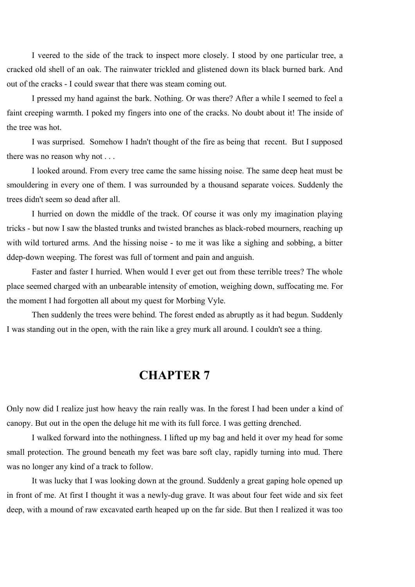I veered to the side of the track to inspect more closely. I stood by one particular tree, a cracked old shell of an oak. The rainwater trickled and glistened down its black burned bark. And out of the cracks - I could swear that there was steam coming out.

I pressed my hand against the bark. Nothing. Or was there? After a while I seemed to feel a faint creeping warmth. I poked my fingers into one of the cracks. No doubt about it! The inside of the tree was hot.

I was surprised. Somehow I hadn't thought of the fire as being that recent. But I supposed there was no reason why not . . .

I looked around. From every tree came the same hissing noise. The same deep heat must be smouldering in every one of them. I was surrounded by a thousand separate voices. Suddenly the trees didn't seem so dead after all.

I hurried on down the middle of the track. Of course it was only my imagination playing tricks - but now I saw the blasted trunks and twisted branches as black-robed mourners, reaching up with wild tortured arms. And the hissing noise - to me it was like a sighing and sobbing, a bitter ddep-down weeping. The forest was full of torment and pain and anguish.

Faster and faster I hurried. When would I ever get out from these terrible trees? The whole place seemed charged with an unbearable intensity of emotion, weighing down, suffocating me. For the moment I had forgotten all about my quest for Morbing Vyle.

Then suddenly the trees were behind. The forest ended as abruptly as it had begun. Suddenly I was standing out in the open, with the rain like a grey murk all around. I couldn't see a thing.

### **CHAPTER 7**

Only now did I realize just how heavy the rain really was. In the forest I had been under a kind of canopy. But out in the open the deluge hit me with its full force. I was getting drenched.

I walked forward into the nothingness. I lifted up my bag and held it over my head for some small protection. The ground beneath my feet was bare soft clay, rapidly turning into mud. There was no longer any kind of a track to follow.

It was lucky that I was looking down at the ground. Suddenly a great gaping hole opened up in front of me. At first I thought it was a newly-dug grave. It was about four feet wide and six feet deep, with a mound of raw excavated earth heaped up on the far side. But then I realized it was too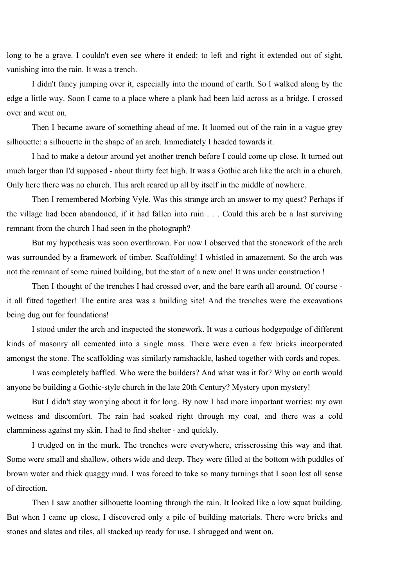long to be a grave. I couldn't even see where it ended: to left and right it extended out of sight, vanishing into the rain. It was a trench.

I didn't fancy jumping over it, especially into the mound of earth. So I walked along by the edge a little way. Soon I came to a place where a plank had been laid across as a bridge. I crossed over and went on.

Then I became aware of something ahead of me. It loomed out of the rain in a vague grey silhouette: a silhouette in the shape of an arch. Immediately I headed towards it.

I had to make a detour around yet another trench before I could come up close. It turned out much larger than I'd supposed - about thirty feet high. It was a Gothic arch like the arch in a church. Only here there was no church. This arch reared up all by itself in the middle of nowhere.

Then I remembered Morbing Vyle. Was this strange arch an answer to my quest? Perhaps if the village had been abandoned, if it had fallen into ruin . . . Could this arch be a last surviving remnant from the church I had seen in the photograph?

But my hypothesis was soon overthrown. For now I observed that the stonework of the arch was surrounded by a framework of timber. Scaffolding! I whistled in amazement. So the arch was not the remnant of some ruined building, but the start of a new one! It was under construction !

Then I thought of the trenches I had crossed over, and the bare earth all around. Of course it all fitted together! The entire area was a building site! And the trenches were the excavations being dug out for foundations!

I stood under the arch and inspected the stonework. It was a curious hodgepodge of different kinds of masonry all cemented into a single mass. There were even a few bricks incorporated amongst the stone. The scaffolding was similarly ramshackle, lashed together with cords and ropes.

I was completely baffled. Who were the builders? And what was it for? Why on earth would anyone be building a Gothic-style church in the late 20th Century? Mystery upon mystery!

But I didn't stay worrying about it for long. By now I had more important worries: my own wetness and discomfort. The rain had soaked right through my coat, and there was a cold clamminess against my skin. I had to find shelter - and quickly.

I trudged on in the murk. The trenches were everywhere, crisscrossing this way and that. Some were small and shallow, others wide and deep. They were filled at the bottom with puddles of brown water and thick quaggy mud. I was forced to take so many turnings that I soon lost all sense of direction.

Then I saw another silhouette looming through the rain. It looked like a low squat building. But when I came up close, I discovered only a pile of building materials. There were bricks and stones and slates and tiles, all stacked up ready for use. I shrugged and went on.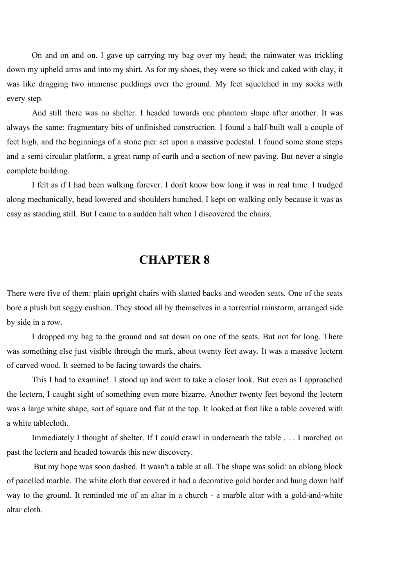On and on and on. I gave up carrying my bag over my head; the rainwater was trickling down my upheld arms and into my shirt. As for my shoes, they were so thick and caked with clay, it was like dragging two immense puddings over the ground. My feet squelched in my socks with every step.

And still there was no shelter. I headed towards one phantom shape after another. It was always the same: fragmentary bits of unfinished construction. I found a half-built wall a couple of feet high, and the beginnings of a stone pier set upon a massive pedestal. I found some stone steps and a semi-circular platform, a great ramp of earth and a section of new paving. But never a single complete building.

I felt as if I had been walking forever. I don't know how long it was in real time. I trudged along mechanically, head lowered and shoulders hunched. I kept on walking only because it was as easy as standing still. But I came to a sudden halt when I discovered the chairs.

### **CHAPTER 8**

There were five of them: plain upright chairs with slatted backs and wooden seats. One of the seats bore a plush but soggy cushion. They stood all by themselves in a torrential rainstorm, arranged side by side in a row.

I dropped my bag to the ground and sat down on one of the seats. But not for long. There was something else just visible through the murk, about twenty feet away. It was a massive lectern of carved wood. It seemed to be facing towards the chairs.

This I had to examine! I stood up and went to take a closer look. But even as I approached the lectern, I caught sight of something even more bizarre. Another twenty feet beyond the lectern was a large white shape, sort of square and flat at the top. It looked at first like a table covered with a white tablecloth.

Immediately I thought of shelter. If I could crawl in underneath the table . . . I marched on past the lectern and headed towards this new discovery.

 But my hope was soon dashed. It wasn't a table at all. The shape was solid: an oblong block of panelled marble. The white cloth that covered it had a decorative gold border and hung down half way to the ground. It reminded me of an altar in a church - a marble altar with a gold-and-white altar cloth.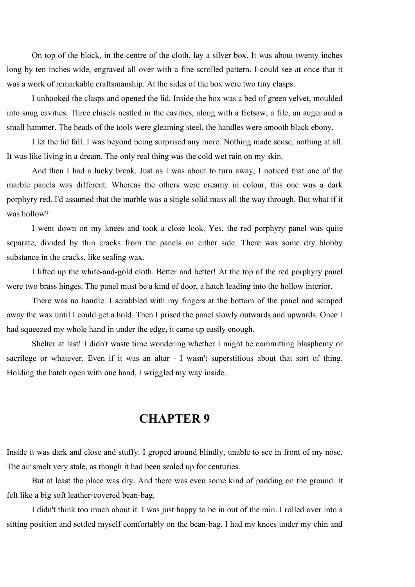On top of the block, in the centre of the cloth, lay a silver box. It was about twenty inches long by ten inches wide, engraved all over with a fine scrolled pattern. I could see at once that it was a work of remarkable craftsmanship. At the sides of the box were two tiny clasps.

I unhooked the clasps and opened the lid. Inside the box was a bed of green velvet, moulded into snug cavities. Three chisels nestled in the cavities, along with a fretsaw, a file, an auger and a small hammer. The heads of the tools were gleaming steel, the handles were smooth black ebony.

I let the lid fall. I was beyond being surprised any more. Nothing made sense, nothing at all. It was like living in a dream. The only real thing was the cold wet rain on my skin.

And then I had a lucky break. Just as I was about to turn away, I noticed that one of the marble panels was different. Whereas the others were creamy in colour, this one was a dark porphyry red. I'd assumed that the marble was a single solid mass all the way through. But what if it was hollow?

I went down on my knees and took a close look. Yes, the red porphyry panel was quite separate, divided by thin cracks from the panels on either side. There was some dry blobby substance in the cracks, like sealing wax.

I lifted up the white-and-gold cloth. Better and better! At the top of the red porphyry panel were two brass hinges. The panel must be a kind of door, a hatch leading into the hollow interior.

There was no handle. I scrabbled with my fingers at the bottom of the panel and scraped away the wax until I could get a hold. Then I prised the panel slowly outwards and upwards. Once I had squeezed my whole hand in under the edge, it came up easily enough.

Shelter at last! I didn't waste time wondering whether I might be committing blasphemy or sacrilege or whatever. Even if it was an altar - I wasn't superstitious about that sort of thing. Holding the hatch open with one hand, I wriggled my way inside.

# **CHAPTER 9**

Inside it was dark and close and stuffy. I groped around blindly, unable to see in front of my nose. The air smelt very stale, as though it had been sealed up for centuries.

But at least the place was dry. And there was even some kind of padding on the ground. It felt like a big soft leather-covered bean-bag.

I didn't think too much about it. I was just happy to be in out of the rain. I rolled over into a sitting position and settled myself comfortably on the bean-bag. I had my knees under my chin and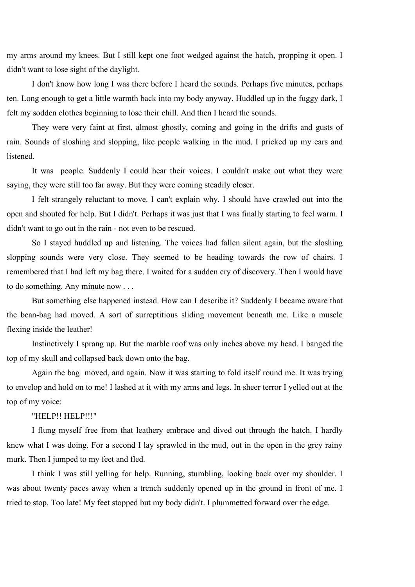my arms around my knees. But I still kept one foot wedged against the hatch, propping it open. I didn't want to lose sight of the daylight.

I don't know how long I was there before I heard the sounds. Perhaps five minutes, perhaps ten. Long enough to get a little warmth back into my body anyway. Huddled up in the fuggy dark, I felt my sodden clothes beginning to lose their chill. And then I heard the sounds.

They were very faint at first, almost ghostly, coming and going in the drifts and gusts of rain. Sounds of sloshing and slopping, like people walking in the mud. I pricked up my ears and **listened** 

It was people. Suddenly I could hear their voices. I couldn't make out what they were saying, they were still too far away. But they were coming steadily closer.

I felt strangely reluctant to move. I can't explain why. I should have crawled out into the open and shouted for help. But I didn't. Perhaps it was just that I was finally starting to feel warm. I didn't want to go out in the rain - not even to be rescued.

So I stayed huddled up and listening. The voices had fallen silent again, but the sloshing slopping sounds were very close. They seemed to be heading towards the row of chairs. I remembered that I had left my bag there. I waited for a sudden cry of discovery. Then I would have to do something. Any minute now . . .

But something else happened instead. How can I describe it? Suddenly I became aware that the bean-bag had moved. A sort of surreptitious sliding movement beneath me. Like a muscle flexing inside the leather!

Instinctively I sprang up. But the marble roof was only inches above my head. I banged the top of my skull and collapsed back down onto the bag.

Again the bag moved, and again. Now it was starting to fold itself round me. It was trying to envelop and hold on to me! I lashed at it with my arms and legs. In sheer terror I yelled out at the top of my voice:

#### "HELP!! HELP!!!"

I flung myself free from that leathery embrace and dived out through the hatch. I hardly knew what I was doing. For a second I lay sprawled in the mud, out in the open in the grey rainy murk. Then I jumped to my feet and fled.

I think I was still yelling for help. Running, stumbling, looking back over my shoulder. I was about twenty paces away when a trench suddenly opened up in the ground in front of me. I tried to stop. Too late! My feet stopped but my body didn't. I plummetted forward over the edge.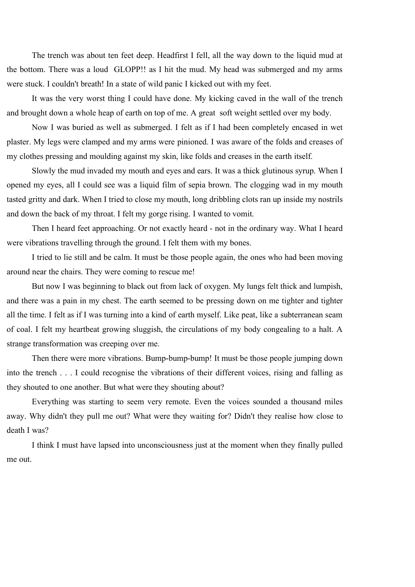The trench was about ten feet deep. Headfirst I fell, all the way down to the liquid mud at the bottom. There was a loud GLOPP!! as I hit the mud. My head was submerged and my arms were stuck. I couldn't breath! In a state of wild panic I kicked out with my feet.

It was the very worst thing I could have done. My kicking caved in the wall of the trench and brought down a whole heap of earth on top of me. A great soft weight settled over my body.

Now I was buried as well as submerged. I felt as if I had been completely encased in wet plaster. My legs were clamped and my arms were pinioned. I was aware of the folds and creases of my clothes pressing and moulding against my skin, like folds and creases in the earth itself.

Slowly the mud invaded my mouth and eyes and ears. It was a thick glutinous syrup. When I opened my eyes, all I could see was a liquid film of sepia brown. The clogging wad in my mouth tasted gritty and dark. When I tried to close my mouth, long dribbling clots ran up inside my nostrils and down the back of my throat. I felt my gorge rising. I wanted to vomit.

Then I heard feet approaching. Or not exactly heard - not in the ordinary way. What I heard were vibrations travelling through the ground. I felt them with my bones.

I tried to lie still and be calm. It must be those people again, the ones who had been moving around near the chairs. They were coming to rescue me!

But now I was beginning to black out from lack of oxygen. My lungs felt thick and lumpish, and there was a pain in my chest. The earth seemed to be pressing down on me tighter and tighter all the time. I felt as if I was turning into a kind of earth myself. Like peat, like a subterranean seam of coal. I felt my heartbeat growing sluggish, the circulations of my body congealing to a halt. A strange transformation was creeping over me.

Then there were more vibrations. Bump-bump-bump! It must be those people jumping down into the trench . . . I could recognise the vibrations of their different voices, rising and falling as they shouted to one another. But what were they shouting about?

Everything was starting to seem very remote. Even the voices sounded a thousand miles away. Why didn't they pull me out? What were they waiting for? Didn't they realise how close to death I was?

I think I must have lapsed into unconsciousness just at the moment when they finally pulled me out.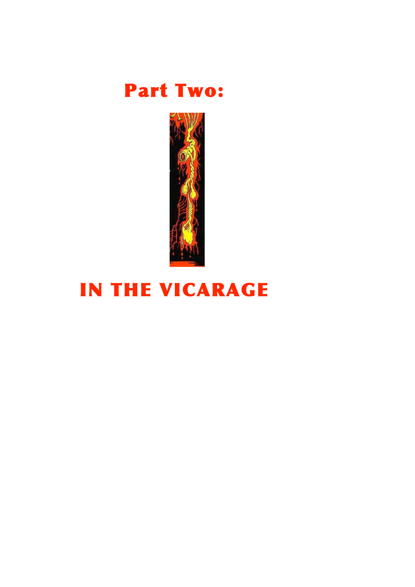



# IN THE VICARAGE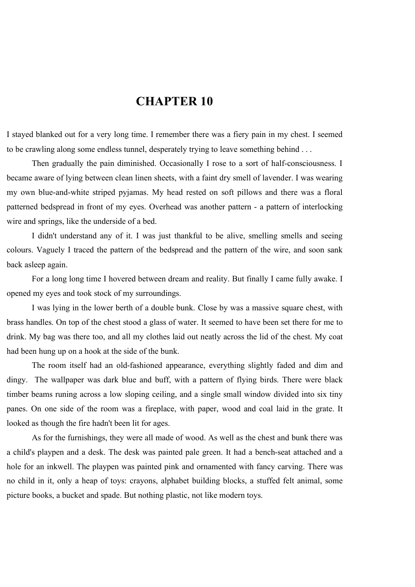# **CHAPTER 10**

I stayed blanked out for a very long time. I remember there was a fiery pain in my chest. I seemed to be crawling along some endless tunnel, desperately trying to leave something behind . . .

Then gradually the pain diminished. Occasionally I rose to a sort of half-consciousness. I became aware of lying between clean linen sheets, with a faint dry smell of lavender. I was wearing my own blue-and-white striped pyjamas. My head rested on soft pillows and there was a floral patterned bedspread in front of my eyes. Overhead was another pattern - a pattern of interlocking wire and springs, like the underside of a bed.

I didn't understand any of it. I was just thankful to be alive, smelling smells and seeing colours. Vaguely I traced the pattern of the bedspread and the pattern of the wire, and soon sank back asleep again.

For a long long time I hovered between dream and reality. But finally I came fully awake. I opened my eyes and took stock of my surroundings.

I was lying in the lower berth of a double bunk. Close by was a massive square chest, with brass handles. On top of the chest stood a glass of water. It seemed to have been set there for me to drink. My bag was there too, and all my clothes laid out neatly across the lid of the chest. My coat had been hung up on a hook at the side of the bunk.

The room itself had an old-fashioned appearance, everything slightly faded and dim and dingy. The wallpaper was dark blue and buff, with a pattern of flying birds. There were black timber beams runing across a low sloping ceiling, and a single small window divided into six tiny panes. On one side of the room was a fireplace, with paper, wood and coal laid in the grate. It looked as though the fire hadn't been lit for ages.

As for the furnishings, they were all made of wood. As well as the chest and bunk there was a child's playpen and a desk. The desk was painted pale green. It had a bench-seat attached and a hole for an inkwell. The playpen was painted pink and ornamented with fancy carving. There was no child in it, only a heap of toys: crayons, alphabet building blocks, a stuffed felt animal, some picture books, a bucket and spade. But nothing plastic, not like modern toys.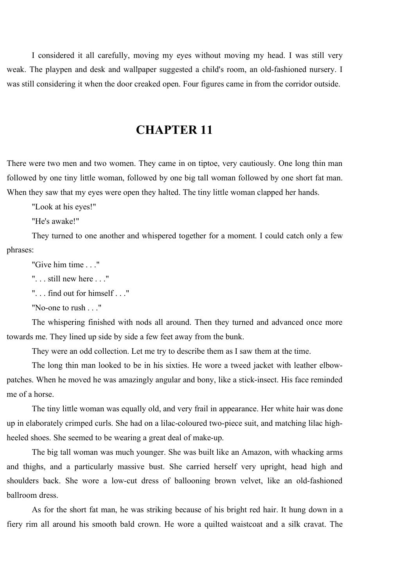I considered it all carefully, moving my eyes without moving my head. I was still very weak. The playpen and desk and wallpaper suggested a child's room, an old-fashioned nursery. I was still considering it when the door creaked open. Four figures came in from the corridor outside.

#### **CHAPTER 11**

There were two men and two women. They came in on tiptoe, very cautiously. One long thin man followed by one tiny little woman, followed by one big tall woman followed by one short fat man. When they saw that my eyes were open they halted. The tiny little woman clapped her hands.

"Look at his eyes!"

"He's awake!"

They turned to one another and whispered together for a moment. I could catch only a few phrases:

"Give him time . . ."

". . . still new here . . ."

". . . find out for himself . . ."

"No-one to rush . . ."

The whispering finished with nods all around. Then they turned and advanced once more towards me. They lined up side by side a few feet away from the bunk.

They were an odd collection. Let me try to describe them as I saw them at the time.

The long thin man looked to be in his sixties. He wore a tweed jacket with leather elbowpatches. When he moved he was amazingly angular and bony, like a stick-insect. His face reminded me of a horse.

The tiny little woman was equally old, and very frail in appearance. Her white hair was done up in elaborately crimped curls. She had on a lilac-coloured two-piece suit, and matching lilac highheeled shoes. She seemed to be wearing a great deal of make-up.

The big tall woman was much younger. She was built like an Amazon, with whacking arms and thighs, and a particularly massive bust. She carried herself very upright, head high and shoulders back. She wore a low-cut dress of ballooning brown velvet, like an old-fashioned ballroom dress.

As for the short fat man, he was striking because of his bright red hair. It hung down in a fiery rim all around his smooth bald crown. He wore a quilted waistcoat and a silk cravat. The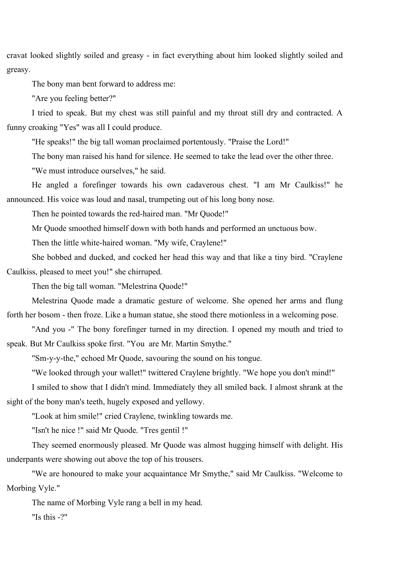cravat looked slightly soiled and greasy - in fact everything about him looked slightly soiled and greasy.

The bony man bent forward to address me:

"Are you feeling better?"

I tried to speak. But my chest was still painful and my throat still dry and contracted. A funny croaking "Yes" was all I could produce.

"He speaks!" the big tall woman proclaimed portentously. "Praise the Lord!"

The bony man raised his hand for silence. He seemed to take the lead over the other three.

"We must introduce ourselves," he said.

He angled a forefinger towards his own cadaverous chest. "I am Mr Caulkiss!" he announced. His voice was loud and nasal, trumpeting out of his long bony nose.

Then he pointed towards the red-haired man. "Mr Quode!"

Mr Quode smoothed himself down with both hands and performed an unctuous bow.

Then the little white-haired woman. "My wife, Craylene!"

She bobbed and ducked, and cocked her head this way and that like a tiny bird. "Craylene Caulkiss, pleased to meet you!" she chirruped.

Then the big tall woman. "Melestrina Quode!"

Melestrina Quode made a dramatic gesture of welcome. She opened her arms and flung forth her bosom - then froze. Like a human statue, she stood there motionless in a welcoming pose.

"And you -" The bony forefinger turned in my direction. I opened my mouth and tried to speak. But Mr Caulkiss spoke first. "You are Mr. Martin Smythe."

"Sm-y-y-the," echoed Mr Quode, savouring the sound on his tongue.

"We looked through your wallet!" twittered Craylene brightly. "We hope you don't mind!"

I smiled to show that I didn't mind. Immediately they all smiled back. I almost shrank at the sight of the bony man's teeth, hugely exposed and yellowy.

"Look at him smile!" cried Craylene, twinkling towards me.

"Isn't he nice !" said Mr Quode. "Tres gentil !"

They seemed enormously pleased. Mr Quode was almost hugging himself with delight. His underpants were showing out above the top of his trousers.

"We are honoured to make your acquaintance Mr Smythe," said Mr Caulkiss. "Welcome to Morbing Vyle."

The name of Morbing Vyle rang a bell in my head. "Is this -?"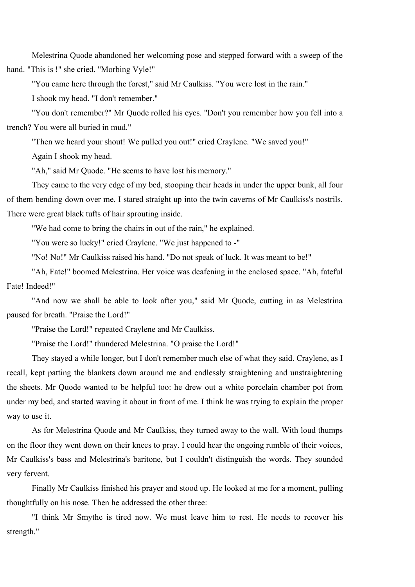Melestrina Quode abandoned her welcoming pose and stepped forward with a sweep of the hand. "This is !" she cried. "Morbing Vyle!"

"You came here through the forest," said Mr Caulkiss. "You were lost in the rain."

I shook my head. "I don't remember."

"You don't remember?" Mr Quode rolled his eyes. "Don't you remember how you fell into a trench? You were all buried in mud."

"Then we heard your shout! We pulled you out!" cried Craylene. "We saved you!"

Again I shook my head.

"Ah," said Mr Quode. "He seems to have lost his memory."

They came to the very edge of my bed, stooping their heads in under the upper bunk, all four of them bending down over me. I stared straight up into the twin caverns of Mr Caulkiss's nostrils. There were great black tufts of hair sprouting inside.

"We had come to bring the chairs in out of the rain," he explained.

"You were so lucky!" cried Craylene. "We just happened to -"

"No! No!" Mr Caulkiss raised his hand. "Do not speak of luck. It was meant to be!"

"Ah, Fate!" boomed Melestrina. Her voice was deafening in the enclosed space. "Ah, fateful Fate! Indeed!"

"And now we shall be able to look after you," said Mr Quode, cutting in as Melestrina paused for breath. "Praise the Lord!"

"Praise the Lord!" repeated Craylene and Mr Caulkiss.

"Praise the Lord!" thundered Melestrina. "O praise the Lord!"

They stayed a while longer, but I don't remember much else of what they said. Craylene, as I recall, kept patting the blankets down around me and endlessly straightening and unstraightening the sheets. Mr Quode wanted to be helpful too: he drew out a white porcelain chamber pot from under my bed, and started waving it about in front of me. I think he was trying to explain the proper way to use it.

As for Melestrina Quode and Mr Caulkiss, they turned away to the wall. With loud thumps on the floor they went down on their knees to pray. I could hear the ongoing rumble of their voices, Mr Caulkiss's bass and Melestrina's baritone, but I couldn't distinguish the words. They sounded very fervent.

Finally Mr Caulkiss finished his prayer and stood up. He looked at me for a moment, pulling thoughtfully on his nose. Then he addressed the other three:

"I think Mr Smythe is tired now. We must leave him to rest. He needs to recover his strength."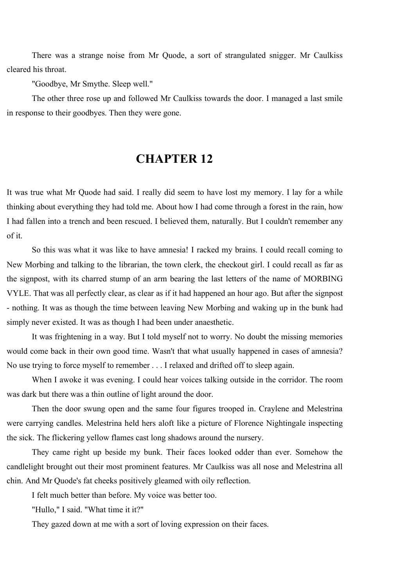There was a strange noise from Mr Quode, a sort of strangulated snigger. Mr Caulkiss cleared his throat.

"Goodbye, Mr Smythe. Sleep well."

The other three rose up and followed Mr Caulkiss towards the door. I managed a last smile in response to their goodbyes. Then they were gone.

# **CHAPTER 12**

It was true what Mr Quode had said. I really did seem to have lost my memory. I lay for a while thinking about everything they had told me. About how I had come through a forest in the rain, how I had fallen into a trench and been rescued. I believed them, naturally. But I couldn't remember any of it.

So this was what it was like to have amnesia! I racked my brains. I could recall coming to New Morbing and talking to the librarian, the town clerk, the checkout girl. I could recall as far as the signpost, with its charred stump of an arm bearing the last letters of the name of MORBING VYLE. That was all perfectly clear, as clear as if it had happened an hour ago. But after the signpost - nothing. It was as though the time between leaving New Morbing and waking up in the bunk had simply never existed. It was as though I had been under anaesthetic.

It was frightening in a way. But I told myself not to worry. No doubt the missing memories would come back in their own good time. Wasn't that what usually happened in cases of amnesia? No use trying to force myself to remember . . . I relaxed and drifted off to sleep again.

When I awoke it was evening. I could hear voices talking outside in the corridor. The room was dark but there was a thin outline of light around the door.

Then the door swung open and the same four figures trooped in. Craylene and Melestrina were carrying candles. Melestrina held hers aloft like a picture of Florence Nightingale inspecting the sick. The flickering yellow flames cast long shadows around the nursery.

They came right up beside my bunk. Their faces looked odder than ever. Somehow the candlelight brought out their most prominent features. Mr Caulkiss was all nose and Melestrina all chin. And Mr Quode's fat cheeks positively gleamed with oily reflection.

I felt much better than before. My voice was better too.

"Hullo," I said. "What time it it?"

They gazed down at me with a sort of loving expression on their faces.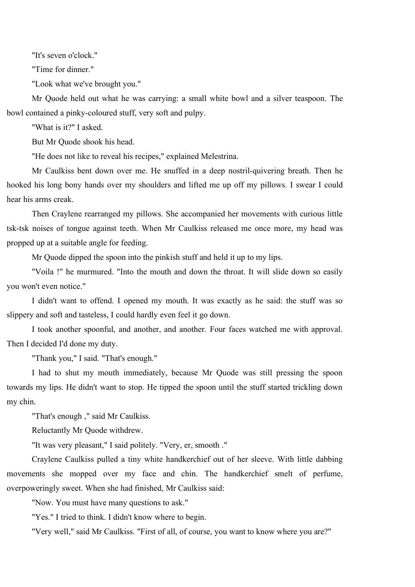"It's seven o'clock."

"Time for dinner."

"Look what we've brought you."

Mr Quode held out what he was carrying: a small white bowl and a silver teaspoon. The bowl contained a pinky-coloured stuff, very soft and pulpy.

"What is it?" I asked.

But Mr Quode shook his head.

"He does not like to reveal his recipes," explained Melestrina.

Mr Caulkiss bent down over me. He snuffed in a deep nostril-quivering breath. Then he hooked his long bony hands over my shoulders and lifted me up off my pillows. I swear I could hear his arms creak.

Then Craylene rearranged my pillows. She accompanied her movements with curious little tsk-tsk noises of tongue against teeth. When Mr Caulkiss released me once more, my head was propped up at a suitable angle for feeding.

Mr Quode dipped the spoon into the pinkish stuff and held it up to my lips.

"Voila !" he murmured. "Into the mouth and down the throat. It will slide down so easily you won't even notice."

I didn't want to offend. I opened my mouth. It was exactly as he said: the stuff was so slippery and soft and tasteless, I could hardly even feel it go down.

I took another spoonful, and another, and another. Four faces watched me with approval. Then I decided I'd done my duty.

"Thank you," I said. "That's enough."

I had to shut my mouth immediately, because Mr Quode was still pressing the spoon towards my lips. He didn't want to stop. He tipped the spoon until the stuff started trickling down my chin.

"That's enough ," said Mr Caulkiss.

Reluctantly Mr Quode withdrew.

"It was very pleasant," I said politely. "Very, er, smooth ."

Craylene Caulkiss pulled a tiny white handkerchief out of her sleeve. With little dabbing movements she mopped over my face and chin. The handkerchief smelt of perfume, overpoweringly sweet. When she had finished, Mr Caulkiss said:

"Now. You must have many questions to ask."

"Yes." I tried to think. I didn't know where to begin.

"Very well," said Mr Caulkiss. "First of all, of course, you want to know where you are?"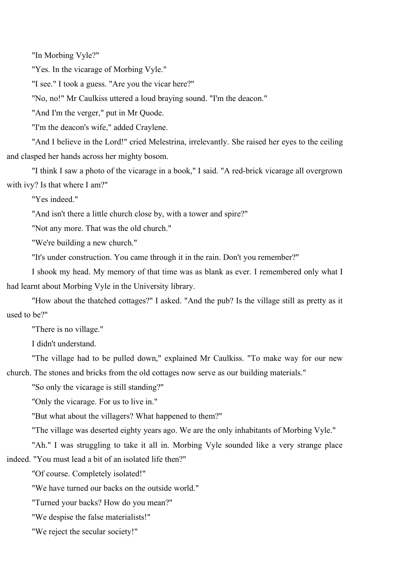"In Morbing Vyle?"

"Yes. In the vicarage of Morbing Vyle."

"I see." I took a guess. "Are you the vicar here?"

"No, no!" Mr Caulkiss uttered a loud braying sound. "I'm the deacon."

"And I'm the verger," put in Mr Quode.

"I'm the deacon's wife," added Craylene.

"And I believe in the Lord!" cried Melestrina, irrelevantly. She raised her eyes to the ceiling and clasped her hands across her mighty bosom.

"I think I saw a photo of the vicarage in a book," I said. "A red-brick vicarage all overgrown with ivy? Is that where I am?"

"Yes indeed."

"And isn't there a little church close by, with a tower and spire?"

"Not any more. That was the old church."

"We're building a new church."

"It's under construction. You came through it in the rain. Don't you remember?"

I shook my head. My memory of that time was as blank as ever. I remembered only what I had learnt about Morbing Vyle in the University library.

"How about the thatched cottages?" I asked. "And the pub? Is the village still as pretty as it used to be?"

"There is no village."

I didn't understand.

"The village had to be pulled down," explained Mr Caulkiss. "To make way for our new church. The stones and bricks from the old cottages now serve as our building materials."

"So only the vicarage is still standing?"

"Only the vicarage. For us to live in."

"But what about the villagers? What happened to them?"

"The village was deserted eighty years ago. We are the only inhabitants of Morbing Vyle."

"Ah." I was struggling to take it all in. Morbing Vyle sounded like a very strange place indeed. "You must lead a bit of an isolated life then?"

"Of course. Completely isolated!"

"We have turned our backs on the outside world."

"Turned your backs? How do you mean?"

"We despise the false materialists!"

"We reject the secular society!"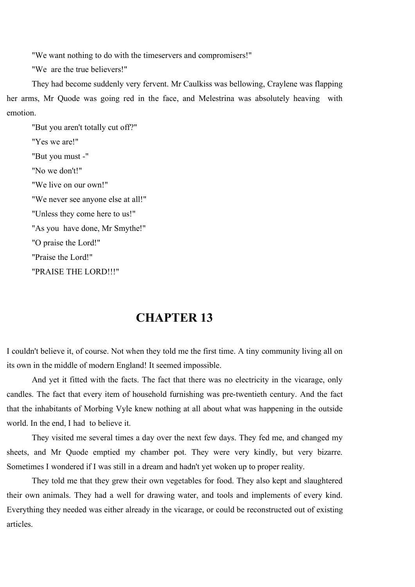"We want nothing to do with the timeservers and compromisers!"

"We are the true believers!"

They had become suddenly very fervent. Mr Caulkiss was bellowing, Craylene was flapping her arms, Mr Quode was going red in the face, and Melestrina was absolutely heaving with emotion.

"But you aren't totally cut off?" "Yes we are!" "But you must -" "No we don't!" "We live on our own!" "We never see anyone else at all!" "Unless they come here to us!" "As you have done, Mr Smythe!" "O praise the Lord!" "Praise the Lord!" "PRAISE THE LORD!!!"

# **CHAPTER 13**

I couldn't believe it, of course. Not when they told me the first time. A tiny community living all on its own in the middle of modern England! It seemed impossible.

And yet it fitted with the facts. The fact that there was no electricity in the vicarage, only candles. The fact that every item of household furnishing was pre-twentieth century. And the fact that the inhabitants of Morbing Vyle knew nothing at all about what was happening in the outside world. In the end, I had to believe it.

They visited me several times a day over the next few days. They fed me, and changed my sheets, and Mr Quode emptied my chamber pot. They were very kindly, but very bizarre. Sometimes I wondered if I was still in a dream and hadn't yet woken up to proper reality.

They told me that they grew their own vegetables for food. They also kept and slaughtered their own animals. They had a well for drawing water, and tools and implements of every kind. Everything they needed was either already in the vicarage, or could be reconstructed out of existing articles.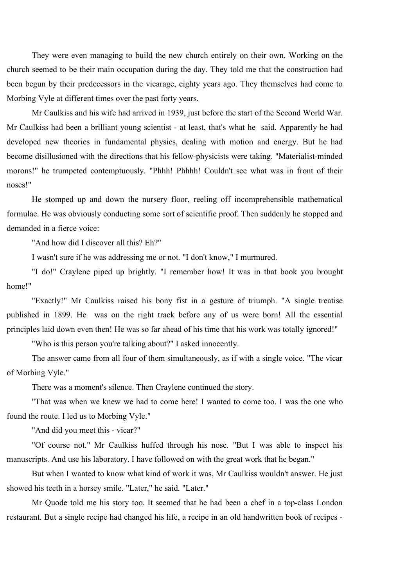They were even managing to build the new church entirely on their own. Working on the church seemed to be their main occupation during the day. They told me that the construction had been begun by their predecessors in the vicarage, eighty years ago. They themselves had come to Morbing Vyle at different times over the past forty years.

Mr Caulkiss and his wife had arrived in 1939, just before the start of the Second World War. Mr Caulkiss had been a brilliant young scientist - at least, that's what he said. Apparently he had developed new theories in fundamental physics, dealing with motion and energy. But he had become disillusioned with the directions that his fellow-physicists were taking. "Materialist-minded morons!" he trumpeted contemptuously. "Phhh! Phhhh! Couldn't see what was in front of their noses!"

He stomped up and down the nursery floor, reeling off incomprehensible mathematical formulae. He was obviously conducting some sort of scientific proof. Then suddenly he stopped and demanded in a fierce voice:

"And how did I discover all this? Eh?"

I wasn't sure if he was addressing me or not. "I don't know," I murmured.

"I do!" Craylene piped up brightly. "I remember how! It was in that book you brought home!"

"Exactly!" Mr Caulkiss raised his bony fist in a gesture of triumph. "A single treatise published in 1899. He was on the right track before any of us were born! All the essential principles laid down even then! He was so far ahead of his time that his work was totally ignored!"

"Who is this person you're talking about?" I asked innocently.

The answer came from all four of them simultaneously, as if with a single voice. "The vicar of Morbing Vyle."

There was a moment's silence. Then Craylene continued the story.

"That was when we knew we had to come here! I wanted to come too. I was the one who found the route. I led us to Morbing Vyle."

"And did you meet this - vicar?"

"Of course not." Mr Caulkiss huffed through his nose. "But I was able to inspect his manuscripts. And use his laboratory. I have followed on with the great work that he began."

But when I wanted to know what kind of work it was, Mr Caulkiss wouldn't answer. He just showed his teeth in a horsey smile. "Later," he said. "Later."

Mr Quode told me his story too. It seemed that he had been a chef in a top-class London restaurant. But a single recipe had changed his life, a recipe in an old handwritten book of recipes -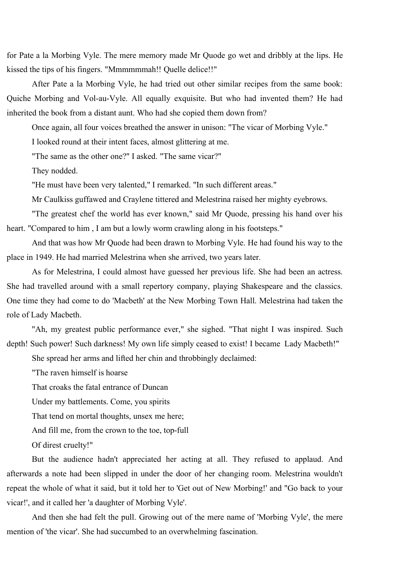for Pate a la Morbing Vyle. The mere memory made Mr Quode go wet and dribbly at the lips. He kissed the tips of his fingers. "Mmmmmmah!! Quelle delice!!"

After Pate a la Morbing Vyle, he had tried out other similar recipes from the same book: Quiche Morbing and Vol-au-Vyle. All equally exquisite. But who had invented them? He had inherited the book from a distant aunt. Who had she copied them down from?

Once again, all four voices breathed the answer in unison: "The vicar of Morbing Vyle."

I looked round at their intent faces, almost glittering at me.

"The same as the other one?" I asked. "The same vicar?"

They nodded.

"He must have been very talented," I remarked. "In such different areas."

Mr Caulkiss guffawed and Craylene tittered and Melestrina raised her mighty eyebrows.

"The greatest chef the world has ever known," said Mr Quode, pressing his hand over his heart. "Compared to him, I am but a lowly worm crawling along in his footsteps."

And that was how Mr Quode had been drawn to Morbing Vyle. He had found his way to the place in 1949. He had married Melestrina when she arrived, two years later.

As for Melestrina, I could almost have guessed her previous life. She had been an actress. She had travelled around with a small repertory company, playing Shakespeare and the classics. One time they had come to do 'Macbeth' at the New Morbing Town Hall. Melestrina had taken the role of Lady Macbeth.

"Ah, my greatest public performance ever," she sighed. "That night I was inspired. Such depth! Such power! Such darkness! My own life simply ceased to exist! I became Lady Macbeth!"

She spread her arms and lifted her chin and throbbingly declaimed:

"The raven himself is hoarse

That croaks the fatal entrance of Duncan

Under my battlements. Come, you spirits

That tend on mortal thoughts, unsex me here;

And fill me, from the crown to the toe, top-full

Of direst cruelty!"

But the audience hadn't appreciated her acting at all. They refused to applaud. And afterwards a note had been slipped in under the door of her changing room. Melestrina wouldn't repeat the whole of what it said, but it told her to 'Get out of New Morbing!' and "Go back to your vicar!', and it called her 'a daughter of Morbing Vyle'.

And then she had felt the pull. Growing out of the mere name of 'Morbing Vyle', the mere mention of 'the vicar'. She had succumbed to an overwhelming fascination.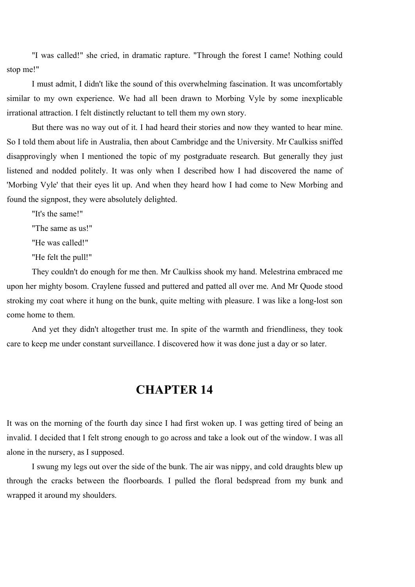"I was called!" she cried, in dramatic rapture. "Through the forest I came! Nothing could stop me!"

I must admit, I didn't like the sound of this overwhelming fascination. It was uncomfortably similar to my own experience. We had all been drawn to Morbing Vyle by some inexplicable irrational attraction. I felt distinctly reluctant to tell them my own story.

But there was no way out of it. I had heard their stories and now they wanted to hear mine. So I told them about life in Australia, then about Cambridge and the University. Mr Caulkiss sniffed disapprovingly when I mentioned the topic of my postgraduate research. But generally they just listened and nodded politely. It was only when I described how I had discovered the name of 'Morbing Vyle' that their eyes lit up. And when they heard how I had come to New Morbing and found the signpost, they were absolutely delighted.

"It's the same!"

"The same as us!"

"He was called!"

"He felt the pull!"

They couldn't do enough for me then. Mr Caulkiss shook my hand. Melestrina embraced me upon her mighty bosom. Craylene fussed and puttered and patted all over me. And Mr Quode stood stroking my coat where it hung on the bunk, quite melting with pleasure. I was like a long-lost son come home to them.

And yet they didn't altogether trust me. In spite of the warmth and friendliness, they took care to keep me under constant surveillance. I discovered how it was done just a day or so later.

### **CHAPTER 14**

It was on the morning of the fourth day since I had first woken up. I was getting tired of being an invalid. I decided that I felt strong enough to go across and take a look out of the window. I was all alone in the nursery, as I supposed.

I swung my legs out over the side of the bunk. The air was nippy, and cold draughts blew up through the cracks between the floorboards. I pulled the floral bedspread from my bunk and wrapped it around my shoulders.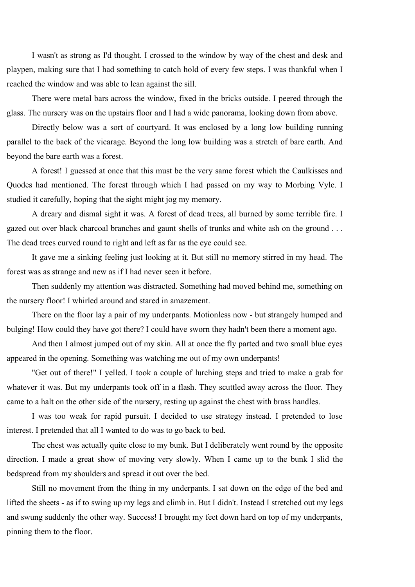I wasn't as strong as I'd thought. I crossed to the window by way of the chest and desk and playpen, making sure that I had something to catch hold of every few steps. I was thankful when I reached the window and was able to lean against the sill.

There were metal bars across the window, fixed in the bricks outside. I peered through the glass. The nursery was on the upstairs floor and I had a wide panorama, looking down from above.

Directly below was a sort of courtyard. It was enclosed by a long low building running parallel to the back of the vicarage. Beyond the long low building was a stretch of bare earth. And beyond the bare earth was a forest.

A forest! I guessed at once that this must be the very same forest which the Caulkisses and Quodes had mentioned. The forest through which I had passed on my way to Morbing Vyle. I studied it carefully, hoping that the sight might jog my memory.

A dreary and dismal sight it was. A forest of dead trees, all burned by some terrible fire. I gazed out over black charcoal branches and gaunt shells of trunks and white ash on the ground . . . The dead trees curved round to right and left as far as the eye could see.

It gave me a sinking feeling just looking at it. But still no memory stirred in my head. The forest was as strange and new as if I had never seen it before.

Then suddenly my attention was distracted. Something had moved behind me, something on the nursery floor! I whirled around and stared in amazement.

There on the floor lay a pair of my underpants. Motionless now - but strangely humped and bulging! How could they have got there? I could have sworn they hadn't been there a moment ago.

And then I almost jumped out of my skin. All at once the fly parted and two small blue eyes appeared in the opening. Something was watching me out of my own underpants!

"Get out of there!" I yelled. I took a couple of lurching steps and tried to make a grab for whatever it was. But my underpants took off in a flash. They scuttled away across the floor. They came to a halt on the other side of the nursery, resting up against the chest with brass handles.

I was too weak for rapid pursuit. I decided to use strategy instead. I pretended to lose interest. I pretended that all I wanted to do was to go back to bed.

The chest was actually quite close to my bunk. But I deliberately went round by the opposite direction. I made a great show of moving very slowly. When I came up to the bunk I slid the bedspread from my shoulders and spread it out over the bed.

Still no movement from the thing in my underpants. I sat down on the edge of the bed and lifted the sheets - as if to swing up my legs and climb in. But I didn't. Instead I stretched out my legs and swung suddenly the other way. Success! I brought my feet down hard on top of my underpants, pinning them to the floor.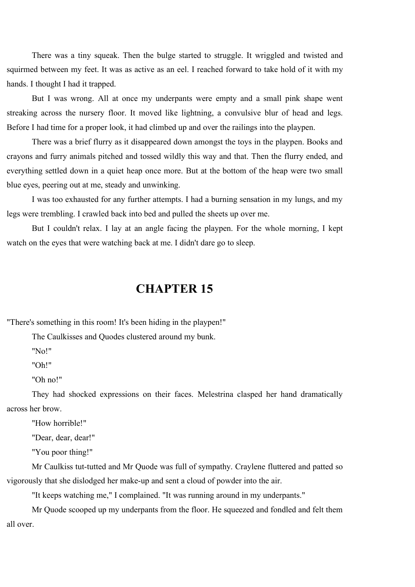There was a tiny squeak. Then the bulge started to struggle. It wriggled and twisted and squirmed between my feet. It was as active as an eel. I reached forward to take hold of it with my hands. I thought I had it trapped.

But I was wrong. All at once my underpants were empty and a small pink shape went streaking across the nursery floor. It moved like lightning, a convulsive blur of head and legs. Before I had time for a proper look, it had climbed up and over the railings into the playpen.

There was a brief flurry as it disappeared down amongst the toys in the playpen. Books and crayons and furry animals pitched and tossed wildly this way and that. Then the flurry ended, and everything settled down in a quiet heap once more. But at the bottom of the heap were two small blue eyes, peering out at me, steady and unwinking.

I was too exhausted for any further attempts. I had a burning sensation in my lungs, and my legs were trembling. I crawled back into bed and pulled the sheets up over me.

But I couldn't relax. I lay at an angle facing the playpen. For the whole morning, I kept watch on the eyes that were watching back at me. I didn't dare go to sleep.

## **CHAPTER 15**

"There's something in this room! It's been hiding in the playpen!"

The Caulkisses and Quodes clustered around my bunk.

"No!"

"Oh!"

"Oh no!"

They had shocked expressions on their faces. Melestrina clasped her hand dramatically across her brow.

"How horrible!"

"Dear, dear, dear!"

"You poor thing!"

Mr Caulkiss tut-tutted and Mr Quode was full of sympathy. Craylene fluttered and patted so vigorously that she dislodged her make-up and sent a cloud of powder into the air.

"It keeps watching me," I complained. "It was running around in my underpants."

Mr Quode scooped up my underpants from the floor. He squeezed and fondled and felt them all over.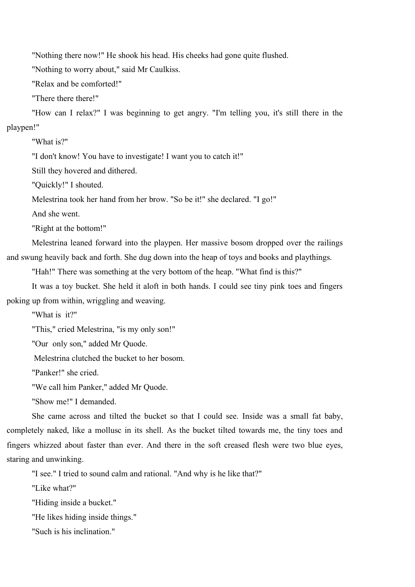"Nothing there now!" He shook his head. His cheeks had gone quite flushed.

"Nothing to worry about," said Mr Caulkiss.

"Relax and be comforted!"

"There there there!"

"How can I relax?" I was beginning to get angry. "I'm telling you, it's still there in the playpen!"

"What is?"

"I don't know! You have to investigate! I want you to catch it!"

Still they hovered and dithered.

"Quickly!" I shouted.

Melestrina took her hand from her brow. "So be it!" she declared. "I go!"

And she went.

"Right at the bottom!"

Melestrina leaned forward into the playpen. Her massive bosom dropped over the railings and swung heavily back and forth. She dug down into the heap of toys and books and playthings.

"Hah!" There was something at the very bottom of the heap. "What find is this?"

It was a toy bucket. She held it aloft in both hands. I could see tiny pink toes and fingers poking up from within, wriggling and weaving.

"What is it?"

"This," cried Melestrina, "is my only son!"

"Our only son," added Mr Quode.

Melestrina clutched the bucket to her bosom.

"Panker!" she cried.

"We call him Panker," added Mr Quode.

"Show me!" I demanded.

She came across and tilted the bucket so that I could see. Inside was a small fat baby, completely naked, like a mollusc in its shell. As the bucket tilted towards me, the tiny toes and fingers whizzed about faster than ever. And there in the soft creased flesh were two blue eyes, staring and unwinking.

"I see." I tried to sound calm and rational. "And why is he like that?"

"Like what?"

"Hiding inside a bucket."

"He likes hiding inside things."

"Such is his inclination."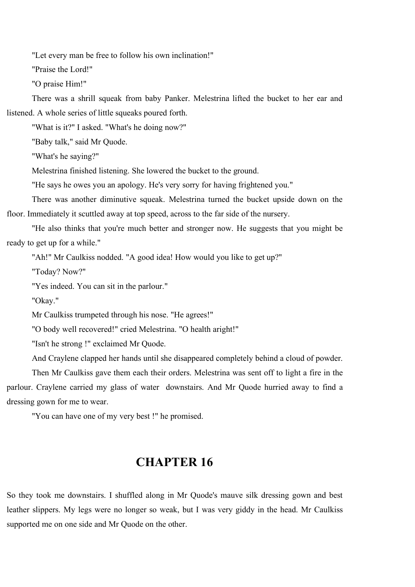"Let every man be free to follow his own inclination!"

"Praise the Lord!"

"O praise Him!"

There was a shrill squeak from baby Panker. Melestrina lifted the bucket to her ear and listened. A whole series of little squeaks poured forth.

"What is it?" I asked. "What's he doing now?"

"Baby talk," said Mr Quode.

"What's he saying?"

Melestrina finished listening. She lowered the bucket to the ground.

"He says he owes you an apology. He's very sorry for having frightened you."

There was another diminutive squeak. Melestrina turned the bucket upside down on the floor. Immediately it scuttled away at top speed, across to the far side of the nursery.

"He also thinks that you're much better and stronger now. He suggests that you might be ready to get up for a while."

"Ah!" Mr Caulkiss nodded. "A good idea! How would you like to get up?"

"Today? Now?"

"Yes indeed. You can sit in the parlour."

"Okay."

Mr Caulkiss trumpeted through his nose. "He agrees!"

"O body well recovered!" cried Melestrina. "O health aright!"

"Isn't he strong !" exclaimed Mr Quode.

And Craylene clapped her hands until she disappeared completely behind a cloud of powder.

Then Mr Caulkiss gave them each their orders. Melestrina was sent off to light a fire in the parlour. Craylene carried my glass of water downstairs. And Mr Quode hurried away to find a dressing gown for me to wear.

"You can have one of my very best !" he promised.

## **CHAPTER 16**

So they took me downstairs. I shuffled along in Mr Quode's mauve silk dressing gown and best leather slippers. My legs were no longer so weak, but I was very giddy in the head. Mr Caulkiss supported me on one side and Mr Quode on the other.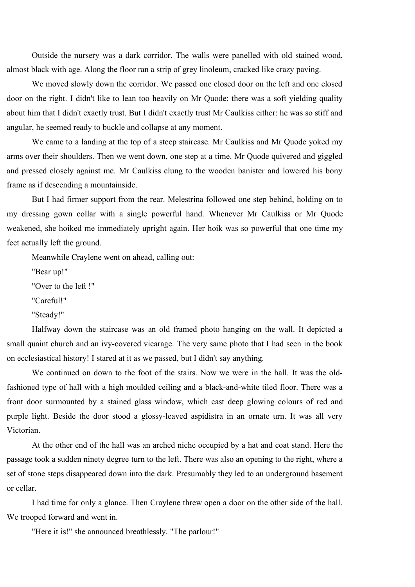Outside the nursery was a dark corridor. The walls were panelled with old stained wood, almost black with age. Along the floor ran a strip of grey linoleum, cracked like crazy paving.

We moved slowly down the corridor. We passed one closed door on the left and one closed door on the right. I didn't like to lean too heavily on Mr Quode: there was a soft yielding quality about him that I didn't exactly trust. But I didn't exactly trust Mr Caulkiss either: he was so stiff and angular, he seemed ready to buckle and collapse at any moment.

We came to a landing at the top of a steep staircase. Mr Caulkiss and Mr Quode yoked my arms over their shoulders. Then we went down, one step at a time. Mr Quode quivered and giggled and pressed closely against me. Mr Caulkiss clung to the wooden banister and lowered his bony frame as if descending a mountainside.

But I had firmer support from the rear. Melestrina followed one step behind, holding on to my dressing gown collar with a single powerful hand. Whenever Mr Caulkiss or Mr Quode weakened, she hoiked me immediately upright again. Her hoik was so powerful that one time my feet actually left the ground.

Meanwhile Craylene went on ahead, calling out:

"Bear up!"

"Over to the left !"

"Careful!"

"Steady!"

Halfway down the staircase was an old framed photo hanging on the wall. It depicted a small quaint church and an ivy-covered vicarage. The very same photo that I had seen in the book on ecclesiastical history! I stared at it as we passed, but I didn't say anything.

We continued on down to the foot of the stairs. Now we were in the hall. It was the oldfashioned type of hall with a high moulded ceiling and a black-and-white tiled floor. There was a front door surmounted by a stained glass window, which cast deep glowing colours of red and purple light. Beside the door stood a glossy-leaved aspidistra in an ornate urn. It was all very Victorian.

At the other end of the hall was an arched niche occupied by a hat and coat stand. Here the passage took a sudden ninety degree turn to the left. There was also an opening to the right, where a set of stone steps disappeared down into the dark. Presumably they led to an underground basement or cellar.

I had time for only a glance. Then Craylene threw open a door on the other side of the hall. We trooped forward and went in.

"Here it is!" she announced breathlessly. "The parlour!"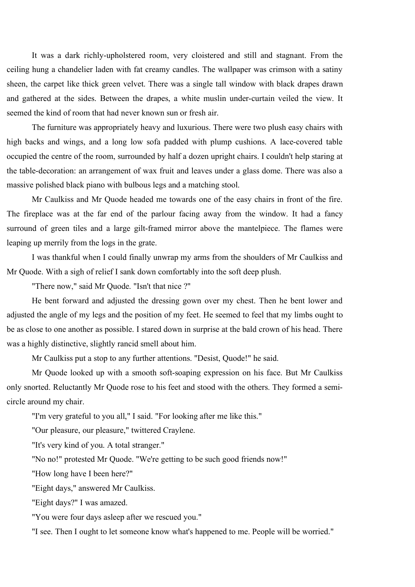It was a dark richly-upholstered room, very cloistered and still and stagnant. From the ceiling hung a chandelier laden with fat creamy candles. The wallpaper was crimson with a satiny sheen, the carpet like thick green velvet. There was a single tall window with black drapes drawn and gathered at the sides. Between the drapes, a white muslin under-curtain veiled the view. It seemed the kind of room that had never known sun or fresh air.

The furniture was appropriately heavy and luxurious. There were two plush easy chairs with high backs and wings, and a long low sofa padded with plump cushions. A lace-covered table occupied the centre of the room, surrounded by half a dozen upright chairs. I couldn't help staring at the table-decoration: an arrangement of wax fruit and leaves under a glass dome. There was also a massive polished black piano with bulbous legs and a matching stool.

Mr Caulkiss and Mr Quode headed me towards one of the easy chairs in front of the fire. The fireplace was at the far end of the parlour facing away from the window. It had a fancy surround of green tiles and a large gilt-framed mirror above the mantelpiece. The flames were leaping up merrily from the logs in the grate.

I was thankful when I could finally unwrap my arms from the shoulders of Mr Caulkiss and Mr Quode. With a sigh of relief I sank down comfortably into the soft deep plush.

"There now," said Mr Quode. "Isn't that nice ?"

He bent forward and adjusted the dressing gown over my chest. Then he bent lower and adjusted the angle of my legs and the position of my feet. He seemed to feel that my limbs ought to be as close to one another as possible. I stared down in surprise at the bald crown of his head. There was a highly distinctive, slightly rancid smell about him.

Mr Caulkiss put a stop to any further attentions. "Desist, Quode!" he said.

Mr Quode looked up with a smooth soft-soaping expression on his face. But Mr Caulkiss only snorted. Reluctantly Mr Quode rose to his feet and stood with the others. They formed a semicircle around my chair.

"I'm very grateful to you all," I said. "For looking after me like this."

"Our pleasure, our pleasure," twittered Craylene.

"It's very kind of you. A total stranger."

"No no!" protested Mr Quode. "We're getting to be such good friends now!"

"How long have I been here?"

"Eight days," answered Mr Caulkiss.

"Eight days?" I was amazed.

"You were four days asleep after we rescued you."

"I see. Then I ought to let someone know what's happened to me. People will be worried."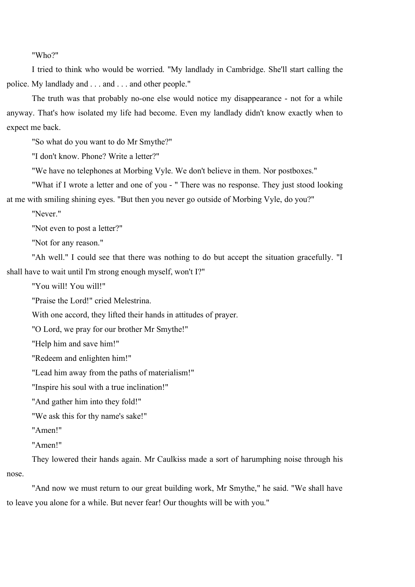"Who?"

I tried to think who would be worried. "My landlady in Cambridge. She'll start calling the police. My landlady and . . . and . . . and other people."

The truth was that probably no-one else would notice my disappearance - not for a while anyway. That's how isolated my life had become. Even my landlady didn't know exactly when to expect me back.

"So what do you want to do Mr Smythe?"

"I don't know. Phone? Write a letter?"

"We have no telephones at Morbing Vyle. We don't believe in them. Nor postboxes."

"What if I wrote a letter and one of you - " There was no response. They just stood looking at me with smiling shining eyes. "But then you never go outside of Morbing Vyle, do you?"

"Never."

"Not even to post a letter?"

"Not for any reason."

"Ah well." I could see that there was nothing to do but accept the situation gracefully. "I shall have to wait until I'm strong enough myself, won't I?"

"You will! You will!"

"Praise the Lord!" cried Melestrina.

With one accord, they lifted their hands in attitudes of prayer.

"O Lord, we pray for our brother Mr Smythe!"

"Help him and save him!"

"Redeem and enlighten him!"

"Lead him away from the paths of materialism!"

"Inspire his soul with a true inclination!"

"And gather him into they fold!"

"We ask this for thy name's sake!"

"Amen!"

"Amen!"

They lowered their hands again. Mr Caulkiss made a sort of harumphing noise through his nose.

"And now we must return to our great building work, Mr Smythe," he said. "We shall have to leave you alone for a while. But never fear! Our thoughts will be with you."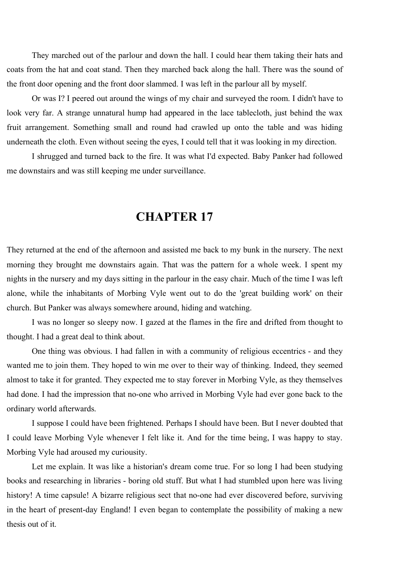They marched out of the parlour and down the hall. I could hear them taking their hats and coats from the hat and coat stand. Then they marched back along the hall. There was the sound of the front door opening and the front door slammed. I was left in the parlour all by myself.

Or was I? I peered out around the wings of my chair and surveyed the room. I didn't have to look very far. A strange unnatural hump had appeared in the lace tablecloth, just behind the wax fruit arrangement. Something small and round had crawled up onto the table and was hiding underneath the cloth. Even without seeing the eyes, I could tell that it was looking in my direction.

I shrugged and turned back to the fire. It was what I'd expected. Baby Panker had followed me downstairs and was still keeping me under surveillance.

# **CHAPTER 17**

They returned at the end of the afternoon and assisted me back to my bunk in the nursery. The next morning they brought me downstairs again. That was the pattern for a whole week. I spent my nights in the nursery and my days sitting in the parlour in the easy chair. Much of the time I was left alone, while the inhabitants of Morbing Vyle went out to do the 'great building work' on their church. But Panker was always somewhere around, hiding and watching.

I was no longer so sleepy now. I gazed at the flames in the fire and drifted from thought to thought. I had a great deal to think about.

One thing was obvious. I had fallen in with a community of religious eccentrics - and they wanted me to join them. They hoped to win me over to their way of thinking. Indeed, they seemed almost to take it for granted. They expected me to stay forever in Morbing Vyle, as they themselves had done. I had the impression that no-one who arrived in Morbing Vyle had ever gone back to the ordinary world afterwards.

I suppose I could have been frightened. Perhaps I should have been. But I never doubted that I could leave Morbing Vyle whenever I felt like it. And for the time being, I was happy to stay. Morbing Vyle had aroused my curiousity.

Let me explain. It was like a historian's dream come true. For so long I had been studying books and researching in libraries - boring old stuff. But what I had stumbled upon here was living history! A time capsule! A bizarre religious sect that no-one had ever discovered before, surviving in the heart of present-day England! I even began to contemplate the possibility of making a new thesis out of it.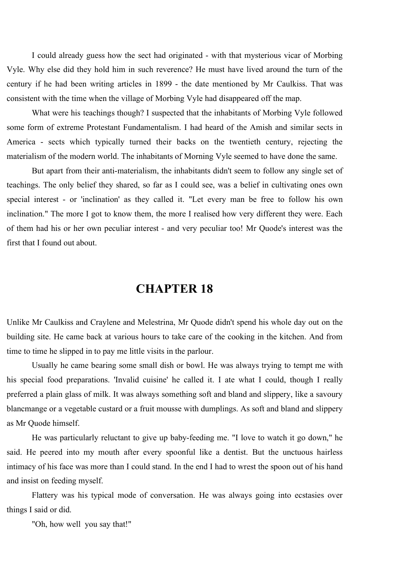I could already guess how the sect had originated - with that mysterious vicar of Morbing Vyle. Why else did they hold him in such reverence? He must have lived around the turn of the century if he had been writing articles in 1899 - the date mentioned by Mr Caulkiss. That was consistent with the time when the village of Morbing Vyle had disappeared off the map.

What were his teachings though? I suspected that the inhabitants of Morbing Vyle followed some form of extreme Protestant Fundamentalism. I had heard of the Amish and similar sects in America - sects which typically turned their backs on the twentieth century, rejecting the materialism of the modern world. The inhabitants of Morning Vyle seemed to have done the same.

But apart from their anti-materialism, the inhabitants didn't seem to follow any single set of teachings. The only belief they shared, so far as I could see, was a belief in cultivating ones own special interest - or 'inclination' as they called it. "Let every man be free to follow his own inclination." The more I got to know them, the more I realised how very different they were. Each of them had his or her own peculiar interest - and very peculiar too! Mr Quode's interest was the first that I found out about.

## **CHAPTER 18**

Unlike Mr Caulkiss and Craylene and Melestrina, Mr Quode didn't spend his whole day out on the building site. He came back at various hours to take care of the cooking in the kitchen. And from time to time he slipped in to pay me little visits in the parlour.

Usually he came bearing some small dish or bowl. He was always trying to tempt me with his special food preparations. 'Invalid cuisine' he called it. I ate what I could, though I really preferred a plain glass of milk. It was always something soft and bland and slippery, like a savoury blancmange or a vegetable custard or a fruit mousse with dumplings. As soft and bland and slippery as Mr Quode himself.

He was particularly reluctant to give up baby-feeding me. "I love to watch it go down," he said. He peered into my mouth after every spoonful like a dentist. But the unctuous hairless intimacy of his face was more than I could stand. In the end I had to wrest the spoon out of his hand and insist on feeding myself.

Flattery was his typical mode of conversation. He was always going into ecstasies over things I said or did.

"Oh, how well you say that!"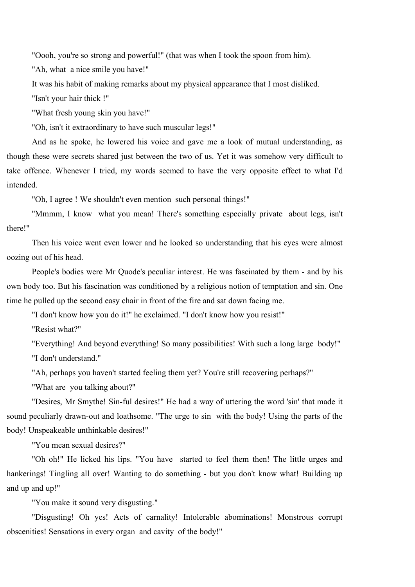"Oooh, you're so strong and powerful!" (that was when I took the spoon from him).

"Ah, what a nice smile you have!"

It was his habit of making remarks about my physical appearance that I most disliked.

"Isn't your hair thick !"

"What fresh young skin you have!"

"Oh, isn't it extraordinary to have such muscular legs!"

And as he spoke, he lowered his voice and gave me a look of mutual understanding, as though these were secrets shared just between the two of us. Yet it was somehow very difficult to take offence. Whenever I tried, my words seemed to have the very opposite effect to what I'd intended.

"Oh, I agree ! We shouldn't even mention such personal things!"

"Mmmm, I know what you mean! There's something especially private about legs, isn't there!"

Then his voice went even lower and he looked so understanding that his eyes were almost oozing out of his head.

People's bodies were Mr Quode's peculiar interest. He was fascinated by them - and by his own body too. But his fascination was conditioned by a religious notion of temptation and sin. One time he pulled up the second easy chair in front of the fire and sat down facing me.

"I don't know how you do it!" he exclaimed. "I don't know how you resist!"

"Resist what?"

"Everything! And beyond everything! So many possibilities! With such a long large body!" "I don't understand."

"Ah, perhaps you haven't started feeling them yet? You're still recovering perhaps?"

"What are you talking about?"

"Desires, Mr Smythe! Sin-ful desires!" He had a way of uttering the word 'sin' that made it sound peculiarly drawn-out and loathsome. "The urge to sin with the body! Using the parts of the body! Unspeakeable unthinkable desires!"

"You mean sexual desires?"

"Oh oh!" He licked his lips. "You have started to feel them then! The little urges and hankerings! Tingling all over! Wanting to do something - but you don't know what! Building up and up and up!"

"You make it sound very disgusting."

"Disgusting! Oh yes! Acts of carnality! Intolerable abominations! Monstrous corrupt obscenities! Sensations in every organ and cavity of the body!"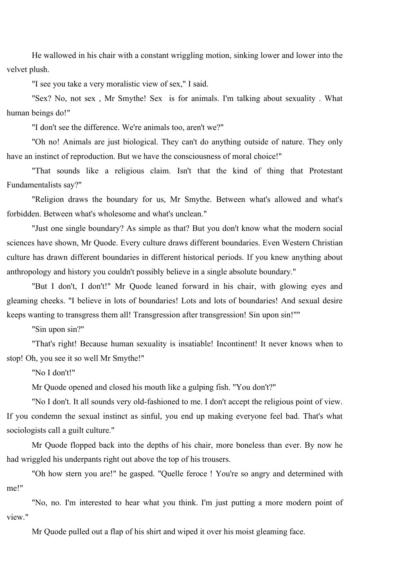He wallowed in his chair with a constant wriggling motion, sinking lower and lower into the velvet plush.

"I see you take a very moralistic view of sex," I said.

"Sex? No, not sex , Mr Smythe! Sex is for animals. I'm talking about sexuality . What human beings do!"

"I don't see the difference. We're animals too, aren't we?"

"Oh no! Animals are just biological. They can't do anything outside of nature. They only have an instinct of reproduction. But we have the consciousness of moral choice!"

"That sounds like a religious claim. Isn't that the kind of thing that Protestant Fundamentalists say?"

"Religion draws the boundary for us, Mr Smythe. Between what's allowed and what's forbidden. Between what's wholesome and what's unclean."

"Just one single boundary? As simple as that? But you don't know what the modern social sciences have shown, Mr Quode. Every culture draws different boundaries. Even Western Christian culture has drawn different boundaries in different historical periods. If you knew anything about anthropology and history you couldn't possibly believe in a single absolute boundary."

"But I don't, I don't!" Mr Quode leaned forward in his chair, with glowing eyes and gleaming cheeks. "I believe in lots of boundaries! Lots and lots of boundaries! And sexual desire keeps wanting to transgress them all! Transgression after transgression! Sin upon sin!""

"Sin upon sin?"

"That's right! Because human sexuality is insatiable! Incontinent! It never knows when to stop! Oh, you see it so well Mr Smythe!"

"No I don't!"

Mr Quode opened and closed his mouth like a gulping fish. "You don't?"

"No I don't. It all sounds very old-fashioned to me. I don't accept the religious point of view. If you condemn the sexual instinct as sinful, you end up making everyone feel bad. That's what sociologists call a guilt culture."

Mr Quode flopped back into the depths of his chair, more boneless than ever. By now he had wriggled his underpants right out above the top of his trousers.

"Oh how stern you are!" he gasped. "Quelle feroce ! You're so angry and determined with me!"

"No, no. I'm interested to hear what you think. I'm just putting a more modern point of view."

Mr Quode pulled out a flap of his shirt and wiped it over his moist gleaming face.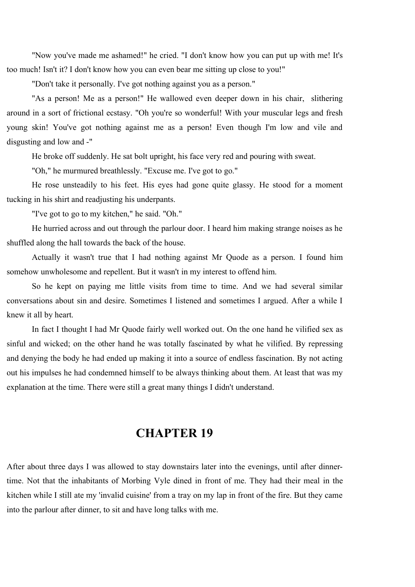"Now you've made me ashamed!" he cried. "I don't know how you can put up with me! It's too much! Isn't it? I don't know how you can even bear me sitting up close to you!"

"Don't take it personally. I've got nothing against you as a person."

"As a person! Me as a person!" He wallowed even deeper down in his chair, slithering around in a sort of frictional ecstasy. "Oh you're so wonderful! With your muscular legs and fresh young skin! You've got nothing against me as a person! Even though I'm low and vile and disgusting and low and -"

He broke off suddenly. He sat bolt upright, his face very red and pouring with sweat.

"Oh," he murmured breathlessly. "Excuse me. I've got to go."

He rose unsteadily to his feet. His eyes had gone quite glassy. He stood for a moment tucking in his shirt and readjusting his underpants.

"I've got to go to my kitchen," he said. "Oh."

He hurried across and out through the parlour door. I heard him making strange noises as he shuffled along the hall towards the back of the house.

Actually it wasn't true that I had nothing against Mr Quode as a person. I found him somehow unwholesome and repellent. But it wasn't in my interest to offend him.

So he kept on paying me little visits from time to time. And we had several similar conversations about sin and desire. Sometimes I listened and sometimes I argued. After a while I knew it all by heart.

In fact I thought I had Mr Quode fairly well worked out. On the one hand he vilified sex as sinful and wicked; on the other hand he was totally fascinated by what he vilified. By repressing and denying the body he had ended up making it into a source of endless fascination. By not acting out his impulses he had condemned himself to be always thinking about them. At least that was my explanation at the time. There were still a great many things I didn't understand.

# **CHAPTER 19**

After about three days I was allowed to stay downstairs later into the evenings, until after dinnertime. Not that the inhabitants of Morbing Vyle dined in front of me. They had their meal in the kitchen while I still ate my 'invalid cuisine' from a tray on my lap in front of the fire. But they came into the parlour after dinner, to sit and have long talks with me.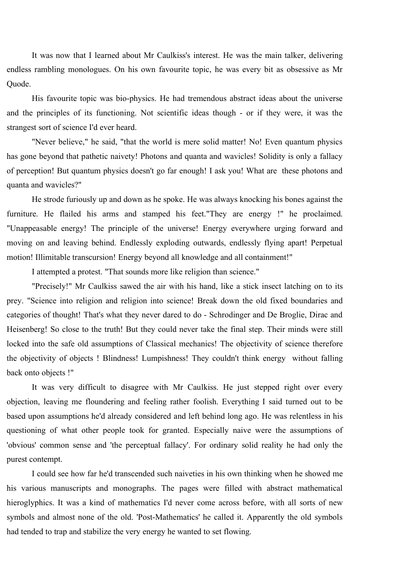It was now that I learned about Mr Caulkiss's interest. He was the main talker, delivering endless rambling monologues. On his own favourite topic, he was every bit as obsessive as Mr Quode.

His favourite topic was bio-physics. He had tremendous abstract ideas about the universe and the principles of its functioning. Not scientific ideas though - or if they were, it was the strangest sort of science I'd ever heard.

"Never believe," he said, "that the world is mere solid matter! No! Even quantum physics has gone beyond that pathetic naivety! Photons and quanta and wavicles! Solidity is only a fallacy of perception! But quantum physics doesn't go far enough! I ask you! What are these photons and quanta and wavicles?"

He strode furiously up and down as he spoke. He was always knocking his bones against the furniture. He flailed his arms and stamped his feet."They are energy !" he proclaimed. "Unappeasable energy! The principle of the universe! Energy everywhere urging forward and moving on and leaving behind. Endlessly exploding outwards, endlessly flying apart! Perpetual motion! Illimitable transcursion! Energy beyond all knowledge and all containment!"

I attempted a protest. "That sounds more like religion than science."

"Precisely!" Mr Caulkiss sawed the air with his hand, like a stick insect latching on to its prey. "Science into religion and religion into science! Break down the old fixed boundaries and categories of thought! That's what they never dared to do - Schrodinger and De Broglie, Dirac and Heisenberg! So close to the truth! But they could never take the final step. Their minds were still locked into the safe old assumptions of Classical mechanics! The objectivity of science therefore the objectivity of objects ! Blindness! Lumpishness! They couldn't think energy without falling back onto objects !"

It was very difficult to disagree with Mr Caulkiss. He just stepped right over every objection, leaving me floundering and feeling rather foolish. Everything I said turned out to be based upon assumptions he'd already considered and left behind long ago. He was relentless in his questioning of what other people took for granted. Especially naive were the assumptions of 'obvious' common sense and 'the perceptual fallacy'. For ordinary solid reality he had only the purest contempt.

I could see how far he'd transcended such naiveties in his own thinking when he showed me his various manuscripts and monographs. The pages were filled with abstract mathematical hieroglyphics. It was a kind of mathematics I'd never come across before, with all sorts of new symbols and almost none of the old. 'Post-Mathematics' he called it. Apparently the old symbols had tended to trap and stabilize the very energy he wanted to set flowing.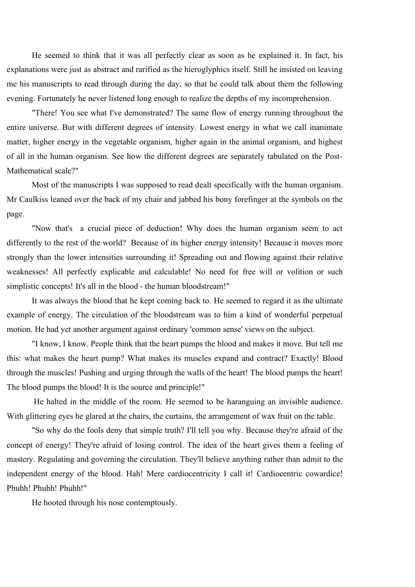He seemed to think that it was all perfectly clear as soon as he explained it. In fact, his explanations were just as abstract and rarified as the hieroglyphics itself. Still he insisted on leaving me his manuscripts to read through during the day, so that he could talk about them the following evening. Fortunately he never listened long enough to realize the depths of my incomprehension.

"There! You see what I've demonstrated? The same flow of energy running throughout the entire universe. But with different degrees of intensity. Lowest energy in what we call inanimate matter, higher energy in the vegetable organism, higher again in the animal organism, and highest of all in the human organism. See how the different degrees are separately tabulated on the Post-Mathematical scale?"

Most of the manuscripts I was supposed to read dealt specifically with the human organism. Mr Caulkiss leaned over the back of my chair and jabbed his bony forefinger at the symbols on the page.

"Now that's a crucial piece of deduction! Why does the human organism seem to act differently to the rest of the world? Because of its higher energy intensity! Because it moves more strongly than the lower intensities surrounding it! Spreading out and flowing against their relative weaknesses! All perfectly explicable and calculable! No need for free will or volition or such simplistic concepts! It's all in the blood - the human bloodstream!"

It was always the blood that he kept coming back to. He seemed to regard it as the ultimate example of energy. The circulation of the bloodstream was to him a kind of wonderful perpetual motion. He had yet another argument against ordinary 'common sense' views on the subject.

"I know, I know. People think that the heart pumps the blood and makes it move. But tell me this: what makes the heart pump? What makes its muscles expand and contract? Exactly! Blood through the muscles! Pushing and urging through the walls of the heart! The blood pumps the heart! The blood pumps the blood! It is the source and principle!"

 He halted in the middle of the room. He seemed to be haranguing an invisible audience. With glittering eyes he glared at the chairs, the curtains, the arrangement of wax fruit on the table.

"So why do the fools deny that simple truth? I'll tell you why. Because they're afraid of the concept of energy! They're afraid of losing control. The idea of the heart gives them a feeling of mastery. Regulating and governing the circulation. They'll believe anything rather than admit to the independent energy of the blood. Hah! Mere cardiocentricity I call it! Cardiocentric cowardice! Phuhh! Phuhh! Phuhh!"

He hooted through his nose contemptously.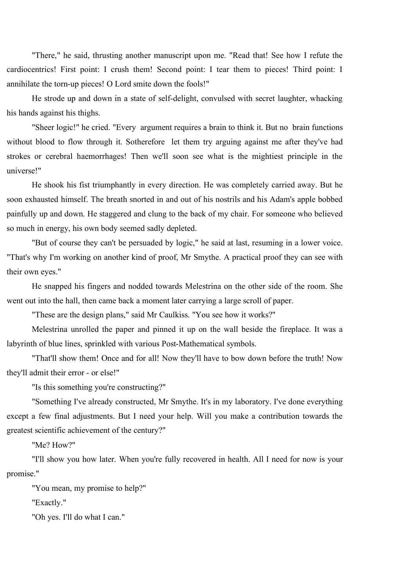"There," he said, thrusting another manuscript upon me. "Read that! See how I refute the cardiocentrics! First point: I crush them! Second point: I tear them to pieces! Third point: I annihilate the torn-up pieces! O Lord smite down the fools!"

He strode up and down in a state of self-delight, convulsed with secret laughter, whacking his hands against his thighs.

"Sheer logic!" he cried. "Every argument requires a brain to think it. But no brain functions without blood to flow through it. Sotherefore let them try arguing against me after they've had strokes or cerebral haemorrhages! Then we'll soon see what is the mightiest principle in the universe!"

He shook his fist triumphantly in every direction. He was completely carried away. But he soon exhausted himself. The breath snorted in and out of his nostrils and his Adam's apple bobbed painfully up and down. He staggered and clung to the back of my chair. For someone who believed so much in energy, his own body seemed sadly depleted.

"But of course they can't be persuaded by logic," he said at last, resuming in a lower voice. "That's why I'm working on another kind of proof, Mr Smythe. A practical proof they can see with their own eyes."

He snapped his fingers and nodded towards Melestrina on the other side of the room. She went out into the hall, then came back a moment later carrying a large scroll of paper.

"These are the design plans," said Mr Caulkiss. "You see how it works?"

Melestrina unrolled the paper and pinned it up on the wall beside the fireplace. It was a labyrinth of blue lines, sprinkled with various Post-Mathematical symbols.

"That'll show them! Once and for all! Now they'll have to bow down before the truth! Now they'll admit their error - or else!"

"Is this something you're constructing?"

"Something I've already constructed, Mr Smythe. It's in my laboratory. I've done everything except a few final adjustments. But I need your help. Will you make a contribution towards the greatest scientific achievement of the century?"

"Me? How?"

"I'll show you how later. When you're fully recovered in health. All I need for now is your promise."

"You mean, my promise to help?"

"Exactly."

"Oh yes. I'll do what I can."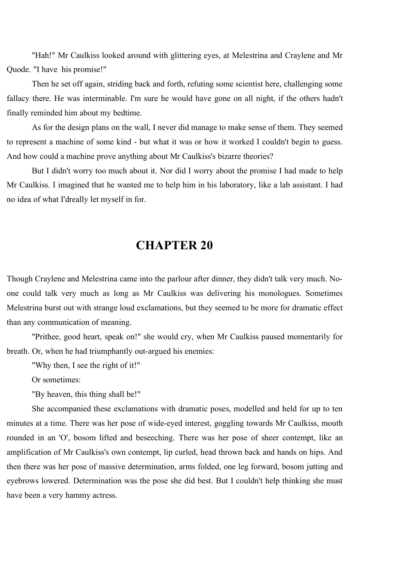"Hah!" Mr Caulkiss looked around with glittering eyes, at Melestrina and Craylene and Mr Quode. "I have his promise!"

Then he set off again, striding back and forth, refuting some scientist here, challenging some fallacy there. He was interminable. I'm sure he would have gone on all night, if the others hadn't finally reminded him about my bedtime.

As for the design plans on the wall, I never did manage to make sense of them. They seemed to represent a machine of some kind - but what it was or how it worked I couldn't begin to guess. And how could a machine prove anything about Mr Caulkiss's bizarre theories?

But I didn't worry too much about it. Nor did I worry about the promise I had made to help Mr Caulkiss. I imagined that he wanted me to help him in his laboratory, like a lab assistant. I had no idea of what I'dreally let myself in for.

## **CHAPTER 20**

Though Craylene and Melestrina came into the parlour after dinner, they didn't talk very much. Noone could talk very much as long as Mr Caulkiss was delivering his monologues. Sometimes Melestrina burst out with strange loud exclamations, but they seemed to be more for dramatic effect than any communication of meaning.

"Prithee, good heart, speak on!" she would cry, when Mr Caulkiss paused momentarily for breath. Or, when he had triumphantly out-argued his enemies:

"Why then, I see the right of it!"

Or sometimes:

"By heaven, this thing shall be!"

She accompanied these exclamations with dramatic poses, modelled and held for up to ten minutes at a time. There was her pose of wide-eyed interest, goggling towards Mr Caulkiss, mouth rounded in an 'O', bosom lifted and beseeching. There was her pose of sheer contempt, like an amplification of Mr Caulkiss's own contempt, lip curled, head thrown back and hands on hips. And then there was her pose of massive determination, arms folded, one leg forward, bosom jutting and eyebrows lowered. Determination was the pose she did best. But I couldn't help thinking she must have been a very hammy actress.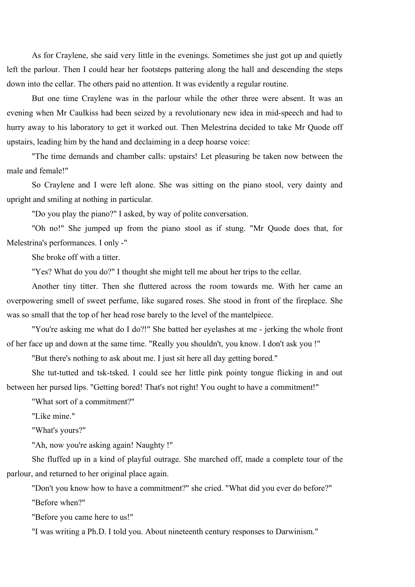As for Craylene, she said very little in the evenings. Sometimes she just got up and quietly left the parlour. Then I could hear her footsteps pattering along the hall and descending the steps down into the cellar. The others paid no attention. It was evidently a regular routine.

But one time Craylene was in the parlour while the other three were absent. It was an evening when Mr Caulkiss had been seized by a revolutionary new idea in mid-speech and had to hurry away to his laboratory to get it worked out. Then Melestrina decided to take Mr Quode off upstairs, leading him by the hand and declaiming in a deep hoarse voice:

"The time demands and chamber calls: upstairs! Let pleasuring be taken now between the male and female!"

So Craylene and I were left alone. She was sitting on the piano stool, very dainty and upright and smiling at nothing in particular.

"Do you play the piano?" I asked, by way of polite conversation.

"Oh no!" She jumped up from the piano stool as if stung. "Mr Quode does that, for Melestrina's performances. I only -"

She broke off with a titter.

"Yes? What do you do?" I thought she might tell me about her trips to the cellar.

Another tiny titter. Then she fluttered across the room towards me. With her came an overpowering smell of sweet perfume, like sugared roses. She stood in front of the fireplace. She was so small that the top of her head rose barely to the level of the mantelpiece.

"You're asking me what do I do?!" She batted her eyelashes at me - jerking the whole front of her face up and down at the same time. "Really you shouldn't, you know. I don't ask you !"

"But there's nothing to ask about me. I just sit here all day getting bored."

She tut-tutted and tsk-tsked. I could see her little pink pointy tongue flicking in and out between her pursed lips. "Getting bored! That's not right! You ought to have a commitment!"

"What sort of a commitment?"

"Like mine."

"What's yours?"

"Ah, now you're asking again! Naughty !"

She fluffed up in a kind of playful outrage. She marched off, made a complete tour of the parlour, and returned to her original place again.

"Don't you know how to have a commitment?" she cried. "What did you ever do before?"

"Before when?"

"Before you came here to us!"

"I was writing a Ph.D. I told you. About nineteenth century responses to Darwinism."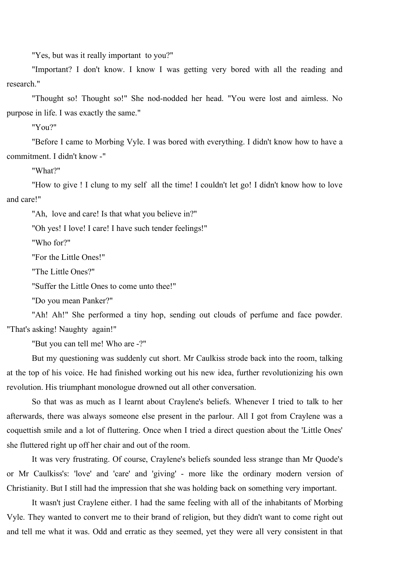"Yes, but was it really important to you?"

"Important? I don't know. I know I was getting very bored with all the reading and research."

"Thought so! Thought so!" She nod-nodded her head. "You were lost and aimless. No purpose in life. I was exactly the same."

"You?"

"Before I came to Morbing Vyle. I was bored with everything. I didn't know how to have a commitment. I didn't know -"

"What?"

"How to give ! I clung to my self all the time! I couldn't let go! I didn't know how to love and care!"

"Ah, love and care! Is that what you believe in?"

"Oh yes! I love! I care! I have such tender feelings!"

"Who for?"

"For the Little Ones!"

"The Little Ones?"

"Suffer the Little Ones to come unto thee!"

"Do you mean Panker?"

"Ah! Ah!" She performed a tiny hop, sending out clouds of perfume and face powder. "That's asking! Naughty again!"

"But you can tell me! Who are -?"

But my questioning was suddenly cut short. Mr Caulkiss strode back into the room, talking at the top of his voice. He had finished working out his new idea, further revolutionizing his own revolution. His triumphant monologue drowned out all other conversation.

So that was as much as I learnt about Craylene's beliefs. Whenever I tried to talk to her afterwards, there was always someone else present in the parlour. All I got from Craylene was a coquettish smile and a lot of fluttering. Once when I tried a direct question about the 'Little Ones' she fluttered right up off her chair and out of the room.

It was very frustrating. Of course, Craylene's beliefs sounded less strange than Mr Quode's or Mr Caulkiss's: 'love' and 'care' and 'giving' - more like the ordinary modern version of Christianity. But I still had the impression that she was holding back on something very important.

It wasn't just Craylene either. I had the same feeling with all of the inhabitants of Morbing Vyle. They wanted to convert me to their brand of religion, but they didn't want to come right out and tell me what it was. Odd and erratic as they seemed, yet they were all very consistent in that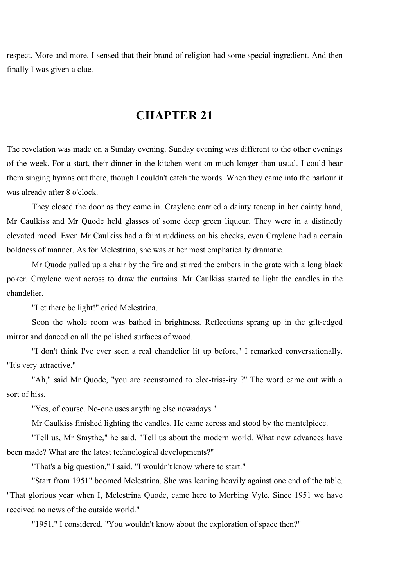respect. More and more, I sensed that their brand of religion had some special ingredient. And then finally I was given a clue.

# **CHAPTER 21**

The revelation was made on a Sunday evening. Sunday evening was different to the other evenings of the week. For a start, their dinner in the kitchen went on much longer than usual. I could hear them singing hymns out there, though I couldn't catch the words. When they came into the parlour it was already after 8 o'clock.

They closed the door as they came in. Craylene carried a dainty teacup in her dainty hand, Mr Caulkiss and Mr Quode held glasses of some deep green liqueur. They were in a distinctly elevated mood. Even Mr Caulkiss had a faint ruddiness on his cheeks, even Craylene had a certain boldness of manner. As for Melestrina, she was at her most emphatically dramatic.

Mr Quode pulled up a chair by the fire and stirred the embers in the grate with a long black poker. Craylene went across to draw the curtains. Mr Caulkiss started to light the candles in the chandelier.

"Let there be light!" cried Melestrina.

Soon the whole room was bathed in brightness. Reflections sprang up in the gilt-edged mirror and danced on all the polished surfaces of wood.

"I don't think I've ever seen a real chandelier lit up before," I remarked conversationally. "It's very attractive."

"Ah," said Mr Quode, "you are accustomed to elec-triss-ity ?" The word came out with a sort of hiss.

"Yes, of course. No-one uses anything else nowadays."

Mr Caulkiss finished lighting the candles. He came across and stood by the mantelpiece.

"Tell us, Mr Smythe," he said. "Tell us about the modern world. What new advances have been made? What are the latest technological developments?"

"That's a big question," I said. "I wouldn't know where to start."

"Start from 1951" boomed Melestrina. She was leaning heavily against one end of the table. "That glorious year when I, Melestrina Quode, came here to Morbing Vyle. Since 1951 we have received no news of the outside world."

"1951." I considered. "You wouldn't know about the exploration of space then?"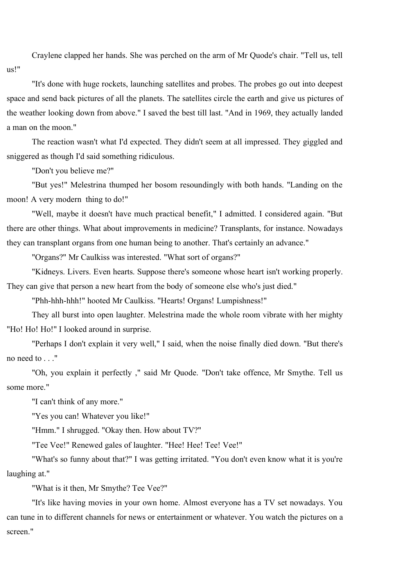Craylene clapped her hands. She was perched on the arm of Mr Quode's chair. "Tell us, tell us!"

"It's done with huge rockets, launching satellites and probes. The probes go out into deepest space and send back pictures of all the planets. The satellites circle the earth and give us pictures of the weather looking down from above." I saved the best till last. "And in 1969, they actually landed a man on the moon."

The reaction wasn't what I'd expected. They didn't seem at all impressed. They giggled and sniggered as though I'd said something ridiculous.

"Don't you believe me?"

"But yes!" Melestrina thumped her bosom resoundingly with both hands. "Landing on the moon! A very modern thing to do!"

"Well, maybe it doesn't have much practical benefit," I admitted. I considered again. "But there are other things. What about improvements in medicine? Transplants, for instance. Nowadays they can transplant organs from one human being to another. That's certainly an advance."

"Organs?" Mr Caulkiss was interested. "What sort of organs?"

"Kidneys. Livers. Even hearts. Suppose there's someone whose heart isn't working properly. They can give that person a new heart from the body of someone else who's just died."

"Phh-hhh-hhh!" hooted Mr Caulkiss. "Hearts! Organs! Lumpishness!"

They all burst into open laughter. Melestrina made the whole room vibrate with her mighty "Ho! Ho! Ho!" I looked around in surprise.

"Perhaps I don't explain it very well," I said, when the noise finally died down. "But there's no need to . . ."

"Oh, you explain it perfectly ," said Mr Quode. "Don't take offence, Mr Smythe. Tell us some more."

"I can't think of any more."

"Yes you can! Whatever you like!"

"Hmm." I shrugged. "Okay then. How about TV?"

"Tee Vee!" Renewed gales of laughter. "Hee! Hee! Tee! Vee!"

"What's so funny about that?" I was getting irritated. "You don't even know what it is you're laughing at."

"What is it then, Mr Smythe? Tee Vee?"

"It's like having movies in your own home. Almost everyone has a TV set nowadays. You can tune in to different channels for news or entertainment or whatever. You watch the pictures on a screen."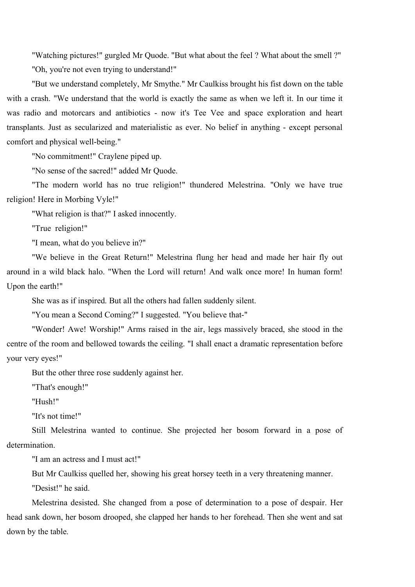"Watching pictures!" gurgled Mr Quode. "But what about the feel ? What about the smell ?" "Oh, you're not even trying to understand!"

"But we understand completely, Mr Smythe." Mr Caulkiss brought his fist down on the table with a crash. "We understand that the world is exactly the same as when we left it. In our time it was radio and motorcars and antibiotics - now it's Tee Vee and space exploration and heart transplants. Just as secularized and materialistic as ever. No belief in anything - except personal comfort and physical well-being."

"No commitment!" Craylene piped up.

"No sense of the sacred!" added Mr Quode.

"The modern world has no true religion!" thundered Melestrina. "Only we have true religion! Here in Morbing Vyle!"

"What religion is that?" I asked innocently.

"True religion!"

"I mean, what do you believe in?"

"We believe in the Great Return!" Melestrina flung her head and made her hair fly out around in a wild black halo. "When the Lord will return! And walk once more! In human form! Upon the earth!"

She was as if inspired. But all the others had fallen suddenly silent.

"You mean a Second Coming?" I suggested. "You believe that-"

"Wonder! Awe! Worship!" Arms raised in the air, legs massively braced, she stood in the centre of the room and bellowed towards the ceiling. "I shall enact a dramatic representation before your very eyes!"

But the other three rose suddenly against her.

"That's enough!"

"Hush!"

"It's not time!"

Still Melestrina wanted to continue. She projected her bosom forward in a pose of determination.

"I am an actress and I must act!"

But Mr Caulkiss quelled her, showing his great horsey teeth in a very threatening manner.

"Desist!" he said.

Melestrina desisted. She changed from a pose of determination to a pose of despair. Her head sank down, her bosom drooped, she clapped her hands to her forehead. Then she went and sat down by the table.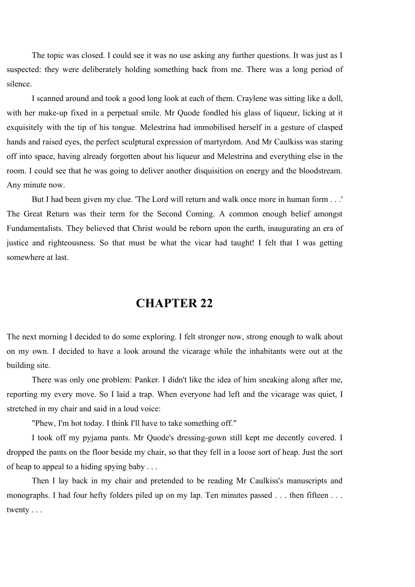The topic was closed. I could see it was no use asking any further questions. It was just as I suspected: they were deliberately holding something back from me. There was a long period of silence.

I scanned around and took a good long look at each of them. Craylene was sitting like a doll, with her make-up fixed in a perpetual smile. Mr Quode fondled his glass of liqueur, licking at it exquisitely with the tip of his tongue. Melestrina had immobilised herself in a gesture of clasped hands and raised eyes, the perfect sculptural expression of martyrdom. And Mr Caulkiss was staring off into space, having already forgotten about his liqueur and Melestrina and everything else in the room. I could see that he was going to deliver another disquisition on energy and the bloodstream. Any minute now.

But I had been given my clue. 'The Lord will return and walk once more in human form . . .' The Great Return was their term for the Second Coming. A common enough belief amongst Fundamentalists. They believed that Christ would be reborn upon the earth, inaugurating an era of justice and righteousness. So that must be what the vicar had taught! I felt that I was getting somewhere at last.

## **CHAPTER 22**

The next morning I decided to do some exploring. I felt stronger now, strong enough to walk about on my own. I decided to have a look around the vicarage while the inhabitants were out at the building site.

There was only one problem: Panker. I didn't like the idea of him sneaking along after me, reporting my every move. So I laid a trap. When everyone had left and the vicarage was quiet, I stretched in my chair and said in a loud voice:

"Phew, I'm hot today. I think I'll have to take something off."

I took off my pyjama pants. Mr Quode's dressing-gown still kept me decently covered. I dropped the pants on the floor beside my chair, so that they fell in a loose sort of heap. Just the sort of heap to appeal to a hiding spying baby . . .

Then I lay back in my chair and pretended to be reading Mr Caulkiss's manuscripts and monographs. I had four hefty folders piled up on my lap. Ten minutes passed . . . then fifteen . . . twenty . . .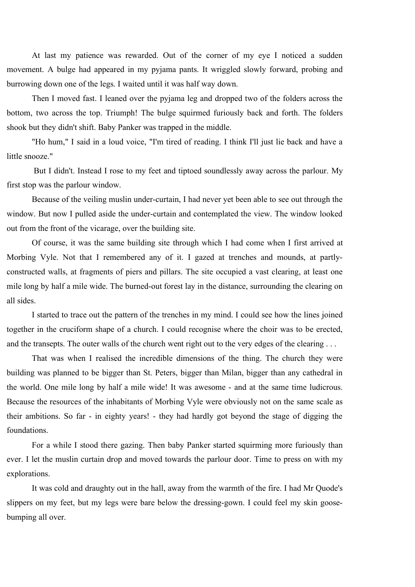At last my patience was rewarded. Out of the corner of my eye I noticed a sudden movement. A bulge had appeared in my pyjama pants. It wriggled slowly forward, probing and burrowing down one of the legs. I waited until it was half way down.

Then I moved fast. I leaned over the pyjama leg and dropped two of the folders across the bottom, two across the top. Triumph! The bulge squirmed furiously back and forth. The folders shook but they didn't shift. Baby Panker was trapped in the middle.

"Ho hum," I said in a loud voice, "I'm tired of reading. I think I'll just lie back and have a little snooze."

 But I didn't. Instead I rose to my feet and tiptoed soundlessly away across the parlour. My first stop was the parlour window.

Because of the veiling muslin under-curtain, I had never yet been able to see out through the window. But now I pulled aside the under-curtain and contemplated the view. The window looked out from the front of the vicarage, over the building site.

Of course, it was the same building site through which I had come when I first arrived at Morbing Vyle. Not that I remembered any of it. I gazed at trenches and mounds, at partlyconstructed walls, at fragments of piers and pillars. The site occupied a vast clearing, at least one mile long by half a mile wide. The burned-out forest lay in the distance, surrounding the clearing on all sides.

I started to trace out the pattern of the trenches in my mind. I could see how the lines joined together in the cruciform shape of a church. I could recognise where the choir was to be erected, and the transepts. The outer walls of the church went right out to the very edges of the clearing . . .

That was when I realised the incredible dimensions of the thing. The church they were building was planned to be bigger than St. Peters, bigger than Milan, bigger than any cathedral in the world. One mile long by half a mile wide! It was awesome - and at the same time ludicrous. Because the resources of the inhabitants of Morbing Vyle were obviously not on the same scale as their ambitions. So far - in eighty years! - they had hardly got beyond the stage of digging the foundations.

For a while I stood there gazing. Then baby Panker started squirming more furiously than ever. I let the muslin curtain drop and moved towards the parlour door. Time to press on with my explorations.

It was cold and draughty out in the hall, away from the warmth of the fire. I had Mr Quode's slippers on my feet, but my legs were bare below the dressing-gown. I could feel my skin goosebumping all over.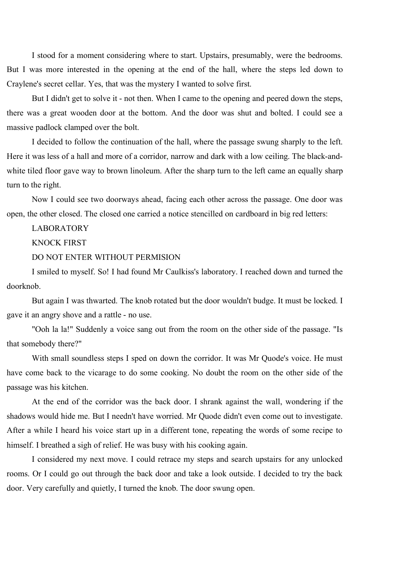I stood for a moment considering where to start. Upstairs, presumably, were the bedrooms. But I was more interested in the opening at the end of the hall, where the steps led down to Craylene's secret cellar. Yes, that was the mystery I wanted to solve first.

But I didn't get to solve it - not then. When I came to the opening and peered down the steps, there was a great wooden door at the bottom. And the door was shut and bolted. I could see a massive padlock clamped over the bolt.

I decided to follow the continuation of the hall, where the passage swung sharply to the left. Here it was less of a hall and more of a corridor, narrow and dark with a low ceiling. The black-andwhite tiled floor gave way to brown linoleum. After the sharp turn to the left came an equally sharp turn to the right.

Now I could see two doorways ahead, facing each other across the passage. One door was open, the other closed. The closed one carried a notice stencilled on cardboard in big red letters:

#### LABORATORY

## KNOCK FIRST

### DO NOT ENTER WITHOUT PERMISION

I smiled to myself. So! I had found Mr Caulkiss's laboratory. I reached down and turned the doorknob.

But again I was thwarted. The knob rotated but the door wouldn't budge. It must be locked. I gave it an angry shove and a rattle - no use.

"Ooh la la!" Suddenly a voice sang out from the room on the other side of the passage. "Is that somebody there?"

With small soundless steps I sped on down the corridor. It was Mr Quode's voice. He must have come back to the vicarage to do some cooking. No doubt the room on the other side of the passage was his kitchen.

At the end of the corridor was the back door. I shrank against the wall, wondering if the shadows would hide me. But I needn't have worried. Mr Quode didn't even come out to investigate. After a while I heard his voice start up in a different tone, repeating the words of some recipe to himself. I breathed a sigh of relief. He was busy with his cooking again.

I considered my next move. I could retrace my steps and search upstairs for any unlocked rooms. Or I could go out through the back door and take a look outside. I decided to try the back door. Very carefully and quietly, I turned the knob. The door swung open.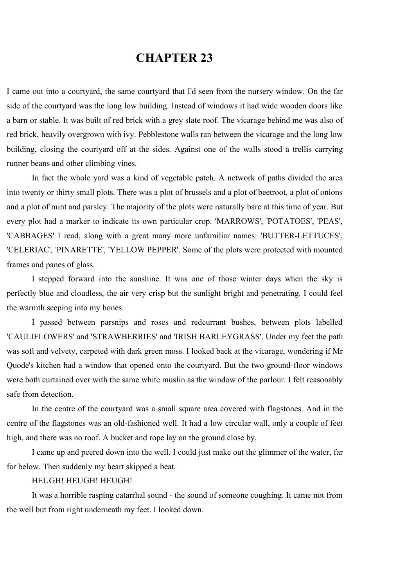## **CHAPTER 23**

I came out into a courtyard, the same courtyard that I'd seen from the nursery window. On the far side of the courtyard was the long low building. Instead of windows it had wide wooden doors like a barn or stable. It was built of red brick with a grey slate roof. The vicarage behind me was also of red brick, heavily overgrown with ivy. Pebblestone walls ran between the vicarage and the long low building, closing the courtyard off at the sides. Against one of the walls stood a trellis carrying runner beans and other climbing vines.

In fact the whole yard was a kind of vegetable patch. A network of paths divided the area into twenty or thirty small plots. There was a plot of brussels and a plot of beetroot, a plot of onions and a plot of mint and parsley. The majority of the plots were naturally bare at this time of year. But every plot had a marker to indicate its own particular crop. 'MARROWS', 'POTATOES', 'PEAS', 'CABBAGES' I read, along with a great many more unfamiliar names: 'BUTTER-LETTUCES', 'CELERIAC', 'PINARETTE', 'YELLOW PEPPER'. Some of the plots were protected with mounted frames and panes of glass.

I stepped forward into the sunshine. It was one of those winter days when the sky is perfectly blue and cloudless, the air very crisp but the sunlight bright and penetrating. I could feel the warmth seeping into my bones.

I passed between parsnips and roses and redcurrant bushes, between plots labelled 'CAULIFLOWERS' and 'STRAWBERRIES' and 'IRISH BARLEYGRASS'. Under my feet the path was soft and velvety, carpeted with dark green moss. I looked back at the vicarage, wondering if Mr Quode's kitchen had a window that opened onto the courtyard. But the two ground-floor windows were both curtained over with the same white muslin as the window of the parlour. I felt reasonably safe from detection.

In the centre of the courtyard was a small square area covered with flagstones. And in the centre of the flagstones was an old-fashioned well. It had a low circular wall, only a couple of feet high, and there was no roof. A bucket and rope lay on the ground close by.

I came up and peered down into the well. I could just make out the glimmer of the water, far far below. Then suddenly my heart skipped a beat.

## HEUGH! HEUGH! HEUGH!

It was a horrible rasping catarrhal sound - the sound of someone coughing. It came not from the well but from right underneath my feet. I looked down.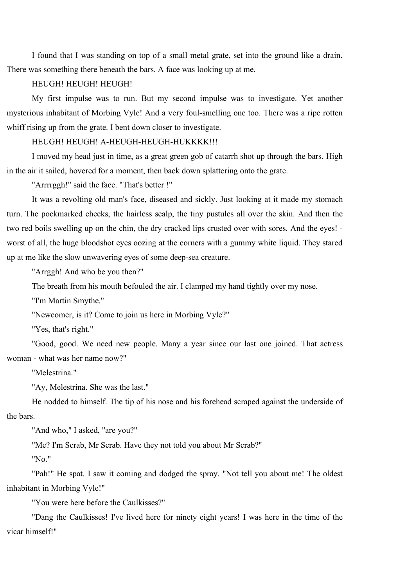I found that I was standing on top of a small metal grate, set into the ground like a drain. There was something there beneath the bars. A face was looking up at me.

#### HEUGH! HEUGH! HEUGH!

My first impulse was to run. But my second impulse was to investigate. Yet another mysterious inhabitant of Morbing Vyle! And a very foul-smelling one too. There was a ripe rotten whiff rising up from the grate. I bent down closer to investigate.

## HEUGH! HEUGH! A-HEUGH-HEUGH-HUKKKK!!!

I moved my head just in time, as a great green gob of catarrh shot up through the bars. High in the air it sailed, hovered for a moment, then back down splattering onto the grate.

"Arrrrggh!" said the face. "That's better !"

It was a revolting old man's face, diseased and sickly. Just looking at it made my stomach turn. The pockmarked cheeks, the hairless scalp, the tiny pustules all over the skin. And then the two red boils swelling up on the chin, the dry cracked lips crusted over with sores. And the eyes! worst of all, the huge bloodshot eyes oozing at the corners with a gummy white liquid. They stared up at me like the slow unwavering eyes of some deep-sea creature.

"Arrggh! And who be you then?"

The breath from his mouth befouled the air. I clamped my hand tightly over my nose.

"I'm Martin Smythe."

"Newcomer, is it? Come to join us here in Morbing Vyle?"

"Yes, that's right."

"Good, good. We need new people. Many a year since our last one joined. That actress woman - what was her name now?"

"Melestrina."

"Ay, Melestrina. She was the last."

He nodded to himself. The tip of his nose and his forehead scraped against the underside of the bars.

"And who," I asked, "are you?"

"Me? I'm Scrab, Mr Scrab. Have they not told you about Mr Scrab?"

"No."

"Pah!" He spat. I saw it coming and dodged the spray. "Not tell you about me! The oldest inhabitant in Morbing Vyle!"

"You were here before the Caulkisses?"

"Dang the Caulkisses! I've lived here for ninety eight years! I was here in the time of the vicar himself!"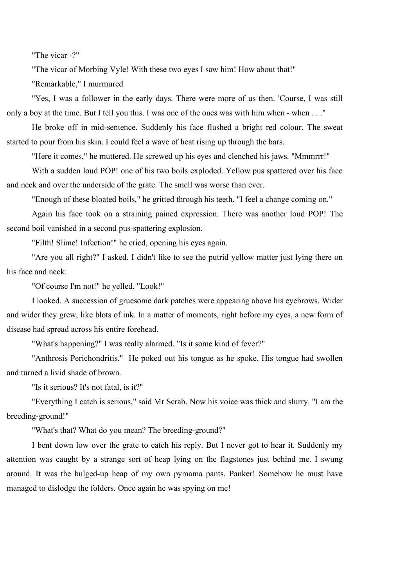"The vicar -?"

"The vicar of Morbing Vyle! With these two eyes I saw him! How about that!"

"Remarkable," I murmured.

"Yes, I was a follower in the early days. There were more of us then. 'Course, I was still only a boy at the time. But I tell you this. I was one of the ones was with him when - when . . ."

He broke off in mid-sentence. Suddenly his face flushed a bright red colour. The sweat started to pour from his skin. I could feel a wave of heat rising up through the bars.

"Here it comes," he muttered. He screwed up his eyes and clenched his jaws. "Mmmrrr!"

With a sudden loud POP! one of his two boils exploded. Yellow pus spattered over his face and neck and over the underside of the grate. The smell was worse than ever.

"Enough of these bloated boils," he gritted through his teeth. "I feel a change coming on."

Again his face took on a straining pained expression. There was another loud POP! The second boil vanished in a second pus-spattering explosion.

"Filth! Slime! Infection!" he cried, opening his eyes again.

"Are you all right?" I asked. I didn't like to see the putrid yellow matter just lying there on his face and neck.

"Of course I'm not!" he yelled. "Look!"

I looked. A succession of gruesome dark patches were appearing above his eyebrows. Wider and wider they grew, like blots of ink. In a matter of moments, right before my eyes, a new form of disease had spread across his entire forehead.

"What's happening?" I was really alarmed. "Is it some kind of fever?"

"Anthrosis Perichondritis." He poked out his tongue as he spoke. His tongue had swollen and turned a livid shade of brown.

"Is it serious? It's not fatal, is it?"

"Everything I catch is serious," said Mr Scrab. Now his voice was thick and slurry. "I am the breeding-ground!"

"What's that? What do you mean? The breeding-ground?"

I bent down low over the grate to catch his reply. But I never got to hear it. Suddenly my attention was caught by a strange sort of heap lying on the flagstones just behind me. I swung around. It was the bulged-up heap of my own pymama pants. Panker! Somehow he must have managed to dislodge the folders. Once again he was spying on me!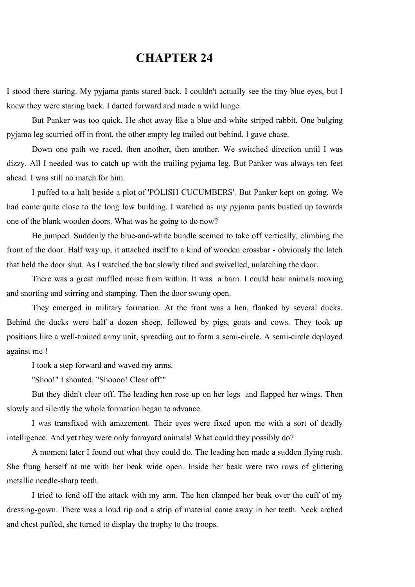## **CHAPTER 24**

I stood there staring. My pyjama pants stared back. I couldn't actually see the tiny blue eyes, but I knew they were staring back. I darted forward and made a wild lunge.

But Panker was too quick. He shot away like a blue-and-white striped rabbit. One bulging pyjama leg scurried off in front, the other empty leg trailed out behind. I gave chase.

Down one path we raced, then another, then another. We switched direction until I was dizzy. All I needed was to catch up with the trailing pyjama leg. But Panker was always ten feet ahead. I was still no match for him.

I puffed to a halt beside a plot of 'POLISH CUCUMBERS'. But Panker kept on going. We had come quite close to the long low building. I watched as my pyjama pants bustled up towards one of the blank wooden doors. What was he going to do now?

He jumped. Suddenly the blue-and-white bundle seemed to take off vertically, climbing the front of the door. Half way up, it attached itself to a kind of wooden crossbar - obviously the latch that held the door shut. As I watched the bar slowly tilted and swivelled, unlatching the door.

There was a great muffled noise from within. It was a barn. I could hear animals moving and snorting and stirring and stamping. Then the door swung open.

They emerged in military formation. At the front was a hen, flanked by several ducks. Behind the ducks were half a dozen sheep, followed by pigs, goats and cows. They took up positions like a well-trained army unit, spreading out to form a semi-circle. A semi-circle deployed against me !

I took a step forward and waved my arms.

"Shoo!" I shouted. "Shoooo! Clear off!"

But they didn't clear off. The leading hen rose up on her legs and flapped her wings. Then slowly and silently the whole formation began to advance.

I was transfixed with amazement. Their eyes were fixed upon me with a sort of deadly intelligence. And yet they were only farmyard animals! What could they possibly do?

A moment later I found out what they could do. The leading hen made a sudden flying rush. She flung herself at me with her beak wide open. Inside her beak were two rows of glittering metallic needle-sharp teeth.

I tried to fend off the attack with my arm. The hen clamped her beak over the cuff of my dressing-gown. There was a loud rip and a strip of material came away in her teeth. Neck arched and chest puffed, she turned to display the trophy to the troops.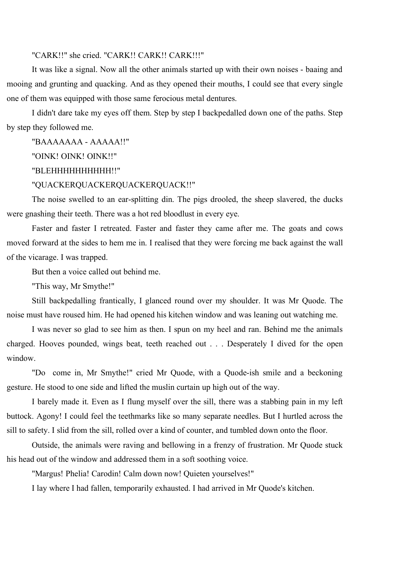#### "CARK!!" she cried. "CARK!! CARK!! CARK!!!"

It was like a signal. Now all the other animals started up with their own noises - baaing and mooing and grunting and quacking. And as they opened their mouths, I could see that every single one of them was equipped with those same ferocious metal dentures.

I didn't dare take my eyes off them. Step by step I backpedalled down one of the paths. Step by step they followed me.

"BAAAAAAA - AAAAA!!"

"OINK! OINK! OINK!!"

#### "BLEHHHHHHHHHH!!"

#### "QUACKERQUACKERQUACKERQUACK!!"

The noise swelled to an ear-splitting din. The pigs drooled, the sheep slavered, the ducks were gnashing their teeth. There was a hot red bloodlust in every eye.

Faster and faster I retreated. Faster and faster they came after me. The goats and cows moved forward at the sides to hem me in. I realised that they were forcing me back against the wall of the vicarage. I was trapped.

But then a voice called out behind me.

"This way, Mr Smythe!"

Still backpedalling frantically, I glanced round over my shoulder. It was Mr Quode. The noise must have roused him. He had opened his kitchen window and was leaning out watching me.

I was never so glad to see him as then. I spun on my heel and ran. Behind me the animals charged. Hooves pounded, wings beat, teeth reached out . . . Desperately I dived for the open window.

"Do come in, Mr Smythe!" cried Mr Quode, with a Quode-ish smile and a beckoning gesture. He stood to one side and lifted the muslin curtain up high out of the way.

I barely made it. Even as I flung myself over the sill, there was a stabbing pain in my left buttock. Agony! I could feel the teethmarks like so many separate needles. But I hurtled across the sill to safety. I slid from the sill, rolled over a kind of counter, and tumbled down onto the floor.

Outside, the animals were raving and bellowing in a frenzy of frustration. Mr Quode stuck his head out of the window and addressed them in a soft soothing voice.

"Margus! Phelia! Carodin! Calm down now! Quieten yourselves!"

I lay where I had fallen, temporarily exhausted. I had arrived in Mr Quode's kitchen.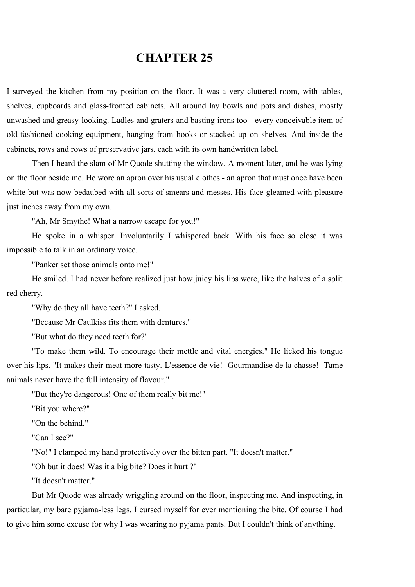## **CHAPTER 25**

I surveyed the kitchen from my position on the floor. It was a very cluttered room, with tables, shelves, cupboards and glass-fronted cabinets. All around lay bowls and pots and dishes, mostly unwashed and greasy-looking. Ladles and graters and basting-irons too - every conceivable item of old-fashioned cooking equipment, hanging from hooks or stacked up on shelves. And inside the cabinets, rows and rows of preservative jars, each with its own handwritten label.

Then I heard the slam of Mr Quode shutting the window. A moment later, and he was lying on the floor beside me. He wore an apron over his usual clothes - an apron that must once have been white but was now bedaubed with all sorts of smears and messes. His face gleamed with pleasure just inches away from my own.

"Ah, Mr Smythe! What a narrow escape for you!"

He spoke in a whisper. Involuntarily I whispered back. With his face so close it was impossible to talk in an ordinary voice.

"Panker set those animals onto me!"

He smiled. I had never before realized just how juicy his lips were, like the halves of a split red cherry.

"Why do they all have teeth?" I asked.

"Because Mr Caulkiss fits them with dentures."

"But what do they need teeth for?"

"To make them wild. To encourage their mettle and vital energies." He licked his tongue over his lips. "It makes their meat more tasty. L'essence de vie! Gourmandise de la chasse! Tame animals never have the full intensity of flavour."

"But they're dangerous! One of them really bit me!"

"Bit you where?"

"On the behind."

"Can I see?"

"No!" I clamped my hand protectively over the bitten part. "It doesn't matter."

"Oh but it does! Was it a big bite? Does it hurt ?"

"It doesn't matter."

But Mr Quode was already wriggling around on the floor, inspecting me. And inspecting, in particular, my bare pyjama-less legs. I cursed myself for ever mentioning the bite. Of course I had to give him some excuse for why I was wearing no pyjama pants. But I couldn't think of anything.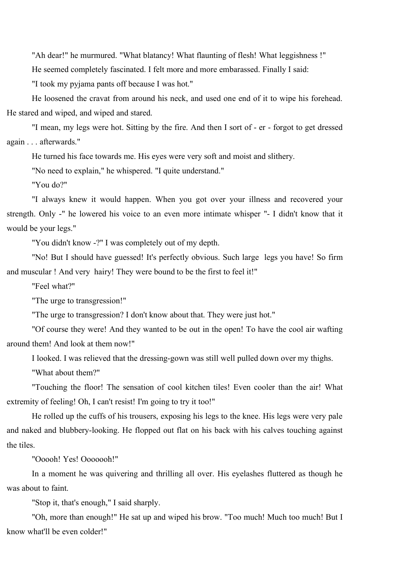"Ah dear!" he murmured. "What blatancy! What flaunting of flesh! What leggishness !"

He seemed completely fascinated. I felt more and more embarassed. Finally I said:

"I took my pyjama pants off because I was hot."

He loosened the cravat from around his neck, and used one end of it to wipe his forehead. He stared and wiped, and wiped and stared.

"I mean, my legs were hot. Sitting by the fire. And then I sort of - er - forgot to get dressed again . . . afterwards."

He turned his face towards me. His eyes were very soft and moist and slithery.

"No need to explain," he whispered. "I quite understand."

"You do?"

"I always knew it would happen. When you got over your illness and recovered your strength. Only -" he lowered his voice to an even more intimate whisper "- I didn't know that it would be your legs."

"You didn't know -?" I was completely out of my depth.

"No! But I should have guessed! It's perfectly obvious. Such large legs you have! So firm and muscular ! And very hairy! They were bound to be the first to feel it!"

"Feel what?"

"The urge to transgression!"

"The urge to transgression? I don't know about that. They were just hot."

"Of course they were! And they wanted to be out in the open! To have the cool air wafting around them! And look at them now!"

I looked. I was relieved that the dressing-gown was still well pulled down over my thighs. "What about them?"

"Touching the floor! The sensation of cool kitchen tiles! Even cooler than the air! What extremity of feeling! Oh, I can't resist! I'm going to try it too!"

He rolled up the cuffs of his trousers, exposing his legs to the knee. His legs were very pale and naked and blubbery-looking. He flopped out flat on his back with his calves touching against the tiles.

"Ooooh! Yes! Ooooooh!"

In a moment he was quivering and thrilling all over. His eyelashes fluttered as though he was about to faint.

"Stop it, that's enough," I said sharply.

"Oh, more than enough!" He sat up and wiped his brow. "Too much! Much too much! But I know what'll be even colder!"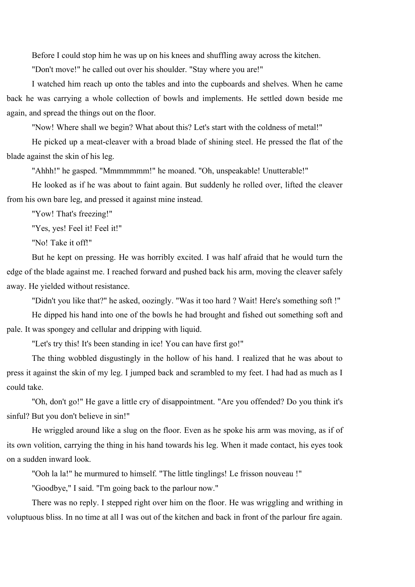Before I could stop him he was up on his knees and shuffling away across the kitchen.

"Don't move!" he called out over his shoulder. "Stay where you are!"

I watched him reach up onto the tables and into the cupboards and shelves. When he came back he was carrying a whole collection of bowls and implements. He settled down beside me again, and spread the things out on the floor.

"Now! Where shall we begin? What about this? Let's start with the coldness of metal!"

He picked up a meat-cleaver with a broad blade of shining steel. He pressed the flat of the blade against the skin of his leg.

"Ahhh!" he gasped. "Mmmmmmm!" he moaned. "Oh, unspeakable! Unutterable!"

He looked as if he was about to faint again. But suddenly he rolled over, lifted the cleaver from his own bare leg, and pressed it against mine instead.

"Yow! That's freezing!"

"Yes, yes! Feel it! Feel it!"

"No! Take it off!"

But he kept on pressing. He was horribly excited. I was half afraid that he would turn the edge of the blade against me. I reached forward and pushed back his arm, moving the cleaver safely away. He yielded without resistance.

"Didn't you like that?" he asked, oozingly. "Was it too hard ? Wait! Here's something soft !"

He dipped his hand into one of the bowls he had brought and fished out something soft and pale. It was spongey and cellular and dripping with liquid.

"Let's try this! It's been standing in ice! You can have first go!"

The thing wobbled disgustingly in the hollow of his hand. I realized that he was about to press it against the skin of my leg. I jumped back and scrambled to my feet. I had had as much as I could take.

"Oh, don't go!" He gave a little cry of disappointment. "Are you offended? Do you think it's sinful? But you don't believe in sin!"

He wriggled around like a slug on the floor. Even as he spoke his arm was moving, as if of its own volition, carrying the thing in his hand towards his leg. When it made contact, his eyes took on a sudden inward look.

"Ooh la la!" he murmured to himself. "The little tinglings! Le frisson nouveau !"

"Goodbye," I said. "I'm going back to the parlour now."

There was no reply. I stepped right over him on the floor. He was wriggling and writhing in voluptuous bliss. In no time at all I was out of the kitchen and back in front of the parlour fire again.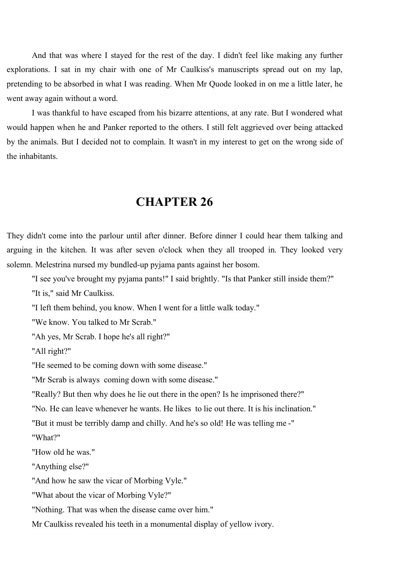And that was where I stayed for the rest of the day. I didn't feel like making any further explorations. I sat in my chair with one of Mr Caulkiss's manuscripts spread out on my lap, pretending to be absorbed in what I was reading. When Mr Quode looked in on me a little later, he went away again without a word.

I was thankful to have escaped from his bizarre attentions, at any rate. But I wondered what would happen when he and Panker reported to the others. I still felt aggrieved over being attacked by the animals. But I decided not to complain. It wasn't in my interest to get on the wrong side of the inhabitants.

## **CHAPTER 26**

They didn't come into the parlour until after dinner. Before dinner I could hear them talking and arguing in the kitchen. It was after seven o'clock when they all trooped in. They looked very solemn. Melestrina nursed my bundled-up pyjama pants against her bosom.

"I see you've brought my pyjama pants!" I said brightly. "Is that Panker still inside them?"

"It is," said Mr Caulkiss.

"I left them behind, you know. When I went for a little walk today."

"We know. You talked to Mr Scrab."

"Ah yes, Mr Scrab. I hope he's all right?"

"All right?"

"He seemed to be coming down with some disease."

"Mr Scrab is always coming down with some disease."

"Really? But then why does he lie out there in the open? Is he imprisoned there?"

"No. He can leave whenever he wants. He likes to lie out there. It is his inclination."

"But it must be terribly damp and chilly. And he's so old! He was telling me -"

"What?"

"How old he was."

"Anything else?"

"And how he saw the vicar of Morbing Vyle."

"What about the vicar of Morbing Vyle?"

"Nothing. That was when the disease came over him."

Mr Caulkiss revealed his teeth in a monumental display of yellow ivory.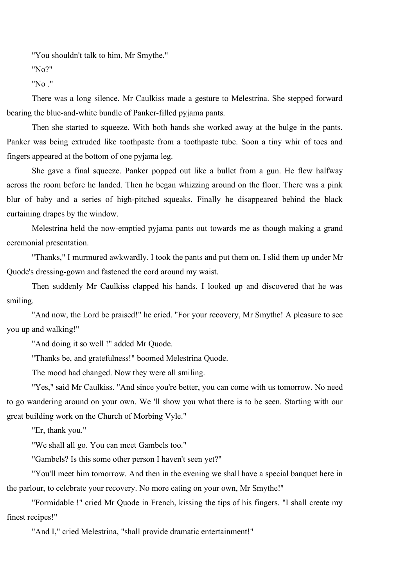"You shouldn't talk to him, Mr Smythe."

"No?"

"No ."

There was a long silence. Mr Caulkiss made a gesture to Melestrina. She stepped forward bearing the blue-and-white bundle of Panker-filled pyjama pants.

Then she started to squeeze. With both hands she worked away at the bulge in the pants. Panker was being extruded like toothpaste from a toothpaste tube. Soon a tiny whir of toes and fingers appeared at the bottom of one pyjama leg.

She gave a final squeeze. Panker popped out like a bullet from a gun. He flew halfway across the room before he landed. Then he began whizzing around on the floor. There was a pink blur of baby and a series of high-pitched squeaks. Finally he disappeared behind the black curtaining drapes by the window.

Melestrina held the now-emptied pyjama pants out towards me as though making a grand ceremonial presentation.

"Thanks," I murmured awkwardly. I took the pants and put them on. I slid them up under Mr Quode's dressing-gown and fastened the cord around my waist.

Then suddenly Mr Caulkiss clapped his hands. I looked up and discovered that he was smiling.

"And now, the Lord be praised!" he cried. "For your recovery, Mr Smythe! A pleasure to see you up and walking!"

"And doing it so well !" added Mr Quode.

"Thanks be, and gratefulness!" boomed Melestrina Quode.

The mood had changed. Now they were all smiling.

"Yes," said Mr Caulkiss. "And since you're better, you can come with us tomorrow. No need to go wandering around on your own. We 'll show you what there is to be seen. Starting with our great building work on the Church of Morbing Vyle."

"Er, thank you."

"We shall all go. You can meet Gambels too."

"Gambels? Is this some other person I haven't seen yet?"

"You'll meet him tomorrow. And then in the evening we shall have a special banquet here in the parlour, to celebrate your recovery. No more eating on your own, Mr Smythe!"

"Formidable !" cried Mr Quode in French, kissing the tips of his fingers. "I shall create my finest recipes!"

"And I," cried Melestrina, "shall provide dramatic entertainment!"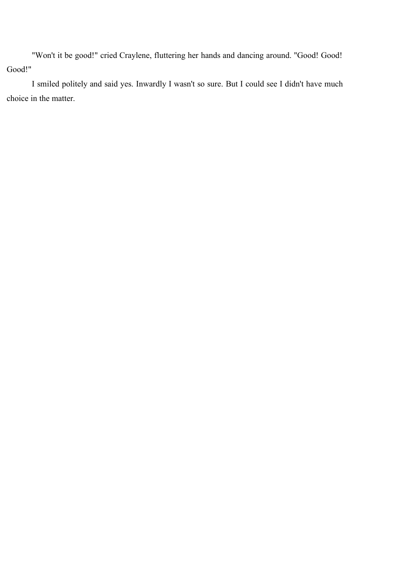"Won't it be good!" cried Craylene, fluttering her hands and dancing around. "Good! Good! Good!"

I smiled politely and said yes. Inwardly I wasn't so sure. But I could see I didn't have much choice in the matter.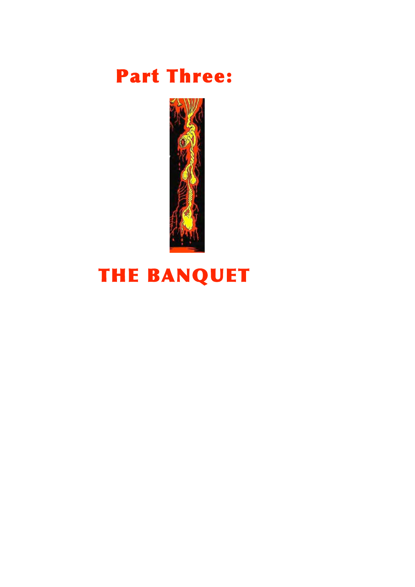



# THE BANQUET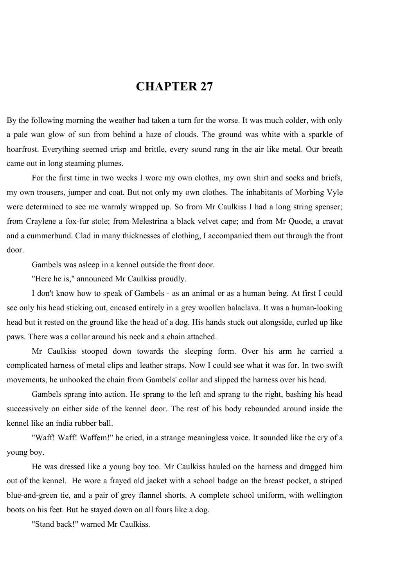# **CHAPTER 27**

By the following morning the weather had taken a turn for the worse. It was much colder, with only a pale wan glow of sun from behind a haze of clouds. The ground was white with a sparkle of hoarfrost. Everything seemed crisp and brittle, every sound rang in the air like metal. Our breath came out in long steaming plumes.

For the first time in two weeks I wore my own clothes, my own shirt and socks and briefs, my own trousers, jumper and coat. But not only my own clothes. The inhabitants of Morbing Vyle were determined to see me warmly wrapped up. So from Mr Caulkiss I had a long string spenser; from Craylene a fox-fur stole; from Melestrina a black velvet cape; and from Mr Quode, a cravat and a cummerbund. Clad in many thicknesses of clothing, I accompanied them out through the front door.

Gambels was asleep in a kennel outside the front door.

"Here he is," announced Mr Caulkiss proudly.

I don't know how to speak of Gambels - as an animal or as a human being. At first I could see only his head sticking out, encased entirely in a grey woollen balaclava. It was a human-looking head but it rested on the ground like the head of a dog. His hands stuck out alongside, curled up like paws. There was a collar around his neck and a chain attached.

Mr Caulkiss stooped down towards the sleeping form. Over his arm he carried a complicated harness of metal clips and leather straps. Now I could see what it was for. In two swift movements, he unhooked the chain from Gambels' collar and slipped the harness over his head.

Gambels sprang into action. He sprang to the left and sprang to the right, bashing his head successively on either side of the kennel door. The rest of his body rebounded around inside the kennel like an india rubber ball.

"Waff! Waff! Waffem!" he cried, in a strange meaningless voice. It sounded like the cry of a young boy.

He was dressed like a young boy too. Mr Caulkiss hauled on the harness and dragged him out of the kennel. He wore a frayed old jacket with a school badge on the breast pocket, a striped blue-and-green tie, and a pair of grey flannel shorts. A complete school uniform, with wellington boots on his feet. But he stayed down on all fours like a dog.

"Stand back!" warned Mr Caulkiss.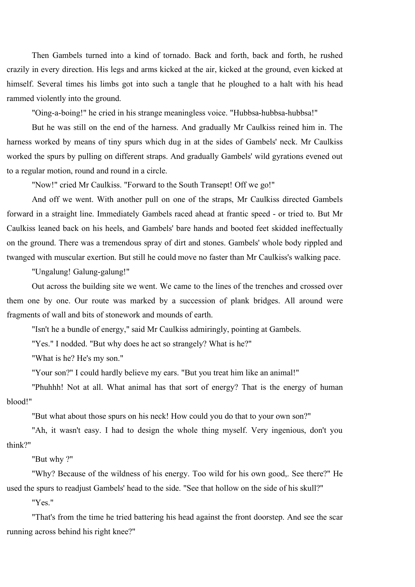Then Gambels turned into a kind of tornado. Back and forth, back and forth, he rushed crazily in every direction. His legs and arms kicked at the air, kicked at the ground, even kicked at himself. Several times his limbs got into such a tangle that he ploughed to a halt with his head rammed violently into the ground.

"Oing-a-boing!" he cried in his strange meaningless voice. "Hubbsa-hubbsa-hubbsa!"

But he was still on the end of the harness. And gradually Mr Caulkiss reined him in. The harness worked by means of tiny spurs which dug in at the sides of Gambels' neck. Mr Caulkiss worked the spurs by pulling on different straps. And gradually Gambels' wild gyrations evened out to a regular motion, round and round in a circle.

"Now!" cried Mr Caulkiss. "Forward to the South Transept! Off we go!"

And off we went. With another pull on one of the straps, Mr Caulkiss directed Gambels forward in a straight line. Immediately Gambels raced ahead at frantic speed - or tried to. But Mr Caulkiss leaned back on his heels, and Gambels' bare hands and booted feet skidded ineffectually on the ground. There was a tremendous spray of dirt and stones. Gambels' whole body rippled and twanged with muscular exertion. But still he could move no faster than Mr Caulkiss's walking pace.

"Ungalung! Galung-galung!"

Out across the building site we went. We came to the lines of the trenches and crossed over them one by one. Our route was marked by a succession of plank bridges. All around were fragments of wall and bits of stonework and mounds of earth.

"Isn't he a bundle of energy," said Mr Caulkiss admiringly, pointing at Gambels.

"Yes." I nodded. "But why does he act so strangely? What is he?"

"What is he? He's my son."

"Your son?" I could hardly believe my ears. "But you treat him like an animal!"

"Phuhhh! Not at all. What animal has that sort of energy? That is the energy of human blood!"

"But what about those spurs on his neck! How could you do that to your own son?"

"Ah, it wasn't easy. I had to design the whole thing myself. Very ingenious, don't you think?"

"But why ?"

"Why? Because of the wildness of his energy. Too wild for his own good,. See there?" He used the spurs to readjust Gambels' head to the side. "See that hollow on the side of his skull?"

"Yes."

"That's from the time he tried battering his head against the front doorstep. And see the scar running across behind his right knee?"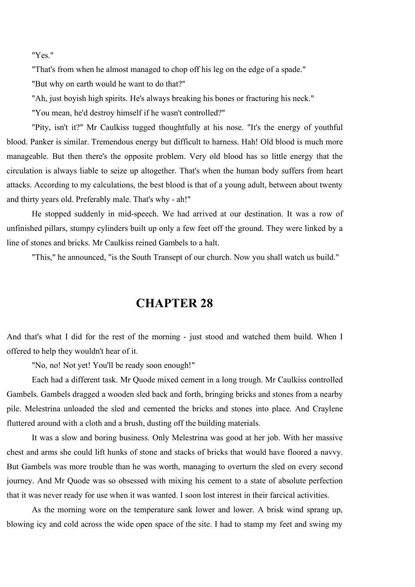"Yes."

"That's from when he almost managed to chop off his leg on the edge of a spade."

"But why on earth would he want to do that?"

"Ah, just boyish high spirits. He's always breaking his bones or fracturing his neck."

"You mean, he'd destroy himself if he wasn't controlled?"

"Pity, isn't it?" Mr Caulkiss tugged thoughtfully at his nose. "It's the energy of youthful blood. Panker is similar. Tremendous energy but difficult to harness. Hah! Old blood is much more manageable. But then there's the opposite problem. Very old blood has so little energy that the circulation is always liable to seize up altogether. That's when the human body suffers from heart attacks. According to my calculations, the best blood is that of a young adult, between about twenty and thirty years old. Preferably male. That's why - ah!"

He stopped suddenly in mid-speech. We had arrived at our destination. It was a row of unfinished pillars, stumpy cylinders built up only a few feet off the ground. They were linked by a line of stones and bricks. Mr Caulkiss reined Gambels to a halt.

"This," he announced, "is the South Transept of our church. Now you shall watch us build."

# **CHAPTER 28**

And that's what I did for the rest of the morning - just stood and watched them build. When I offered to help they wouldn't hear of it.

"No, no! Not yet! You'll be ready soon enough!"

Each had a different task. Mr Quode mixed cement in a long trough. Mr Caulkiss controlled Gambels. Gambels dragged a wooden sled back and forth, bringing bricks and stones from a nearby pile. Melestrina unloaded the sled and cemented the bricks and stones into place. And Craylene fluttered around with a cloth and a brush, dusting off the building materials.

It was a slow and boring business. Only Melestrina was good at her job. With her massive chest and arms she could lift hunks of stone and stacks of bricks that would have floored a navvy. But Gambels was more trouble than he was worth, managing to overturn the sled on every second journey. And Mr Quode was so obsessed with mixing his cement to a state of absolute perfection that it was never ready for use when it was wanted. I soon lost interest in their farcical activities.

As the morning wore on the temperature sank lower and lower. A brisk wind sprang up, blowing icy and cold across the wide open space of the site. I had to stamp my feet and swing my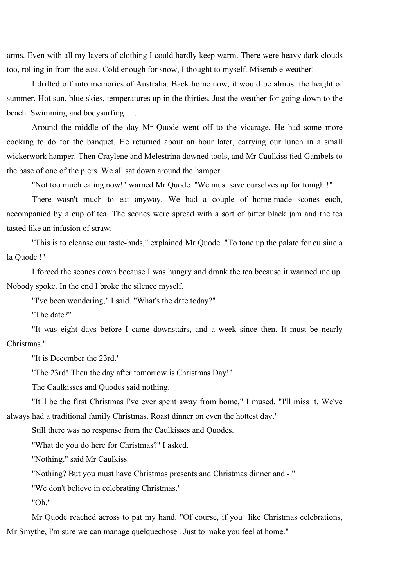arms. Even with all my layers of clothing I could hardly keep warm. There were heavy dark clouds too, rolling in from the east. Cold enough for snow, I thought to myself. Miserable weather!

I drifted off into memories of Australia. Back home now, it would be almost the height of summer. Hot sun, blue skies, temperatures up in the thirties. Just the weather for going down to the beach. Swimming and bodysurfing . . .

Around the middle of the day Mr Quode went off to the vicarage. He had some more cooking to do for the banquet. He returned about an hour later, carrying our lunch in a small wickerwork hamper. Then Craylene and Melestrina downed tools, and Mr Caulkiss tied Gambels to the base of one of the piers. We all sat down around the hamper.

"Not too much eating now!" warned Mr Quode. "We must save ourselves up for tonight!"

There wasn't much to eat anyway. We had a couple of home-made scones each, accompanied by a cup of tea. The scones were spread with a sort of bitter black jam and the tea tasted like an infusion of straw.

"This is to cleanse our taste-buds," explained Mr Quode. "To tone up the palate for cuisine a la Quode !"

I forced the scones down because I was hungry and drank the tea because it warmed me up. Nobody spoke. In the end I broke the silence myself.

"I've been wondering," I said. "What's the date today?"

"The date?"

"It was eight days before I came downstairs, and a week since then. It must be nearly Christmas."

"It is December the 23rd."

"The 23rd! Then the day after tomorrow is Christmas Day!"

The Caulkisses and Quodes said nothing.

"It'll be the first Christmas I've ever spent away from home," I mused. "I'll miss it. We've always had a traditional family Christmas. Roast dinner on even the hottest day."

Still there was no response from the Caulkisses and Quodes.

"What do you do here for Christmas?" I asked.

"Nothing," said Mr Caulkiss.

"Nothing? But you must have Christmas presents and Christmas dinner and - "

"We don't believe in celebrating Christmas."

"Oh."

Mr Quode reached across to pat my hand. "Of course, if you like Christmas celebrations, Mr Smythe, I'm sure we can manage quelquechose . Just to make you feel at home."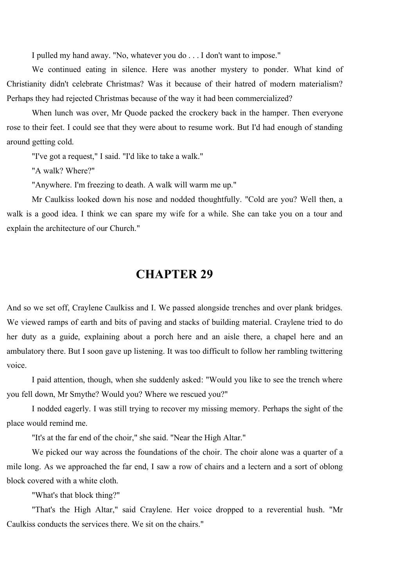I pulled my hand away. "No, whatever you do . . . I don't want to impose."

We continued eating in silence. Here was another mystery to ponder. What kind of Christianity didn't celebrate Christmas? Was it because of their hatred of modern materialism? Perhaps they had rejected Christmas because of the way it had been commercialized?

When lunch was over, Mr Quode packed the crockery back in the hamper. Then everyone rose to their feet. I could see that they were about to resume work. But I'd had enough of standing around getting cold.

"I've got a request," I said. "I'd like to take a walk."

"A walk? Where?"

"Anywhere. I'm freezing to death. A walk will warm me up."

Mr Caulkiss looked down his nose and nodded thoughtfully. "Cold are you? Well then, a walk is a good idea. I think we can spare my wife for a while. She can take you on a tour and explain the architecture of our Church."

## **CHAPTER 29**

And so we set off, Craylene Caulkiss and I. We passed alongside trenches and over plank bridges. We viewed ramps of earth and bits of paving and stacks of building material. Craylene tried to do her duty as a guide, explaining about a porch here and an aisle there, a chapel here and an ambulatory there. But I soon gave up listening. It was too difficult to follow her rambling twittering voice.

I paid attention, though, when she suddenly asked: "Would you like to see the trench where you fell down, Mr Smythe? Would you? Where we rescued you?"

I nodded eagerly. I was still trying to recover my missing memory. Perhaps the sight of the place would remind me.

"It's at the far end of the choir," she said. "Near the High Altar."

We picked our way across the foundations of the choir. The choir alone was a quarter of a mile long. As we approached the far end, I saw a row of chairs and a lectern and a sort of oblong block covered with a white cloth.

"What's that block thing?"

"That's the High Altar," said Craylene. Her voice dropped to a reverential hush. "Mr Caulkiss conducts the services there. We sit on the chairs."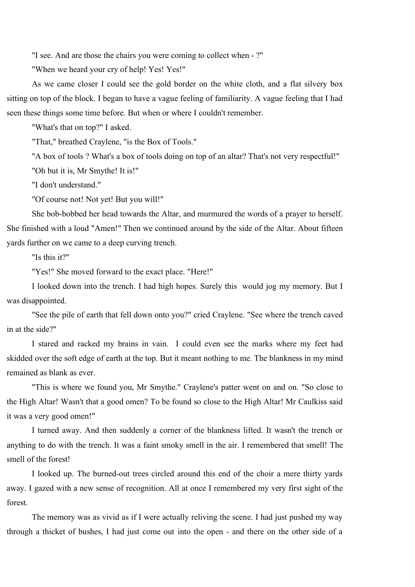"I see. And are those the chairs you were coming to collect when - ?"

"When we heard your cry of help! Yes! Yes!"

As we came closer I could see the gold border on the white cloth, and a flat silvery box sitting on top of the block. I began to have a vague feeling of familiarity. A vague feeling that I had seen these things some time before. But when or where I couldn't remember.

"What's that on top?" I asked.

"That," breathed Craylene, "is the Box of Tools."

"A box of tools ? What's a box of tools doing on top of an altar? That's not very respectful!" "Oh but it is, Mr Smythe! It is!"

"I don't understand."

"Of course not! Not yet! But you will!"

She bob-bobbed her head towards the Altar, and murmured the words of a prayer to herself. She finished with a loud "Amen!" Then we continued around by the side of the Altar. About fifteen yards further on we came to a deep curving trench.

"Is this it?"

"Yes!" She moved forward to the exact place. "Here!"

I looked down into the trench. I had high hopes. Surely this would jog my memory. But I was disappointed.

"See the pile of earth that fell down onto you?" cried Craylene. "See where the trench caved in at the side?"

I stared and racked my brains in vain. I could even see the marks where my feet had skidded over the soft edge of earth at the top. But it meant nothing to me. The blankness in my mind remained as blank as ever.

"This is where we found you, Mr Smythe." Craylene's patter went on and on. "So close to the High Altar! Wasn't that a good omen? To be found so close to the High Altar! Mr Caulkiss said it was a very good omen!"

I turned away. And then suddenly a corner of the blankness lifted. It wasn't the trench or anything to do with the trench. It was a faint smoky smell in the air. I remembered that smell! The smell of the forest!

I looked up. The burned-out trees circled around this end of the choir a mere thirty yards away. I gazed with a new sense of recognition. All at once I remembered my very first sight of the forest.

The memory was as vivid as if I were actually reliving the scene. I had just pushed my way through a thicket of bushes, I had just come out into the open - and there on the other side of a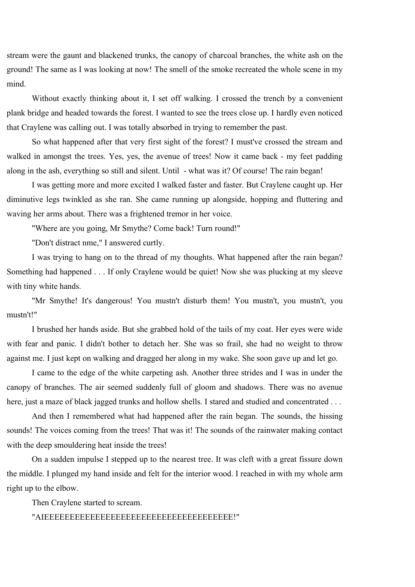stream were the gaunt and blackened trunks, the canopy of charcoal branches, the white ash on the ground! The same as I was looking at now! The smell of the smoke recreated the whole scene in my mind.

Without exactly thinking about it, I set off walking. I crossed the trench by a convenient plank bridge and headed towards the forest. I wanted to see the trees close up. I hardly even noticed that Craylene was calling out. I was totally absorbed in trying to remember the past.

So what happened after that very first sight of the forest? I must've crossed the stream and walked in amongst the trees. Yes, yes, the avenue of trees! Now it came back - my feet padding along in the ash, everything so still and silent. Until - what was it? Of course! The rain began!

I was getting more and more excited I walked faster and faster. But Craylene caught up. Her diminutive legs twinkled as she ran. She came running up alongside, hopping and fluttering and waving her arms about. There was a frightened tremor in her voice.

"Where are you going, Mr Smythe? Come back! Turn round!"

"Don't distract nme," I answered curtly.

I was trying to hang on to the thread of my thoughts. What happened after the rain began? Something had happened . . . If only Craylene would be quiet! Now she was plucking at my sleeve with tiny white hands.

"Mr Smythe! It's dangerous! You mustn't disturb them! You mustn't, you mustn't, you mustn't!"

I brushed her hands aside. But she grabbed hold of the tails of my coat. Her eyes were wide with fear and panic. I didn't bother to detach her. She was so frail, she had no weight to throw against me. I just kept on walking and dragged her along in my wake. She soon gave up and let go.

I came to the edge of the white carpeting ash. Another three strides and I was in under the canopy of branches. The air seemed suddenly full of gloom and shadows. There was no avenue here, just a maze of black jagged trunks and hollow shells. I stared and studied and concentrated . . .

And then I remembered what had happened after the rain began. The sounds, the hissing sounds! The voices coming from the trees! That was it! The sounds of the rainwater making contact with the deep smouldering heat inside the trees!

On a sudden impulse I stepped up to the nearest tree. It was cleft with a great fissure down the middle. I plunged my hand inside and felt for the interior wood. I reached in with my whole arm right up to the elbow.

Then Craylene started to scream.

"AIEEEEEEEEEEEEEEEEEEEEEEEEEEEEEEEEEEEEE!"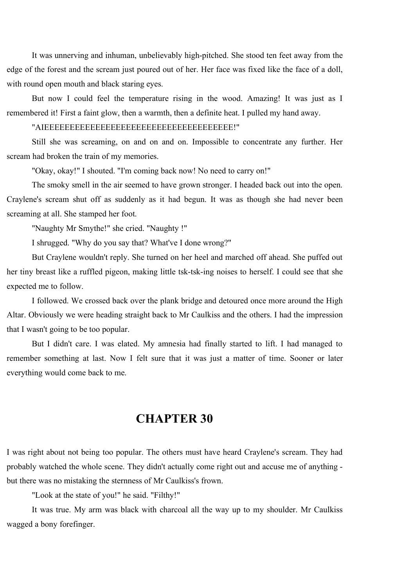It was unnerving and inhuman, unbelievably high-pitched. She stood ten feet away from the edge of the forest and the scream just poured out of her. Her face was fixed like the face of a doll, with round open mouth and black staring eyes.

But now I could feel the temperature rising in the wood. Amazing! It was just as I remembered it! First a faint glow, then a warmth, then a definite heat. I pulled my hand away.

"AIEEEEEEEEEEEEEEEEEEEEEEEEEEEEEEEEEEEEE!"

Still she was screaming, on and on and on. Impossible to concentrate any further. Her scream had broken the train of my memories.

"Okay, okay!" I shouted. "I'm coming back now! No need to carry on!"

The smoky smell in the air seemed to have grown stronger. I headed back out into the open. Craylene's scream shut off as suddenly as it had begun. It was as though she had never been screaming at all. She stamped her foot.

"Naughty Mr Smythe!" she cried. "Naughty !"

I shrugged. "Why do you say that? What've I done wrong?"

But Craylene wouldn't reply. She turned on her heel and marched off ahead. She puffed out her tiny breast like a ruffled pigeon, making little tsk-tsk-ing noises to herself. I could see that she expected me to follow.

I followed. We crossed back over the plank bridge and detoured once more around the High Altar. Obviously we were heading straight back to Mr Caulkiss and the others. I had the impression that I wasn't going to be too popular.

But I didn't care. I was elated. My amnesia had finally started to lift. I had managed to remember something at last. Now I felt sure that it was just a matter of time. Sooner or later everything would come back to me.

## **CHAPTER 30**

I was right about not being too popular. The others must have heard Craylene's scream. They had probably watched the whole scene. They didn't actually come right out and accuse me of anything but there was no mistaking the sternness of Mr Caulkiss's frown.

"Look at the state of you!" he said. "Filthy!"

It was true. My arm was black with charcoal all the way up to my shoulder. Mr Caulkiss wagged a bony forefinger.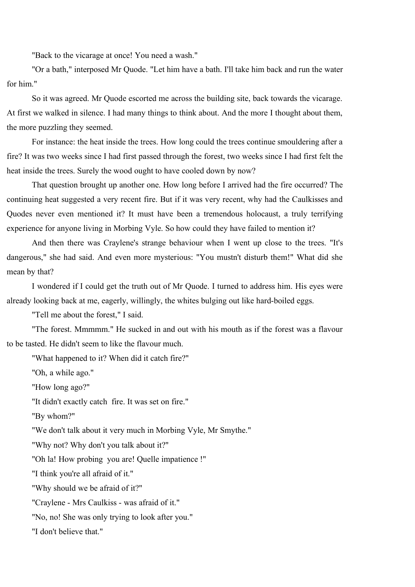"Back to the vicarage at once! You need a wash."

"Or a bath," interposed Mr Quode. "Let him have a bath. I'll take him back and run the water for him."

So it was agreed. Mr Quode escorted me across the building site, back towards the vicarage. At first we walked in silence. I had many things to think about. And the more I thought about them, the more puzzling they seemed.

For instance: the heat inside the trees. How long could the trees continue smouldering after a fire? It was two weeks since I had first passed through the forest, two weeks since I had first felt the heat inside the trees. Surely the wood ought to have cooled down by now?

That question brought up another one. How long before I arrived had the fire occurred? The continuing heat suggested a very recent fire. But if it was very recent, why had the Caulkisses and Quodes never even mentioned it? It must have been a tremendous holocaust, a truly terrifying experience for anyone living in Morbing Vyle. So how could they have failed to mention it?

And then there was Craylene's strange behaviour when I went up close to the trees. "It's dangerous," she had said. And even more mysterious: "You mustn't disturb them!" What did she mean by that?

I wondered if I could get the truth out of Mr Quode. I turned to address him. His eyes were already looking back at me, eagerly, willingly, the whites bulging out like hard-boiled eggs.

"Tell me about the forest," I said.

"The forest. Mmmmm." He sucked in and out with his mouth as if the forest was a flavour to be tasted. He didn't seem to like the flavour much.

"What happened to it? When did it catch fire?"

"Oh, a while ago."

"How long ago?"

"It didn't exactly catch fire. It was set on fire."

"By whom?"

"We don't talk about it very much in Morbing Vyle, Mr Smythe."

"Why not? Why don't you talk about it?"

"Oh la! How probing you are! Quelle impatience !"

"I think you're all afraid of it."

"Why should we be afraid of it?"

"Craylene - Mrs Caulkiss - was afraid of it."

"No, no! She was only trying to look after you."

"I don't believe that."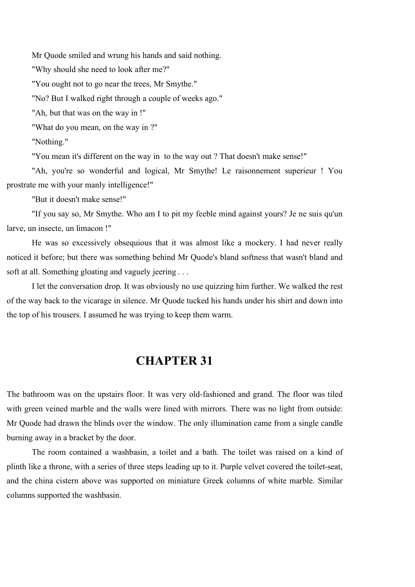Mr Quode smiled and wrung his hands and said nothing.

"Why should she need to look after me?"

"You ought not to go near the trees, Mr Smythe."

"No? But I walked right through a couple of weeks ago."

"Ah, but that was on the way in !"

"What do you mean, on the way in ?"

"Nothing."

"You mean it's different on the way in to the way out ? That doesn't make sense!"

"Ah, you're so wonderful and logical, Mr Smythe! Le raisonnement superieur ! You prostrate me with your manly intelligence!"

"But it doesn't make sense!"

"If you say so, Mr Smythe. Who am I to pit my feeble mind against yours? Je ne suis qu'un larve, un insecte, un limacon !"

He was so excessively obsequious that it was almost like a mockery. I had never really noticed it before; but there was something behind Mr Quode's bland softness that wasn't bland and soft at all. Something gloating and vaguely jeering . . .

I let the conversation drop. It was obviously no use quizzing him further. We walked the rest of the way back to the vicarage in silence. Mr Quode tucked his hands under his shirt and down into the top of his trousers. I assumed he was trying to keep them warm.

# **CHAPTER 31**

The bathroom was on the upstairs floor. It was very old-fashioned and grand. The floor was tiled with green veined marble and the walls were lined with mirrors. There was no light from outside: Mr Quode had drawn the blinds over the window. The only illumination came from a single candle burning away in a bracket by the door.

The room contained a washbasin, a toilet and a bath. The toilet was raised on a kind of plinth like a throne, with a series of three steps leading up to it. Purple velvet covered the toilet-seat, and the china cistern above was supported on miniature Greek columns of white marble. Similar columns supported the washbasin.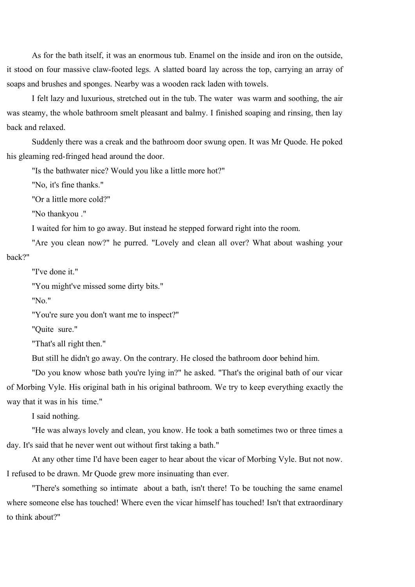As for the bath itself, it was an enormous tub. Enamel on the inside and iron on the outside, it stood on four massive claw-footed legs. A slatted board lay across the top, carrying an array of soaps and brushes and sponges. Nearby was a wooden rack laden with towels.

I felt lazy and luxurious, stretched out in the tub. The water was warm and soothing, the air was steamy, the whole bathroom smelt pleasant and balmy. I finished soaping and rinsing, then lay back and relaxed.

Suddenly there was a creak and the bathroom door swung open. It was Mr Quode. He poked his gleaming red-fringed head around the door.

"Is the bathwater nice? Would you like a little more hot?"

"No, it's fine thanks."

"Or a little more cold?"

"No thankyou ."

I waited for him to go away. But instead he stepped forward right into the room.

"Are you clean now?" he purred. "Lovely and clean all over? What about washing your back?"

"I've done it."

"You might've missed some dirty bits."

"No."

"You're sure you don't want me to inspect?"

"Quite sure."

"That's all right then."

But still he didn't go away. On the contrary. He closed the bathroom door behind him.

"Do you know whose bath you're lying in?" he asked. "That's the original bath of our vicar of Morbing Vyle. His original bath in his original bathroom. We try to keep everything exactly the way that it was in his time."

I said nothing.

"He was always lovely and clean, you know. He took a bath sometimes two or three times a day. It's said that he never went out without first taking a bath."

At any other time I'd have been eager to hear about the vicar of Morbing Vyle. But not now. I refused to be drawn. Mr Quode grew more insinuating than ever.

"There's something so intimate about a bath, isn't there! To be touching the same enamel where someone else has touched! Where even the vicar himself has touched! Isn't that extraordinary to think about?"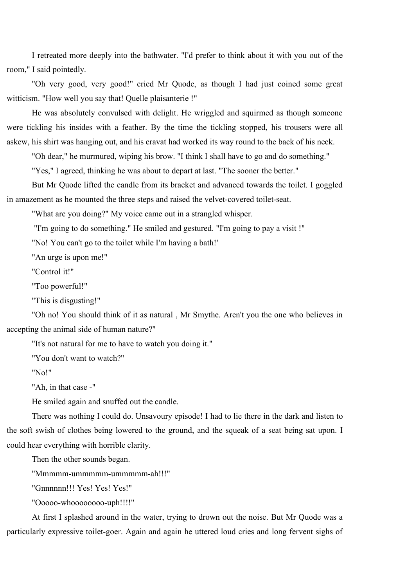I retreated more deeply into the bathwater. "I'd prefer to think about it with you out of the room," I said pointedly.

"Oh very good, very good!" cried Mr Quode, as though I had just coined some great witticism. "How well you say that! Quelle plaisanterie !"

He was absolutely convulsed with delight. He wriggled and squirmed as though someone were tickling his insides with a feather. By the time the tickling stopped, his trousers were all askew, his shirt was hanging out, and his cravat had worked its way round to the back of his neck.

"Oh dear," he murmured, wiping his brow. "I think I shall have to go and do something."

"Yes," I agreed, thinking he was about to depart at last. "The sooner the better."

But Mr Quode lifted the candle from its bracket and advanced towards the toilet. I goggled in amazement as he mounted the three steps and raised the velvet-covered toilet-seat.

"What are you doing?" My voice came out in a strangled whisper.

"I'm going to do something." He smiled and gestured. "I'm going to pay a visit !"

"No! You can't go to the toilet while I'm having a bath!'

"An urge is upon me!"

"Control it!"

"Too powerful!"

"This is disgusting!"

"Oh no! You should think of it as natural , Mr Smythe. Aren't you the one who believes in accepting the animal side of human nature?"

"It's not natural for me to have to watch you doing it."

"You don't want to watch?"

"No!"

"Ah, in that case -"

He smiled again and snuffed out the candle.

There was nothing I could do. Unsavoury episode! I had to lie there in the dark and listen to the soft swish of clothes being lowered to the ground, and the squeak of a seat being sat upon. I could hear everything with horrible clarity.

Then the other sounds began.

"Mmmmm-ummmmm-ummmmm-ah!!!"

"Gnnnnnn!!! Yes! Yes! Yes!"

"Ooooo-whoooooooo-uph!!!!"

At first I splashed around in the water, trying to drown out the noise. But Mr Quode was a particularly expressive toilet-goer. Again and again he uttered loud cries and long fervent sighs of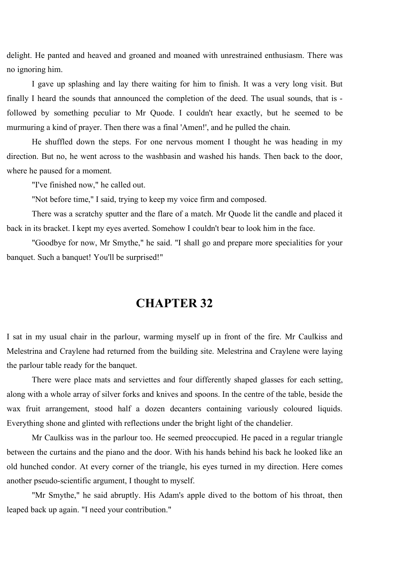delight. He panted and heaved and groaned and moaned with unrestrained enthusiasm. There was no ignoring him.

I gave up splashing and lay there waiting for him to finish. It was a very long visit. But finally I heard the sounds that announced the completion of the deed. The usual sounds, that is followed by something peculiar to Mr Quode. I couldn't hear exactly, but he seemed to be murmuring a kind of prayer. Then there was a final 'Amen!', and he pulled the chain.

He shuffled down the steps. For one nervous moment I thought he was heading in my direction. But no, he went across to the washbasin and washed his hands. Then back to the door, where he paused for a moment.

"I've finished now," he called out.

"Not before time," I said, trying to keep my voice firm and composed.

There was a scratchy sputter and the flare of a match. Mr Quode lit the candle and placed it back in its bracket. I kept my eyes averted. Somehow I couldn't bear to look him in the face.

"Goodbye for now, Mr Smythe," he said. "I shall go and prepare more specialities for your banquet. Such a banquet! You'll be surprised!"

# **CHAPTER 32**

I sat in my usual chair in the parlour, warming myself up in front of the fire. Mr Caulkiss and Melestrina and Craylene had returned from the building site. Melestrina and Craylene were laying the parlour table ready for the banquet.

There were place mats and serviettes and four differently shaped glasses for each setting, along with a whole array of silver forks and knives and spoons. In the centre of the table, beside the wax fruit arrangement, stood half a dozen decanters containing variously coloured liquids. Everything shone and glinted with reflections under the bright light of the chandelier.

Mr Caulkiss was in the parlour too. He seemed preoccupied. He paced in a regular triangle between the curtains and the piano and the door. With his hands behind his back he looked like an old hunched condor. At every corner of the triangle, his eyes turned in my direction. Here comes another pseudo-scientific argument, I thought to myself.

"Mr Smythe," he said abruptly. His Adam's apple dived to the bottom of his throat, then leaped back up again. "I need your contribution."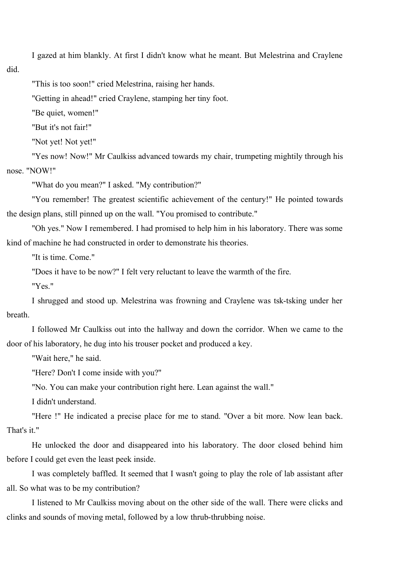I gazed at him blankly. At first I didn't know what he meant. But Melestrina and Craylene

did.

"This is too soon!" cried Melestrina, raising her hands.

"Getting in ahead!" cried Craylene, stamping her tiny foot.

"Be quiet, women!"

"But it's not fair!"

"Not yet! Not yet!"

"Yes now! Now!" Mr Caulkiss advanced towards my chair, trumpeting mightily through his nose. "NOW!"

"What do you mean?" I asked. "My contribution?"

"You remember! The greatest scientific achievement of the century!" He pointed towards the design plans, still pinned up on the wall. "You promised to contribute."

"Oh yes." Now I remembered. I had promised to help him in his laboratory. There was some kind of machine he had constructed in order to demonstrate his theories.

"It is time. Come."

"Does it have to be now?" I felt very reluctant to leave the warmth of the fire.

"Yes."

I shrugged and stood up. Melestrina was frowning and Craylene was tsk-tsking under her breath.

I followed Mr Caulkiss out into the hallway and down the corridor. When we came to the door of his laboratory, he dug into his trouser pocket and produced a key.

"Wait here," he said.

"Here? Don't I come inside with you?"

"No. You can make your contribution right here. Lean against the wall."

I didn't understand.

"Here !" He indicated a precise place for me to stand. "Over a bit more. Now lean back. That's it."

He unlocked the door and disappeared into his laboratory. The door closed behind him before I could get even the least peek inside.

I was completely baffled. It seemed that I wasn't going to play the role of lab assistant after all. So what was to be my contribution?

I listened to Mr Caulkiss moving about on the other side of the wall. There were clicks and clinks and sounds of moving metal, followed by a low thrub-thrubbing noise.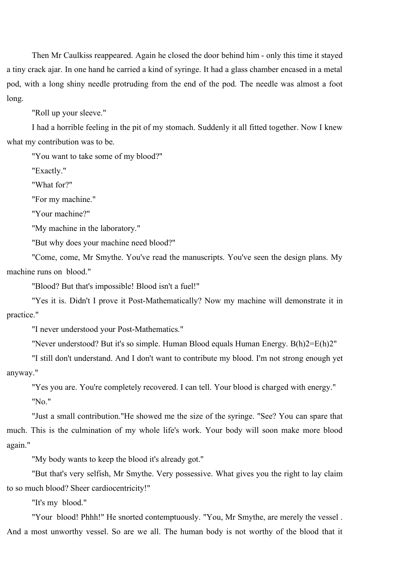Then Mr Caulkiss reappeared. Again he closed the door behind him - only this time it stayed a tiny crack ajar. In one hand he carried a kind of syringe. It had a glass chamber encased in a metal pod, with a long shiny needle protruding from the end of the pod. The needle was almost a foot long.

"Roll up your sleeve."

I had a horrible feeling in the pit of my stomach. Suddenly it all fitted together. Now I knew what my contribution was to be.

"You want to take some of my blood?"

"Exactly."

"What for?"

"For my machine."

"Your machine?"

"My machine in the laboratory."

"But why does your machine need blood?"

"Come, come, Mr Smythe. You've read the manuscripts. You've seen the design plans. My machine runs on blood."

"Blood? But that's impossible! Blood isn't a fuel!"

"Yes it is. Didn't I prove it Post-Mathematically? Now my machine will demonstrate it in practice."

"I never understood your Post-Mathematics."

"Never understood? But it's so simple. Human Blood equals Human Energy. B(h)2=E(h)2"

"I still don't understand. And I don't want to contribute my blood. I'm not strong enough yet anyway."

"Yes you are. You're completely recovered. I can tell. Your blood is charged with energy."

"No."

"Just a small contribution."He showed me the size of the syringe. "See? You can spare that much. This is the culmination of my whole life's work. Your body will soon make more blood again."

"My body wants to keep the blood it's already got."

"But that's very selfish, Mr Smythe. Very possessive. What gives you the right to lay claim to so much blood? Sheer cardiocentricity!"

"It's my blood."

"Your blood! Phhh!" He snorted contemptuously. "You, Mr Smythe, are merely the vessel . And a most unworthy vessel. So are we all. The human body is not worthy of the blood that it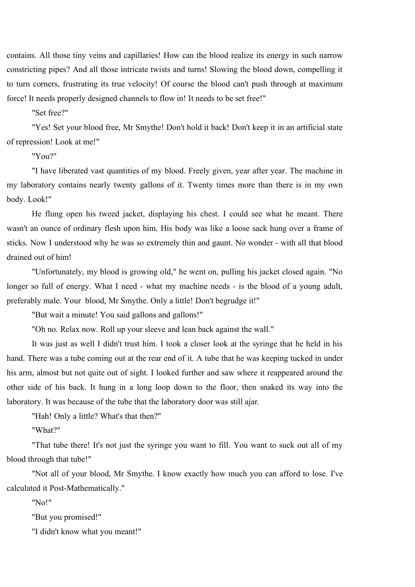contains. All those tiny veins and capillaries! How can the blood realize its energy in such narrow constricting pipes? And all those intricate twists and turns! Slowing the blood down, compelling it to turn corners, frustrating its true velocity! Of course the blood can't push through at maximum force! It needs properly designed channels to flow in! It needs to be set free!"

"Set free?"

"Yes! Set your blood free, Mr Smythe! Don't hold it back! Don't keep it in an artificial state of repression! Look at me!"

"You?"

"I have liberated vast quantities of my blood. Freely given, year after year. The machine in my laboratory contains nearly twenty gallons of it. Twenty times more than there is in my own body. Look!"

He flung open his tweed jacket, displaying his chest. I could see what he meant. There wasn't an ounce of ordinary flesh upon him. His body was like a loose sack hung over a frame of sticks. Now I understood why he was so extremely thin and gaunt. No wonder - with all that blood drained out of him!

"Unfortunately, my blood is growing old," he went on, pulling his jacket closed again. "No longer so full of energy. What I need - what my machine needs - is the blood of a young adult, preferably male. Your blood, Mr Smythe. Only a little! Don't begrudge it!"

"But wait a minute! You said gallons and gallons!"

"Oh no. Relax now. Roll up your sleeve and lean back against the wall."

It was just as well I didn't trust him. I took a closer look at the syringe that he held in his hand. There was a tube coming out at the rear end of it. A tube that he was keeping tucked in under his arm, almost but not quite out of sight. I looked further and saw where it reappeared around the other side of his back. It hung in a long loop down to the floor, then snaked its way into the laboratory. It was because of the tube that the laboratory door was still ajar.

"Hah! Only a little? What's that then?"

"What?"

"That tube there! It's not just the syringe you want to fill. You want to suck out all of my blood through that tube!"

"Not all of your blood, Mr Smythe. I know exactly how much you can afford to lose. I've calculated it Post-Mathematically."

"No!"

"But you promised!"

"I didn't know what you meant!"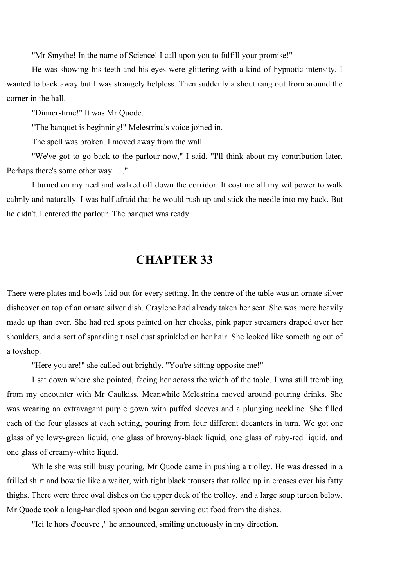"Mr Smythe! In the name of Science! I call upon you to fulfill your promise!"

He was showing his teeth and his eyes were glittering with a kind of hypnotic intensity. I wanted to back away but I was strangely helpless. Then suddenly a shout rang out from around the corner in the hall.

"Dinner-time!" It was Mr Quode.

"The banquet is beginning!" Melestrina's voice joined in.

The spell was broken. I moved away from the wall.

"We've got to go back to the parlour now," I said. "I'll think about my contribution later. Perhaps there's some other way . . ."

I turned on my heel and walked off down the corridor. It cost me all my willpower to walk calmly and naturally. I was half afraid that he would rush up and stick the needle into my back. But he didn't. I entered the parlour. The banquet was ready.

# **CHAPTER 33**

There were plates and bowls laid out for every setting. In the centre of the table was an ornate silver dishcover on top of an ornate silver dish. Craylene had already taken her seat. She was more heavily made up than ever. She had red spots painted on her cheeks, pink paper streamers draped over her shoulders, and a sort of sparkling tinsel dust sprinkled on her hair. She looked like something out of a toyshop.

"Here you are!" she called out brightly. "You're sitting opposite me!"

I sat down where she pointed, facing her across the width of the table. I was still trembling from my encounter with Mr Caulkiss. Meanwhile Melestrina moved around pouring drinks. She was wearing an extravagant purple gown with puffed sleeves and a plunging neckline. She filled each of the four glasses at each setting, pouring from four different decanters in turn. We got one glass of yellowy-green liquid, one glass of browny-black liquid, one glass of ruby-red liquid, and one glass of creamy-white liquid.

While she was still busy pouring, Mr Quode came in pushing a trolley. He was dressed in a frilled shirt and bow tie like a waiter, with tight black trousers that rolled up in creases over his fatty thighs. There were three oval dishes on the upper deck of the trolley, and a large soup tureen below. Mr Quode took a long-handled spoon and began serving out food from the dishes.

"Ici le hors d'oeuvre ," he announced, smiling unctuously in my direction.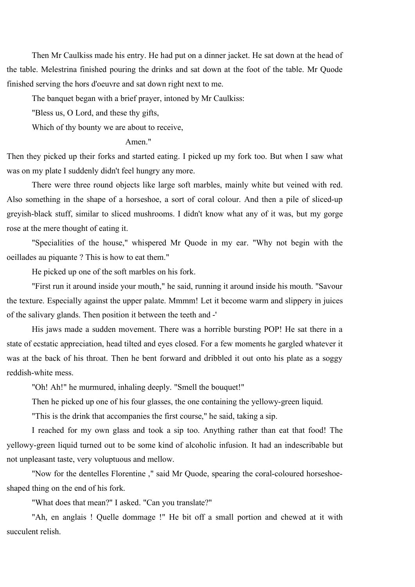Then Mr Caulkiss made his entry. He had put on a dinner jacket. He sat down at the head of the table. Melestrina finished pouring the drinks and sat down at the foot of the table. Mr Quode finished serving the hors d'oeuvre and sat down right next to me.

The banquet began with a brief prayer, intoned by Mr Caulkiss:

"Bless us, O Lord, and these thy gifts,

Which of thy bounty we are about to receive,

## Amen<sup>"</sup>

Then they picked up their forks and started eating. I picked up my fork too. But when I saw what was on my plate I suddenly didn't feel hungry any more.

There were three round objects like large soft marbles, mainly white but veined with red. Also something in the shape of a horseshoe, a sort of coral colour. And then a pile of sliced-up greyish-black stuff, similar to sliced mushrooms. I didn't know what any of it was, but my gorge rose at the mere thought of eating it.

"Specialities of the house," whispered Mr Quode in my ear. "Why not begin with the oeillades au piquante ? This is how to eat them."

He picked up one of the soft marbles on his fork.

"First run it around inside your mouth," he said, running it around inside his mouth. "Savour the texture. Especially against the upper palate. Mmmm! Let it become warm and slippery in juices of the salivary glands. Then position it between the teeth and -'

His jaws made a sudden movement. There was a horrible bursting POP! He sat there in a state of ecstatic appreciation, head tilted and eyes closed. For a few moments he gargled whatever it was at the back of his throat. Then he bent forward and dribbled it out onto his plate as a soggy reddish-white mess.

"Oh! Ah!" he murmured, inhaling deeply. "Smell the bouquet!"

Then he picked up one of his four glasses, the one containing the yellowy-green liquid.

"This is the drink that accompanies the first course," he said, taking a sip.

I reached for my own glass and took a sip too. Anything rather than eat that food! The yellowy-green liquid turned out to be some kind of alcoholic infusion. It had an indescribable but not unpleasant taste, very voluptuous and mellow.

"Now for the dentelles Florentine ," said Mr Quode, spearing the coral-coloured horseshoeshaped thing on the end of his fork.

"What does that mean?" I asked. "Can you translate?"

"Ah, en anglais ! Quelle dommage !" He bit off a small portion and chewed at it with succulent relish.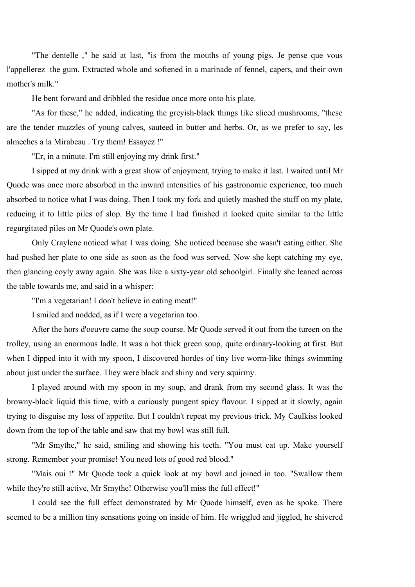"The dentelle ," he said at last, "is from the mouths of young pigs. Je pense que vous l'appellerez the gum. Extracted whole and softened in a marinade of fennel, capers, and their own mother's milk."

He bent forward and dribbled the residue once more onto his plate.

"As for these," he added, indicating the greyish-black things like sliced mushrooms, "these are the tender muzzles of young calves, sauteed in butter and herbs. Or, as we prefer to say, les almeches a la Mirabeau . Try them! Essayez !"

"Er, in a minute. I'm still enjoying my drink first."

I sipped at my drink with a great show of enjoyment, trying to make it last. I waited until Mr Quode was once more absorbed in the inward intensities of his gastronomic experience, too much absorbed to notice what I was doing. Then I took my fork and quietly mashed the stuff on my plate, reducing it to little piles of slop. By the time I had finished it looked quite similar to the little regurgitated piles on Mr Quode's own plate.

Only Craylene noticed what I was doing. She noticed because she wasn't eating either. She had pushed her plate to one side as soon as the food was served. Now she kept catching my eye, then glancing coyly away again. She was like a sixty-year old schoolgirl. Finally she leaned across the table towards me, and said in a whisper:

"I'm a vegetarian! I don't believe in eating meat!"

I smiled and nodded, as if I were a vegetarian too.

After the hors d'oeuvre came the soup course. Mr Quode served it out from the tureen on the trolley, using an enormous ladle. It was a hot thick green soup, quite ordinary-looking at first. But when I dipped into it with my spoon, I discovered hordes of tiny live worm-like things swimming about just under the surface. They were black and shiny and very squirmy.

I played around with my spoon in my soup, and drank from my second glass. It was the browny-black liquid this time, with a curiously pungent spicy flavour. I sipped at it slowly, again trying to disguise my loss of appetite. But I couldn't repeat my previous trick. My Caulkiss looked down from the top of the table and saw that my bowl was still full.

"Mr Smythe," he said, smiling and showing his teeth. "You must eat up. Make yourself strong. Remember your promise! You need lots of good red blood."

"Mais oui !" Mr Quode took a quick look at my bowl and joined in too. "Swallow them while they're still active, Mr Smythe! Otherwise you'll miss the full effect!"

I could see the full effect demonstrated by Mr Quode himself, even as he spoke. There seemed to be a million tiny sensations going on inside of him. He wriggled and jiggled, he shivered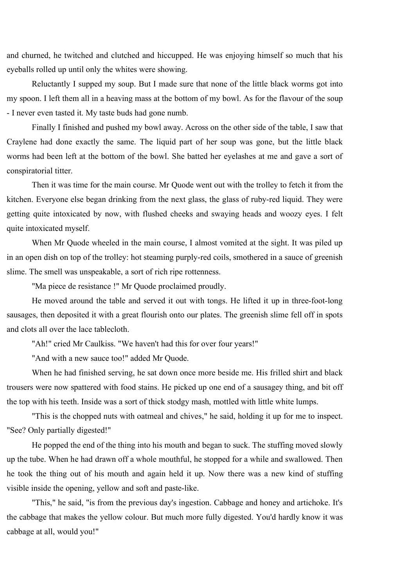and churned, he twitched and clutched and hiccupped. He was enjoying himself so much that his eyeballs rolled up until only the whites were showing.

Reluctantly I supped my soup. But I made sure that none of the little black worms got into my spoon. I left them all in a heaving mass at the bottom of my bowl. As for the flavour of the soup - I never even tasted it. My taste buds had gone numb.

Finally I finished and pushed my bowl away. Across on the other side of the table, I saw that Craylene had done exactly the same. The liquid part of her soup was gone, but the little black worms had been left at the bottom of the bowl. She batted her eyelashes at me and gave a sort of conspiratorial titter.

Then it was time for the main course. Mr Quode went out with the trolley to fetch it from the kitchen. Everyone else began drinking from the next glass, the glass of ruby-red liquid. They were getting quite intoxicated by now, with flushed cheeks and swaying heads and woozy eyes. I felt quite intoxicated myself.

When Mr Quode wheeled in the main course, I almost vomited at the sight. It was piled up in an open dish on top of the trolley: hot steaming purply-red coils, smothered in a sauce of greenish slime. The smell was unspeakable, a sort of rich ripe rottenness.

"Ma piece de resistance !" Mr Quode proclaimed proudly.

He moved around the table and served it out with tongs. He lifted it up in three-foot-long sausages, then deposited it with a great flourish onto our plates. The greenish slime fell off in spots and clots all over the lace tablecloth.

"Ah!" cried Mr Caulkiss. "We haven't had this for over four years!"

"And with a new sauce too!" added Mr Quode.

When he had finished serving, he sat down once more beside me. His frilled shirt and black trousers were now spattered with food stains. He picked up one end of a sausagey thing, and bit off the top with his teeth. Inside was a sort of thick stodgy mash, mottled with little white lumps.

"This is the chopped nuts with oatmeal and chives," he said, holding it up for me to inspect. "See? Only partially digested!"

He popped the end of the thing into his mouth and began to suck. The stuffing moved slowly up the tube. When he had drawn off a whole mouthful, he stopped for a while and swallowed. Then he took the thing out of his mouth and again held it up. Now there was a new kind of stuffing visible inside the opening, yellow and soft and paste-like.

"This," he said, "is from the previous day's ingestion. Cabbage and honey and artichoke. It's the cabbage that makes the yellow colour. But much more fully digested. You'd hardly know it was cabbage at all, would you!"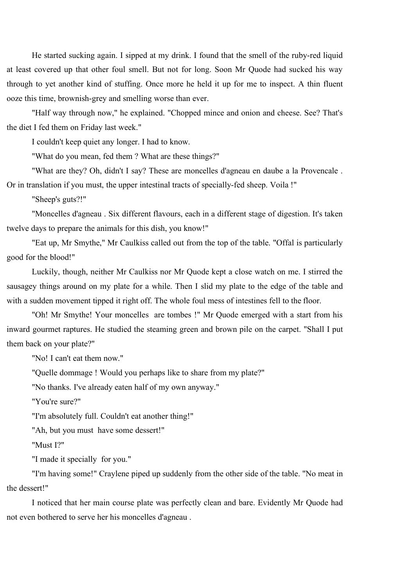He started sucking again. I sipped at my drink. I found that the smell of the ruby-red liquid at least covered up that other foul smell. But not for long. Soon Mr Quode had sucked his way through to yet another kind of stuffing. Once more he held it up for me to inspect. A thin fluent ooze this time, brownish-grey and smelling worse than ever.

"Half way through now," he explained. "Chopped mince and onion and cheese. See? That's the diet I fed them on Friday last week."

I couldn't keep quiet any longer. I had to know.

"What do you mean, fed them ? What are these things?"

"What are they? Oh, didn't I say? These are moncelles d'agneau en daube a la Provencale . Or in translation if you must, the upper intestinal tracts of specially-fed sheep. Voila !"

"Sheep's guts?!"

"Moncelles d'agneau . Six different flavours, each in a different stage of digestion. It's taken twelve days to prepare the animals for this dish, you know!"

"Eat up, Mr Smythe," Mr Caulkiss called out from the top of the table. "Offal is particularly good for the blood!"

Luckily, though, neither Mr Caulkiss nor Mr Quode kept a close watch on me. I stirred the sausagey things around on my plate for a while. Then I slid my plate to the edge of the table and with a sudden movement tipped it right off. The whole foul mess of intestines fell to the floor.

"Oh! Mr Smythe! Your moncelles are tombes !" Mr Quode emerged with a start from his inward gourmet raptures. He studied the steaming green and brown pile on the carpet. "Shall I put them back on your plate?"

"No! I can't eat them now."

"Quelle dommage ! Would you perhaps like to share from my plate?"

"No thanks. I've already eaten half of my own anyway."

"You're sure?"

"I'm absolutely full. Couldn't eat another thing!"

"Ah, but you must have some dessert!"

"Must I?"

"I made it specially for you."

"I'm having some!" Craylene piped up suddenly from the other side of the table. "No meat in the dessert!"

I noticed that her main course plate was perfectly clean and bare. Evidently Mr Quode had not even bothered to serve her his moncelles d'agneau .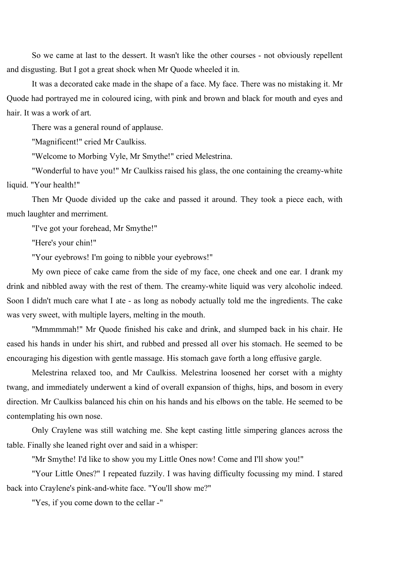So we came at last to the dessert. It wasn't like the other courses - not obviously repellent and disgusting. But I got a great shock when Mr Quode wheeled it in.

It was a decorated cake made in the shape of a face. My face. There was no mistaking it. Mr Quode had portrayed me in coloured icing, with pink and brown and black for mouth and eyes and hair. It was a work of art.

There was a general round of applause.

"Magnificent!" cried Mr Caulkiss.

"Welcome to Morbing Vyle, Mr Smythe!" cried Melestrina.

"Wonderful to have you!" Mr Caulkiss raised his glass, the one containing the creamy-white liquid. "Your health!"

Then Mr Quode divided up the cake and passed it around. They took a piece each, with much laughter and merriment.

"I've got your forehead, Mr Smythe!"

"Here's your chin!"

"Your eyebrows! I'm going to nibble your eyebrows!"

My own piece of cake came from the side of my face, one cheek and one ear. I drank my drink and nibbled away with the rest of them. The creamy-white liquid was very alcoholic indeed. Soon I didn't much care what I ate - as long as nobody actually told me the ingredients. The cake was very sweet, with multiple layers, melting in the mouth.

"Mmmmmah!" Mr Quode finished his cake and drink, and slumped back in his chair. He eased his hands in under his shirt, and rubbed and pressed all over his stomach. He seemed to be encouraging his digestion with gentle massage. His stomach gave forth a long effusive gargle.

Melestrina relaxed too, and Mr Caulkiss. Melestrina loosened her corset with a mighty twang, and immediately underwent a kind of overall expansion of thighs, hips, and bosom in every direction. Mr Caulkiss balanced his chin on his hands and his elbows on the table. He seemed to be contemplating his own nose.

Only Craylene was still watching me. She kept casting little simpering glances across the table. Finally she leaned right over and said in a whisper:

"Mr Smythe! I'd like to show you my Little Ones now! Come and I'll show you!"

"Your Little Ones?" I repeated fuzzily. I was having difficulty focussing my mind. I stared back into Craylene's pink-and-white face. "You'll show me?"

"Yes, if you come down to the cellar -"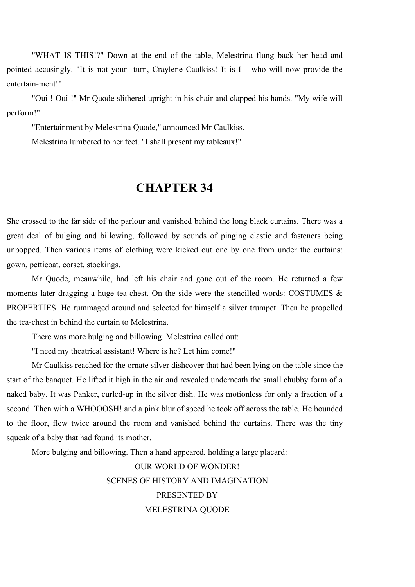"WHAT IS THIS!?" Down at the end of the table, Melestrina flung back her head and pointed accusingly. "It is not your turn, Craylene Caulkiss! It is I who will now provide the entertain-ment!"

"Oui ! Oui !" Mr Quode slithered upright in his chair and clapped his hands. "My wife will perform!"

"Entertainment by Melestrina Quode," announced Mr Caulkiss.

Melestrina lumbered to her feet. "I shall present my tableaux!"

## **CHAPTER 34**

She crossed to the far side of the parlour and vanished behind the long black curtains. There was a great deal of bulging and billowing, followed by sounds of pinging elastic and fasteners being unpopped. Then various items of clothing were kicked out one by one from under the curtains: gown, petticoat, corset, stockings.

Mr Quode, meanwhile, had left his chair and gone out of the room. He returned a few moments later dragging a huge tea-chest. On the side were the stencilled words: COSTUMES & PROPERTIES. He rummaged around and selected for himself a silver trumpet. Then he propelled the tea-chest in behind the curtain to Melestrina.

There was more bulging and billowing. Melestrina called out:

"I need my theatrical assistant! Where is he? Let him come!"

Mr Caulkiss reached for the ornate silver dishcover that had been lying on the table since the start of the banquet. He lifted it high in the air and revealed underneath the small chubby form of a naked baby. It was Panker, curled-up in the silver dish. He was motionless for only a fraction of a second. Then with a WHOOOSH! and a pink blur of speed he took off across the table. He bounded to the floor, flew twice around the room and vanished behind the curtains. There was the tiny squeak of a baby that had found its mother.

More bulging and billowing. Then a hand appeared, holding a large placard:

OUR WORLD OF WONDER! SCENES OF HISTORY AND IMAGINATION PRESENTED BY MELESTRINA QUODE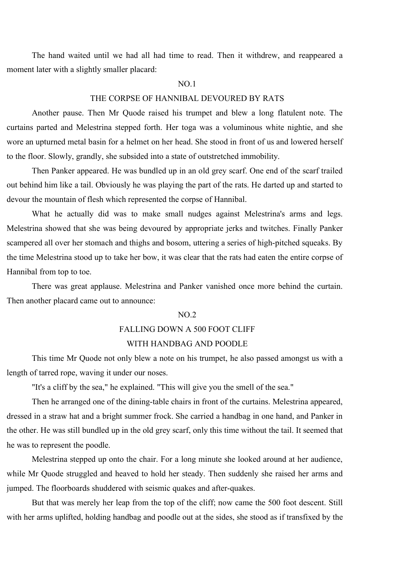The hand waited until we had all had time to read. Then it withdrew, and reappeared a moment later with a slightly smaller placard:

#### NO.1

## THE CORPSE OF HANNIBAL DEVOURED BY RATS

Another pause. Then Mr Quode raised his trumpet and blew a long flatulent note. The curtains parted and Melestrina stepped forth. Her toga was a voluminous white nightie, and she wore an upturned metal basin for a helmet on her head. She stood in front of us and lowered herself to the floor. Slowly, grandly, she subsided into a state of outstretched immobility.

Then Panker appeared. He was bundled up in an old grey scarf. One end of the scarf trailed out behind him like a tail. Obviously he was playing the part of the rats. He darted up and started to devour the mountain of flesh which represented the corpse of Hannibal.

What he actually did was to make small nudges against Melestrina's arms and legs. Melestrina showed that she was being devoured by appropriate jerks and twitches. Finally Panker scampered all over her stomach and thighs and bosom, uttering a series of high-pitched squeaks. By the time Melestrina stood up to take her bow, it was clear that the rats had eaten the entire corpse of Hannibal from top to toe.

There was great applause. Melestrina and Panker vanished once more behind the curtain. Then another placard came out to announce:

#### $NO.2$

# FALLING DOWN A 500 FOOT CLIFF

## WITH HANDBAG AND POODLE

This time Mr Quode not only blew a note on his trumpet, he also passed amongst us with a length of tarred rope, waving it under our noses.

"It's a cliff by the sea," he explained. "This will give you the smell of the sea."

Then he arranged one of the dining-table chairs in front of the curtains. Melestrina appeared, dressed in a straw hat and a bright summer frock. She carried a handbag in one hand, and Panker in the other. He was still bundled up in the old grey scarf, only this time without the tail. It seemed that he was to represent the poodle.

Melestrina stepped up onto the chair. For a long minute she looked around at her audience, while Mr Quode struggled and heaved to hold her steady. Then suddenly she raised her arms and jumped. The floorboards shuddered with seismic quakes and after-quakes.

But that was merely her leap from the top of the cliff; now came the 500 foot descent. Still with her arms uplifted, holding handbag and poodle out at the sides, she stood as if transfixed by the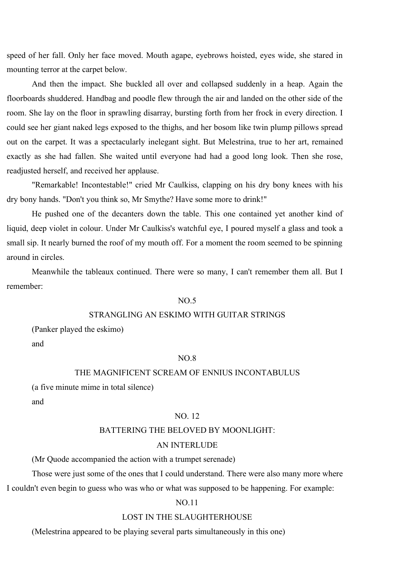speed of her fall. Only her face moved. Mouth agape, eyebrows hoisted, eyes wide, she stared in mounting terror at the carpet below.

And then the impact. She buckled all over and collapsed suddenly in a heap. Again the floorboards shuddered. Handbag and poodle flew through the air and landed on the other side of the room. She lay on the floor in sprawling disarray, bursting forth from her frock in every direction. I could see her giant naked legs exposed to the thighs, and her bosom like twin plump pillows spread out on the carpet. It was a spectacularly inelegant sight. But Melestrina, true to her art, remained exactly as she had fallen. She waited until everyone had had a good long look. Then she rose, readjusted herself, and received her applause.

"Remarkable! Incontestable!" cried Mr Caulkiss, clapping on his dry bony knees with his dry bony hands. "Don't you think so, Mr Smythe? Have some more to drink!"

He pushed one of the decanters down the table. This one contained yet another kind of liquid, deep violet in colour. Under Mr Caulkiss's watchful eye, I poured myself a glass and took a small sip. It nearly burned the roof of my mouth off. For a moment the room seemed to be spinning around in circles.

Meanwhile the tableaux continued. There were so many, I can't remember them all. But I remember:

#### NO.5

### STRANGLING AN ESKIMO WITH GUITAR STRINGS

(Panker played the eskimo)

and

#### $NO<sub>8</sub>$

### THE MAGNIFICENT SCREAM OF ENNIUS INCONTABULUS

(a five minute mime in total silence) and

### NO. 12

#### BATTERING THE BELOVED BY MOONLIGHT:

#### AN INTERLUDE

(Mr Quode accompanied the action with a trumpet serenade)

Those were just some of the ones that I could understand. There were also many more where I couldn't even begin to guess who was who or what was supposed to be happening. For example:

## NO.11

## LOST IN THE SLAUGHTERHOUSE

(Melestrina appeared to be playing several parts simultaneously in this one)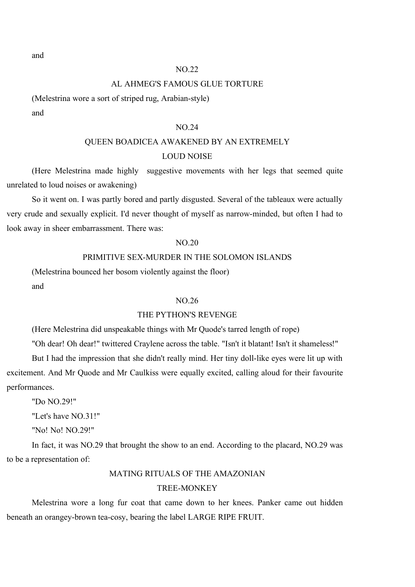and

#### NO.22

### AL AHMEG'S FAMOUS GLUE TORTURE

(Melestrina wore a sort of striped rug, Arabian-style) and

#### NO.24

## QUEEN BOADICEA AWAKENED BY AN EXTREMELY LOUD NOISE

(Here Melestrina made highly suggestive movements with her legs that seemed quite unrelated to loud noises or awakening)

So it went on. I was partly bored and partly disgusted. Several of the tableaux were actually very crude and sexually explicit. I'd never thought of myself as narrow-minded, but often I had to look away in sheer embarrassment. There was:

#### NO.20

## PRIMITIVE SEX-MURDER IN THE SOLOMON ISLANDS

(Melestrina bounced her bosom violently against the floor) and

#### NO.26

## THE PYTHON'S REVENGE

(Here Melestrina did unspeakable things with Mr Quode's tarred length of rope)

"Oh dear! Oh dear!" twittered Craylene across the table. "Isn't it blatant! Isn't it shameless!"

But I had the impression that she didn't really mind. Her tiny doll-like eyes were lit up with excitement. And Mr Quode and Mr Caulkiss were equally excited, calling aloud for their favourite performances.

"Do NO.29!"

"Let's have NO.31!"

"No! No! NO.29!"

In fact, it was NO.29 that brought the show to an end. According to the placard, NO.29 was to be a representation of:

## MATING RITUALS OF THE AMAZONIAN

#### TREE-MONKEY

Melestrina wore a long fur coat that came down to her knees. Panker came out hidden beneath an orangey-brown tea-cosy, bearing the label LARGE RIPE FRUIT.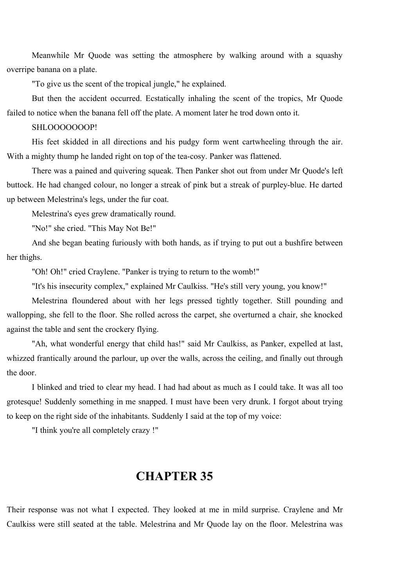Meanwhile Mr Quode was setting the atmosphere by walking around with a squashy overripe banana on a plate.

"To give us the scent of the tropical jungle," he explained.

But then the accident occurred. Ecstatically inhaling the scent of the tropics, Mr Quode failed to notice when the banana fell off the plate. A moment later he trod down onto it.

#### SHLOOOOOOOP!

His feet skidded in all directions and his pudgy form went cartwheeling through the air. With a mighty thump he landed right on top of the tea-cosy. Panker was flattened.

There was a pained and quivering squeak. Then Panker shot out from under Mr Quode's left buttock. He had changed colour, no longer a streak of pink but a streak of purpley-blue. He darted up between Melestrina's legs, under the fur coat.

Melestrina's eyes grew dramatically round.

"No!" she cried. "This May Not Be!"

And she began beating furiously with both hands, as if trying to put out a bushfire between her thighs.

"Oh! Oh!" cried Craylene. "Panker is trying to return to the womb!"

"It's his insecurity complex," explained Mr Caulkiss. "He's still very young, you know!"

Melestrina floundered about with her legs pressed tightly together. Still pounding and wallopping, she fell to the floor. She rolled across the carpet, she overturned a chair, she knocked against the table and sent the crockery flying.

"Ah, what wonderful energy that child has!" said Mr Caulkiss, as Panker, expelled at last, whizzed frantically around the parlour, up over the walls, across the ceiling, and finally out through the door.

I blinked and tried to clear my head. I had had about as much as I could take. It was all too grotesque! Suddenly something in me snapped. I must have been very drunk. I forgot about trying to keep on the right side of the inhabitants. Suddenly I said at the top of my voice:

"I think you're all completely crazy !"

# **CHAPTER 35**

Their response was not what I expected. They looked at me in mild surprise. Craylene and Mr Caulkiss were still seated at the table. Melestrina and Mr Quode lay on the floor. Melestrina was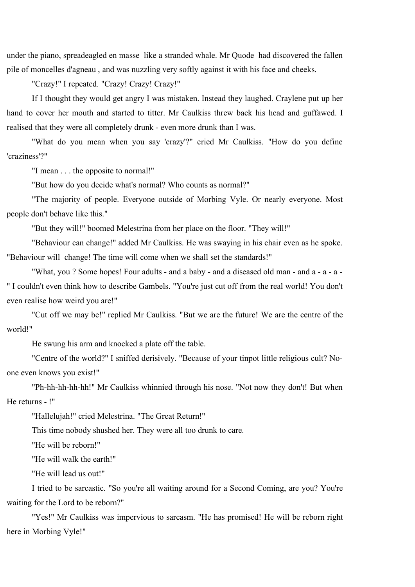under the piano, spreadeagled en masse like a stranded whale. Mr Quode had discovered the fallen pile of moncelles d'agneau , and was nuzzling very softly against it with his face and cheeks.

"Crazy!" I repeated. "Crazy! Crazy! Crazy!"

If I thought they would get angry I was mistaken. Instead they laughed. Craylene put up her hand to cover her mouth and started to titter. Mr Caulkiss threw back his head and guffawed. I realised that they were all completely drunk - even more drunk than I was.

"What do you mean when you say 'crazy'?" cried Mr Caulkiss. "How do you define 'craziness'?"

"I mean . . . the opposite to normal!"

"But how do you decide what's normal? Who counts as normal?"

"The majority of people. Everyone outside of Morbing Vyle. Or nearly everyone. Most people don't behave like this."

"But they will!" boomed Melestrina from her place on the floor. "They will!"

"Behaviour can change!" added Mr Caulkiss. He was swaying in his chair even as he spoke. "Behaviour will change! The time will come when we shall set the standards!"

"What, you ? Some hopes! Four adults - and a baby - and a diseased old man - and a - a - a - " I couldn't even think how to describe Gambels. "You're just cut off from the real world! You don't even realise how weird you are!"

"Cut off we may be!" replied Mr Caulkiss. "But we are the future! We are the centre of the world!"

He swung his arm and knocked a plate off the table.

"Centre of the world?" I sniffed derisively. "Because of your tinpot little religious cult? Noone even knows you exist!"

"Ph-hh-hh-hh-hh!" Mr Caulkiss whinnied through his nose. "Not now they don't! But when He returns - !"

"Hallelujah!" cried Melestrina. "The Great Return!"

This time nobody shushed her. They were all too drunk to care.

"He will be reborn!"

"He will walk the earth!"

"He will lead us out!"

I tried to be sarcastic. "So you're all waiting around for a Second Coming, are you? You're waiting for the Lord to be reborn?"

"Yes!" Mr Caulkiss was impervious to sarcasm. "He has promised! He will be reborn right here in Morbing Vyle!"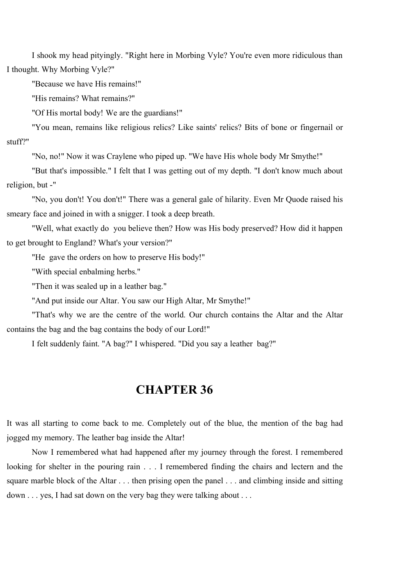I shook my head pityingly. "Right here in Morbing Vyle? You're even more ridiculous than I thought. Why Morbing Vyle?"

"Because we have His remains!"

"His remains? What remains?"

"Of His mortal body! We are the guardians!"

"You mean, remains like religious relics? Like saints' relics? Bits of bone or fingernail or stuff?"

"No, no!" Now it was Craylene who piped up. "We have His whole body Mr Smythe!"

"But that's impossible." I felt that I was getting out of my depth. "I don't know much about religion, but -"

"No, you don't! You don't!" There was a general gale of hilarity. Even Mr Quode raised his smeary face and joined in with a snigger. I took a deep breath.

"Well, what exactly do you believe then? How was His body preserved? How did it happen to get brought to England? What's your version?"

"He gave the orders on how to preserve His body!"

"With special enbalming herbs."

"Then it was sealed up in a leather bag."

"And put inside our Altar. You saw our High Altar, Mr Smythe!"

"That's why we are the centre of the world. Our church contains the Altar and the Altar contains the bag and the bag contains the body of our Lord!"

I felt suddenly faint. "A bag?" I whispered. "Did you say a leather bag?"

# **CHAPTER 36**

It was all starting to come back to me. Completely out of the blue, the mention of the bag had jogged my memory. The leather bag inside the Altar!

Now I remembered what had happened after my journey through the forest. I remembered looking for shelter in the pouring rain . . . I remembered finding the chairs and lectern and the square marble block of the Altar . . . then prising open the panel . . . and climbing inside and sitting down . . . yes, I had sat down on the very bag they were talking about . . .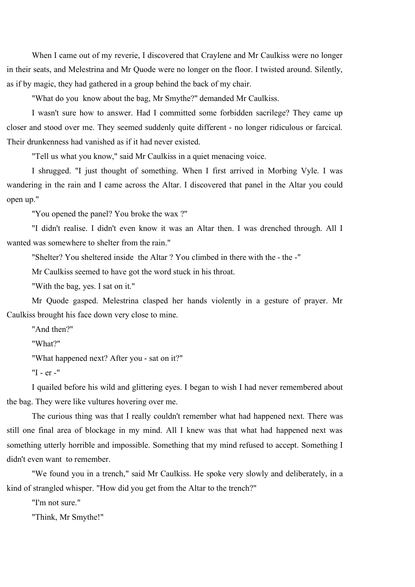When I came out of my reverie, I discovered that Craylene and Mr Caulkiss were no longer in their seats, and Melestrina and Mr Quode were no longer on the floor. I twisted around. Silently, as if by magic, they had gathered in a group behind the back of my chair.

"What do you know about the bag, Mr Smythe?" demanded Mr Caulkiss.

I wasn't sure how to answer. Had I committed some forbidden sacrilege? They came up closer and stood over me. They seemed suddenly quite different - no longer ridiculous or farcical. Their drunkenness had vanished as if it had never existed.

"Tell us what you know," said Mr Caulkiss in a quiet menacing voice.

I shrugged. "I just thought of something. When I first arrived in Morbing Vyle. I was wandering in the rain and I came across the Altar. I discovered that panel in the Altar you could open up."

"You opened the panel? You broke the wax ?"

"I didn't realise. I didn't even know it was an Altar then. I was drenched through. All I wanted was somewhere to shelter from the rain."

"Shelter? You sheltered inside the Altar ? You climbed in there with the - the -"

Mr Caulkiss seemed to have got the word stuck in his throat.

"With the bag, yes. I sat on it."

Mr Quode gasped. Melestrina clasped her hands violently in a gesture of prayer. Mr Caulkiss brought his face down very close to mine.

"And then?"

"What?"

"What happened next? After you - sat on it?"

"I - er -"

I quailed before his wild and glittering eyes. I began to wish I had never remembered about the bag. They were like vultures hovering over me.

The curious thing was that I really couldn't remember what had happened next. There was still one final area of blockage in my mind. All I knew was that what had happened next was something utterly horrible and impossible. Something that my mind refused to accept. Something I didn't even want to remember.

"We found you in a trench," said Mr Caulkiss. He spoke very slowly and deliberately, in a kind of strangled whisper. "How did you get from the Altar to the trench?"

"I'm not sure."

"Think, Mr Smythe!"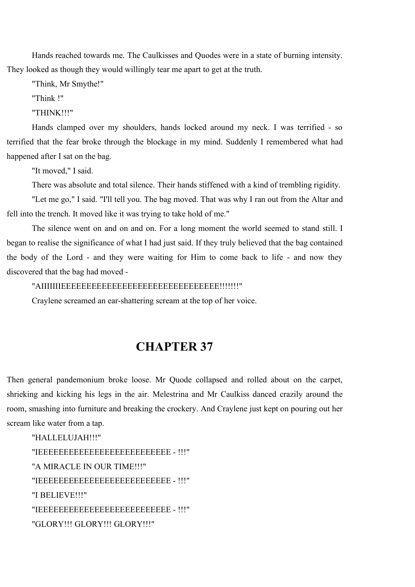Hands reached towards me. The Caulkisses and Quodes were in a state of burning intensity. They looked as though they would willingly tear me apart to get at the truth.

"Think, Mr Smythe!"

"Think !"

"THINK!!!"

Hands clamped over my shoulders, hands locked around my neck. I was terrified - so terrified that the fear broke through the blockage in my mind. Suddenly I remembered what had happened after I sat on the bag.

"It moved," I said.

There was absolute and total silence. Their hands stiffened with a kind of trembling rigidity.

"Let me go," I said. "I'll tell you. The bag moved. That was why I ran out from the Altar and fell into the trench. It moved like it was trying to take hold of me."

The silence went on and on and on. For a long moment the world seemed to stand still. I began to realise the significance of what I had just said. If they truly believed that the bag contained the body of the Lord - and they were waiting for Him to come back to life - and now they discovered that the bag had moved -

"AIIIIIIIEEEEEEEEEEEEEEEEEEEEEEEEEEEEEEE!!!!!!!"

Craylene screamed an ear-shattering scream at the top of her voice.

# **CHAPTER 37**

Then general pandemonium broke loose. Mr Quode collapsed and rolled about on the carpet, shrieking and kicking his legs in the air. Melestrina and Mr Caulkiss danced crazily around the room, smashing into furniture and breaking the crockery. And Craylene just kept on pouring out her scream like water from a tap.

"HALLELUJAH!!!" "IEEEEEEEEEEEEEEEEEEEEEEEEEE - !!!" "A MIRACLE IN OUR TIME!!!" "IEEEEEEEEEEEEEEEEEEEEEEEEEE - !!!" "I BELIEVE!!!" "IEEEEEEEEEEEEEEEEEEEEEEEEEE - !!!" "GLORY!!! GLORY!!! GLORY!!!"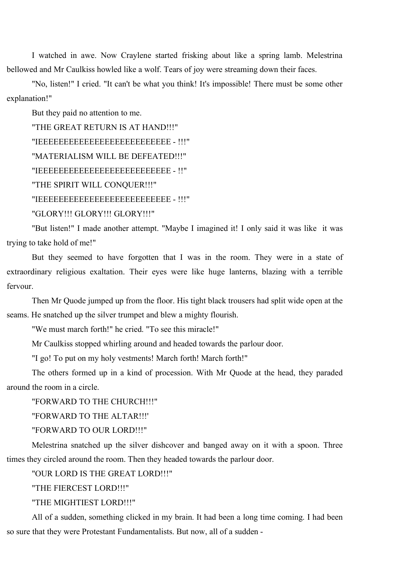I watched in awe. Now Craylene started frisking about like a spring lamb. Melestrina bellowed and Mr Caulkiss howled like a wolf. Tears of joy were streaming down their faces.

"No, listen!" I cried. "It can't be what you think! It's impossible! There must be some other explanation!"

But they paid no attention to me.

"THE GREAT RETURN IS AT HAND!!!" "IEEEEEEEEEEEEEEEEEEEEEEEEEE - !!!" "MATERIALISM WILL BE DEFEATED!!!" "IEEEEEEEEEEEEEEEEEEEEEEEEEE - !!" "THE SPIRIT WILL CONQUER!!!" "IEEEEEEEEEEEEEEEEEEEEEEEEEE - !!!"

"GLORY!!! GLORY!!! GLORY!!!"

"But listen!" I made another attempt. "Maybe I imagined it! I only said it was like it was trying to take hold of me!"

But they seemed to have forgotten that I was in the room. They were in a state of extraordinary religious exaltation. Their eyes were like huge lanterns, blazing with a terrible fervour.

Then Mr Quode jumped up from the floor. His tight black trousers had split wide open at the seams. He snatched up the silver trumpet and blew a mighty flourish.

"We must march forth!" he cried. "To see this miracle!"

Mr Caulkiss stopped whirling around and headed towards the parlour door.

"I go! To put on my holy vestments! March forth! March forth!"

The others formed up in a kind of procession. With Mr Quode at the head, they paraded around the room in a circle.

"FORWARD TO THE CHURCH!!!"

"FORWARD TO THE ALTAR!!!'

"FORWARD TO OUR LORD!!!"

Melestrina snatched up the silver dishcover and banged away on it with a spoon. Three times they circled around the room. Then they headed towards the parlour door.

"OUR LORD IS THE GREAT LORD!!!"

"THE FIERCEST LORD!!!"

"THE MIGHTIEST LORD!!!"

All of a sudden, something clicked in my brain. It had been a long time coming. I had been so sure that they were Protestant Fundamentalists. But now, all of a sudden -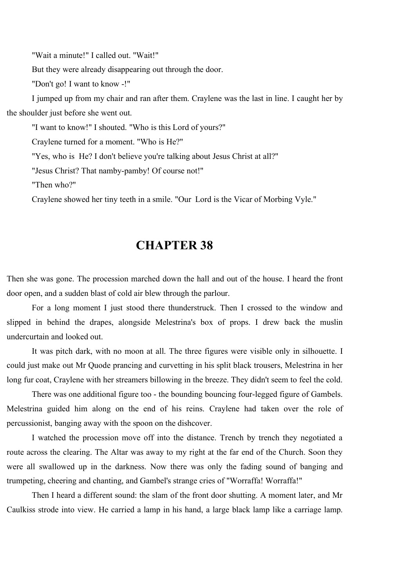"Wait a minute!" I called out. "Wait!"

But they were already disappearing out through the door.

"Don't go! I want to know -!"

I jumped up from my chair and ran after them. Craylene was the last in line. I caught her by the shoulder just before she went out.

"I want to know!" I shouted. "Who is this Lord of yours?"

Craylene turned for a moment. "Who is He?"

"Yes, who is He? I don't believe you're talking about Jesus Christ at all?"

"Jesus Christ? That namby-pamby! Of course not!"

"Then who?"

Craylene showed her tiny teeth in a smile. "Our Lord is the Vicar of Morbing Vyle."

## **CHAPTER 38**

Then she was gone. The procession marched down the hall and out of the house. I heard the front door open, and a sudden blast of cold air blew through the parlour.

For a long moment I just stood there thunderstruck. Then I crossed to the window and slipped in behind the drapes, alongside Melestrina's box of props. I drew back the muslin undercurtain and looked out.

It was pitch dark, with no moon at all. The three figures were visible only in silhouette. I could just make out Mr Quode prancing and curvetting in his split black trousers, Melestrina in her long fur coat, Craylene with her streamers billowing in the breeze. They didn't seem to feel the cold.

There was one additional figure too - the bounding bouncing four-legged figure of Gambels. Melestrina guided him along on the end of his reins. Craylene had taken over the role of percussionist, banging away with the spoon on the dishcover.

I watched the procession move off into the distance. Trench by trench they negotiated a route across the clearing. The Altar was away to my right at the far end of the Church. Soon they were all swallowed up in the darkness. Now there was only the fading sound of banging and trumpeting, cheering and chanting, and Gambel's strange cries of "Worraffa! Worraffa!"

Then I heard a different sound: the slam of the front door shutting. A moment later, and Mr Caulkiss strode into view. He carried a lamp in his hand, a large black lamp like a carriage lamp.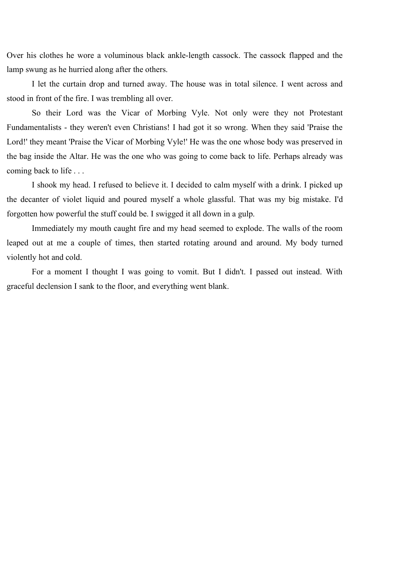Over his clothes he wore a voluminous black ankle-length cassock. The cassock flapped and the lamp swung as he hurried along after the others.

I let the curtain drop and turned away. The house was in total silence. I went across and stood in front of the fire. I was trembling all over.

So their Lord was the Vicar of Morbing Vyle. Not only were they not Protestant Fundamentalists - they weren't even Christians! I had got it so wrong. When they said 'Praise the Lord!' they meant 'Praise the Vicar of Morbing Vyle!' He was the one whose body was preserved in the bag inside the Altar. He was the one who was going to come back to life. Perhaps already was coming back to life . . .

I shook my head. I refused to believe it. I decided to calm myself with a drink. I picked up the decanter of violet liquid and poured myself a whole glassful. That was my big mistake. I'd forgotten how powerful the stuff could be. I swigged it all down in a gulp.

Immediately my mouth caught fire and my head seemed to explode. The walls of the room leaped out at me a couple of times, then started rotating around and around. My body turned violently hot and cold.

For a moment I thought I was going to vomit. But I didn't. I passed out instead. With graceful declension I sank to the floor, and everything went blank.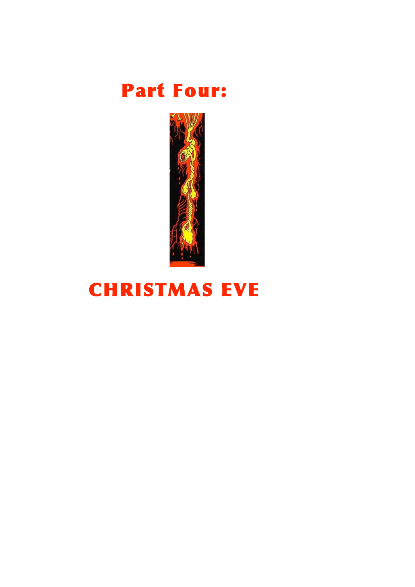# Part Four:



# CHRISTMAS EVE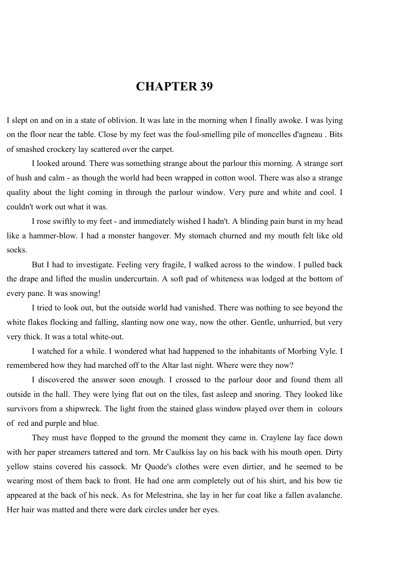## **CHAPTER 39**

I slept on and on in a state of oblivion. It was late in the morning when I finally awoke. I was lying on the floor near the table. Close by my feet was the foul-smelling pile of moncelles d'agneau . Bits of smashed crockery lay scattered over the carpet.

I looked around. There was something strange about the parlour this morning. A strange sort of hush and calm - as though the world had been wrapped in cotton wool. There was also a strange quality about the light coming in through the parlour window. Very pure and white and cool. I couldn't work out what it was.

I rose swiftly to my feet - and immediately wished I hadn't. A blinding pain burst in my head like a hammer-blow. I had a monster hangover. My stomach churned and my mouth felt like old socks.

But I had to investigate. Feeling very fragile, I walked across to the window. I pulled back the drape and lifted the muslin undercurtain. A soft pad of whiteness was lodged at the bottom of every pane. It was snowing!

I tried to look out, but the outside world had vanished. There was nothing to see beyond the white flakes flocking and falling, slanting now one way, now the other. Gentle, unhurried, but very very thick. It was a total white-out.

I watched for a while. I wondered what had happened to the inhabitants of Morbing Vyle. I remembered how they had marched off to the Altar last night. Where were they now?

I discovered the answer soon enough. I crossed to the parlour door and found them all outside in the hall. They were lying flat out on the tiles, fast asleep and snoring. They looked like survivors from a shipwreck. The light from the stained glass window played over them in colours of red and purple and blue.

They must have flopped to the ground the moment they came in. Craylene lay face down with her paper streamers tattered and torn. Mr Caulkiss lay on his back with his mouth open. Dirty yellow stains covered his cassock. Mr Quode's clothes were even dirtier, and he seemed to be wearing most of them back to front. He had one arm completely out of his shirt, and his bow tie appeared at the back of his neck. As for Melestrina, she lay in her fur coat like a fallen avalanche. Her hair was matted and there were dark circles under her eyes.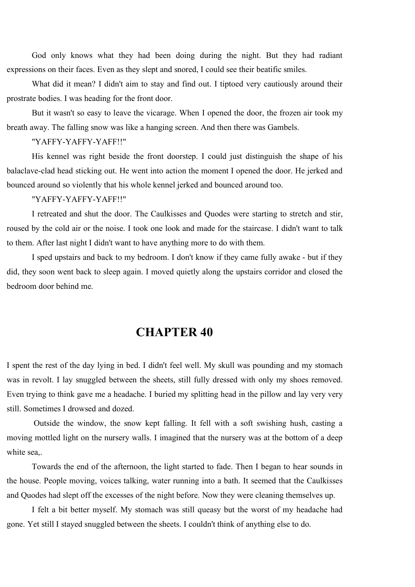God only knows what they had been doing during the night. But they had radiant expressions on their faces. Even as they slept and snored, I could see their beatific smiles.

What did it mean? I didn't aim to stay and find out. I tiptoed very cautiously around their prostrate bodies. I was heading for the front door.

But it wasn't so easy to leave the vicarage. When I opened the door, the frozen air took my breath away. The falling snow was like a hanging screen. And then there was Gambels.

#### "YAFFY-YAFFY-YAFF!!"

His kennel was right beside the front doorstep. I could just distinguish the shape of his balaclave-clad head sticking out. He went into action the moment I opened the door. He jerked and bounced around so violently that his whole kennel jerked and bounced around too.

#### "YAFFY-YAFFY-YAFF!!"

I retreated and shut the door. The Caulkisses and Quodes were starting to stretch and stir, roused by the cold air or the noise. I took one look and made for the staircase. I didn't want to talk to them. After last night I didn't want to have anything more to do with them.

I sped upstairs and back to my bedroom. I don't know if they came fully awake - but if they did, they soon went back to sleep again. I moved quietly along the upstairs corridor and closed the bedroom door behind me.

# **CHAPTER 40**

I spent the rest of the day lying in bed. I didn't feel well. My skull was pounding and my stomach was in revolt. I lay snuggled between the sheets, still fully dressed with only my shoes removed. Even trying to think gave me a headache. I buried my splitting head in the pillow and lay very very still. Sometimes I drowsed and dozed.

 Outside the window, the snow kept falling. It fell with a soft swishing hush, casting a moving mottled light on the nursery walls. I imagined that the nursery was at the bottom of a deep white sea

Towards the end of the afternoon, the light started to fade. Then I began to hear sounds in the house. People moving, voices talking, water running into a bath. It seemed that the Caulkisses and Quodes had slept off the excesses of the night before. Now they were cleaning themselves up.

I felt a bit better myself. My stomach was still queasy but the worst of my headache had gone. Yet still I stayed snuggled between the sheets. I couldn't think of anything else to do.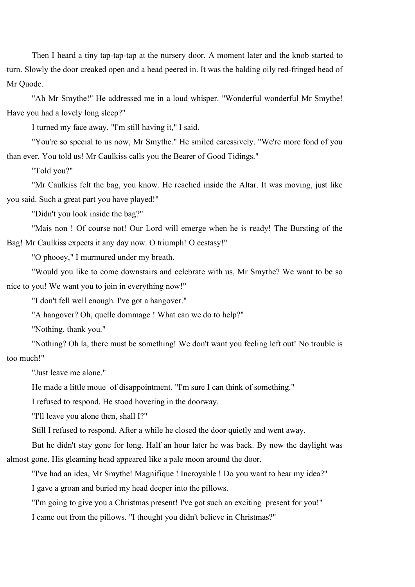Then I heard a tiny tap-tap-tap at the nursery door. A moment later and the knob started to turn. Slowly the door creaked open and a head peered in. It was the balding oily red-fringed head of Mr Quode.

"Ah Mr Smythe!" He addressed me in a loud whisper. "Wonderful wonderful Mr Smythe! Have you had a lovely long sleep?"

I turned my face away. "I'm still having it," I said.

"You're so special to us now, Mr Smythe." He smiled caressively. "We're more fond of you than ever. You told us! Mr Caulkiss calls you the Bearer of Good Tidings."

"Told you?"

"Mr Caulkiss felt the bag, you know. He reached inside the Altar. It was moving, just like you said. Such a great part you have played!"

"Didn't you look inside the bag?"

"Mais non ! Of course not! Our Lord will emerge when he is ready! The Bursting of the Bag! Mr Caulkiss expects it any day now. O triumph! O ecstasy!"

"O phooey," I murmured under my breath.

"Would you like to come downstairs and celebrate with us, Mr Smythe? We want to be so nice to you! We want you to join in everything now!"

"I don't fell well enough. I've got a hangover."

"A hangover? Oh, quelle dommage ! What can we do to help?"

"Nothing, thank you."

"Nothing? Oh la, there must be something! We don't want you feeling left out! No trouble is too much!"

"Just leave me alone."

He made a little moue of disappointment. "I'm sure I can think of something."

I refused to respond. He stood hovering in the doorway.

"I'll leave you alone then, shall I?"

Still I refused to respond. After a while he closed the door quietly and went away.

But he didn't stay gone for long. Half an hour later he was back. By now the daylight was almost gone. His gleaming head appeared like a pale moon around the door.

"I've had an idea, Mr Smythe! Magnifique ! Incroyable ! Do you want to hear my idea?"

I gave a groan and buried my head deeper into the pillows.

"I'm going to give you a Christmas present! I've got such an exciting present for you!"

I came out from the pillows. "I thought you didn't believe in Christmas?"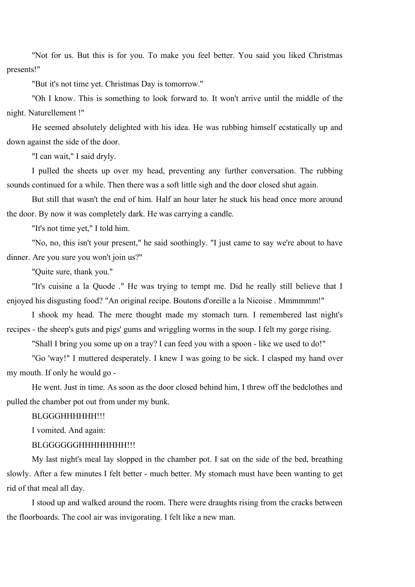"Not for us. But this is for you. To make you feel better. You said you liked Christmas presents!"

"But it's not time yet. Christmas Day is tomorrow."

"Oh I know. This is something to look forward to. It won't arrive until the middle of the night. Naturellement !"

He seemed absolutely delighted with his idea. He was rubbing himself ecstatically up and down against the side of the door.

"I can wait," I said dryly.

I pulled the sheets up over my head, preventing any further conversation. The rubbing sounds continued for a while. Then there was a soft little sigh and the door closed shut again.

But still that wasn't the end of him. Half an hour later he stuck his head once more around the door. By now it was completely dark. He was carrying a candle.

"It's not time yet," I told him.

"No, no, this isn't your present," he said soothingly. "I just came to say we're about to have dinner. Are you sure you won't join us?"

"Quite sure, thank you."

"It's cuisine a la Quode ." He was trying to tempt me. Did he really still believe that I enjoyed his disgusting food? "An original recipe. Boutons d'oreille a la Nicoise . Mmmmmm!"

I shook my head. The mere thought made my stomach turn. I remembered last night's recipes - the sheep's guts and pigs' gums and wriggling worms in the soup. I felt my gorge rising.

"Shall I bring you some up on a tray? I can feed you with a spoon - like we used to do!"

"Go 'way!" I muttered desperately. I knew I was going to be sick. I clasped my hand over my mouth. If only he would go -

He went. Just in time. As soon as the door closed behind him, I threw off the bedclothes and pulled the chamber pot out from under my bunk.

BLGGGHHHHHH!!!

I vomited. And again:

#### BLGGGGGGHHHHHHHH!!!

My last night's meal lay slopped in the chamber pot. I sat on the side of the bed, breathing slowly. After a few minutes I felt better - much better. My stomach must have been wanting to get rid of that meal all day.

I stood up and walked around the room. There were draughts rising from the cracks between the floorboards. The cool air was invigorating. I felt like a new man.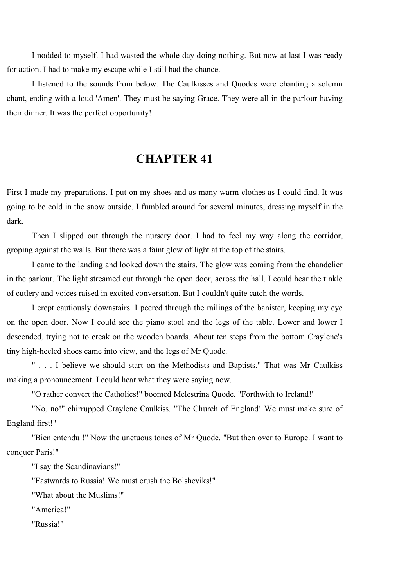I nodded to myself. I had wasted the whole day doing nothing. But now at last I was ready for action. I had to make my escape while I still had the chance.

I listened to the sounds from below. The Caulkisses and Quodes were chanting a solemn chant, ending with a loud 'Amen'. They must be saying Grace. They were all in the parlour having their dinner. It was the perfect opportunity!

# **CHAPTER 41**

First I made my preparations. I put on my shoes and as many warm clothes as I could find. It was going to be cold in the snow outside. I fumbled around for several minutes, dressing myself in the dark.

Then I slipped out through the nursery door. I had to feel my way along the corridor, groping against the walls. But there was a faint glow of light at the top of the stairs.

I came to the landing and looked down the stairs. The glow was coming from the chandelier in the parlour. The light streamed out through the open door, across the hall. I could hear the tinkle of cutlery and voices raised in excited conversation. But I couldn't quite catch the words.

I crept cautiously downstairs. I peered through the railings of the banister, keeping my eye on the open door. Now I could see the piano stool and the legs of the table. Lower and lower I descended, trying not to creak on the wooden boards. About ten steps from the bottom Craylene's tiny high-heeled shoes came into view, and the legs of Mr Quode.

" . . . I believe we should start on the Methodists and Baptists." That was Mr Caulkiss making a pronouncement. I could hear what they were saying now.

"O rather convert the Catholics!" boomed Melestrina Quode. "Forthwith to Ireland!"

"No, no!" chirrupped Craylene Caulkiss. "The Church of England! We must make sure of England first!"

"Bien entendu !" Now the unctuous tones of Mr Quode. "But then over to Europe. I want to conquer Paris!"

"I say the Scandinavians!"

"Eastwards to Russia! We must crush the Bolsheviks!"

"What about the Muslims!"

"America!"

"Russia!"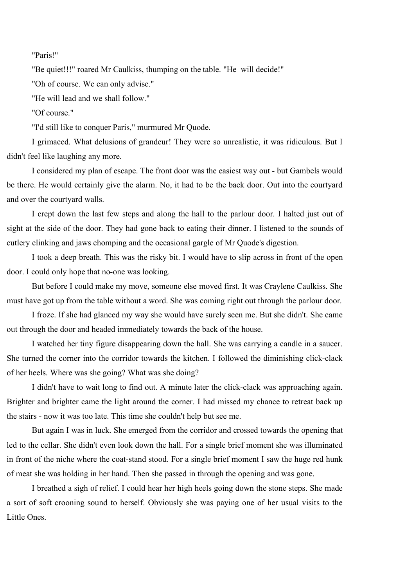"Paris!"

"Be quiet!!!" roared Mr Caulkiss, thumping on the table. "He will decide!"

"Oh of course. We can only advise."

"He will lead and we shall follow."

"Of course."

"I'd still like to conquer Paris," murmured Mr Quode.

I grimaced. What delusions of grandeur! They were so unrealistic, it was ridiculous. But I didn't feel like laughing any more.

I considered my plan of escape. The front door was the easiest way out - but Gambels would be there. He would certainly give the alarm. No, it had to be the back door. Out into the courtyard and over the courtyard walls.

I crept down the last few steps and along the hall to the parlour door. I halted just out of sight at the side of the door. They had gone back to eating their dinner. I listened to the sounds of cutlery clinking and jaws chomping and the occasional gargle of Mr Quode's digestion.

I took a deep breath. This was the risky bit. I would have to slip across in front of the open door. I could only hope that no-one was looking.

But before I could make my move, someone else moved first. It was Craylene Caulkiss. She must have got up from the table without a word. She was coming right out through the parlour door.

I froze. If she had glanced my way she would have surely seen me. But she didn't. She came out through the door and headed immediately towards the back of the house.

I watched her tiny figure disappearing down the hall. She was carrying a candle in a saucer. She turned the corner into the corridor towards the kitchen. I followed the diminishing click-clack of her heels. Where was she going? What was she doing?

I didn't have to wait long to find out. A minute later the click-clack was approaching again. Brighter and brighter came the light around the corner. I had missed my chance to retreat back up the stairs - now it was too late. This time she couldn't help but see me.

But again I was in luck. She emerged from the corridor and crossed towards the opening that led to the cellar. She didn't even look down the hall. For a single brief moment she was illuminated in front of the niche where the coat-stand stood. For a single brief moment I saw the huge red hunk of meat she was holding in her hand. Then she passed in through the opening and was gone.

I breathed a sigh of relief. I could hear her high heels going down the stone steps. She made a sort of soft crooning sound to herself. Obviously she was paying one of her usual visits to the Little Ones.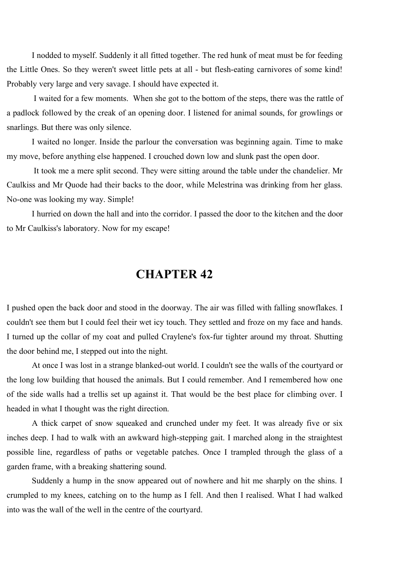I nodded to myself. Suddenly it all fitted together. The red hunk of meat must be for feeding the Little Ones. So they weren't sweet little pets at all - but flesh-eating carnivores of some kind! Probably very large and very savage. I should have expected it.

 I waited for a few moments. When she got to the bottom of the steps, there was the rattle of a padlock followed by the creak of an opening door. I listened for animal sounds, for growlings or snarlings. But there was only silence.

I waited no longer. Inside the parlour the conversation was beginning again. Time to make my move, before anything else happened. I crouched down low and slunk past the open door.

 It took me a mere split second. They were sitting around the table under the chandelier. Mr Caulkiss and Mr Quode had their backs to the door, while Melestrina was drinking from her glass. No-one was looking my way. Simple!

I hurried on down the hall and into the corridor. I passed the door to the kitchen and the door to Mr Caulkiss's laboratory. Now for my escape!

# **CHAPTER 42**

I pushed open the back door and stood in the doorway. The air was filled with falling snowflakes. I couldn't see them but I could feel their wet icy touch. They settled and froze on my face and hands. I turned up the collar of my coat and pulled Craylene's fox-fur tighter around my throat. Shutting the door behind me, I stepped out into the night.

At once I was lost in a strange blanked-out world. I couldn't see the walls of the courtyard or the long low building that housed the animals. But I could remember. And I remembered how one of the side walls had a trellis set up against it. That would be the best place for climbing over. I headed in what I thought was the right direction.

A thick carpet of snow squeaked and crunched under my feet. It was already five or six inches deep. I had to walk with an awkward high-stepping gait. I marched along in the straightest possible line, regardless of paths or vegetable patches. Once I trampled through the glass of a garden frame, with a breaking shattering sound.

Suddenly a hump in the snow appeared out of nowhere and hit me sharply on the shins. I crumpled to my knees, catching on to the hump as I fell. And then I realised. What I had walked into was the wall of the well in the centre of the courtyard.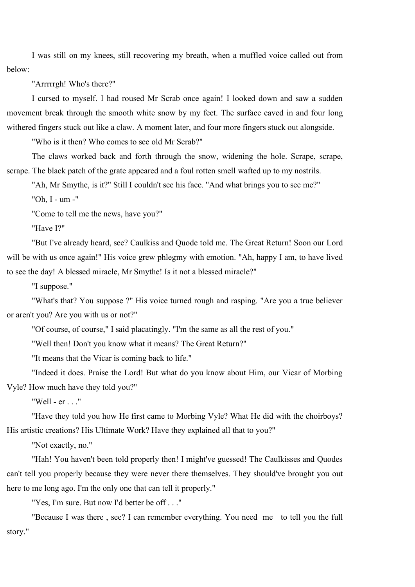I was still on my knees, still recovering my breath, when a muffled voice called out from below:

"Arrrrrgh! Who's there?"

I cursed to myself. I had roused Mr Scrab once again! I looked down and saw a sudden movement break through the smooth white snow by my feet. The surface caved in and four long withered fingers stuck out like a claw. A moment later, and four more fingers stuck out alongside.

"Who is it then? Who comes to see old Mr Scrab?"

The claws worked back and forth through the snow, widening the hole. Scrape, scrape, scrape. The black patch of the grate appeared and a foul rotten smell wafted up to my nostrils.

"Ah, Mr Smythe, is it?" Still I couldn't see his face. "And what brings you to see me?"

"Oh, I - um -"

"Come to tell me the news, have you?"

"Have I?"

"But I've already heard, see? Caulkiss and Quode told me. The Great Return! Soon our Lord will be with us once again!" His voice grew phlegmy with emotion. "Ah, happy I am, to have lived to see the day! A blessed miracle, Mr Smythe! Is it not a blessed miracle?"

"I suppose."

"What's that? You suppose ?" His voice turned rough and rasping. "Are you a true believer or aren't you? Are you with us or not?"

"Of course, of course," I said placatingly. "I'm the same as all the rest of you."

"Well then! Don't you know what it means? The Great Return?"

"It means that the Vicar is coming back to life."

"Indeed it does. Praise the Lord! But what do you know about Him, our Vicar of Morbing Vyle? How much have they told you?"

"Well - er . . ."

"Have they told you how He first came to Morbing Vyle? What He did with the choirboys? His artistic creations? His Ultimate Work? Have they explained all that to you?"

"Not exactly, no."

"Hah! You haven't been told properly then! I might've guessed! The Caulkisses and Quodes can't tell you properly because they were never there themselves. They should've brought you out here to me long ago. I'm the only one that can tell it properly."

"Yes, I'm sure. But now I'd better be off . . ."

"Because I was there , see? I can remember everything. You need me to tell you the full story."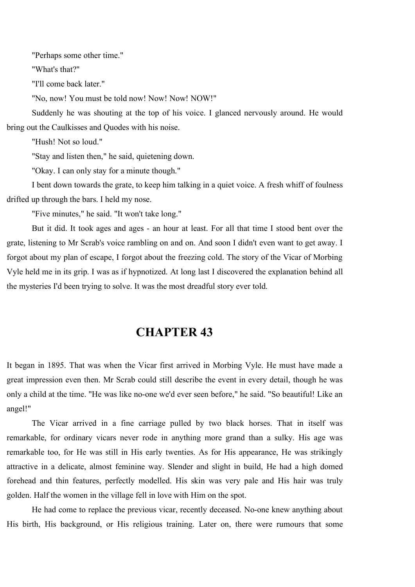"Perhaps some other time."

"What's that?"

"I'll come back later."

"No, now! You must be told now! Now! Now! NOW!"

Suddenly he was shouting at the top of his voice. I glanced nervously around. He would bring out the Caulkisses and Quodes with his noise.

"Hush! Not so loud."

"Stay and listen then," he said, quietening down.

"Okay. I can only stay for a minute though."

I bent down towards the grate, to keep him talking in a quiet voice. A fresh whiff of foulness drifted up through the bars. I held my nose.

"Five minutes," he said. "It won't take long."

But it did. It took ages and ages - an hour at least. For all that time I stood bent over the grate, listening to Mr Scrab's voice rambling on and on. And soon I didn't even want to get away. I forgot about my plan of escape, I forgot about the freezing cold. The story of the Vicar of Morbing Vyle held me in its grip. I was as if hypnotized. At long last I discovered the explanation behind all the mysteries I'd been trying to solve. It was the most dreadful story ever told.

# **CHAPTER 43**

It began in 1895. That was when the Vicar first arrived in Morbing Vyle. He must have made a great impression even then. Mr Scrab could still describe the event in every detail, though he was only a child at the time. "He was like no-one we'd ever seen before," he said. "So beautiful! Like an angel!"

The Vicar arrived in a fine carriage pulled by two black horses. That in itself was remarkable, for ordinary vicars never rode in anything more grand than a sulky. His age was remarkable too, for He was still in His early twenties. As for His appearance, He was strikingly attractive in a delicate, almost feminine way. Slender and slight in build, He had a high domed forehead and thin features, perfectly modelled. His skin was very pale and His hair was truly golden. Half the women in the village fell in love with Him on the spot.

He had come to replace the previous vicar, recently deceased. No-one knew anything about His birth, His background, or His religious training. Later on, there were rumours that some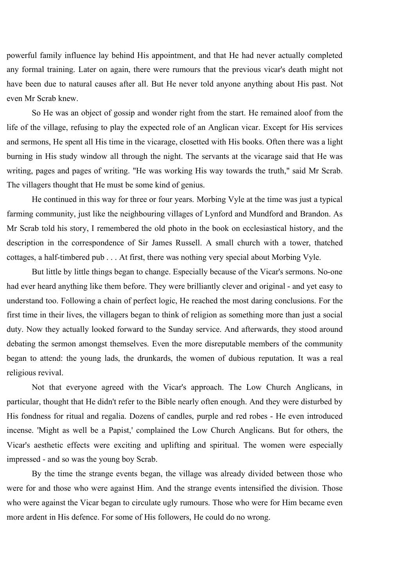powerful family influence lay behind His appointment, and that He had never actually completed any formal training. Later on again, there were rumours that the previous vicar's death might not have been due to natural causes after all. But He never told anyone anything about His past. Not even Mr Scrab knew.

So He was an object of gossip and wonder right from the start. He remained aloof from the life of the village, refusing to play the expected role of an Anglican vicar. Except for His services and sermons, He spent all His time in the vicarage, closetted with His books. Often there was a light burning in His study window all through the night. The servants at the vicarage said that He was writing, pages and pages of writing. "He was working His way towards the truth," said Mr Scrab. The villagers thought that He must be some kind of genius.

He continued in this way for three or four years. Morbing Vyle at the time was just a typical farming community, just like the neighbouring villages of Lynford and Mundford and Brandon. As Mr Scrab told his story, I remembered the old photo in the book on ecclesiastical history, and the description in the correspondence of Sir James Russell. A small church with a tower, thatched cottages, a half-timbered pub . . . At first, there was nothing very special about Morbing Vyle.

But little by little things began to change. Especially because of the Vicar's sermons. No-one had ever heard anything like them before. They were brilliantly clever and original - and yet easy to understand too. Following a chain of perfect logic, He reached the most daring conclusions. For the first time in their lives, the villagers began to think of religion as something more than just a social duty. Now they actually looked forward to the Sunday service. And afterwards, they stood around debating the sermon amongst themselves. Even the more disreputable members of the community began to attend: the young lads, the drunkards, the women of dubious reputation. It was a real religious revival.

Not that everyone agreed with the Vicar's approach. The Low Church Anglicans, in particular, thought that He didn't refer to the Bible nearly often enough. And they were disturbed by His fondness for ritual and regalia. Dozens of candles, purple and red robes - He even introduced incense. 'Might as well be a Papist,' complained the Low Church Anglicans. But for others, the Vicar's aesthetic effects were exciting and uplifting and spiritual. The women were especially impressed - and so was the young boy Scrab.

By the time the strange events began, the village was already divided between those who were for and those who were against Him. And the strange events intensified the division. Those who were against the Vicar began to circulate ugly rumours. Those who were for Him became even more ardent in His defence. For some of His followers, He could do no wrong.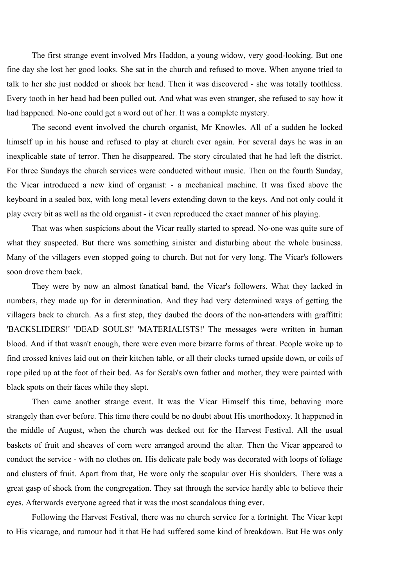The first strange event involved Mrs Haddon, a young widow, very good-looking. But one fine day she lost her good looks. She sat in the church and refused to move. When anyone tried to talk to her she just nodded or shook her head. Then it was discovered - she was totally toothless. Every tooth in her head had been pulled out. And what was even stranger, she refused to say how it had happened. No-one could get a word out of her. It was a complete mystery.

The second event involved the church organist, Mr Knowles. All of a sudden he locked himself up in his house and refused to play at church ever again. For several days he was in an inexplicable state of terror. Then he disappeared. The story circulated that he had left the district. For three Sundays the church services were conducted without music. Then on the fourth Sunday, the Vicar introduced a new kind of organist: - a mechanical machine. It was fixed above the keyboard in a sealed box, with long metal levers extending down to the keys. And not only could it play every bit as well as the old organist - it even reproduced the exact manner of his playing.

That was when suspicions about the Vicar really started to spread. No-one was quite sure of what they suspected. But there was something sinister and disturbing about the whole business. Many of the villagers even stopped going to church. But not for very long. The Vicar's followers soon drove them back.

They were by now an almost fanatical band, the Vicar's followers. What they lacked in numbers, they made up for in determination. And they had very determined ways of getting the villagers back to church. As a first step, they daubed the doors of the non-attenders with graffitti: 'BACKSLIDERS!' 'DEAD SOULS!' 'MATERIALISTS!' The messages were written in human blood. And if that wasn't enough, there were even more bizarre forms of threat. People woke up to find crossed knives laid out on their kitchen table, or all their clocks turned upside down, or coils of rope piled up at the foot of their bed. As for Scrab's own father and mother, they were painted with black spots on their faces while they slept.

Then came another strange event. It was the Vicar Himself this time, behaving more strangely than ever before. This time there could be no doubt about His unorthodoxy. It happened in the middle of August, when the church was decked out for the Harvest Festival. All the usual baskets of fruit and sheaves of corn were arranged around the altar. Then the Vicar appeared to conduct the service - with no clothes on. His delicate pale body was decorated with loops of foliage and clusters of fruit. Apart from that, He wore only the scapular over His shoulders. There was a great gasp of shock from the congregation. They sat through the service hardly able to believe their eyes. Afterwards everyone agreed that it was the most scandalous thing ever.

Following the Harvest Festival, there was no church service for a fortnight. The Vicar kept to His vicarage, and rumour had it that He had suffered some kind of breakdown. But He was only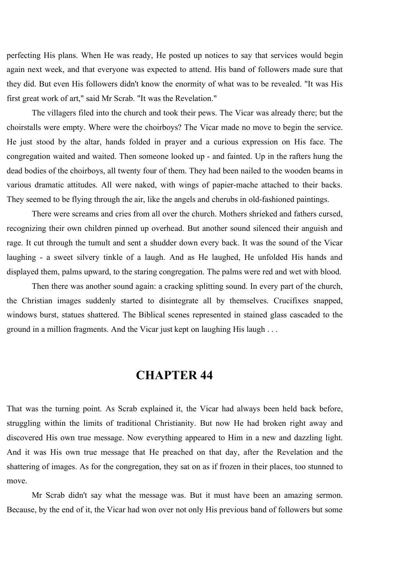perfecting His plans. When He was ready, He posted up notices to say that services would begin again next week, and that everyone was expected to attend. His band of followers made sure that they did. But even His followers didn't know the enormity of what was to be revealed. "It was His first great work of art," said Mr Scrab. "It was the Revelation."

The villagers filed into the church and took their pews. The Vicar was already there; but the choirstalls were empty. Where were the choirboys? The Vicar made no move to begin the service. He just stood by the altar, hands folded in prayer and a curious expression on His face. The congregation waited and waited. Then someone looked up - and fainted. Up in the rafters hung the dead bodies of the choirboys, all twenty four of them. They had been nailed to the wooden beams in various dramatic attitudes. All were naked, with wings of papier-mache attached to their backs. They seemed to be flying through the air, like the angels and cherubs in old-fashioned paintings.

There were screams and cries from all over the church. Mothers shrieked and fathers cursed, recognizing their own children pinned up overhead. But another sound silenced their anguish and rage. It cut through the tumult and sent a shudder down every back. It was the sound of the Vicar laughing - a sweet silvery tinkle of a laugh. And as He laughed, He unfolded His hands and displayed them, palms upward, to the staring congregation. The palms were red and wet with blood.

Then there was another sound again: a cracking splitting sound. In every part of the church, the Christian images suddenly started to disintegrate all by themselves. Crucifixes snapped, windows burst, statues shattered. The Biblical scenes represented in stained glass cascaded to the ground in a million fragments. And the Vicar just kept on laughing His laugh . . .

### **CHAPTER 44**

That was the turning point. As Scrab explained it, the Vicar had always been held back before, struggling within the limits of traditional Christianity. But now He had broken right away and discovered His own true message. Now everything appeared to Him in a new and dazzling light. And it was His own true message that He preached on that day, after the Revelation and the shattering of images. As for the congregation, they sat on as if frozen in their places, too stunned to move.

Mr Scrab didn't say what the message was. But it must have been an amazing sermon. Because, by the end of it, the Vicar had won over not only His previous band of followers but some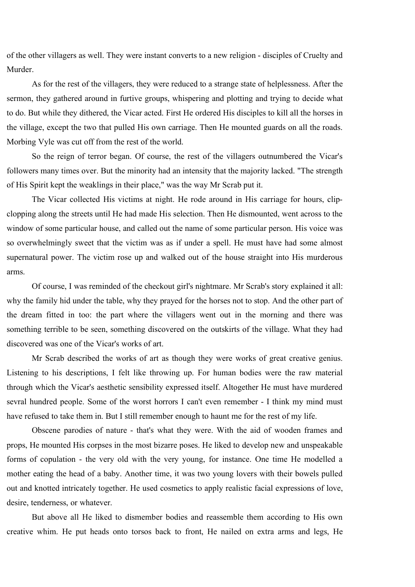of the other villagers as well. They were instant converts to a new religion - disciples of Cruelty and Murder.

As for the rest of the villagers, they were reduced to a strange state of helplessness. After the sermon, they gathered around in furtive groups, whispering and plotting and trying to decide what to do. But while they dithered, the Vicar acted. First He ordered His disciples to kill all the horses in the village, except the two that pulled His own carriage. Then He mounted guards on all the roads. Morbing Vyle was cut off from the rest of the world.

So the reign of terror began. Of course, the rest of the villagers outnumbered the Vicar's followers many times over. But the minority had an intensity that the majority lacked. "The strength of His Spirit kept the weaklings in their place," was the way Mr Scrab put it.

The Vicar collected His victims at night. He rode around in His carriage for hours, clipclopping along the streets until He had made His selection. Then He dismounted, went across to the window of some particular house, and called out the name of some particular person. His voice was so overwhelmingly sweet that the victim was as if under a spell. He must have had some almost supernatural power. The victim rose up and walked out of the house straight into His murderous arms.

Of course, I was reminded of the checkout girl's nightmare. Mr Scrab's story explained it all: why the family hid under the table, why they prayed for the horses not to stop. And the other part of the dream fitted in too: the part where the villagers went out in the morning and there was something terrible to be seen, something discovered on the outskirts of the village. What they had discovered was one of the Vicar's works of art.

Mr Scrab described the works of art as though they were works of great creative genius. Listening to his descriptions, I felt like throwing up. For human bodies were the raw material through which the Vicar's aesthetic sensibility expressed itself. Altogether He must have murdered sevral hundred people. Some of the worst horrors I can't even remember - I think my mind must have refused to take them in. But I still remember enough to haunt me for the rest of my life.

Obscene parodies of nature - that's what they were. With the aid of wooden frames and props, He mounted His corpses in the most bizarre poses. He liked to develop new and unspeakable forms of copulation - the very old with the very young, for instance. One time He modelled a mother eating the head of a baby. Another time, it was two young lovers with their bowels pulled out and knotted intricately together. He used cosmetics to apply realistic facial expressions of love, desire, tenderness, or whatever.

But above all He liked to dismember bodies and reassemble them according to His own creative whim. He put heads onto torsos back to front, He nailed on extra arms and legs, He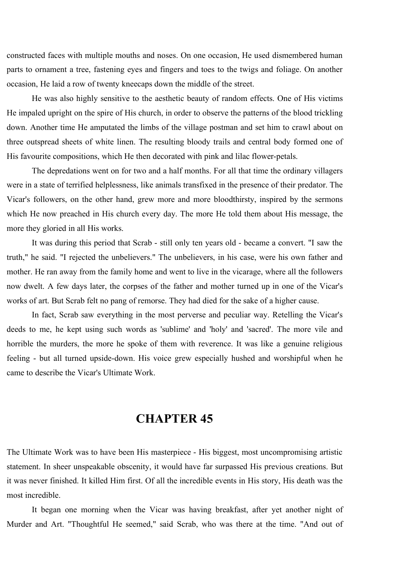constructed faces with multiple mouths and noses. On one occasion, He used dismembered human parts to ornament a tree, fastening eyes and fingers and toes to the twigs and foliage. On another occasion, He laid a row of twenty kneecaps down the middle of the street.

He was also highly sensitive to the aesthetic beauty of random effects. One of His victims He impaled upright on the spire of His church, in order to observe the patterns of the blood trickling down. Another time He amputated the limbs of the village postman and set him to crawl about on three outspread sheets of white linen. The resulting bloody trails and central body formed one of His favourite compositions, which He then decorated with pink and lilac flower-petals.

The depredations went on for two and a half months. For all that time the ordinary villagers were in a state of terrified helplessness, like animals transfixed in the presence of their predator. The Vicar's followers, on the other hand, grew more and more bloodthirsty, inspired by the sermons which He now preached in His church every day. The more He told them about His message, the more they gloried in all His works.

It was during this period that Scrab - still only ten years old - became a convert. "I saw the truth," he said. "I rejected the unbelievers." The unbelievers, in his case, were his own father and mother. He ran away from the family home and went to live in the vicarage, where all the followers now dwelt. A few days later, the corpses of the father and mother turned up in one of the Vicar's works of art. But Scrab felt no pang of remorse. They had died for the sake of a higher cause.

In fact, Scrab saw everything in the most perverse and peculiar way. Retelling the Vicar's deeds to me, he kept using such words as 'sublime' and 'holy' and 'sacred'. The more vile and horrible the murders, the more he spoke of them with reverence. It was like a genuine religious feeling - but all turned upside-down. His voice grew especially hushed and worshipful when he came to describe the Vicar's Ultimate Work.

# **CHAPTER 45**

The Ultimate Work was to have been His masterpiece - His biggest, most uncompromising artistic statement. In sheer unspeakable obscenity, it would have far surpassed His previous creations. But it was never finished. It killed Him first. Of all the incredible events in His story, His death was the most incredible.

It began one morning when the Vicar was having breakfast, after yet another night of Murder and Art. "Thoughtful He seemed," said Scrab, who was there at the time. "And out of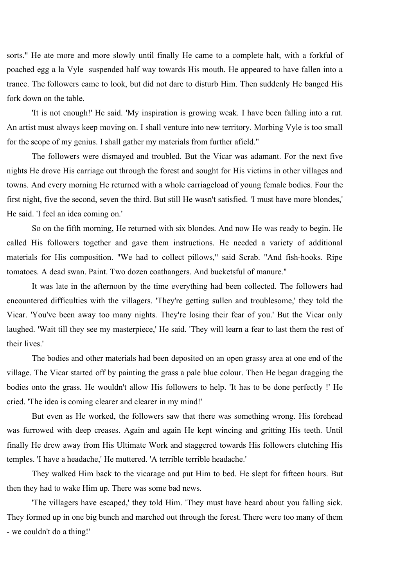sorts." He ate more and more slowly until finally He came to a complete halt, with a forkful of poached egg a la Vyle suspended half way towards His mouth. He appeared to have fallen into a trance. The followers came to look, but did not dare to disturb Him. Then suddenly He banged His fork down on the table.

'It is not enough!' He said. 'My inspiration is growing weak. I have been falling into a rut. An artist must always keep moving on. I shall venture into new territory. Morbing Vyle is too small for the scope of my genius. I shall gather my materials from further afield."

The followers were dismayed and troubled. But the Vicar was adamant. For the next five nights He drove His carriage out through the forest and sought for His victims in other villages and towns. And every morning He returned with a whole carriageload of young female bodies. Four the first night, five the second, seven the third. But still He wasn't satisfied. 'I must have more blondes,' He said. 'I feel an idea coming on.'

So on the fifth morning, He returned with six blondes. And now He was ready to begin. He called His followers together and gave them instructions. He needed a variety of additional materials for His composition. "We had to collect pillows," said Scrab. "And fish-hooks. Ripe tomatoes. A dead swan. Paint. Two dozen coathangers. And bucketsful of manure."

It was late in the afternoon by the time everything had been collected. The followers had encountered difficulties with the villagers. 'They're getting sullen and troublesome,' they told the Vicar. 'You've been away too many nights. They're losing their fear of you.' But the Vicar only laughed. 'Wait till they see my masterpiece,' He said. 'They will learn a fear to last them the rest of their lives.'

The bodies and other materials had been deposited on an open grassy area at one end of the village. The Vicar started off by painting the grass a pale blue colour. Then He began dragging the bodies onto the grass. He wouldn't allow His followers to help. 'It has to be done perfectly !' He cried. 'The idea is coming clearer and clearer in my mind!'

But even as He worked, the followers saw that there was something wrong. His forehead was furrowed with deep creases. Again and again He kept wincing and gritting His teeth. Until finally He drew away from His Ultimate Work and staggered towards His followers clutching His temples. 'I have a headache,' He muttered. 'A terrible terrible headache.'

They walked Him back to the vicarage and put Him to bed. He slept for fifteen hours. But then they had to wake Him up. There was some bad news.

'The villagers have escaped,' they told Him. 'They must have heard about you falling sick. They formed up in one big bunch and marched out through the forest. There were too many of them - we couldn't do a thing!'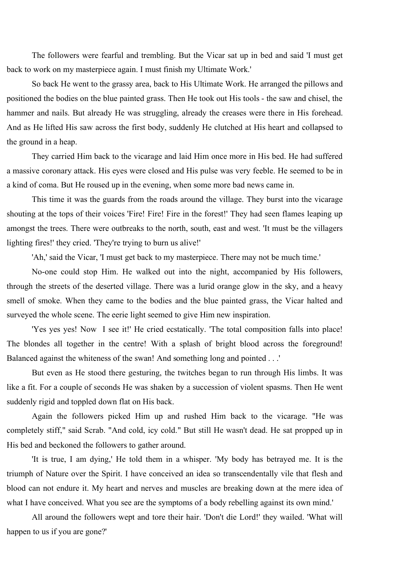The followers were fearful and trembling. But the Vicar sat up in bed and said 'I must get back to work on my masterpiece again. I must finish my Ultimate Work.'

So back He went to the grassy area, back to His Ultimate Work. He arranged the pillows and positioned the bodies on the blue painted grass. Then He took out His tools - the saw and chisel, the hammer and nails. But already He was struggling, already the creases were there in His forehead. And as He lifted His saw across the first body, suddenly He clutched at His heart and collapsed to the ground in a heap.

They carried Him back to the vicarage and laid Him once more in His bed. He had suffered a massive coronary attack. His eyes were closed and His pulse was very feeble. He seemed to be in a kind of coma. But He roused up in the evening, when some more bad news came in.

This time it was the guards from the roads around the village. They burst into the vicarage shouting at the tops of their voices 'Fire! Fire! Fire in the forest!' They had seen flames leaping up amongst the trees. There were outbreaks to the north, south, east and west. 'It must be the villagers lighting fires!' they cried. 'They're trying to burn us alive!'

'Ah,' said the Vicar, 'I must get back to my masterpiece. There may not be much time.'

No-one could stop Him. He walked out into the night, accompanied by His followers, through the streets of the deserted village. There was a lurid orange glow in the sky, and a heavy smell of smoke. When they came to the bodies and the blue painted grass, the Vicar halted and surveyed the whole scene. The eerie light seemed to give Him new inspiration.

'Yes yes yes! Now I see it!' He cried ecstatically. 'The total composition falls into place! The blondes all together in the centre! With a splash of bright blood across the foreground! Balanced against the whiteness of the swan! And something long and pointed . . .'

But even as He stood there gesturing, the twitches began to run through His limbs. It was like a fit. For a couple of seconds He was shaken by a succession of violent spasms. Then He went suddenly rigid and toppled down flat on His back.

Again the followers picked Him up and rushed Him back to the vicarage. "He was completely stiff," said Scrab. "And cold, icy cold." But still He wasn't dead. He sat propped up in His bed and beckoned the followers to gather around.

'It is true, I am dying,' He told them in a whisper. 'My body has betrayed me. It is the triumph of Nature over the Spirit. I have conceived an idea so transcendentally vile that flesh and blood can not endure it. My heart and nerves and muscles are breaking down at the mere idea of what I have conceived. What you see are the symptoms of a body rebelling against its own mind.'

All around the followers wept and tore their hair. 'Don't die Lord!' they wailed. 'What will happen to us if you are gone?'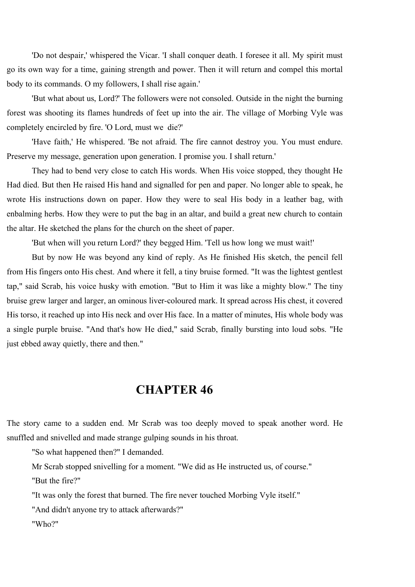'Do not despair,' whispered the Vicar. 'I shall conquer death. I foresee it all. My spirit must go its own way for a time, gaining strength and power. Then it will return and compel this mortal body to its commands. O my followers, I shall rise again.'

'But what about us, Lord?' The followers were not consoled. Outside in the night the burning forest was shooting its flames hundreds of feet up into the air. The village of Morbing Vyle was completely encircled by fire. 'O Lord, must we die?'

'Have faith,' He whispered. 'Be not afraid. The fire cannot destroy you. You must endure. Preserve my message, generation upon generation. I promise you. I shall return.'

They had to bend very close to catch His words. When His voice stopped, they thought He Had died. But then He raised His hand and signalled for pen and paper. No longer able to speak, he wrote His instructions down on paper. How they were to seal His body in a leather bag, with enbalming herbs. How they were to put the bag in an altar, and build a great new church to contain the altar. He sketched the plans for the church on the sheet of paper.

'But when will you return Lord?' they begged Him. 'Tell us how long we must wait!'

But by now He was beyond any kind of reply. As He finished His sketch, the pencil fell from His fingers onto His chest. And where it fell, a tiny bruise formed. "It was the lightest gentlest tap," said Scrab, his voice husky with emotion. "But to Him it was like a mighty blow." The tiny bruise grew larger and larger, an ominous liver-coloured mark. It spread across His chest, it covered His torso, it reached up into His neck and over His face. In a matter of minutes, His whole body was a single purple bruise. "And that's how He died," said Scrab, finally bursting into loud sobs. "He just ebbed away quietly, there and then."

### **CHAPTER 46**

The story came to a sudden end. Mr Scrab was too deeply moved to speak another word. He snuffled and snivelled and made strange gulping sounds in his throat.

"So what happened then?" I demanded.

Mr Scrab stopped snivelling for a moment. "We did as He instructed us, of course."

"But the fire?"

"It was only the forest that burned. The fire never touched Morbing Vyle itself."

"And didn't anyone try to attack afterwards?"

"Who?"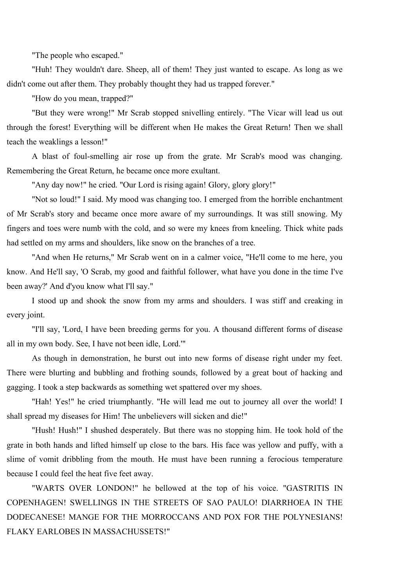"The people who escaped."

"Huh! They wouldn't dare. Sheep, all of them! They just wanted to escape. As long as we didn't come out after them. They probably thought they had us trapped forever."

"How do you mean, trapped?"

"But they were wrong!" Mr Scrab stopped snivelling entirely. "The Vicar will lead us out through the forest! Everything will be different when He makes the Great Return! Then we shall teach the weaklings a lesson!"

A blast of foul-smelling air rose up from the grate. Mr Scrab's mood was changing. Remembering the Great Return, he became once more exultant.

"Any day now!" he cried. "Our Lord is rising again! Glory, glory glory!"

"Not so loud!" I said. My mood was changing too. I emerged from the horrible enchantment of Mr Scrab's story and became once more aware of my surroundings. It was still snowing. My fingers and toes were numb with the cold, and so were my knees from kneeling. Thick white pads had settled on my arms and shoulders, like snow on the branches of a tree.

"And when He returns," Mr Scrab went on in a calmer voice, "He'll come to me here, you know. And He'll say, 'O Scrab, my good and faithful follower, what have you done in the time I've been away?' And d'you know what I'll say."

I stood up and shook the snow from my arms and shoulders. I was stiff and creaking in every joint.

"I'll say, 'Lord, I have been breeding germs for you. A thousand different forms of disease all in my own body. See, I have not been idle, Lord.'"

As though in demonstration, he burst out into new forms of disease right under my feet. There were blurting and bubbling and frothing sounds, followed by a great bout of hacking and gagging. I took a step backwards as something wet spattered over my shoes.

"Hah! Yes!" he cried triumphantly. "He will lead me out to journey all over the world! I shall spread my diseases for Him! The unbelievers will sicken and die!"

"Hush! Hush!" I shushed desperately. But there was no stopping him. He took hold of the grate in both hands and lifted himself up close to the bars. His face was yellow and puffy, with a slime of vomit dribbling from the mouth. He must have been running a ferocious temperature because I could feel the heat five feet away.

"WARTS OVER LONDON!" he bellowed at the top of his voice. "GASTRITIS IN COPENHAGEN! SWELLINGS IN THE STREETS OF SAO PAULO! DIARRHOEA IN THE DODECANESE! MANGE FOR THE MORROCCANS AND POX FOR THE POLYNESIANS! FLAKY EARLOBES IN MASSACHUSSETS!"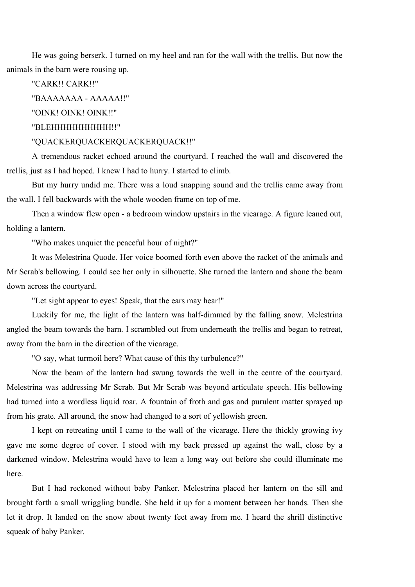He was going berserk. I turned on my heel and ran for the wall with the trellis. But now the animals in the barn were rousing up.

### "CARK!! CARK!!"

"BAAAAAAA - AAAAA!!"

#### "OINK! OINK! OINK!!"

#### "BLEHHHHHHHHHH!!"

#### "QUACKERQUACKERQUACKERQUACK!!"

A tremendous racket echoed around the courtyard. I reached the wall and discovered the trellis, just as I had hoped. I knew I had to hurry. I started to climb.

But my hurry undid me. There was a loud snapping sound and the trellis came away from the wall. I fell backwards with the whole wooden frame on top of me.

Then a window flew open - a bedroom window upstairs in the vicarage. A figure leaned out, holding a lantern.

"Who makes unquiet the peaceful hour of night?"

It was Melestrina Quode. Her voice boomed forth even above the racket of the animals and Mr Scrab's bellowing. I could see her only in silhouette. She turned the lantern and shone the beam down across the courtyard.

"Let sight appear to eyes! Speak, that the ears may hear!"

Luckily for me, the light of the lantern was half-dimmed by the falling snow. Melestrina angled the beam towards the barn. I scrambled out from underneath the trellis and began to retreat, away from the barn in the direction of the vicarage.

"O say, what turmoil here? What cause of this thy turbulence?"

Now the beam of the lantern had swung towards the well in the centre of the courtyard. Melestrina was addressing Mr Scrab. But Mr Scrab was beyond articulate speech. His bellowing had turned into a wordless liquid roar. A fountain of froth and gas and purulent matter sprayed up from his grate. All around, the snow had changed to a sort of yellowish green.

I kept on retreating until I came to the wall of the vicarage. Here the thickly growing ivy gave me some degree of cover. I stood with my back pressed up against the wall, close by a darkened window. Melestrina would have to lean a long way out before she could illuminate me here.

But I had reckoned without baby Panker. Melestrina placed her lantern on the sill and brought forth a small wriggling bundle. She held it up for a moment between her hands. Then she let it drop. It landed on the snow about twenty feet away from me. I heard the shrill distinctive squeak of baby Panker.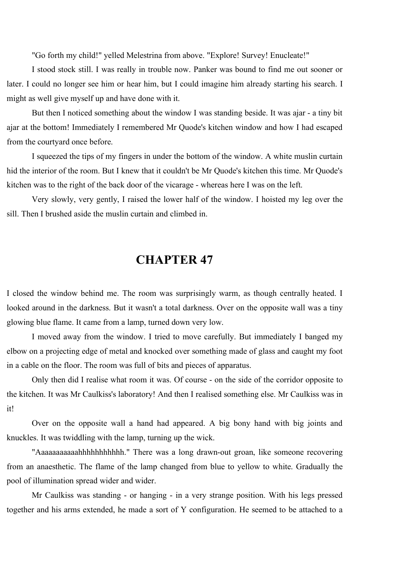"Go forth my child!" yelled Melestrina from above. "Explore! Survey! Enucleate!"

I stood stock still. I was really in trouble now. Panker was bound to find me out sooner or later. I could no longer see him or hear him, but I could imagine him already starting his search. I might as well give myself up and have done with it.

But then I noticed something about the window I was standing beside. It was ajar - a tiny bit ajar at the bottom! Immediately I remembered Mr Quode's kitchen window and how I had escaped from the courtyard once before.

I squeezed the tips of my fingers in under the bottom of the window. A white muslin curtain hid the interior of the room. But I knew that it couldn't be Mr Quode's kitchen this time. Mr Quode's kitchen was to the right of the back door of the vicarage - whereas here I was on the left.

Very slowly, very gently, I raised the lower half of the window. I hoisted my leg over the sill. Then I brushed aside the muslin curtain and climbed in.

# **CHAPTER 47**

I closed the window behind me. The room was surprisingly warm, as though centrally heated. I looked around in the darkness. But it wasn't a total darkness. Over on the opposite wall was a tiny glowing blue flame. It came from a lamp, turned down very low.

I moved away from the window. I tried to move carefully. But immediately I banged my elbow on a projecting edge of metal and knocked over something made of glass and caught my foot in a cable on the floor. The room was full of bits and pieces of apparatus.

Only then did I realise what room it was. Of course - on the side of the corridor opposite to the kitchen. It was Mr Caulkiss's laboratory! And then I realised something else. Mr Caulkiss was in it!

Over on the opposite wall a hand had appeared. A big bony hand with big joints and knuckles. It was twiddling with the lamp, turning up the wick.

"Aaaaaaaaaaahhhhhhhhhhh." There was a long drawn-out groan, like someone recovering from an anaesthetic. The flame of the lamp changed from blue to yellow to white. Gradually the pool of illumination spread wider and wider.

Mr Caulkiss was standing - or hanging - in a very strange position. With his legs pressed together and his arms extended, he made a sort of Y configuration. He seemed to be attached to a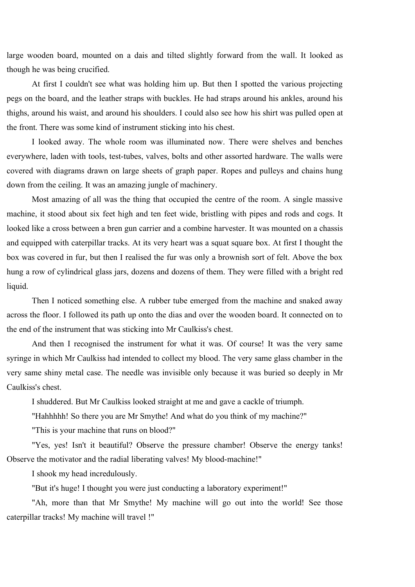large wooden board, mounted on a dais and tilted slightly forward from the wall. It looked as though he was being crucified.

At first I couldn't see what was holding him up. But then I spotted the various projecting pegs on the board, and the leather straps with buckles. He had straps around his ankles, around his thighs, around his waist, and around his shoulders. I could also see how his shirt was pulled open at the front. There was some kind of instrument sticking into his chest.

I looked away. The whole room was illuminated now. There were shelves and benches everywhere, laden with tools, test-tubes, valves, bolts and other assorted hardware. The walls were covered with diagrams drawn on large sheets of graph paper. Ropes and pulleys and chains hung down from the ceiling. It was an amazing jungle of machinery.

Most amazing of all was the thing that occupied the centre of the room. A single massive machine, it stood about six feet high and ten feet wide, bristling with pipes and rods and cogs. It looked like a cross between a bren gun carrier and a combine harvester. It was mounted on a chassis and equipped with caterpillar tracks. At its very heart was a squat square box. At first I thought the box was covered in fur, but then I realised the fur was only a brownish sort of felt. Above the box hung a row of cylindrical glass jars, dozens and dozens of them. They were filled with a bright red liquid.

Then I noticed something else. A rubber tube emerged from the machine and snaked away across the floor. I followed its path up onto the dias and over the wooden board. It connected on to the end of the instrument that was sticking into Mr Caulkiss's chest.

And then I recognised the instrument for what it was. Of course! It was the very same syringe in which Mr Caulkiss had intended to collect my blood. The very same glass chamber in the very same shiny metal case. The needle was invisible only because it was buried so deeply in Mr Caulkiss's chest.

I shuddered. But Mr Caulkiss looked straight at me and gave a cackle of triumph.

"Hahhhhh! So there you are Mr Smythe! And what do you think of my machine?"

"This is your machine that runs on blood?"

"Yes, yes! Isn't it beautiful? Observe the pressure chamber! Observe the energy tanks! Observe the motivator and the radial liberating valves! My blood-machine!"

I shook my head incredulously.

"But it's huge! I thought you were just conducting a laboratory experiment!"

"Ah, more than that Mr Smythe! My machine will go out into the world! See those caterpillar tracks! My machine will travel !"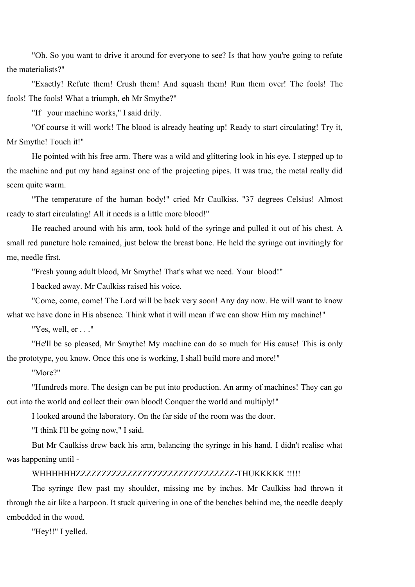"Oh. So you want to drive it around for everyone to see? Is that how you're going to refute the materialists?"

"Exactly! Refute them! Crush them! And squash them! Run them over! The fools! The fools! The fools! What a triumph, eh Mr Smythe?"

"If your machine works," I said drily.

"Of course it will work! The blood is already heating up! Ready to start circulating! Try it, Mr Smythe! Touch it!"

He pointed with his free arm. There was a wild and glittering look in his eye. I stepped up to the machine and put my hand against one of the projecting pipes. It was true, the metal really did seem quite warm.

"The temperature of the human body!" cried Mr Caulkiss. "37 degrees Celsius! Almost ready to start circulating! All it needs is a little more blood!"

He reached around with his arm, took hold of the syringe and pulled it out of his chest. A small red puncture hole remained, just below the breast bone. He held the syringe out invitingly for me, needle first.

"Fresh young adult blood, Mr Smythe! That's what we need. Your blood!"

I backed away. Mr Caulkiss raised his voice.

"Come, come, come! The Lord will be back very soon! Any day now. He will want to know what we have done in His absence. Think what it will mean if we can show Him my machine!"

"Yes, well, er . . ."

"He'll be so pleased, Mr Smythe! My machine can do so much for His cause! This is only the prototype, you know. Once this one is working, I shall build more and more!"

"More?"

"Hundreds more. The design can be put into production. An army of machines! They can go out into the world and collect their own blood! Conquer the world and multiply!"

I looked around the laboratory. On the far side of the room was the door.

"I think I'll be going now," I said.

But Mr Caulkiss drew back his arm, balancing the syringe in his hand. I didn't realise what was happening until -

#### WHHHHHHZZZZZZZZZZZZZZZZZZZZZZZZZZZZZZZ-THUKKKKK !!!!!

The syringe flew past my shoulder, missing me by inches. Mr Caulkiss had thrown it through the air like a harpoon. It stuck quivering in one of the benches behind me, the needle deeply embedded in the wood.

"Hey!!" I yelled.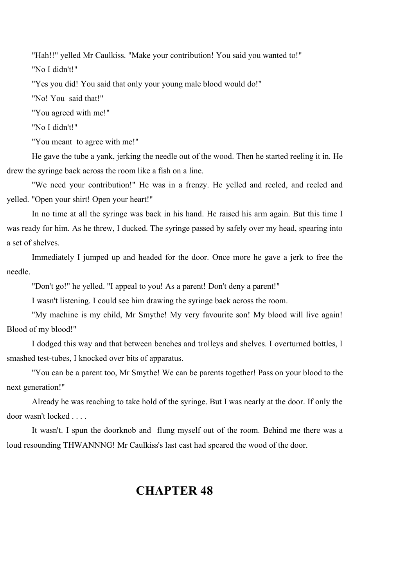"Hah!!" yelled Mr Caulkiss. "Make your contribution! You said you wanted to!"

"No I didn't!"

"Yes you did! You said that only your young male blood would do!"

"No! You said that!"

"You agreed with me!"

"No I didn't!"

"You meant to agree with me!"

He gave the tube a yank, jerking the needle out of the wood. Then he started reeling it in. He drew the syringe back across the room like a fish on a line.

"We need your contribution!" He was in a frenzy. He yelled and reeled, and reeled and yelled. "Open your shirt! Open your heart!"

In no time at all the syringe was back in his hand. He raised his arm again. But this time I was ready for him. As he threw, I ducked. The syringe passed by safely over my head, spearing into a set of shelves.

Immediately I jumped up and headed for the door. Once more he gave a jerk to free the needle.

"Don't go!" he yelled. "I appeal to you! As a parent! Don't deny a parent!"

I wasn't listening. I could see him drawing the syringe back across the room.

"My machine is my child, Mr Smythe! My very favourite son! My blood will live again! Blood of my blood!"

I dodged this way and that between benches and trolleys and shelves. I overturned bottles, I smashed test-tubes, I knocked over bits of apparatus.

"You can be a parent too, Mr Smythe! We can be parents together! Pass on your blood to the next generation!"

Already he was reaching to take hold of the syringe. But I was nearly at the door. If only the door wasn't locked . . . .

It wasn't. I spun the doorknob and flung myself out of the room. Behind me there was a loud resounding THWANNNG! Mr Caulkiss's last cast had speared the wood of the door.

# **CHAPTER 48**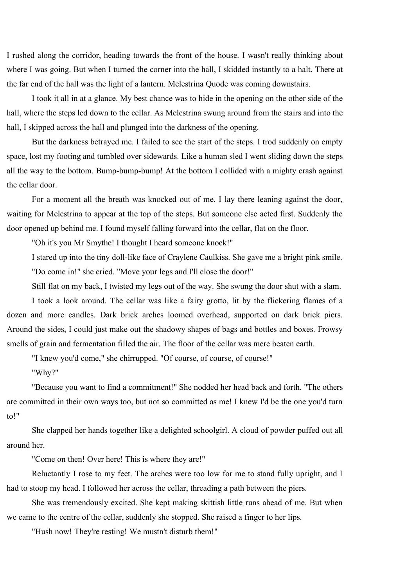I rushed along the corridor, heading towards the front of the house. I wasn't really thinking about where I was going. But when I turned the corner into the hall, I skidded instantly to a halt. There at the far end of the hall was the light of a lantern. Melestrina Quode was coming downstairs.

I took it all in at a glance. My best chance was to hide in the opening on the other side of the hall, where the steps led down to the cellar. As Melestrina swung around from the stairs and into the hall, I skipped across the hall and plunged into the darkness of the opening.

But the darkness betrayed me. I failed to see the start of the steps. I trod suddenly on empty space, lost my footing and tumbled over sidewards. Like a human sled I went sliding down the steps all the way to the bottom. Bump-bump-bump! At the bottom I collided with a mighty crash against the cellar door.

For a moment all the breath was knocked out of me. I lay there leaning against the door, waiting for Melestrina to appear at the top of the steps. But someone else acted first. Suddenly the door opened up behind me. I found myself falling forward into the cellar, flat on the floor.

"Oh it's you Mr Smythe! I thought I heard someone knock!"

I stared up into the tiny doll-like face of Craylene Caulkiss. She gave me a bright pink smile.

"Do come in!" she cried. "Move your legs and I'll close the door!"

Still flat on my back, I twisted my legs out of the way. She swung the door shut with a slam.

I took a look around. The cellar was like a fairy grotto, lit by the flickering flames of a dozen and more candles. Dark brick arches loomed overhead, supported on dark brick piers. Around the sides, I could just make out the shadowy shapes of bags and bottles and boxes. Frowsy smells of grain and fermentation filled the air. The floor of the cellar was mere beaten earth.

"I knew you'd come," she chirrupped. "Of course, of course, of course!"

"Why?"

"Because you want to find a commitment!" She nodded her head back and forth. "The others are committed in their own ways too, but not so committed as me! I knew I'd be the one you'd turn to!"

She clapped her hands together like a delighted schoolgirl. A cloud of powder puffed out all around her.

"Come on then! Over here! This is where they are!"

Reluctantly I rose to my feet. The arches were too low for me to stand fully upright, and I had to stoop my head. I followed her across the cellar, threading a path between the piers.

She was tremendously excited. She kept making skittish little runs ahead of me. But when we came to the centre of the cellar, suddenly she stopped. She raised a finger to her lips.

"Hush now! They're resting! We mustn't disturb them!"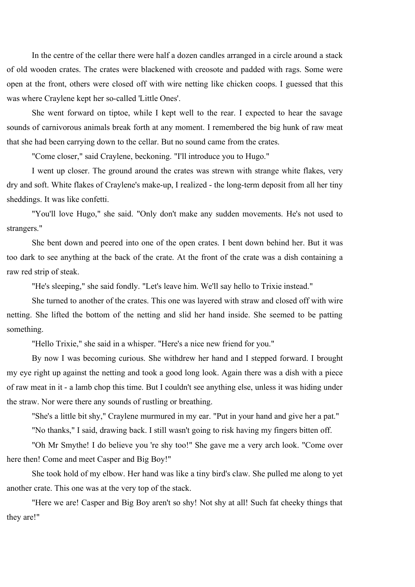In the centre of the cellar there were half a dozen candles arranged in a circle around a stack of old wooden crates. The crates were blackened with creosote and padded with rags. Some were open at the front, others were closed off with wire netting like chicken coops. I guessed that this was where Craylene kept her so-called 'Little Ones'.

She went forward on tiptoe, while I kept well to the rear. I expected to hear the savage sounds of carnivorous animals break forth at any moment. I remembered the big hunk of raw meat that she had been carrying down to the cellar. But no sound came from the crates.

"Come closer," said Craylene, beckoning. "I'll introduce you to Hugo."

I went up closer. The ground around the crates was strewn with strange white flakes, very dry and soft. White flakes of Craylene's make-up, I realized - the long-term deposit from all her tiny sheddings. It was like confetti.

"You'll love Hugo," she said. "Only don't make any sudden movements. He's not used to strangers."

She bent down and peered into one of the open crates. I bent down behind her. But it was too dark to see anything at the back of the crate. At the front of the crate was a dish containing a raw red strip of steak.

"He's sleeping," she said fondly. "Let's leave him. We'll say hello to Trixie instead."

She turned to another of the crates. This one was layered with straw and closed off with wire netting. She lifted the bottom of the netting and slid her hand inside. She seemed to be patting something.

"Hello Trixie," she said in a whisper. "Here's a nice new friend for you."

By now I was becoming curious. She withdrew her hand and I stepped forward. I brought my eye right up against the netting and took a good long look. Again there was a dish with a piece of raw meat in it - a lamb chop this time. But I couldn't see anything else, unless it was hiding under the straw. Nor were there any sounds of rustling or breathing.

"She's a little bit shy," Craylene murmured in my ear. "Put in your hand and give her a pat." "No thanks," I said, drawing back. I still wasn't going to risk having my fingers bitten off.

"Oh Mr Smythe! I do believe you 're shy too!" She gave me a very arch look. "Come over here then! Come and meet Casper and Big Boy!"

She took hold of my elbow. Her hand was like a tiny bird's claw. She pulled me along to yet another crate. This one was at the very top of the stack.

"Here we are! Casper and Big Boy aren't so shy! Not shy at all! Such fat cheeky things that they are!"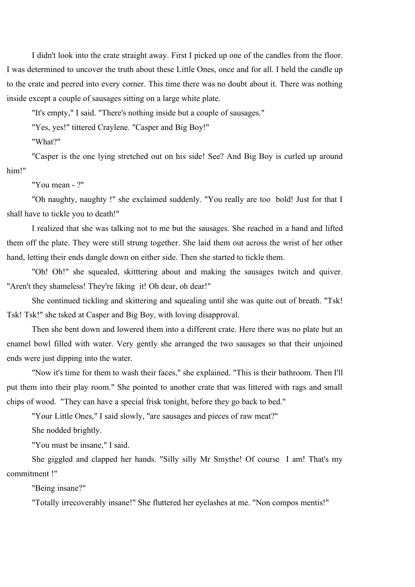I didn't look into the crate straight away. First I picked up one of the candles from the floor. I was determined to uncover the truth about these Little Ones, once and for all. I held the candle up to the crate and peered into every corner. This time there was no doubt about it. There was nothing inside except a couple of sausages sitting on a large white plate.

"It's empty," I said. "There's nothing inside but a couple of sausages."

"Yes, yes!" tittered Craylene. "Casper and Big Boy!"

"What?"

"Casper is the one lying stretched out on his side! See? And Big Boy is curled up around him!"

"You mean - ?"

"Oh naughty, naughty !" she exclaimed suddenly. "You really are too bold! Just for that I shall have to tickle you to death!"

I realized that she was talking not to me but the sausages. She reached in a hand and lifted them off the plate. They were still strung together. She laid them out across the wrist of her other hand, letting their ends dangle down on either side. Then she started to tickle them.

"Oh! Oh!" she squealed, skitttering about and making the sausages twitch and quiver. "Aren't they shameless! They're liking it! Oh dear, oh dear!"

She continued tickling and skittering and squealing until she was quite out of breath. "Tsk! Tsk! Tsk!" she tsked at Casper and Big Boy, with loving disapproval.

Then she bent down and lowered them into a different crate. Here there was no plate but an enamel bowl filled with water. Very gently she arranged the two sausages so that their unjoined ends were just dipping into the water.

"Now it's time for them to wash their faces," she explained. "This is their bathroom. Then I'll put them into their play room." She pointed to another crate that was littered with rags and small chips of wood. "They can have a special frisk tonight, before they go back to bed."

"Your Little Ones," I said slowly, "are sausages and pieces of raw meat?"

She nodded brightly.

"You must be insane," I said.

She giggled and clapped her hands. "Silly silly Mr Smythe! Of course I am! That's my commitment !"

"Being insane?"

"Totally irrecoverably insane!" She fluttered her eyelashes at me. "Non compos mentis!"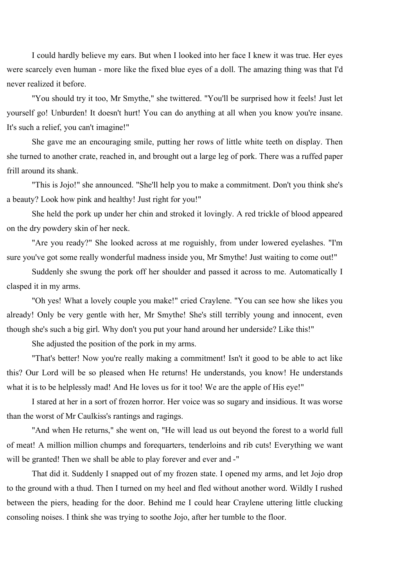I could hardly believe my ears. But when I looked into her face I knew it was true. Her eyes were scarcely even human - more like the fixed blue eyes of a doll. The amazing thing was that I'd never realized it before.

"You should try it too, Mr Smythe," she twittered. "You'll be surprised how it feels! Just let yourself go! Unburden! It doesn't hurt! You can do anything at all when you know you're insane. It's such a relief, you can't imagine!"

She gave me an encouraging smile, putting her rows of little white teeth on display. Then she turned to another crate, reached in, and brought out a large leg of pork. There was a ruffed paper frill around its shank.

"This is Jojo!" she announced. "She'll help you to make a commitment. Don't you think she's a beauty? Look how pink and healthy! Just right for you!"

She held the pork up under her chin and stroked it lovingly. A red trickle of blood appeared on the dry powdery skin of her neck.

"Are you ready?" She looked across at me roguishly, from under lowered eyelashes. "I'm sure you've got some really wonderful madness inside you, Mr Smythe! Just waiting to come out!"

Suddenly she swung the pork off her shoulder and passed it across to me. Automatically I clasped it in my arms.

"Oh yes! What a lovely couple you make!" cried Craylene. "You can see how she likes you already! Only be very gentle with her, Mr Smythe! She's still terribly young and innocent, even though she's such a big girl. Why don't you put your hand around her underside? Like this!"

She adjusted the position of the pork in my arms.

"That's better! Now you're really making a commitment! Isn't it good to be able to act like this? Our Lord will be so pleased when He returns! He understands, you know! He understands what it is to be helplessly mad! And He loves us for it too! We are the apple of His eye!"

I stared at her in a sort of frozen horror. Her voice was so sugary and insidious. It was worse than the worst of Mr Caulkiss's rantings and ragings.

"And when He returns," she went on, "He will lead us out beyond the forest to a world full of meat! A million million chumps and forequarters, tenderloins and rib cuts! Everything we want will be granted! Then we shall be able to play forever and ever and -"

That did it. Suddenly I snapped out of my frozen state. I opened my arms, and let Jojo drop to the ground with a thud. Then I turned on my heel and fled without another word. Wildly I rushed between the piers, heading for the door. Behind me I could hear Craylene uttering little clucking consoling noises. I think she was trying to soothe Jojo, after her tumble to the floor.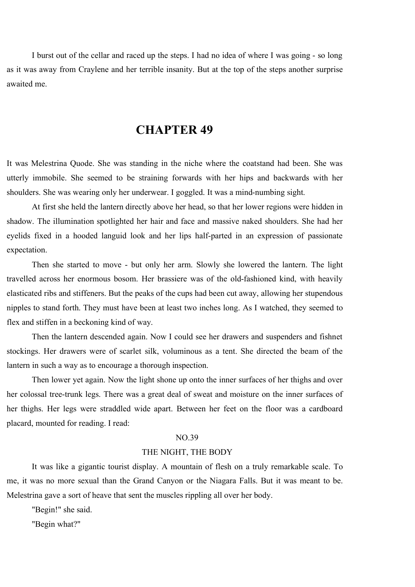I burst out of the cellar and raced up the steps. I had no idea of where I was going - so long as it was away from Craylene and her terrible insanity. But at the top of the steps another surprise awaited me.

# **CHAPTER 49**

It was Melestrina Quode. She was standing in the niche where the coatstand had been. She was utterly immobile. She seemed to be straining forwards with her hips and backwards with her shoulders. She was wearing only her underwear. I goggled. It was a mind-numbing sight.

At first she held the lantern directly above her head, so that her lower regions were hidden in shadow. The illumination spotlighted her hair and face and massive naked shoulders. She had her eyelids fixed in a hooded languid look and her lips half-parted in an expression of passionate expectation.

Then she started to move - but only her arm. Slowly she lowered the lantern. The light travelled across her enormous bosom. Her brassiere was of the old-fashioned kind, with heavily elasticated ribs and stiffeners. But the peaks of the cups had been cut away, allowing her stupendous nipples to stand forth. They must have been at least two inches long. As I watched, they seemed to flex and stiffen in a beckoning kind of way.

Then the lantern descended again. Now I could see her drawers and suspenders and fishnet stockings. Her drawers were of scarlet silk, voluminous as a tent. She directed the beam of the lantern in such a way as to encourage a thorough inspection.

Then lower yet again. Now the light shone up onto the inner surfaces of her thighs and over her colossal tree-trunk legs. There was a great deal of sweat and moisture on the inner surfaces of her thighs. Her legs were straddled wide apart. Between her feet on the floor was a cardboard placard, mounted for reading. I read:

#### NO.39

#### THE NIGHT, THE BODY

It was like a gigantic tourist display. A mountain of flesh on a truly remarkable scale. To me, it was no more sexual than the Grand Canyon or the Niagara Falls. But it was meant to be. Melestrina gave a sort of heave that sent the muscles rippling all over her body.

"Begin!" she said.

"Begin what?"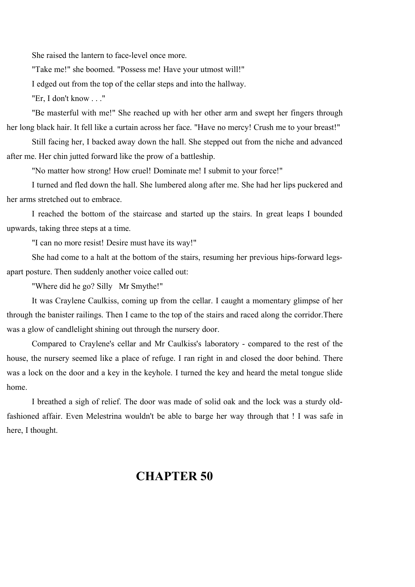She raised the lantern to face-level once more.

"Take me!" she boomed. "Possess me! Have your utmost will!"

I edged out from the top of the cellar steps and into the hallway.

"Er, I don't know . . ."

"Be masterful with me!" She reached up with her other arm and swept her fingers through her long black hair. It fell like a curtain across her face. "Have no mercy! Crush me to your breast!"

Still facing her, I backed away down the hall. She stepped out from the niche and advanced after me. Her chin jutted forward like the prow of a battleship.

"No matter how strong! How cruel! Dominate me! I submit to your force!"

I turned and fled down the hall. She lumbered along after me. She had her lips puckered and her arms stretched out to embrace.

I reached the bottom of the staircase and started up the stairs. In great leaps I bounded upwards, taking three steps at a time.

"I can no more resist! Desire must have its way!"

She had come to a halt at the bottom of the stairs, resuming her previous hips-forward legsapart posture. Then suddenly another voice called out:

"Where did he go? Silly Mr Smythe!"

It was Craylene Caulkiss, coming up from the cellar. I caught a momentary glimpse of her through the banister railings. Then I came to the top of the stairs and raced along the corridor.There was a glow of candlelight shining out through the nursery door.

Compared to Craylene's cellar and Mr Caulkiss's laboratory - compared to the rest of the house, the nursery seemed like a place of refuge. I ran right in and closed the door behind. There was a lock on the door and a key in the keyhole. I turned the key and heard the metal tongue slide home.

I breathed a sigh of relief. The door was made of solid oak and the lock was a sturdy oldfashioned affair. Even Melestrina wouldn't be able to barge her way through that ! I was safe in here, I thought.

# **CHAPTER 50**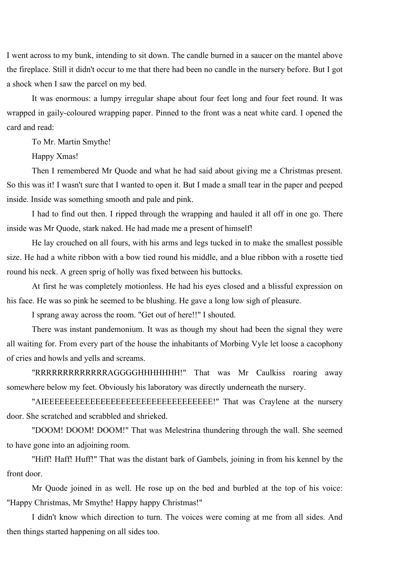I went across to my bunk, intending to sit down. The candle burned in a saucer on the mantel above the fireplace. Still it didn't occur to me that there had been no candle in the nursery before. But I got a shock when I saw the parcel on my bed.

It was enormous: a lumpy irregular shape about four feet long and four feet round. It was wrapped in gaily-coloured wrapping paper. Pinned to the front was a neat white card. I opened the card and read:

To Mr. Martin Smythe!

Happy Xmas!

Then I remembered Mr Quode and what he had said about giving me a Christmas present. So this was it! I wasn't sure that I wanted to open it. But I made a small tear in the paper and peeped inside. Inside was something smooth and pale and pink.

I had to find out then. I ripped through the wrapping and hauled it all off in one go. There inside was Mr Quode, stark naked. He had made me a present of himself!

He lay crouched on all fours, with his arms and legs tucked in to make the smallest possible size. He had a white ribbon with a bow tied round his middle, and a blue ribbon with a rosette tied round his neck. A green sprig of holly was fixed between his buttocks.

At first he was completely motionless. He had his eyes closed and a blissful expression on his face. He was so pink he seemed to be blushing. He gave a long low sigh of pleasure.

I sprang away across the room. "Get out of here!!" I shouted.

There was instant pandemonium. It was as though my shout had been the signal they were all waiting for. From every part of the house the inhabitants of Morbing Vyle let loose a cacophony of cries and howls and yells and screams.

"RRRRRRRRRRRRRAGGGGHHHHHHH!" That was Mr Caulkiss roaring away somewhere below my feet. Obviously his laboratory was directly underneath the nursery.

"AIEEEEEEEEEEEEEEEEEEEEEEEEEEEEEEEEE!" That was Craylene at the nursery door. She scratched and scrabbled and shrieked.

"DOOM! DOOM! DOOM!" That was Melestrina thundering through the wall. She seemed to have gone into an adjoining room.

"Hiff! Haff! Huff!" That was the distant bark of Gambels, joining in from his kennel by the front door.

Mr Quode joined in as well. He rose up on the bed and burbled at the top of his voice: "Happy Christmas, Mr Smythe! Happy happy Christmas!"

I didn't know which direction to turn. The voices were coming at me from all sides. And then things started happening on all sides too.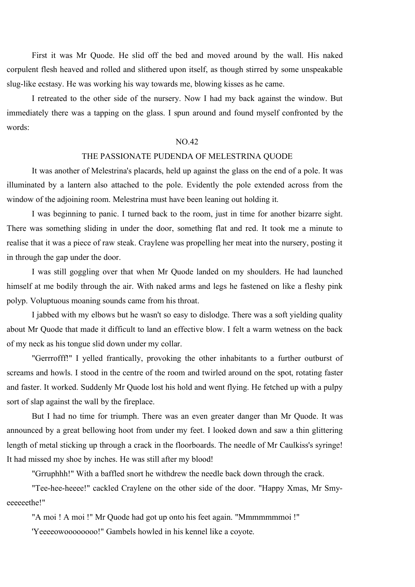First it was Mr Quode. He slid off the bed and moved around by the wall. His naked corpulent flesh heaved and rolled and slithered upon itself, as though stirred by some unspeakable slug-like ecstasy. He was working his way towards me, blowing kisses as he came.

I retreated to the other side of the nursery. Now I had my back against the window. But immediately there was a tapping on the glass. I spun around and found myself confronted by the words:

#### NO.42

#### THE PASSIONATE PUDENDA OF MELESTRINA QUODE

It was another of Melestrina's placards, held up against the glass on the end of a pole. It was illuminated by a lantern also attached to the pole. Evidently the pole extended across from the window of the adjoining room. Melestrina must have been leaning out holding it.

I was beginning to panic. I turned back to the room, just in time for another bizarre sight. There was something sliding in under the door, something flat and red. It took me a minute to realise that it was a piece of raw steak. Craylene was propelling her meat into the nursery, posting it in through the gap under the door.

I was still goggling over that when Mr Quode landed on my shoulders. He had launched himself at me bodily through the air. With naked arms and legs he fastened on like a fleshy pink polyp. Voluptuous moaning sounds came from his throat.

I jabbed with my elbows but he wasn't so easy to dislodge. There was a soft yielding quality about Mr Quode that made it difficult to land an effective blow. I felt a warm wetness on the back of my neck as his tongue slid down under my collar.

"Gerrrofff!" I yelled frantically, provoking the other inhabitants to a further outburst of screams and howls. I stood in the centre of the room and twirled around on the spot, rotating faster and faster. It worked. Suddenly Mr Quode lost his hold and went flying. He fetched up with a pulpy sort of slap against the wall by the fireplace.

But I had no time for triumph. There was an even greater danger than Mr Quode. It was announced by a great bellowing hoot from under my feet. I looked down and saw a thin glittering length of metal sticking up through a crack in the floorboards. The needle of Mr Caulkiss's syringe! It had missed my shoe by inches. He was still after my blood!

"Grruphhh!" With a baffled snort he withdrew the needle back down through the crack.

"Tee-hee-heeee!" cackled Craylene on the other side of the door. "Happy Xmas, Mr Smyeeeeeethe!"

"A moi ! A moi !" Mr Quode had got up onto his feet again. "Mmmmmmmoi !"

'Yeeeeowoooooooo!" Gambels howled in his kennel like a coyote.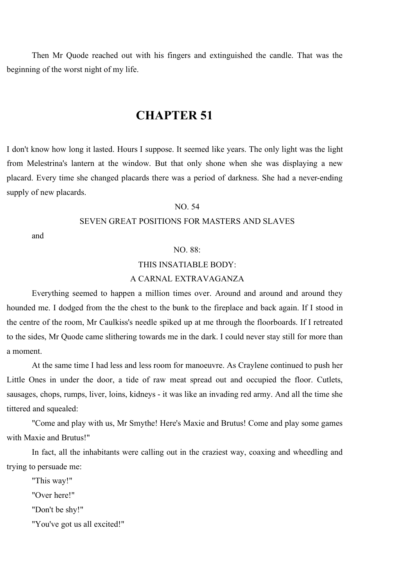Then Mr Quode reached out with his fingers and extinguished the candle. That was the beginning of the worst night of my life.

# **CHAPTER 51**

I don't know how long it lasted. Hours I suppose. It seemed like years. The only light was the light from Melestrina's lantern at the window. But that only shone when she was displaying a new placard. Every time she changed placards there was a period of darkness. She had a never-ending supply of new placards.

#### NO. 54

### SEVEN GREAT POSITIONS FOR MASTERS AND SLAVES

and

### NO. 88:

### THIS INSATIABLE BODY:

#### A CARNAL EXTRAVAGANZA

Everything seemed to happen a million times over. Around and around and around they hounded me. I dodged from the the chest to the bunk to the fireplace and back again. If I stood in the centre of the room, Mr Caulkiss's needle spiked up at me through the floorboards. If I retreated to the sides, Mr Quode came slithering towards me in the dark. I could never stay still for more than a moment.

At the same time I had less and less room for manoeuvre. As Craylene continued to push her Little Ones in under the door, a tide of raw meat spread out and occupied the floor. Cutlets, sausages, chops, rumps, liver, loins, kidneys - it was like an invading red army. And all the time she tittered and squealed:

"Come and play with us, Mr Smythe! Here's Maxie and Brutus! Come and play some games with Maxie and Brutus!"

In fact, all the inhabitants were calling out in the craziest way, coaxing and wheedling and trying to persuade me:

"This way!"

"Over here!"

"Don't be shy!"

"You've got us all excited!"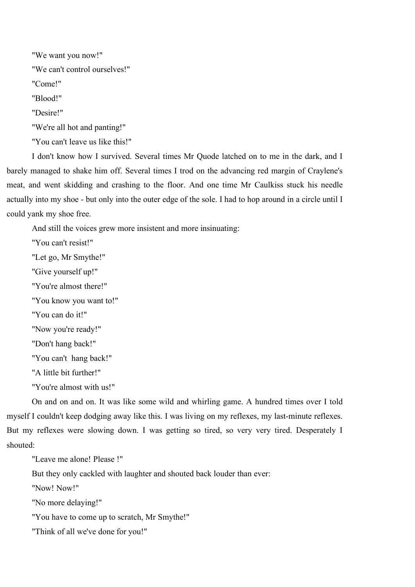"We want you now!" "We can't control ourselves!" "Come!" "Blood!" "Desire!" "We're all hot and panting!" "You can't leave us like this!" I don't know how I survived. Several times Mr Quode latched on to me in the dark, and I

barely managed to shake him off. Several times I trod on the advancing red margin of Craylene's meat, and went skidding and crashing to the floor. And one time Mr Caulkiss stuck his needle actually into my shoe - but only into the outer edge of the sole. I had to hop around in a circle until I could yank my shoe free.

And still the voices grew more insistent and more insinuating:

"You can't resist!"

"Let go, Mr Smythe!"

"Give yourself up!"

"You're almost there!"

"You know you want to!"

"You can do it!"

"Now you're ready!"

"Don't hang back!"

"You can't hang back!"

"A little bit further!"

"You're almost with us!"

On and on and on. It was like some wild and whirling game. A hundred times over I told myself I couldn't keep dodging away like this. I was living on my reflexes, my last-minute reflexes. But my reflexes were slowing down. I was getting so tired, so very very tired. Desperately I shouted:

"Leave me alone! Please !"

But they only cackled with laughter and shouted back louder than ever:

"Now! Now!"

"No more delaying!"

"You have to come up to scratch, Mr Smythe!"

"Think of all we've done for you!"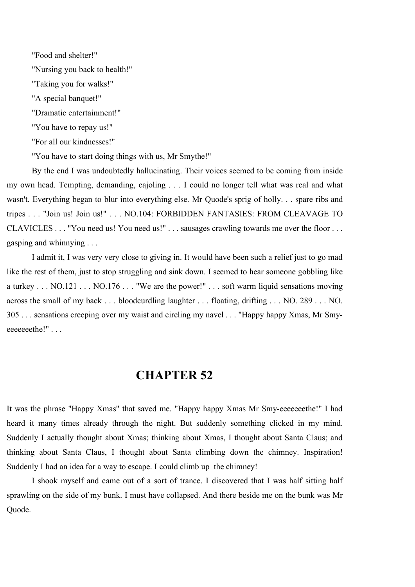"Food and shelter!" "Nursing you back to health!" "Taking you for walks!" "A special banquet!" "Dramatic entertainment!" "You have to repay us!" "For all our kindnesses!"

"You have to start doing things with us, Mr Smythe!"

By the end I was undoubtedly hallucinating. Their voices seemed to be coming from inside my own head. Tempting, demanding, cajoling . . . I could no longer tell what was real and what wasn't. Everything began to blur into everything else. Mr Quode's sprig of holly. . . spare ribs and tripes . . . "Join us! Join us!" . . . NO.104: FORBIDDEN FANTASIES: FROM CLEAVAGE TO CLAVICLES . . . "You need us! You need us!" . . . sausages crawling towards me over the floor . . . gasping and whinnying . . .

I admit it, I was very very close to giving in. It would have been such a relief just to go mad like the rest of them, just to stop struggling and sink down. I seemed to hear someone gobbling like a turkey . . . NO.121 . . . NO.176 . . . "We are the power!" . . . soft warm liquid sensations moving across the small of my back . . . bloodcurdling laughter . . . floating, drifting . . . NO. 289 . . . NO. 305 . . . sensations creeping over my waist and circling my navel . . . "Happy happy Xmas, Mr Smyeeeeeethe!" . . .

# **CHAPTER 52**

It was the phrase "Happy Xmas" that saved me. "Happy happy Xmas Mr Smy-eeeeeeethe!" I had heard it many times already through the night. But suddenly something clicked in my mind. Suddenly I actually thought about Xmas; thinking about Xmas, I thought about Santa Claus; and thinking about Santa Claus, I thought about Santa climbing down the chimney. Inspiration! Suddenly I had an idea for a way to escape. I could climb up the chimney!

I shook myself and came out of a sort of trance. I discovered that I was half sitting half sprawling on the side of my bunk. I must have collapsed. And there beside me on the bunk was Mr Quode.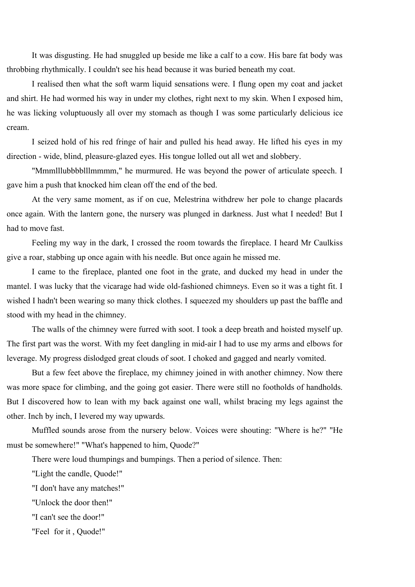It was disgusting. He had snuggled up beside me like a calf to a cow. His bare fat body was throbbing rhythmically. I couldn't see his head because it was buried beneath my coat.

I realised then what the soft warm liquid sensations were. I flung open my coat and jacket and shirt. He had wormed his way in under my clothes, right next to my skin. When I exposed him, he was licking voluptuously all over my stomach as though I was some particularly delicious ice cream.

I seized hold of his red fringe of hair and pulled his head away. He lifted his eyes in my direction - wide, blind, pleasure-glazed eyes. His tongue lolled out all wet and slobbery.

"Mmmlllubbbblllmmmm," he murmured. He was beyond the power of articulate speech. I gave him a push that knocked him clean off the end of the bed.

At the very same moment, as if on cue, Melestrina withdrew her pole to change placards once again. With the lantern gone, the nursery was plunged in darkness. Just what I needed! But I had to move fast.

Feeling my way in the dark, I crossed the room towards the fireplace. I heard Mr Caulkiss give a roar, stabbing up once again with his needle. But once again he missed me.

I came to the fireplace, planted one foot in the grate, and ducked my head in under the mantel. I was lucky that the vicarage had wide old-fashioned chimneys. Even so it was a tight fit. I wished I hadn't been wearing so many thick clothes. I squeezed my shoulders up past the baffle and stood with my head in the chimney.

The walls of the chimney were furred with soot. I took a deep breath and hoisted myself up. The first part was the worst. With my feet dangling in mid-air I had to use my arms and elbows for leverage. My progress dislodged great clouds of soot. I choked and gagged and nearly vomited.

But a few feet above the fireplace, my chimney joined in with another chimney. Now there was more space for climbing, and the going got easier. There were still no footholds of handholds. But I discovered how to lean with my back against one wall, whilst bracing my legs against the other. Inch by inch, I levered my way upwards.

Muffled sounds arose from the nursery below. Voices were shouting: "Where is he?" "He must be somewhere!" "What's happened to him, Quode?"

There were loud thumpings and bumpings. Then a period of silence. Then:

"Light the candle, Quode!"

"I don't have any matches!"

"Unlock the door then!"

"I can't see the door!"

"Feel for it , Quode!"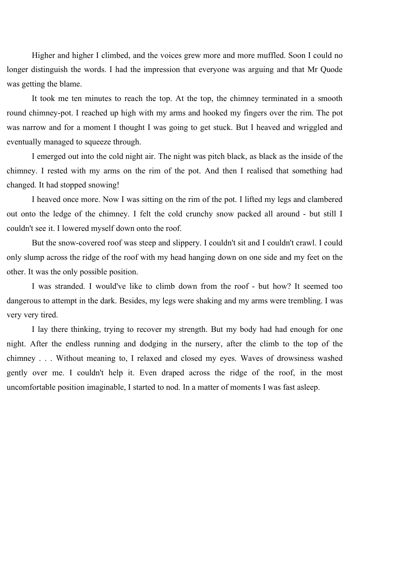Higher and higher I climbed, and the voices grew more and more muffled. Soon I could no longer distinguish the words. I had the impression that everyone was arguing and that Mr Quode was getting the blame.

It took me ten minutes to reach the top. At the top, the chimney terminated in a smooth round chimney-pot. I reached up high with my arms and hooked my fingers over the rim. The pot was narrow and for a moment I thought I was going to get stuck. But I heaved and wriggled and eventually managed to squeeze through.

I emerged out into the cold night air. The night was pitch black, as black as the inside of the chimney. I rested with my arms on the rim of the pot. And then I realised that something had changed. It had stopped snowing!

I heaved once more. Now I was sitting on the rim of the pot. I lifted my legs and clambered out onto the ledge of the chimney. I felt the cold crunchy snow packed all around - but still I couldn't see it. I lowered myself down onto the roof.

But the snow-covered roof was steep and slippery. I couldn't sit and I couldn't crawl. I could only slump across the ridge of the roof with my head hanging down on one side and my feet on the other. It was the only possible position.

I was stranded. I would've like to climb down from the roof - but how? It seemed too dangerous to attempt in the dark. Besides, my legs were shaking and my arms were trembling. I was very very tired.

I lay there thinking, trying to recover my strength. But my body had had enough for one night. After the endless running and dodging in the nursery, after the climb to the top of the chimney . . . Without meaning to, I relaxed and closed my eyes. Waves of drowsiness washed gently over me. I couldn't help it. Even draped across the ridge of the roof, in the most uncomfortable position imaginable, I started to nod. In a matter of moments I was fast asleep.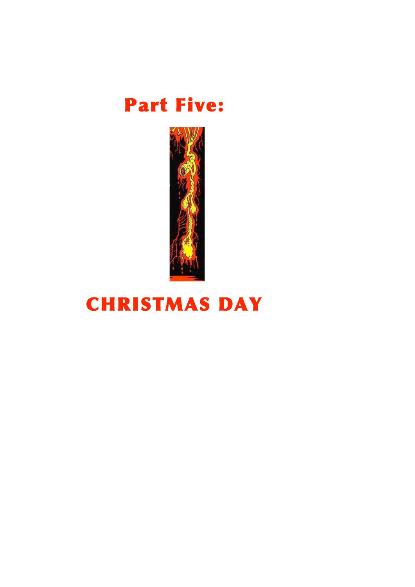# Part Five:



# CHRISTMAS DAY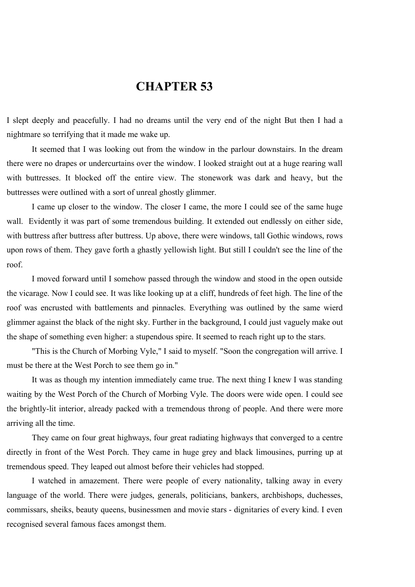## **CHAPTER 53**

I slept deeply and peacefully. I had no dreams until the very end of the night But then I had a nightmare so terrifying that it made me wake up.

It seemed that I was looking out from the window in the parlour downstairs. In the dream there were no drapes or undercurtains over the window. I looked straight out at a huge rearing wall with buttresses. It blocked off the entire view. The stonework was dark and heavy, but the buttresses were outlined with a sort of unreal ghostly glimmer.

I came up closer to the window. The closer I came, the more I could see of the same huge wall. Evidently it was part of some tremendous building. It extended out endlessly on either side, with buttress after buttress after buttress. Up above, there were windows, tall Gothic windows, rows upon rows of them. They gave forth a ghastly yellowish light. But still I couldn't see the line of the roof.

I moved forward until I somehow passed through the window and stood in the open outside the vicarage. Now I could see. It was like looking up at a cliff, hundreds of feet high. The line of the roof was encrusted with battlements and pinnacles. Everything was outlined by the same wierd glimmer against the black of the night sky. Further in the background, I could just vaguely make out the shape of something even higher: a stupendous spire. It seemed to reach right up to the stars.

"This is the Church of Morbing Vyle," I said to myself. "Soon the congregation will arrive. I must be there at the West Porch to see them go in."

It was as though my intention immediately came true. The next thing I knew I was standing waiting by the West Porch of the Church of Morbing Vyle. The doors were wide open. I could see the brightly-lit interior, already packed with a tremendous throng of people. And there were more arriving all the time.

They came on four great highways, four great radiating highways that converged to a centre directly in front of the West Porch. They came in huge grey and black limousines, purring up at tremendous speed. They leaped out almost before their vehicles had stopped.

I watched in amazement. There were people of every nationality, talking away in every language of the world. There were judges, generals, politicians, bankers, archbishops, duchesses, commissars, sheiks, beauty queens, businessmen and movie stars - dignitaries of every kind. I even recognised several famous faces amongst them.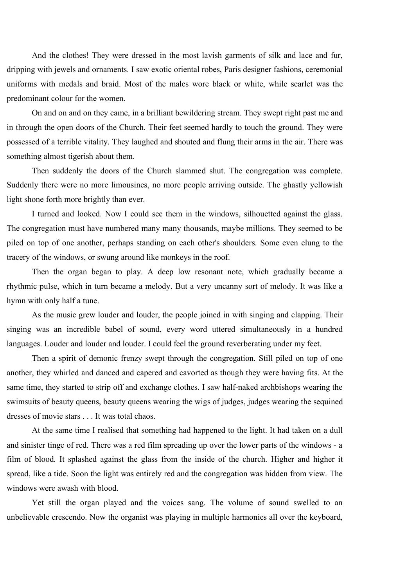And the clothes! They were dressed in the most lavish garments of silk and lace and fur, dripping with jewels and ornaments. I saw exotic oriental robes, Paris designer fashions, ceremonial uniforms with medals and braid. Most of the males wore black or white, while scarlet was the predominant colour for the women.

On and on and on they came, in a brilliant bewildering stream. They swept right past me and in through the open doors of the Church. Their feet seemed hardly to touch the ground. They were possessed of a terrible vitality. They laughed and shouted and flung their arms in the air. There was something almost tigerish about them.

Then suddenly the doors of the Church slammed shut. The congregation was complete. Suddenly there were no more limousines, no more people arriving outside. The ghastly yellowish light shone forth more brightly than ever.

I turned and looked. Now I could see them in the windows, silhouetted against the glass. The congregation must have numbered many many thousands, maybe millions. They seemed to be piled on top of one another, perhaps standing on each other's shoulders. Some even clung to the tracery of the windows, or swung around like monkeys in the roof.

Then the organ began to play. A deep low resonant note, which gradually became a rhythmic pulse, which in turn became a melody. But a very uncanny sort of melody. It was like a hymn with only half a tune.

As the music grew louder and louder, the people joined in with singing and clapping. Their singing was an incredible babel of sound, every word uttered simultaneously in a hundred languages. Louder and louder and louder. I could feel the ground reverberating under my feet.

Then a spirit of demonic frenzy swept through the congregation. Still piled on top of one another, they whirled and danced and capered and cavorted as though they were having fits. At the same time, they started to strip off and exchange clothes. I saw half-naked archbishops wearing the swimsuits of beauty queens, beauty queens wearing the wigs of judges, judges wearing the sequined dresses of movie stars . . . It was total chaos.

At the same time I realised that something had happened to the light. It had taken on a dull and sinister tinge of red. There was a red film spreading up over the lower parts of the windows - a film of blood. It splashed against the glass from the inside of the church. Higher and higher it spread, like a tide. Soon the light was entirely red and the congregation was hidden from view. The windows were awash with blood.

Yet still the organ played and the voices sang. The volume of sound swelled to an unbelievable crescendo. Now the organist was playing in multiple harmonies all over the keyboard,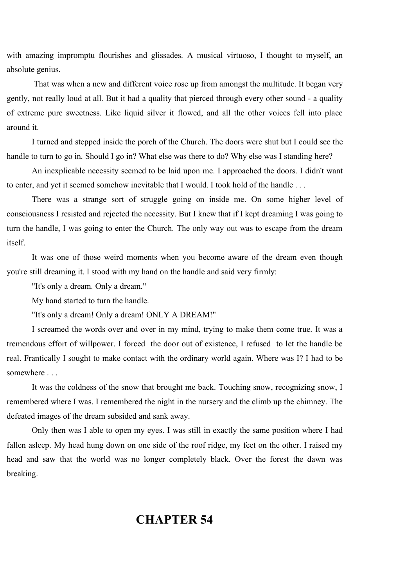with amazing impromptu flourishes and glissades. A musical virtuoso, I thought to myself, an absolute genius.

 That was when a new and different voice rose up from amongst the multitude. It began very gently, not really loud at all. But it had a quality that pierced through every other sound - a quality of extreme pure sweetness. Like liquid silver it flowed, and all the other voices fell into place around it.

I turned and stepped inside the porch of the Church. The doors were shut but I could see the handle to turn to go in. Should I go in? What else was there to do? Why else was I standing here?

An inexplicable necessity seemed to be laid upon me. I approached the doors. I didn't want to enter, and yet it seemed somehow inevitable that I would. I took hold of the handle . . .

There was a strange sort of struggle going on inside me. On some higher level of consciousness I resisted and rejected the necessity. But I knew that if I kept dreaming I was going to turn the handle, I was going to enter the Church. The only way out was to escape from the dream itself.

It was one of those weird moments when you become aware of the dream even though you're still dreaming it. I stood with my hand on the handle and said very firmly:

"It's only a dream. Only a dream."

My hand started to turn the handle.

"It's only a dream! Only a dream! ONLY A DREAM!"

I screamed the words over and over in my mind, trying to make them come true. It was a tremendous effort of willpower. I forced the door out of existence, I refused to let the handle be real. Frantically I sought to make contact with the ordinary world again. Where was I? I had to be somewhere . . .

It was the coldness of the snow that brought me back. Touching snow, recognizing snow, I remembered where I was. I remembered the night in the nursery and the climb up the chimney. The defeated images of the dream subsided and sank away.

Only then was I able to open my eyes. I was still in exactly the same position where I had fallen asleep. My head hung down on one side of the roof ridge, my feet on the other. I raised my head and saw that the world was no longer completely black. Over the forest the dawn was breaking.

## **CHAPTER 54**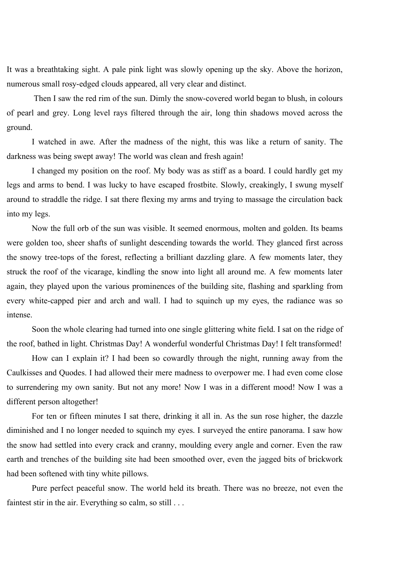It was a breathtaking sight. A pale pink light was slowly opening up the sky. Above the horizon, numerous small rosy-edged clouds appeared, all very clear and distinct.

 Then I saw the red rim of the sun. Dimly the snow-covered world began to blush, in colours of pearl and grey. Long level rays filtered through the air, long thin shadows moved across the ground.

I watched in awe. After the madness of the night, this was like a return of sanity. The darkness was being swept away! The world was clean and fresh again!

I changed my position on the roof. My body was as stiff as a board. I could hardly get my legs and arms to bend. I was lucky to have escaped frostbite. Slowly, creakingly, I swung myself around to straddle the ridge. I sat there flexing my arms and trying to massage the circulation back into my legs.

Now the full orb of the sun was visible. It seemed enormous, molten and golden. Its beams were golden too, sheer shafts of sunlight descending towards the world. They glanced first across the snowy tree-tops of the forest, reflecting a brilliant dazzling glare. A few moments later, they struck the roof of the vicarage, kindling the snow into light all around me. A few moments later again, they played upon the various prominences of the building site, flashing and sparkling from every white-capped pier and arch and wall. I had to squinch up my eyes, the radiance was so intense.

Soon the whole clearing had turned into one single glittering white field. I sat on the ridge of the roof, bathed in light. Christmas Day! A wonderful wonderful Christmas Day! I felt transformed!

How can I explain it? I had been so cowardly through the night, running away from the Caulkisses and Quodes. I had allowed their mere madness to overpower me. I had even come close to surrendering my own sanity. But not any more! Now I was in a different mood! Now I was a different person altogether!

For ten or fifteen minutes I sat there, drinking it all in. As the sun rose higher, the dazzle diminished and I no longer needed to squinch my eyes. I surveyed the entire panorama. I saw how the snow had settled into every crack and cranny, moulding every angle and corner. Even the raw earth and trenches of the building site had been smoothed over, even the jagged bits of brickwork had been softened with tiny white pillows.

Pure perfect peaceful snow. The world held its breath. There was no breeze, not even the faintest stir in the air. Everything so calm, so still . . .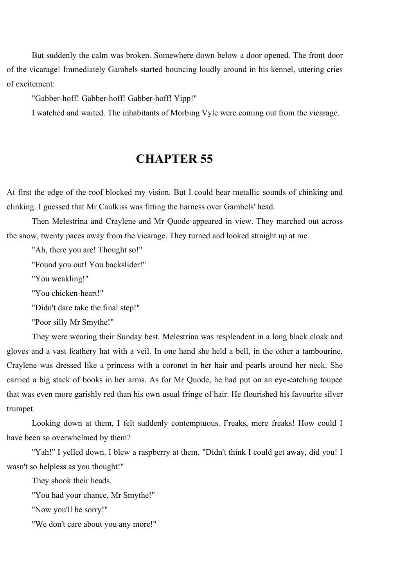But suddenly the calm was broken. Somewhere down below a door opened. The front door of the vicarage! Immediately Gambels started bouncing loudly around in his kennel, uttering cries of excitement:

"Gabber-hoff! Gabber-hoff! Gabber-hoff! Yipp!"

I watched and waited. The inhabitants of Morbing Vyle were coming out from the vicarage.

# **CHAPTER 55**

At first the edge of the roof blocked my vision. But I could hear metallic sounds of chinking and clinking. I guessed that Mr Caulkiss was fitting the harness over Gambels' head.

Then Melestrina and Craylene and Mr Quode appeared in view. They marched out across the snow, twenty paces away from the vicarage. They turned and looked straight up at me.

"Ah, there you are! Thought so!"

"Found you out! You backslider!"

"You weakling!"

"You chicken-heart!"

"Didn't dare take the final step!"

"Poor silly Mr Smythe!"

They were wearing their Sunday best. Melestrina was resplendent in a long black cloak and gloves and a vast feathery hat with a veil. In one hand she held a bell, in the other a tambourine. Craylene was dressed like a princess with a coronet in her hair and pearls around her neck. She carried a big stack of books in her arms. As for Mr Quode, he had put on an eye-catching toupee that was even more garishly red than his own usual fringe of hair. He flourished his favourite silver trumpet.

Looking down at them, I felt suddenly contemptuous. Freaks, mere freaks! How could I have been so overwhelmed by them?

"Yah!" I yelled down. I blew a raspberry at them. "Didn't think I could get away, did you! I wasn't so helpless as you thought!"

They shook their heads.

"You had your chance, Mr Smythe!"

"Now you'll be sorry!"

"We don't care about you any more!"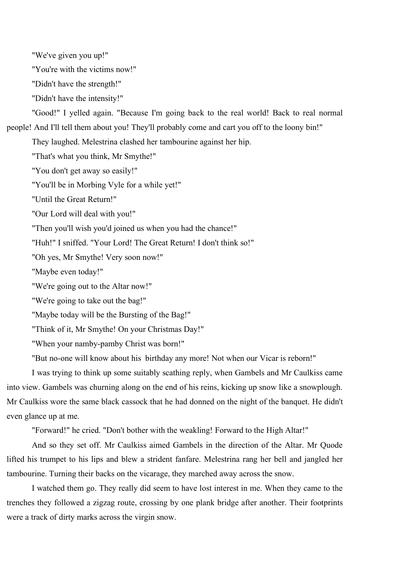"We've given you up!"

"You're with the victims now!"

"Didn't have the strength!"

"Didn't have the intensity!"

"Good!" I yelled again. "Because I'm going back to the real world! Back to real normal people! And I'll tell them about you! They'll probably come and cart you off to the loony bin!"

They laughed. Melestrina clashed her tambourine against her hip.

"That's what you think, Mr Smythe!"

"You don't get away so easily!"

"You'll be in Morbing Vyle for a while yet!"

"Until the Great Return!"

"Our Lord will deal with you!"

"Then you'll wish you'd joined us when you had the chance!"

"Huh!" I sniffed. "Your Lord! The Great Return! I don't think so!"

"Oh yes, Mr Smythe! Very soon now!"

"Maybe even today!"

"We're going out to the Altar now!"

"We're going to take out the bag!"

"Maybe today will be the Bursting of the Bag!"

"Think of it, Mr Smythe! On your Christmas Day!"

"When your namby-pamby Christ was born!"

"But no-one will know about his birthday any more! Not when our Vicar is reborn!"

I was trying to think up some suitably scathing reply, when Gambels and Mr Caulkiss came into view. Gambels was churning along on the end of his reins, kicking up snow like a snowplough. Mr Caulkiss wore the same black cassock that he had donned on the night of the banquet. He didn't even glance up at me.

"Forward!" he cried. "Don't bother with the weakling! Forward to the High Altar!"

And so they set off. Mr Caulkiss aimed Gambels in the direction of the Altar. Mr Quode lifted his trumpet to his lips and blew a strident fanfare. Melestrina rang her bell and jangled her tambourine. Turning their backs on the vicarage, they marched away across the snow.

I watched them go. They really did seem to have lost interest in me. When they came to the trenches they followed a zigzag route, crossing by one plank bridge after another. Their footprints were a track of dirty marks across the virgin snow.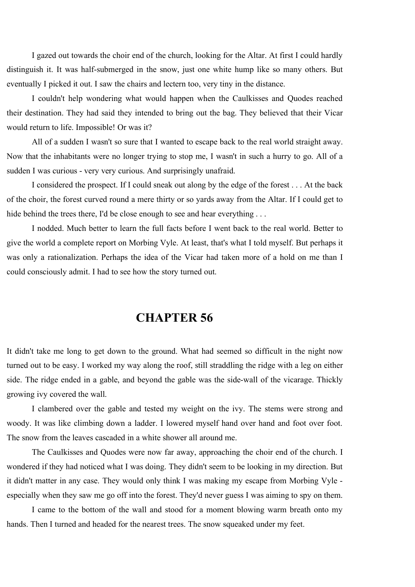I gazed out towards the choir end of the church, looking for the Altar. At first I could hardly distinguish it. It was half-submerged in the snow, just one white hump like so many others. But eventually I picked it out. I saw the chairs and lectern too, very tiny in the distance.

I couldn't help wondering what would happen when the Caulkisses and Quodes reached their destination. They had said they intended to bring out the bag. They believed that their Vicar would return to life. Impossible! Or was it?

All of a sudden I wasn't so sure that I wanted to escape back to the real world straight away. Now that the inhabitants were no longer trying to stop me, I wasn't in such a hurry to go. All of a sudden I was curious - very very curious. And surprisingly unafraid.

I considered the prospect. If I could sneak out along by the edge of the forest . . . At the back of the choir, the forest curved round a mere thirty or so yards away from the Altar. If I could get to hide behind the trees there, I'd be close enough to see and hear everything ...

I nodded. Much better to learn the full facts before I went back to the real world. Better to give the world a complete report on Morbing Vyle. At least, that's what I told myself. But perhaps it was only a rationalization. Perhaps the idea of the Vicar had taken more of a hold on me than I could consciously admit. I had to see how the story turned out.

# **CHAPTER 56**

It didn't take me long to get down to the ground. What had seemed so difficult in the night now turned out to be easy. I worked my way along the roof, still straddling the ridge with a leg on either side. The ridge ended in a gable, and beyond the gable was the side-wall of the vicarage. Thickly growing ivy covered the wall.

I clambered over the gable and tested my weight on the ivy. The stems were strong and woody. It was like climbing down a ladder. I lowered myself hand over hand and foot over foot. The snow from the leaves cascaded in a white shower all around me.

The Caulkisses and Quodes were now far away, approaching the choir end of the church. I wondered if they had noticed what I was doing. They didn't seem to be looking in my direction. But it didn't matter in any case. They would only think I was making my escape from Morbing Vyle especially when they saw me go off into the forest. They'd never guess I was aiming to spy on them.

I came to the bottom of the wall and stood for a moment blowing warm breath onto my hands. Then I turned and headed for the nearest trees. The snow squeaked under my feet.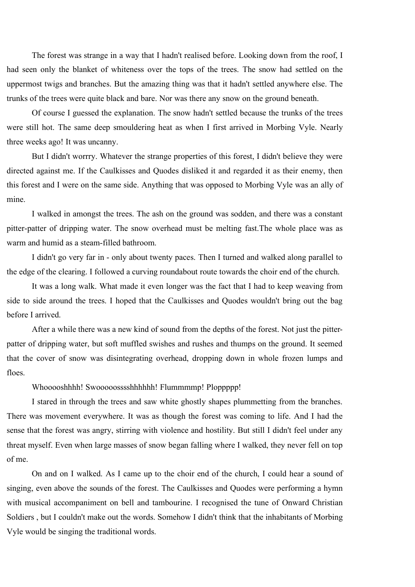The forest was strange in a way that I hadn't realised before. Looking down from the roof, I had seen only the blanket of whiteness over the tops of the trees. The snow had settled on the uppermost twigs and branches. But the amazing thing was that it hadn't settled anywhere else. The trunks of the trees were quite black and bare. Nor was there any snow on the ground beneath.

Of course I guessed the explanation. The snow hadn't settled because the trunks of the trees were still hot. The same deep smouldering heat as when I first arrived in Morbing Vyle. Nearly three weeks ago! It was uncanny.

But I didn't worrry. Whatever the strange properties of this forest, I didn't believe they were directed against me. If the Caulkisses and Quodes disliked it and regarded it as their enemy, then this forest and I were on the same side. Anything that was opposed to Morbing Vyle was an ally of mine.

I walked in amongst the trees. The ash on the ground was sodden, and there was a constant pitter-patter of dripping water. The snow overhead must be melting fast.The whole place was as warm and humid as a steam-filled bathroom.

I didn't go very far in - only about twenty paces. Then I turned and walked along parallel to the edge of the clearing. I followed a curving roundabout route towards the choir end of the church.

It was a long walk. What made it even longer was the fact that I had to keep weaving from side to side around the trees. I hoped that the Caulkisses and Quodes wouldn't bring out the bag before I arrived.

After a while there was a new kind of sound from the depths of the forest. Not just the pitterpatter of dripping water, but soft muffled swishes and rushes and thumps on the ground. It seemed that the cover of snow was disintegrating overhead, dropping down in whole frozen lumps and floes.

Whooooshhhh! Swooooosssshhhhhh! Flummmmp! Ploppppp!

I stared in through the trees and saw white ghostly shapes plummetting from the branches. There was movement everywhere. It was as though the forest was coming to life. And I had the sense that the forest was angry, stirring with violence and hostility. But still I didn't feel under any threat myself. Even when large masses of snow began falling where I walked, they never fell on top of me.

On and on I walked. As I came up to the choir end of the church, I could hear a sound of singing, even above the sounds of the forest. The Caulkisses and Quodes were performing a hymn with musical accompaniment on bell and tambourine. I recognised the tune of Onward Christian Soldiers , but I couldn't make out the words. Somehow I didn't think that the inhabitants of Morbing Vyle would be singing the traditional words.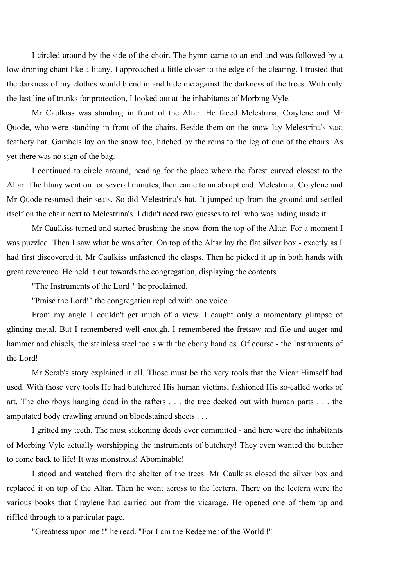I circled around by the side of the choir. The hymn came to an end and was followed by a low droning chant like a litany. I approached a little closer to the edge of the clearing. I trusted that the darkness of my clothes would blend in and hide me against the darkness of the trees. With only the last line of trunks for protection, I looked out at the inhabitants of Morbing Vyle.

Mr Caulkiss was standing in front of the Altar. He faced Melestrina, Craylene and Mr Quode, who were standing in front of the chairs. Beside them on the snow lay Melestrina's vast feathery hat. Gambels lay on the snow too, hitched by the reins to the leg of one of the chairs. As yet there was no sign of the bag.

I continued to circle around, heading for the place where the forest curved closest to the Altar. The litany went on for several minutes, then came to an abrupt end. Melestrina, Craylene and Mr Quode resumed their seats. So did Melestrina's hat. It jumped up from the ground and settled itself on the chair next to Melestrina's. I didn't need two guesses to tell who was hiding inside it.

Mr Caulkiss turned and started brushing the snow from the top of the Altar. For a moment I was puzzled. Then I saw what he was after. On top of the Altar lay the flat silver box - exactly as I had first discovered it. Mr Caulkiss unfastened the clasps. Then he picked it up in both hands with great reverence. He held it out towards the congregation, displaying the contents.

"The Instruments of the Lord!" he proclaimed.

"Praise the Lord!" the congregation replied with one voice.

From my angle I couldn't get much of a view. I caught only a momentary glimpse of glinting metal. But I remembered well enough. I remembered the fretsaw and file and auger and hammer and chisels, the stainless steel tools with the ebony handles. Of course - the Instruments of the Lord!

Mr Scrab's story explained it all. Those must be the very tools that the Vicar Himself had used. With those very tools He had butchered His human victims, fashioned His so-called works of art. The choirboys hanging dead in the rafters . . . the tree decked out with human parts . . . the amputated body crawling around on bloodstained sheets . . .

I gritted my teeth. The most sickening deeds ever committed - and here were the inhabitants of Morbing Vyle actually worshipping the instruments of butchery! They even wanted the butcher to come back to life! It was monstrous! Abominable!

I stood and watched from the shelter of the trees. Mr Caulkiss closed the silver box and replaced it on top of the Altar. Then he went across to the lectern. There on the lectern were the various books that Craylene had carried out from the vicarage. He opened one of them up and riffled through to a particular page.

"Greatness upon me !" he read. "For I am the Redeemer of the World !"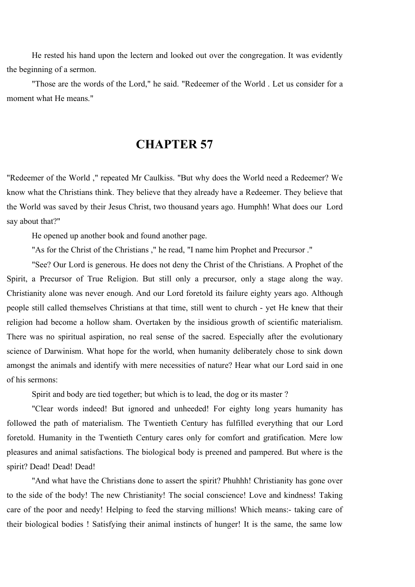He rested his hand upon the lectern and looked out over the congregation. It was evidently the beginning of a sermon.

"Those are the words of the Lord," he said. "Redeemer of the World . Let us consider for a moment what He means."

## **CHAPTER 57**

"Redeemer of the World ," repeated Mr Caulkiss. "But why does the World need a Redeemer? We know what the Christians think. They believe that they already have a Redeemer. They believe that the World was saved by their Jesus Christ, two thousand years ago. Humphh! What does our Lord say about that?"

He opened up another book and found another page.

"As for the Christ of the Christians ," he read, "I name him Prophet and Precursor ."

"See? Our Lord is generous. He does not deny the Christ of the Christians. A Prophet of the Spirit, a Precursor of True Religion. But still only a precursor, only a stage along the way. Christianity alone was never enough. And our Lord foretold its failure eighty years ago. Although people still called themselves Christians at that time, still went to church - yet He knew that their religion had become a hollow sham. Overtaken by the insidious growth of scientific materialism. There was no spiritual aspiration, no real sense of the sacred. Especially after the evolutionary science of Darwinism. What hope for the world, when humanity deliberately chose to sink down amongst the animals and identify with mere necessities of nature? Hear what our Lord said in one of his sermons:

Spirit and body are tied together; but which is to lead, the dog or its master ?

"Clear words indeed! But ignored and unheeded! For eighty long years humanity has followed the path of materialism. The Twentieth Century has fulfilled everything that our Lord foretold. Humanity in the Twentieth Century cares only for comfort and gratification. Mere low pleasures and animal satisfactions. The biological body is preened and pampered. But where is the spirit? Dead! Dead! Dead!

"And what have the Christians done to assert the spirit? Phuhhh! Christianity has gone over to the side of the body! The new Christianity! The social conscience! Love and kindness! Taking care of the poor and needy! Helping to feed the starving millions! Which means:- taking care of their biological bodies ! Satisfying their animal instincts of hunger! It is the same, the same low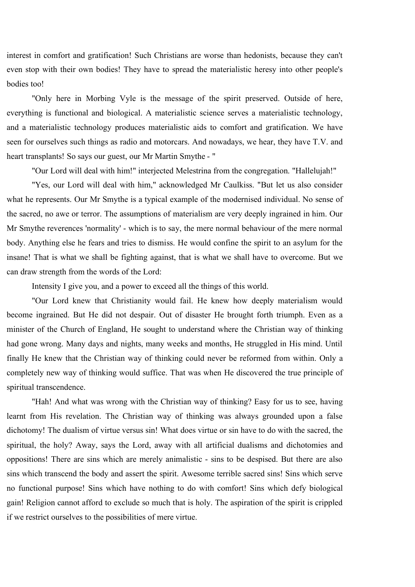interest in comfort and gratification! Such Christians are worse than hedonists, because they can't even stop with their own bodies! They have to spread the materialistic heresy into other people's bodies too!

"Only here in Morbing Vyle is the message of the spirit preserved. Outside of here, everything is functional and biological. A materialistic science serves a materialistic technology, and a materialistic technology produces materialistic aids to comfort and gratification. We have seen for ourselves such things as radio and motorcars. And nowadays, we hear, they have T.V. and heart transplants! So says our guest, our Mr Martin Smythe - "

"Our Lord will deal with him!" interjected Melestrina from the congregation. "Hallelujah!"

"Yes, our Lord will deal with him," acknowledged Mr Caulkiss. "But let us also consider what he represents. Our Mr Smythe is a typical example of the modernised individual. No sense of the sacred, no awe or terror. The assumptions of materialism are very deeply ingrained in him. Our Mr Smythe reverences 'normality' - which is to say, the mere normal behaviour of the mere normal body. Anything else he fears and tries to dismiss. He would confine the spirit to an asylum for the insane! That is what we shall be fighting against, that is what we shall have to overcome. But we can draw strength from the words of the Lord:

Intensity I give you, and a power to exceed all the things of this world.

"Our Lord knew that Christianity would fail. He knew how deeply materialism would become ingrained. But He did not despair. Out of disaster He brought forth triumph. Even as a minister of the Church of England, He sought to understand where the Christian way of thinking had gone wrong. Many days and nights, many weeks and months, He struggled in His mind. Until finally He knew that the Christian way of thinking could never be reformed from within. Only a completely new way of thinking would suffice. That was when He discovered the true principle of spiritual transcendence.

"Hah! And what was wrong with the Christian way of thinking? Easy for us to see, having learnt from His revelation. The Christian way of thinking was always grounded upon a false dichotomy! The dualism of virtue versus sin! What does virtue or sin have to do with the sacred, the spiritual, the holy? Away, says the Lord, away with all artificial dualisms and dichotomies and oppositions! There are sins which are merely animalistic - sins to be despised. But there are also sins which transcend the body and assert the spirit. Awesome terrible sacred sins! Sins which serve no functional purpose! Sins which have nothing to do with comfort! Sins which defy biological gain! Religion cannot afford to exclude so much that is holy. The aspiration of the spirit is crippled if we restrict ourselves to the possibilities of mere virtue.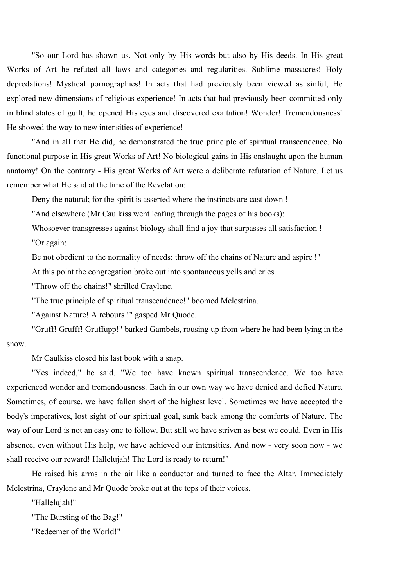"So our Lord has shown us. Not only by His words but also by His deeds. In His great Works of Art he refuted all laws and categories and regularities. Sublime massacres! Holy depredations! Mystical pornographies! In acts that had previously been viewed as sinful, He explored new dimensions of religious experience! In acts that had previously been committed only in blind states of guilt, he opened His eyes and discovered exaltation! Wonder! Tremendousness! He showed the way to new intensities of experience!

"And in all that He did, he demonstrated the true principle of spiritual transcendence. No functional purpose in His great Works of Art! No biological gains in His onslaught upon the human anatomy! On the contrary - His great Works of Art were a deliberate refutation of Nature. Let us remember what He said at the time of the Revelation:

Deny the natural; for the spirit is asserted where the instincts are cast down !

"And elsewhere (Mr Caulkiss went leafing through the pages of his books):

Whosoever transgresses against biology shall find a joy that surpasses all satisfaction ! "Or again:

Be not obedient to the normality of needs: throw off the chains of Nature and aspire !"

At this point the congregation broke out into spontaneous yells and cries.

"Throw off the chains!" shrilled Craylene.

"The true principle of spiritual transcendence!" boomed Melestrina.

"Against Nature! A rebours !" gasped Mr Quode.

"Gruff! Grufff! Gruffupp!" barked Gambels, rousing up from where he had been lying in the snow.

Mr Caulkiss closed his last book with a snap.

"Yes indeed," he said. "We too have known spiritual transcendence. We too have experienced wonder and tremendousness. Each in our own way we have denied and defied Nature. Sometimes, of course, we have fallen short of the highest level. Sometimes we have accepted the body's imperatives, lost sight of our spiritual goal, sunk back among the comforts of Nature. The way of our Lord is not an easy one to follow. But still we have striven as best we could. Even in His absence, even without His help, we have achieved our intensities. And now - very soon now - we shall receive our reward! Hallelujah! The Lord is ready to return!"

He raised his arms in the air like a conductor and turned to face the Altar. Immediately Melestrina, Craylene and Mr Quode broke out at the tops of their voices.

"Hallelujah!"

"The Bursting of the Bag!"

"Redeemer of the World!"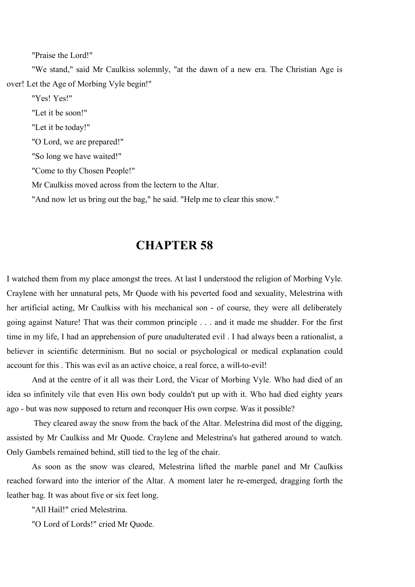"Praise the Lord!"

"We stand," said Mr Caulkiss solemnly, "at the dawn of a new era. The Christian Age is over! Let the Age of Morbing Vyle begin!"

"Yes! Yes!" "Let it be soon!" "Let it be today!" "O Lord, we are prepared!" "So long we have waited!" "Come to thy Chosen People!" Mr Caulkiss moved across from the lectern to the Altar. "And now let us bring out the bag," he said. "Help me to clear this snow."

## **CHAPTER 58**

I watched them from my place amongst the trees. At last I understood the religion of Morbing Vyle. Craylene with her unnatural pets, Mr Quode with his peverted food and sexuality, Melestrina with her artificial acting, Mr Caulkiss with his mechanical son - of course, they were all deliberately going against Nature! That was their common principle . . . and it made me shudder. For the first time in my life, I had an apprehension of pure unadulterated evil . I had always been a rationalist, a believer in scientific determinism. But no social or psychological or medical explanation could account for this . This was evil as an active choice, a real force, a will-to-evil!

And at the centre of it all was their Lord, the Vicar of Morbing Vyle. Who had died of an idea so infinitely vile that even His own body couldn't put up with it. Who had died eighty years ago - but was now supposed to return and reconquer His own corpse. Was it possible?

 They cleared away the snow from the back of the Altar. Melestrina did most of the digging, assisted by Mr Caulkiss and Mr Quode. Craylene and Melestrina's hat gathered around to watch. Only Gambels remained behind, still tied to the leg of the chair.

As soon as the snow was cleared, Melestrina lifted the marble panel and Mr Caulkiss reached forward into the interior of the Altar. A moment later he re-emerged, dragging forth the leather bag. It was about five or six feet long.

"All Hail!" cried Melestrina.

"O Lord of Lords!" cried Mr Quode.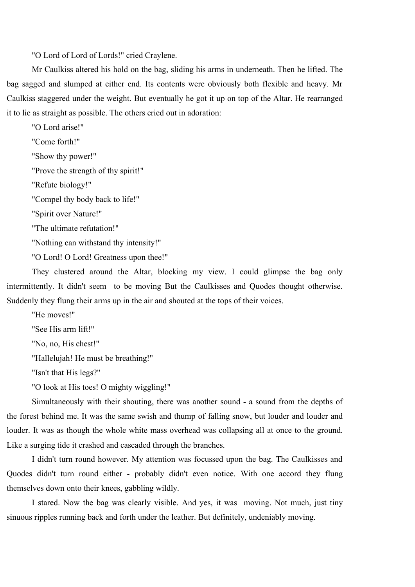"O Lord of Lord of Lords!" cried Craylene.

Mr Caulkiss altered his hold on the bag, sliding his arms in underneath. Then he lifted. The bag sagged and slumped at either end. Its contents were obviously both flexible and heavy. Mr Caulkiss staggered under the weight. But eventually he got it up on top of the Altar. He rearranged it to lie as straight as possible. The others cried out in adoration:

"O Lord arise!"

"Come forth!"

"Show thy power!"

"Prove the strength of thy spirit!"

"Refute biology!"

"Compel thy body back to life!"

"Spirit over Nature!"

"The ultimate refutation!"

"Nothing can withstand thy intensity!"

"O Lord! O Lord! Greatness upon thee!"

They clustered around the Altar, blocking my view. I could glimpse the bag only intermittently. It didn't seem to be moving But the Caulkisses and Quodes thought otherwise. Suddenly they flung their arms up in the air and shouted at the tops of their voices.

"He moves!"

"See His arm lift!"

"No, no, His chest!"

"Hallelujah! He must be breathing!"

"Isn't that His legs?"

"O look at His toes! O mighty wiggling!"

Simultaneously with their shouting, there was another sound - a sound from the depths of the forest behind me. It was the same swish and thump of falling snow, but louder and louder and louder. It was as though the whole white mass overhead was collapsing all at once to the ground. Like a surging tide it crashed and cascaded through the branches.

I didn't turn round however. My attention was focussed upon the bag. The Caulkisses and Quodes didn't turn round either - probably didn't even notice. With one accord they flung themselves down onto their knees, gabbling wildly.

I stared. Now the bag was clearly visible. And yes, it was moving. Not much, just tiny sinuous ripples running back and forth under the leather. But definitely, undeniably moving.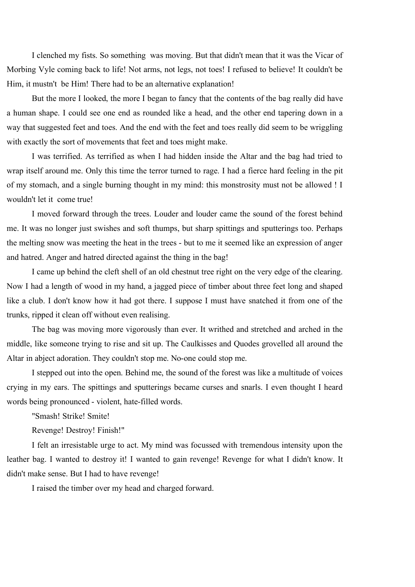I clenched my fists. So something was moving. But that didn't mean that it was the Vicar of Morbing Vyle coming back to life! Not arms, not legs, not toes! I refused to believe! It couldn't be Him, it mustn't be Him! There had to be an alternative explanation!

But the more I looked, the more I began to fancy that the contents of the bag really did have a human shape. I could see one end as rounded like a head, and the other end tapering down in a way that suggested feet and toes. And the end with the feet and toes really did seem to be wriggling with exactly the sort of movements that feet and toes might make.

I was terrified. As terrified as when I had hidden inside the Altar and the bag had tried to wrap itself around me. Only this time the terror turned to rage. I had a fierce hard feeling in the pit of my stomach, and a single burning thought in my mind: this monstrosity must not be allowed ! I wouldn't let it come true!

I moved forward through the trees. Louder and louder came the sound of the forest behind me. It was no longer just swishes and soft thumps, but sharp spittings and sputterings too. Perhaps the melting snow was meeting the heat in the trees - but to me it seemed like an expression of anger and hatred. Anger and hatred directed against the thing in the bag!

I came up behind the cleft shell of an old chestnut tree right on the very edge of the clearing. Now I had a length of wood in my hand, a jagged piece of timber about three feet long and shaped like a club. I don't know how it had got there. I suppose I must have snatched it from one of the trunks, ripped it clean off without even realising.

The bag was moving more vigorously than ever. It writhed and stretched and arched in the middle, like someone trying to rise and sit up. The Caulkisses and Quodes grovelled all around the Altar in abject adoration. They couldn't stop me. No-one could stop me.

I stepped out into the open. Behind me, the sound of the forest was like a multitude of voices crying in my ears. The spittings and sputterings became curses and snarls. I even thought I heard words being pronounced - violent, hate-filled words.

"Smash! Strike! Smite!

Revenge! Destroy! Finish!"

I felt an irresistable urge to act. My mind was focussed with tremendous intensity upon the leather bag. I wanted to destroy it! I wanted to gain revenge! Revenge for what I didn't know. It didn't make sense. But I had to have revenge!

I raised the timber over my head and charged forward.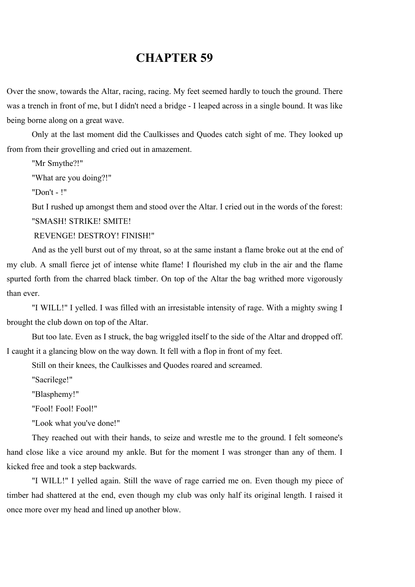## **CHAPTER 59**

Over the snow, towards the Altar, racing, racing. My feet seemed hardly to touch the ground. There was a trench in front of me, but I didn't need a bridge - I leaped across in a single bound. It was like being borne along on a great wave.

Only at the last moment did the Caulkisses and Quodes catch sight of me. They looked up from from their grovelling and cried out in amazement.

"Mr Smythe?!"

"What are you doing?!"

"Don't - !"

But I rushed up amongst them and stood over the Altar. I cried out in the words of the forest: "SMASH! STRIKE! SMITE!

REVENGE! DESTROY! FINISH!"

And as the yell burst out of my throat, so at the same instant a flame broke out at the end of my club. A small fierce jet of intense white flame! I flourished my club in the air and the flame spurted forth from the charred black timber. On top of the Altar the bag writhed more vigorously than ever.

"I WILL!" I yelled. I was filled with an irresistable intensity of rage. With a mighty swing I brought the club down on top of the Altar.

But too late. Even as I struck, the bag wriggled itself to the side of the Altar and dropped off. I caught it a glancing blow on the way down. It fell with a flop in front of my feet.

Still on their knees, the Caulkisses and Quodes roared and screamed.

"Sacrilege!"

"Blasphemy!"

"Fool! Fool! Fool!"

"Look what you've done!"

They reached out with their hands, to seize and wrestle me to the ground. I felt someone's hand close like a vice around my ankle. But for the moment I was stronger than any of them. I kicked free and took a step backwards.

"I WILL!" I yelled again. Still the wave of rage carried me on. Even though my piece of timber had shattered at the end, even though my club was only half its original length. I raised it once more over my head and lined up another blow.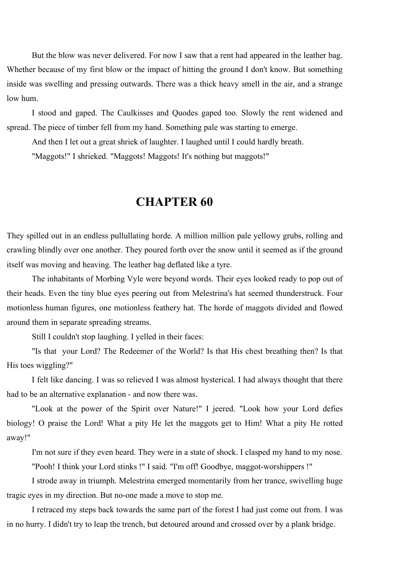But the blow was never delivered. For now I saw that a rent had appeared in the leather bag. Whether because of my first blow or the impact of hitting the ground I don't know. But something inside was swelling and pressing outwards. There was a thick heavy smell in the air, and a strange low hum.

I stood and gaped. The Caulkisses and Quodes gaped too. Slowly the rent widened and spread. The piece of timber fell from my hand. Something pale was starting to emerge.

And then I let out a great shriek of laughter. I laughed until I could hardly breath.

"Maggots!" I shrieked. "Maggots! Maggots! It's nothing but maggots!"

# **CHAPTER 60**

They spilled out in an endless pullullating horde. A million million pale yellowy grubs, rolling and crawling blindly over one another. They poured forth over the snow until it seemed as if the ground itself was moving and heaving. The leather bag deflated like a tyre.

The inhabitants of Morbing Vyle were beyond words. Their eyes looked ready to pop out of their heads. Even the tiny blue eyes peering out from Melestrina's hat seemed thunderstruck. Four motionless human figures, one motionless feathery hat. The horde of maggots divided and flowed around them in separate spreading streams.

Still I couldn't stop laughing. I yelled in their faces:

"Is that your Lord? The Redeemer of the World? Is that His chest breathing then? Is that His toes wiggling?"

I felt like dancing. I was so relieved I was almost hysterical. I had always thought that there had to be an alternative explanation - and now there was.

"Look at the power of the Spirit over Nature!" I jeered. "Look how your Lord defies biology! O praise the Lord! What a pity He let the maggots get to Him! What a pity He rotted away!"

I'm not sure if they even heard. They were in a state of shock. I clasped my hand to my nose.

"Pooh! I think your Lord stinks !" I said. "I'm off! Goodbye, maggot-worshippers !"

I strode away in triumph. Melestrina emerged momentarily from her trance, swivelling huge tragic eyes in my direction. But no-one made a move to stop me.

I retraced my steps back towards the same part of the forest I had just come out from. I was in no hurry. I didn't try to leap the trench, but detoured around and crossed over by a plank bridge.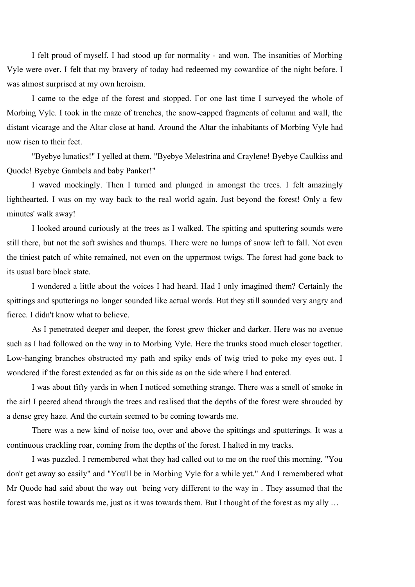I felt proud of myself. I had stood up for normality - and won. The insanities of Morbing Vyle were over. I felt that my bravery of today had redeemed my cowardice of the night before. I was almost surprised at my own heroism.

I came to the edge of the forest and stopped. For one last time I surveyed the whole of Morbing Vyle. I took in the maze of trenches, the snow-capped fragments of column and wall, the distant vicarage and the Altar close at hand. Around the Altar the inhabitants of Morbing Vyle had now risen to their feet.

"Byebye lunatics!" I yelled at them. "Byebye Melestrina and Craylene! Byebye Caulkiss and Quode! Byebye Gambels and baby Panker!"

I waved mockingly. Then I turned and plunged in amongst the trees. I felt amazingly lighthearted. I was on my way back to the real world again. Just beyond the forest! Only a few minutes' walk away!

I looked around curiously at the trees as I walked. The spitting and sputtering sounds were still there, but not the soft swishes and thumps. There were no lumps of snow left to fall. Not even the tiniest patch of white remained, not even on the uppermost twigs. The forest had gone back to its usual bare black state.

I wondered a little about the voices I had heard. Had I only imagined them? Certainly the spittings and sputterings no longer sounded like actual words. But they still sounded very angry and fierce. I didn't know what to believe.

As I penetrated deeper and deeper, the forest grew thicker and darker. Here was no avenue such as I had followed on the way in to Morbing Vyle. Here the trunks stood much closer together. Low-hanging branches obstructed my path and spiky ends of twig tried to poke my eyes out. I wondered if the forest extended as far on this side as on the side where I had entered.

I was about fifty yards in when I noticed something strange. There was a smell of smoke in the air! I peered ahead through the trees and realised that the depths of the forest were shrouded by a dense grey haze. And the curtain seemed to be coming towards me.

There was a new kind of noise too, over and above the spittings and sputterings. It was a continuous crackling roar, coming from the depths of the forest. I halted in my tracks.

I was puzzled. I remembered what they had called out to me on the roof this morning. "You don't get away so easily" and "You'll be in Morbing Vyle for a while yet." And I remembered what Mr Quode had said about the way out being very different to the way in . They assumed that the forest was hostile towards me, just as it was towards them. But I thought of the forest as my ally …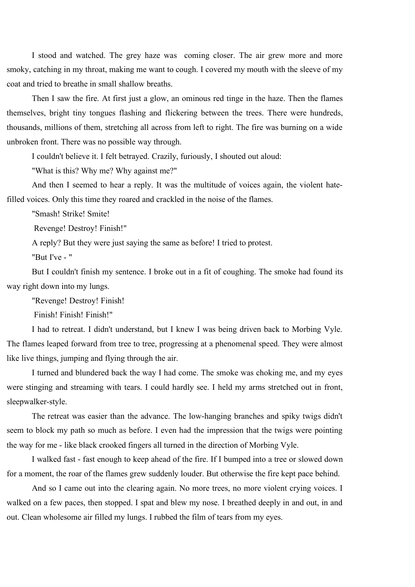I stood and watched. The grey haze was coming closer. The air grew more and more smoky, catching in my throat, making me want to cough. I covered my mouth with the sleeve of my coat and tried to breathe in small shallow breaths.

Then I saw the fire. At first just a glow, an ominous red tinge in the haze. Then the flames themselves, bright tiny tongues flashing and flickering between the trees. There were hundreds, thousands, millions of them, stretching all across from left to right. The fire was burning on a wide unbroken front. There was no possible way through.

I couldn't believe it. I felt betrayed. Crazily, furiously, I shouted out aloud:

"What is this? Why me? Why against me?"

And then I seemed to hear a reply. It was the multitude of voices again, the violent hatefilled voices. Only this time they roared and crackled in the noise of the flames.

"Smash! Strike! Smite!

Revenge! Destroy! Finish!"

A reply? But they were just saying the same as before! I tried to protest.

"But I've - "

But I couldn't finish my sentence. I broke out in a fit of coughing. The smoke had found its way right down into my lungs.

"Revenge! Destroy! Finish!

Finish! Finish! Finish!"

I had to retreat. I didn't understand, but I knew I was being driven back to Morbing Vyle. The flames leaped forward from tree to tree, progressing at a phenomenal speed. They were almost like live things, jumping and flying through the air.

I turned and blundered back the way I had come. The smoke was choking me, and my eyes were stinging and streaming with tears. I could hardly see. I held my arms stretched out in front, sleepwalker-style.

The retreat was easier than the advance. The low-hanging branches and spiky twigs didn't seem to block my path so much as before. I even had the impression that the twigs were pointing the way for me - like black crooked fingers all turned in the direction of Morbing Vyle.

I walked fast - fast enough to keep ahead of the fire. If I bumped into a tree or slowed down for a moment, the roar of the flames grew suddenly louder. But otherwise the fire kept pace behind.

And so I came out into the clearing again. No more trees, no more violent crying voices. I walked on a few paces, then stopped. I spat and blew my nose. I breathed deeply in and out, in and out. Clean wholesome air filled my lungs. I rubbed the film of tears from my eyes.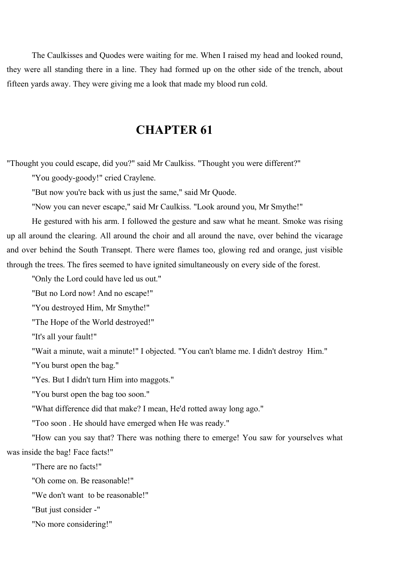The Caulkisses and Quodes were waiting for me. When I raised my head and looked round, they were all standing there in a line. They had formed up on the other side of the trench, about fifteen yards away. They were giving me a look that made my blood run cold.

### **CHAPTER 61**

"Thought you could escape, did you?" said Mr Caulkiss. "Thought you were different?"

"You goody-goody!" cried Craylene.

"But now you're back with us just the same," said Mr Quode.

"Now you can never escape," said Mr Caulkiss. "Look around you, Mr Smythe!"

He gestured with his arm. I followed the gesture and saw what he meant. Smoke was rising up all around the clearing. All around the choir and all around the nave, over behind the vicarage and over behind the South Transept. There were flames too, glowing red and orange, just visible through the trees. The fires seemed to have ignited simultaneously on every side of the forest.

"Only the Lord could have led us out."

"But no Lord now! And no escape!"

"You destroyed Him, Mr Smythe!"

"The Hope of the World destroyed!"

"It's all your fault!"

"Wait a minute, wait a minute!" I objected. "You can't blame me. I didn't destroy Him."

"You burst open the bag."

"Yes. But I didn't turn Him into maggots."

"You burst open the bag too soon."

"What difference did that make? I mean, He'd rotted away long ago."

"Too soon . He should have emerged when He was ready."

"How can you say that? There was nothing there to emerge! You saw for yourselves what was inside the bag! Face facts!"

"There are no facts!"

"Oh come on. Be reasonable!"

"We don't want to be reasonable!"

"But just consider -"

"No more considering!"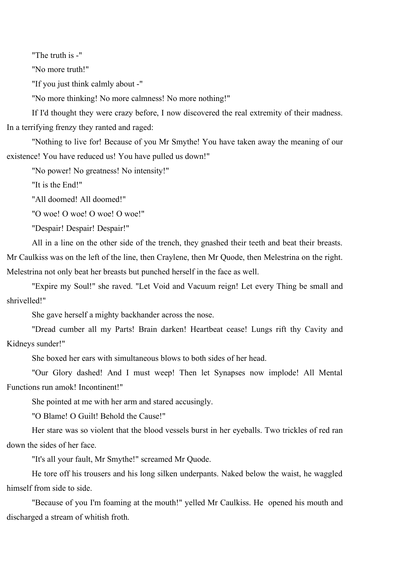"The truth is -"

"No more truth!"

"If you just think calmly about -"

"No more thinking! No more calmness! No more nothing!"

If I'd thought they were crazy before, I now discovered the real extremity of their madness. In a terrifying frenzy they ranted and raged:

"Nothing to live for! Because of you Mr Smythe! You have taken away the meaning of our existence! You have reduced us! You have pulled us down!"

"No power! No greatness! No intensity!"

"It is the End!"

"All doomed! All doomed!"

"O woe! O woe! O woe! O woe!"

"Despair! Despair! Despair!"

All in a line on the other side of the trench, they gnashed their teeth and beat their breasts. Mr Caulkiss was on the left of the line, then Craylene, then Mr Quode, then Melestrina on the right. Melestrina not only beat her breasts but punched herself in the face as well.

"Expire my Soul!" she raved. "Let Void and Vacuum reign! Let every Thing be small and shrivelled!"

She gave herself a mighty backhander across the nose.

"Dread cumber all my Parts! Brain darken! Heartbeat cease! Lungs rift thy Cavity and Kidneys sunder!"

She boxed her ears with simultaneous blows to both sides of her head.

"Our Glory dashed! And I must weep! Then let Synapses now implode! All Mental Functions run amok! Incontinent!"

She pointed at me with her arm and stared accusingly.

"O Blame! O Guilt! Behold the Cause!"

Her stare was so violent that the blood vessels burst in her eyeballs. Two trickles of red ran down the sides of her face.

"It's all your fault, Mr Smythe!" screamed Mr Quode.

He tore off his trousers and his long silken underpants. Naked below the waist, he waggled himself from side to side.

"Because of you I'm foaming at the mouth!" yelled Mr Caulkiss. He opened his mouth and discharged a stream of whitish froth.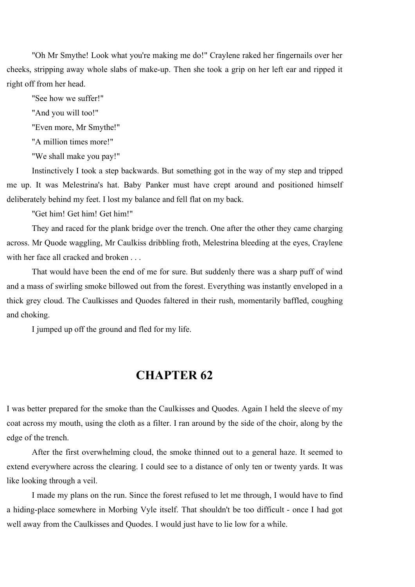"Oh Mr Smythe! Look what you're making me do!" Craylene raked her fingernails over her cheeks, stripping away whole slabs of make-up. Then she took a grip on her left ear and ripped it right off from her head.

"See how we suffer!"

"And you will too!"

"Even more, Mr Smythe!"

"A million times more!"

"We shall make you pay!"

Instinctively I took a step backwards. But something got in the way of my step and tripped me up. It was Melestrina's hat. Baby Panker must have crept around and positioned himself deliberately behind my feet. I lost my balance and fell flat on my back.

"Get him! Get him! Get him!"

They and raced for the plank bridge over the trench. One after the other they came charging across. Mr Quode waggling, Mr Caulkiss dribbling froth, Melestrina bleeding at the eyes, Craylene with her face all cracked and broken . . .

That would have been the end of me for sure. But suddenly there was a sharp puff of wind and a mass of swirling smoke billowed out from the forest. Everything was instantly enveloped in a thick grey cloud. The Caulkisses and Quodes faltered in their rush, momentarily baffled, coughing and choking.

I jumped up off the ground and fled for my life.

## **CHAPTER 62**

I was better prepared for the smoke than the Caulkisses and Quodes. Again I held the sleeve of my coat across my mouth, using the cloth as a filter. I ran around by the side of the choir, along by the edge of the trench.

After the first overwhelming cloud, the smoke thinned out to a general haze. It seemed to extend everywhere across the clearing. I could see to a distance of only ten or twenty yards. It was like looking through a veil.

I made my plans on the run. Since the forest refused to let me through, I would have to find a hiding-place somewhere in Morbing Vyle itself. That shouldn't be too difficult - once I had got well away from the Caulkisses and Quodes. I would just have to lie low for a while.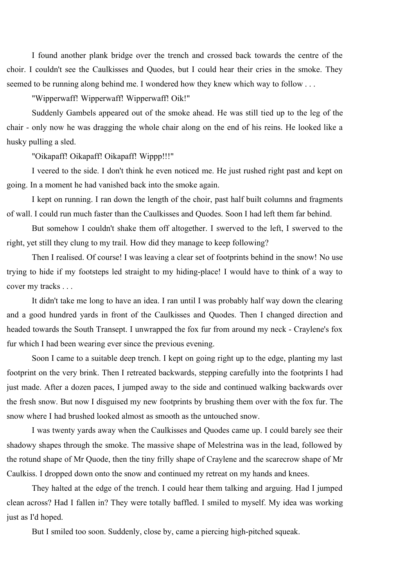I found another plank bridge over the trench and crossed back towards the centre of the choir. I couldn't see the Caulkisses and Quodes, but I could hear their cries in the smoke. They seemed to be running along behind me. I wondered how they knew which way to follow . . .

"Wipperwaff! Wipperwaff! Wipperwaff! Oik!"

Suddenly Gambels appeared out of the smoke ahead. He was still tied up to the leg of the chair - only now he was dragging the whole chair along on the end of his reins. He looked like a husky pulling a sled.

"Oikapaff! Oikapaff! Oikapaff! Wippp!!!"

I veered to the side. I don't think he even noticed me. He just rushed right past and kept on going. In a moment he had vanished back into the smoke again.

I kept on running. I ran down the length of the choir, past half built columns and fragments of wall. I could run much faster than the Caulkisses and Quodes. Soon I had left them far behind.

But somehow I couldn't shake them off altogether. I swerved to the left, I swerved to the right, yet still they clung to my trail. How did they manage to keep following?

Then I realised. Of course! I was leaving a clear set of footprints behind in the snow! No use trying to hide if my footsteps led straight to my hiding-place! I would have to think of a way to cover my tracks . . .

It didn't take me long to have an idea. I ran until I was probably half way down the clearing and a good hundred yards in front of the Caulkisses and Quodes. Then I changed direction and headed towards the South Transept. I unwrapped the fox fur from around my neck - Craylene's fox fur which I had been wearing ever since the previous evening.

Soon I came to a suitable deep trench. I kept on going right up to the edge, planting my last footprint on the very brink. Then I retreated backwards, stepping carefully into the footprints I had just made. After a dozen paces, I jumped away to the side and continued walking backwards over the fresh snow. But now I disguised my new footprints by brushing them over with the fox fur. The snow where I had brushed looked almost as smooth as the untouched snow.

I was twenty yards away when the Caulkisses and Quodes came up. I could barely see their shadowy shapes through the smoke. The massive shape of Melestrina was in the lead, followed by the rotund shape of Mr Quode, then the tiny frilly shape of Craylene and the scarecrow shape of Mr Caulkiss. I dropped down onto the snow and continued my retreat on my hands and knees.

They halted at the edge of the trench. I could hear them talking and arguing. Had I jumped clean across? Had I fallen in? They were totally baffled. I smiled to myself. My idea was working just as I'd hoped.

But I smiled too soon. Suddenly, close by, came a piercing high-pitched squeak.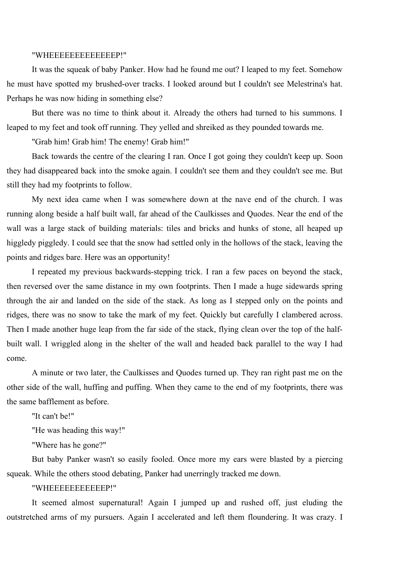#### "WHEEEEEEEEEEEEEP!"

It was the squeak of baby Panker. How had he found me out? I leaped to my feet. Somehow he must have spotted my brushed-over tracks. I looked around but I couldn't see Melestrina's hat. Perhaps he was now hiding in something else?

But there was no time to think about it. Already the others had turned to his summons. I leaped to my feet and took off running. They yelled and shreiked as they pounded towards me.

"Grab him! Grab him! The enemy! Grab him!"

Back towards the centre of the clearing I ran. Once I got going they couldn't keep up. Soon they had disappeared back into the smoke again. I couldn't see them and they couldn't see me. But still they had my footprints to follow.

My next idea came when I was somewhere down at the nave end of the church. I was running along beside a half built wall, far ahead of the Caulkisses and Quodes. Near the end of the wall was a large stack of building materials: tiles and bricks and hunks of stone, all heaped up higgledy piggledy. I could see that the snow had settled only in the hollows of the stack, leaving the points and ridges bare. Here was an opportunity!

I repeated my previous backwards-stepping trick. I ran a few paces on beyond the stack, then reversed over the same distance in my own footprints. Then I made a huge sidewards spring through the air and landed on the side of the stack. As long as I stepped only on the points and ridges, there was no snow to take the mark of my feet. Quickly but carefully I clambered across. Then I made another huge leap from the far side of the stack, flying clean over the top of the halfbuilt wall. I wriggled along in the shelter of the wall and headed back parallel to the way I had come.

A minute or two later, the Caulkisses and Quodes turned up. They ran right past me on the other side of the wall, huffing and puffing. When they came to the end of my footprints, there was the same bafflement as before.

"It can't be!"

"He was heading this way!"

"Where has he gone?"

But baby Panker wasn't so easily fooled. Once more my ears were blasted by a piercing squeak. While the others stood debating, Panker had unerringly tracked me down.

"WHEEEEEEEEEEEP!"

It seemed almost supernatural! Again I jumped up and rushed off, just eluding the outstretched arms of my pursuers. Again I accelerated and left them floundering. It was crazy. I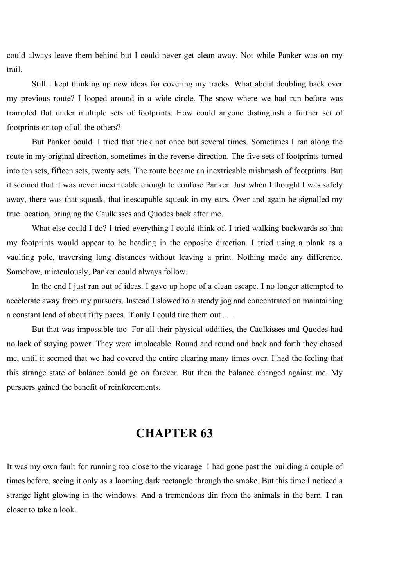could always leave them behind but I could never get clean away. Not while Panker was on my trail.

Still I kept thinking up new ideas for covering my tracks. What about doubling back over my previous route? I looped around in a wide circle. The snow where we had run before was trampled flat under multiple sets of footprints. How could anyone distinguish a further set of footprints on top of all the others?

But Panker oould. I tried that trick not once but several times. Sometimes I ran along the route in my original direction, sometimes in the reverse direction. The five sets of footprints turned into ten sets, fifteen sets, twenty sets. The route became an inextricable mishmash of footprints. But it seemed that it was never inextricable enough to confuse Panker. Just when I thought I was safely away, there was that squeak, that inescapable squeak in my ears. Over and again he signalled my true location, bringing the Caulkisses and Quodes back after me.

What else could I do? I tried everything I could think of. I tried walking backwards so that my footprints would appear to be heading in the opposite direction. I tried using a plank as a vaulting pole, traversing long distances without leaving a print. Nothing made any difference. Somehow, miraculously, Panker could always follow.

In the end I just ran out of ideas. I gave up hope of a clean escape. I no longer attempted to accelerate away from my pursuers. Instead I slowed to a steady jog and concentrated on maintaining a constant lead of about fifty paces. If only I could tire them out . . .

But that was impossible too. For all their physical oddities, the Caulkisses and Quodes had no lack of staying power. They were implacable. Round and round and back and forth they chased me, until it seemed that we had covered the entire clearing many times over. I had the feeling that this strange state of balance could go on forever. But then the balance changed against me. My pursuers gained the benefit of reinforcements.

# **CHAPTER 63**

It was my own fault for running too close to the vicarage. I had gone past the building a couple of times before, seeing it only as a looming dark rectangle through the smoke. But this time I noticed a strange light glowing in the windows. And a tremendous din from the animals in the barn. I ran closer to take a look.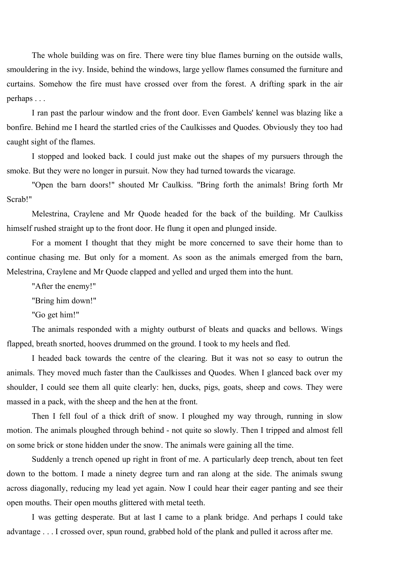The whole building was on fire. There were tiny blue flames burning on the outside walls, smouldering in the ivy. Inside, behind the windows, large yellow flames consumed the furniture and curtains. Somehow the fire must have crossed over from the forest. A drifting spark in the air perhaps . . .

I ran past the parlour window and the front door. Even Gambels' kennel was blazing like a bonfire. Behind me I heard the startled cries of the Caulkisses and Quodes. Obviously they too had caught sight of the flames.

I stopped and looked back. I could just make out the shapes of my pursuers through the smoke. But they were no longer in pursuit. Now they had turned towards the vicarage.

"Open the barn doors!" shouted Mr Caulkiss. "Bring forth the animals! Bring forth Mr Scrab!"

Melestrina, Craylene and Mr Quode headed for the back of the building. Mr Caulkiss himself rushed straight up to the front door. He flung it open and plunged inside.

For a moment I thought that they might be more concerned to save their home than to continue chasing me. But only for a moment. As soon as the animals emerged from the barn, Melestrina, Craylene and Mr Quode clapped and yelled and urged them into the hunt.

"After the enemy!"

"Bring him down!"

"Go get him!"

The animals responded with a mighty outburst of bleats and quacks and bellows. Wings flapped, breath snorted, hooves drummed on the ground. I took to my heels and fled.

I headed back towards the centre of the clearing. But it was not so easy to outrun the animals. They moved much faster than the Caulkisses and Quodes. When I glanced back over my shoulder, I could see them all quite clearly: hen, ducks, pigs, goats, sheep and cows. They were massed in a pack, with the sheep and the hen at the front.

Then I fell foul of a thick drift of snow. I ploughed my way through, running in slow motion. The animals ploughed through behind - not quite so slowly. Then I tripped and almost fell on some brick or stone hidden under the snow. The animals were gaining all the time.

Suddenly a trench opened up right in front of me. A particularly deep trench, about ten feet down to the bottom. I made a ninety degree turn and ran along at the side. The animals swung across diagonally, reducing my lead yet again. Now I could hear their eager panting and see their open mouths. Their open mouths glittered with metal teeth.

I was getting desperate. But at last I came to a plank bridge. And perhaps I could take advantage . . . I crossed over, spun round, grabbed hold of the plank and pulled it across after me.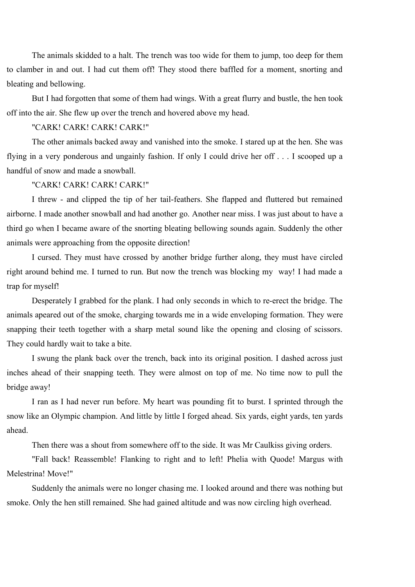The animals skidded to a halt. The trench was too wide for them to jump, too deep for them to clamber in and out. I had cut them off! They stood there baffled for a moment, snorting and bleating and bellowing.

But I had forgotten that some of them had wings. With a great flurry and bustle, the hen took off into the air. She flew up over the trench and hovered above my head.

### "CARK! CARK! CARK! CARK!"

The other animals backed away and vanished into the smoke. I stared up at the hen. She was flying in a very ponderous and ungainly fashion. If only I could drive her off . . . I scooped up a handful of snow and made a snowball.

### "CARK! CARK! CARK! CARK!"

I threw - and clipped the tip of her tail-feathers. She flapped and fluttered but remained airborne. I made another snowball and had another go. Another near miss. I was just about to have a third go when I became aware of the snorting bleating bellowing sounds again. Suddenly the other animals were approaching from the opposite direction!

I cursed. They must have crossed by another bridge further along, they must have circled right around behind me. I turned to run. But now the trench was blocking my way! I had made a trap for myself!

Desperately I grabbed for the plank. I had only seconds in which to re-erect the bridge. The animals apeared out of the smoke, charging towards me in a wide enveloping formation. They were snapping their teeth together with a sharp metal sound like the opening and closing of scissors. They could hardly wait to take a bite.

I swung the plank back over the trench, back into its original position. I dashed across just inches ahead of their snapping teeth. They were almost on top of me. No time now to pull the bridge away!

I ran as I had never run before. My heart was pounding fit to burst. I sprinted through the snow like an Olympic champion. And little by little I forged ahead. Six yards, eight yards, ten yards ahead.

Then there was a shout from somewhere off to the side. It was Mr Caulkiss giving orders.

"Fall back! Reassemble! Flanking to right and to left! Phelia with Quode! Margus with Melestrina! Move!"

Suddenly the animals were no longer chasing me. I looked around and there was nothing but smoke. Only the hen still remained. She had gained altitude and was now circling high overhead.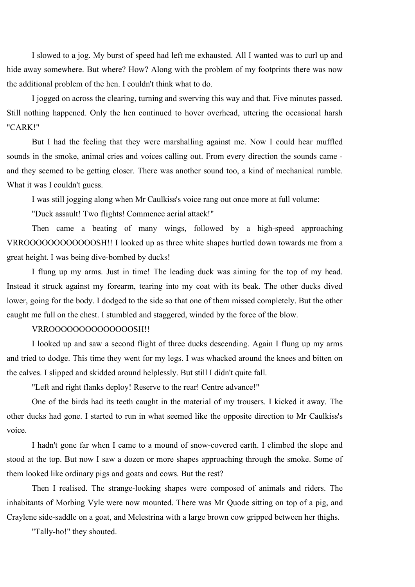I slowed to a jog. My burst of speed had left me exhausted. All I wanted was to curl up and hide away somewhere. But where? How? Along with the problem of my footprints there was now the additional problem of the hen. I couldn't think what to do.

I jogged on across the clearing, turning and swerving this way and that. Five minutes passed. Still nothing happened. Only the hen continued to hover overhead, uttering the occasional harsh "CARK!"

But I had the feeling that they were marshalling against me. Now I could hear muffled sounds in the smoke, animal cries and voices calling out. From every direction the sounds came and they seemed to be getting closer. There was another sound too, a kind of mechanical rumble. What it was I couldn't guess.

I was still jogging along when Mr Caulkiss's voice rang out once more at full volume:

"Duck assault! Two flights! Commence aerial attack!"

Then came a beating of many wings, followed by a high-speed approaching VRROOOOOOOOOOOOSH!! I looked up as three white shapes hurtled down towards me from a great height. I was being dive-bombed by ducks!

I flung up my arms. Just in time! The leading duck was aiming for the top of my head. Instead it struck against my forearm, tearing into my coat with its beak. The other ducks dived lower, going for the body. I dodged to the side so that one of them missed completely. But the other caught me full on the chest. I stumbled and staggered, winded by the force of the blow.

### VRROOOOOOOOOOOOOOSH!!

I looked up and saw a second flight of three ducks descending. Again I flung up my arms and tried to dodge. This time they went for my legs. I was whacked around the knees and bitten on the calves. I slipped and skidded around helplessly. But still I didn't quite fall.

"Left and right flanks deploy! Reserve to the rear! Centre advance!"

One of the birds had its teeth caught in the material of my trousers. I kicked it away. The other ducks had gone. I started to run in what seemed like the opposite direction to Mr Caulkiss's voice.

I hadn't gone far when I came to a mound of snow-covered earth. I climbed the slope and stood at the top. But now I saw a dozen or more shapes approaching through the smoke. Some of them looked like ordinary pigs and goats and cows. But the rest?

Then I realised. The strange-looking shapes were composed of animals and riders. The inhabitants of Morbing Vyle were now mounted. There was Mr Quode sitting on top of a pig, and Craylene side-saddle on a goat, and Melestrina with a large brown cow gripped between her thighs.

"Tally-ho!" they shouted.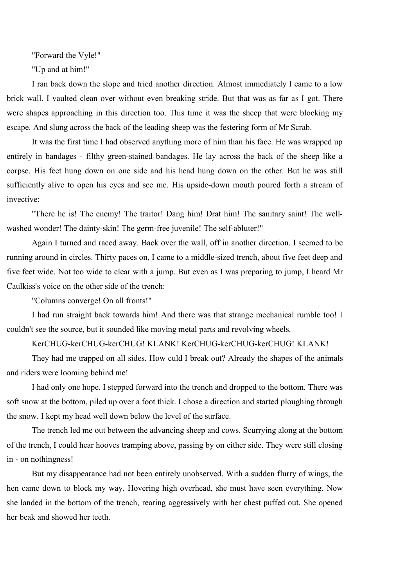"Forward the Vyle!"

"Up and at him!"

I ran back down the slope and tried another direction. Almost immediately I came to a low brick wall. I vaulted clean over without even breaking stride. But that was as far as I got. There were shapes approaching in this direction too. This time it was the sheep that were blocking my escape. And slung across the back of the leading sheep was the festering form of Mr Scrab.

It was the first time I had observed anything more of him than his face. He was wrapped up entirely in bandages - filthy green-stained bandages. He lay across the back of the sheep like a corpse. His feet hung down on one side and his head hung down on the other. But he was still sufficiently alive to open his eyes and see me. His upside-down mouth poured forth a stream of invective:

"There he is! The enemy! The traitor! Dang him! Drat him! The sanitary saint! The wellwashed wonder! The dainty-skin! The germ-free juvenile! The self-abluter!"

Again I turned and raced away. Back over the wall, off in another direction. I seemed to be running around in circles. Thirty paces on, I came to a middle-sized trench, about five feet deep and five feet wide. Not too wide to clear with a jump. But even as I was preparing to jump, I heard Mr Caulkiss's voice on the other side of the trench:

"Columns converge! On all fronts!"

I had run straight back towards him! And there was that strange mechanical rumble too! I couldn't see the source, but it sounded like moving metal parts and revolving wheels.

### KerCHUG-kerCHUG-kerCHUG! KLANK! KerCHUG-kerCHUG-kerCHUG! KLANK!

They had me trapped on all sides. How culd I break out? Already the shapes of the animals and riders were looming behind me!

I had only one hope. I stepped forward into the trench and dropped to the bottom. There was soft snow at the bottom, piled up over a foot thick. I chose a direction and started ploughing through the snow. I kept my head well down below the level of the surface.

The trench led me out between the advancing sheep and cows. Scurrying along at the bottom of the trench, I could hear hooves tramping above, passing by on either side. They were still closing in - on nothingness!

But my disappearance had not been entirely unobserved. With a sudden flurry of wings, the hen came down to block my way. Hovering high overhead, she must have seen everything. Now she landed in the bottom of the trench, rearing aggressively with her chest puffed out. She opened her beak and showed her teeth.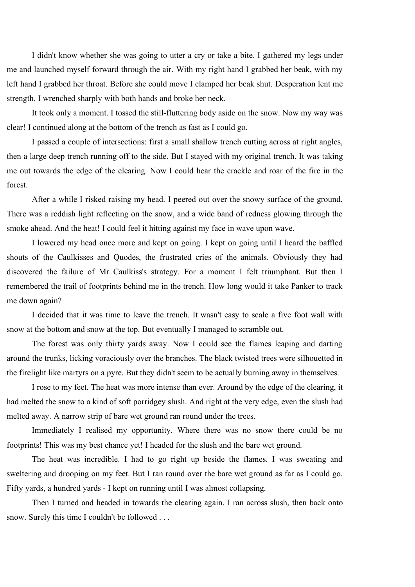I didn't know whether she was going to utter a cry or take a bite. I gathered my legs under me and launched myself forward through the air. With my right hand I grabbed her beak, with my left hand I grabbed her throat. Before she could move I clamped her beak shut. Desperation lent me strength. I wrenched sharply with both hands and broke her neck.

It took only a moment. I tossed the still-fluttering body aside on the snow. Now my way was clear! I continued along at the bottom of the trench as fast as I could go.

I passed a couple of intersections: first a small shallow trench cutting across at right angles, then a large deep trench running off to the side. But I stayed with my original trench. It was taking me out towards the edge of the clearing. Now I could hear the crackle and roar of the fire in the forest.

After a while I risked raising my head. I peered out over the snowy surface of the ground. There was a reddish light reflecting on the snow, and a wide band of redness glowing through the smoke ahead. And the heat! I could feel it hitting against my face in wave upon wave.

I lowered my head once more and kept on going. I kept on going until I heard the baffled shouts of the Caulkisses and Quodes, the frustrated cries of the animals. Obviously they had discovered the failure of Mr Caulkiss's strategy. For a moment I felt triumphant. But then I remembered the trail of footprints behind me in the trench. How long would it take Panker to track me down again?

I decided that it was time to leave the trench. It wasn't easy to scale a five foot wall with snow at the bottom and snow at the top. But eventually I managed to scramble out.

The forest was only thirty yards away. Now I could see the flames leaping and darting around the trunks, licking voraciously over the branches. The black twisted trees were silhouetted in the firelight like martyrs on a pyre. But they didn't seem to be actually burning away in themselves.

I rose to my feet. The heat was more intense than ever. Around by the edge of the clearing, it had melted the snow to a kind of soft porridgey slush. And right at the very edge, even the slush had melted away. A narrow strip of bare wet ground ran round under the trees.

Immediately I realised my opportunity. Where there was no snow there could be no footprints! This was my best chance yet! I headed for the slush and the bare wet ground.

The heat was incredible. I had to go right up beside the flames. I was sweating and sweltering and drooping on my feet. But I ran round over the bare wet ground as far as I could go. Fifty yards, a hundred yards - I kept on running until I was almost collapsing.

Then I turned and headed in towards the clearing again. I ran across slush, then back onto snow. Surely this time I couldn't be followed . . .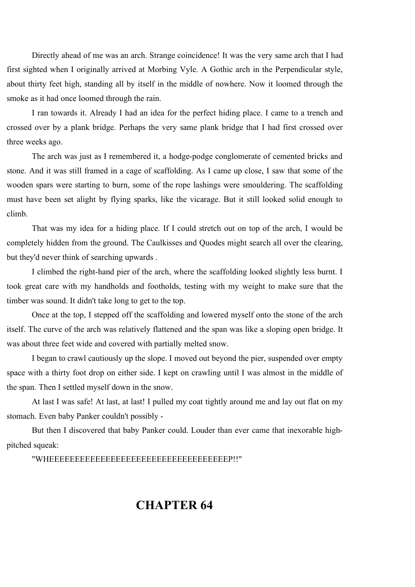Directly ahead of me was an arch. Strange coincidence! It was the very same arch that I had first sighted when I originally arrived at Morbing Vyle. A Gothic arch in the Perpendicular style, about thirty feet high, standing all by itself in the middle of nowhere. Now it loomed through the smoke as it had once loomed through the rain.

I ran towards it. Already I had an idea for the perfect hiding place. I came to a trench and crossed over by a plank bridge. Perhaps the very same plank bridge that I had first crossed over three weeks ago.

The arch was just as I remembered it, a hodge-podge conglomerate of cemented bricks and stone. And it was still framed in a cage of scaffolding. As I came up close, I saw that some of the wooden spars were starting to burn, some of the rope lashings were smouldering. The scaffolding must have been set alight by flying sparks, like the vicarage. But it still looked solid enough to climb.

That was my idea for a hiding place. If I could stretch out on top of the arch, I would be completely hidden from the ground. The Caulkisses and Quodes might search all over the clearing, but they'd never think of searching upwards .

I climbed the right-hand pier of the arch, where the scaffolding looked slightly less burnt. I took great care with my handholds and footholds, testing with my weight to make sure that the timber was sound. It didn't take long to get to the top.

Once at the top, I stepped off the scaffolding and lowered myself onto the stone of the arch itself. The curve of the arch was relatively flattened and the span was like a sloping open bridge. It was about three feet wide and covered with partially melted snow.

I began to crawl cautiously up the slope. I moved out beyond the pier, suspended over empty space with a thirty foot drop on either side. I kept on crawling until I was almost in the middle of the span. Then I settled myself down in the snow.

At last I was safe! At last, at last! I pulled my coat tightly around me and lay out flat on my stomach. Even baby Panker couldn't possibly -

But then I discovered that baby Panker could. Louder than ever came that inexorable highpitched squeak:

"WHEEEEEEEEEEEEEEEEEEEEEEEEEEEEEEEEEEEP!!"

# **CHAPTER 64**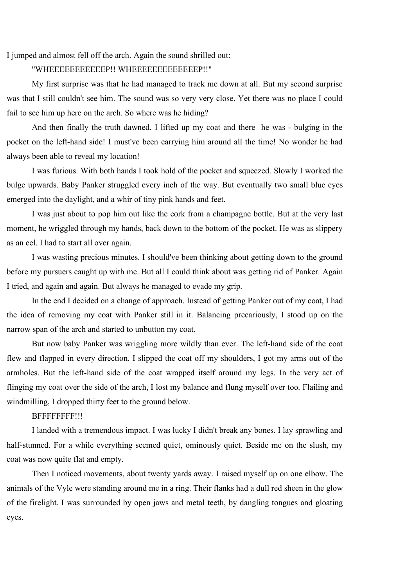I jumped and almost fell off the arch. Again the sound shrilled out:

### "WHEEEEEEEEEEEP!! WHEEEEEEEEEEEEEP!!"

My first surprise was that he had managed to track me down at all. But my second surprise was that I still couldn't see him. The sound was so very very close. Yet there was no place I could fail to see him up here on the arch. So where was he hiding?

And then finally the truth dawned. I lifted up my coat and there he was - bulging in the pocket on the left-hand side! I must've been carrying him around all the time! No wonder he had always been able to reveal my location!

I was furious. With both hands I took hold of the pocket and squeezed. Slowly I worked the bulge upwards. Baby Panker struggled every inch of the way. But eventually two small blue eyes emerged into the daylight, and a whir of tiny pink hands and feet.

I was just about to pop him out like the cork from a champagne bottle. But at the very last moment, he wriggled through my hands, back down to the bottom of the pocket. He was as slippery as an eel. I had to start all over again.

I was wasting precious minutes. I should've been thinking about getting down to the ground before my pursuers caught up with me. But all I could think about was getting rid of Panker. Again I tried, and again and again. But always he managed to evade my grip.

In the end I decided on a change of approach. Instead of getting Panker out of my coat, I had the idea of removing my coat with Panker still in it. Balancing precariously, I stood up on the narrow span of the arch and started to unbutton my coat.

But now baby Panker was wriggling more wildly than ever. The left-hand side of the coat flew and flapped in every direction. I slipped the coat off my shoulders, I got my arms out of the armholes. But the left-hand side of the coat wrapped itself around my legs. In the very act of flinging my coat over the side of the arch, I lost my balance and flung myself over too. Flailing and windmilling, I dropped thirty feet to the ground below.

### BFFFFFFFF!!!

I landed with a tremendous impact. I was lucky I didn't break any bones. I lay sprawling and half-stunned. For a while everything seemed quiet, ominously quiet. Beside me on the slush, my coat was now quite flat and empty.

Then I noticed movements, about twenty yards away. I raised myself up on one elbow. The animals of the Vyle were standing around me in a ring. Their flanks had a dull red sheen in the glow of the firelight. I was surrounded by open jaws and metal teeth, by dangling tongues and gloating eyes.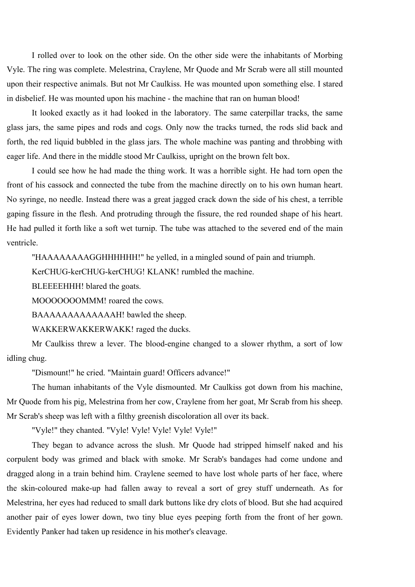I rolled over to look on the other side. On the other side were the inhabitants of Morbing Vyle. The ring was complete. Melestrina, Craylene, Mr Quode and Mr Scrab were all still mounted upon their respective animals. But not Mr Caulkiss. He was mounted upon something else. I stared in disbelief. He was mounted upon his machine - the machine that ran on human blood!

It looked exactly as it had looked in the laboratory. The same caterpillar tracks, the same glass jars, the same pipes and rods and cogs. Only now the tracks turned, the rods slid back and forth, the red liquid bubbled in the glass jars. The whole machine was panting and throbbing with eager life. And there in the middle stood Mr Caulkiss, upright on the brown felt box.

I could see how he had made the thing work. It was a horrible sight. He had torn open the front of his cassock and connected the tube from the machine directly on to his own human heart. No syringe, no needle. Instead there was a great jagged crack down the side of his chest, a terrible gaping fissure in the flesh. And protruding through the fissure, the red rounded shape of his heart. He had pulled it forth like a soft wet turnip. The tube was attached to the severed end of the main ventricle.

"HAAAAAAAAGGHHHHHH!" he yelled, in a mingled sound of pain and triumph.

KerCHUG-kerCHUG-kerCHUG! KLANK! rumbled the machine.

BLEEEEHHH! blared the goats.

MOOOOOOOMMM! roared the cows.

BAAAAAAAAAAAAAH! bawled the sheep.

WAKKERWAKKERWAKK! raged the ducks.

Mr Caulkiss threw a lever. The blood-engine changed to a slower rhythm, a sort of low idling chug.

"Dismount!" he cried. "Maintain guard! Officers advance!"

The human inhabitants of the Vyle dismounted. Mr Caulkiss got down from his machine, Mr Quode from his pig, Melestrina from her cow, Craylene from her goat, Mr Scrab from his sheep. Mr Scrab's sheep was left with a filthy greenish discoloration all over its back.

"Vyle!" they chanted. "Vyle! Vyle! Vyle! Vyle! Vyle!"

They began to advance across the slush. Mr Quode had stripped himself naked and his corpulent body was grimed and black with smoke. Mr Scrab's bandages had come undone and dragged along in a train behind him. Craylene seemed to have lost whole parts of her face, where the skin-coloured make-up had fallen away to reveal a sort of grey stuff underneath. As for Melestrina, her eyes had reduced to small dark buttons like dry clots of blood. But she had acquired another pair of eyes lower down, two tiny blue eyes peeping forth from the front of her gown. Evidently Panker had taken up residence in his mother's cleavage.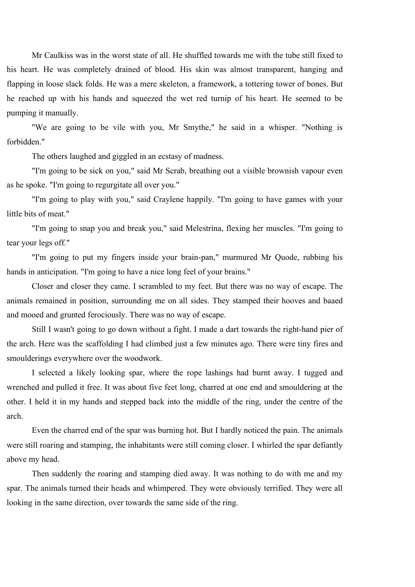Mr Caulkiss was in the worst state of all. He shuffled towards me with the tube still fixed to his heart. He was completely drained of blood. His skin was almost transparent, hanging and flapping in loose slack folds. He was a mere skeleton, a framework, a tottering tower of bones. But he reached up with his hands and squeezed the wet red turnip of his heart. He seemed to be pumping it manually.

"We are going to be vile with you, Mr Smythe," he said in a whisper. "Nothing is forbidden."

The others laughed and giggled in an ecstasy of madness.

"I'm going to be sick on you," said Mr Scrab, breathing out a visible brownish vapour even as he spoke. "I'm going to regurgitate all over you."

"I'm going to play with you," said Craylene happily. "I'm going to have games with your little bits of meat."

"I'm going to snap you and break you," said Melestrina, flexing her muscles. "I'm going to tear your legs off."

"I'm going to put my fingers inside your brain-pan," murmured Mr Quode, rubbing his hands in anticipation. "I'm going to have a nice long feel of your brains."

Closer and closer they came. I scrambled to my feet. But there was no way of escape. The animals remained in position, surrounding me on all sides. They stamped their hooves and baaed and mooed and grunted ferociously. There was no way of escape.

Still I wasn't going to go down without a fight. I made a dart towards the right-hand pier of the arch. Here was the scaffolding I had climbed just a few minutes ago. There were tiny fires and smoulderings everywhere over the woodwork.

I selected a likely looking spar, where the rope lashings had burnt away. I tugged and wrenched and pulled it free. It was about five feet long, charred at one end and smouldering at the other. I held it in my hands and stepped back into the middle of the ring, under the centre of the arch.

Even the charred end of the spar was burning hot. But I hardly noticed the pain. The animals were still roaring and stamping, the inhabitants were still coming closer. I whirled the spar defiantly above my head.

Then suddenly the roaring and stamping died away. It was nothing to do with me and my spar. The animals turned their heads and whimpered. They were obviously terrified. They were all looking in the same direction, over towards the same side of the ring.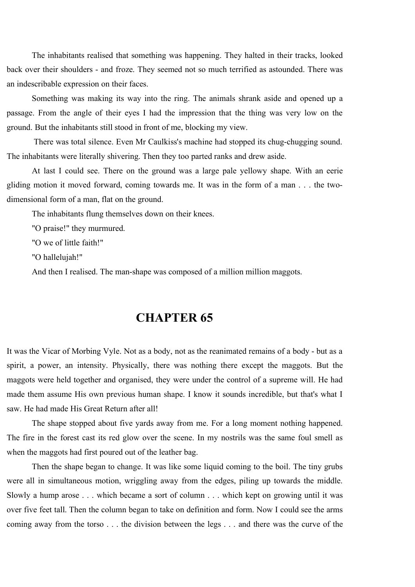The inhabitants realised that something was happening. They halted in their tracks, looked back over their shoulders - and froze. They seemed not so much terrified as astounded. There was an indescribable expression on their faces.

Something was making its way into the ring. The animals shrank aside and opened up a passage. From the angle of their eyes I had the impression that the thing was very low on the ground. But the inhabitants still stood in front of me, blocking my view.

 There was total silence. Even Mr Caulkiss's machine had stopped its chug-chugging sound. The inhabitants were literally shivering. Then they too parted ranks and drew aside.

At last I could see. There on the ground was a large pale yellowy shape. With an eerie gliding motion it moved forward, coming towards me. It was in the form of a man . . . the twodimensional form of a man, flat on the ground.

The inhabitants flung themselves down on their knees.

"O praise!" they murmured.

"O we of little faith!"

"O hallelujah!"

And then I realised. The man-shape was composed of a million million maggots.

# **CHAPTER 65**

It was the Vicar of Morbing Vyle. Not as a body, not as the reanimated remains of a body - but as a spirit, a power, an intensity. Physically, there was nothing there except the maggots. But the maggots were held together and organised, they were under the control of a supreme will. He had made them assume His own previous human shape. I know it sounds incredible, but that's what I saw. He had made His Great Return after all!

The shape stopped about five yards away from me. For a long moment nothing happened. The fire in the forest cast its red glow over the scene. In my nostrils was the same foul smell as when the maggots had first poured out of the leather bag.

Then the shape began to change. It was like some liquid coming to the boil. The tiny grubs were all in simultaneous motion, wriggling away from the edges, piling up towards the middle. Slowly a hump arose . . . which became a sort of column . . . which kept on growing until it was over five feet tall. Then the column began to take on definition and form. Now I could see the arms coming away from the torso . . . the division between the legs . . . and there was the curve of the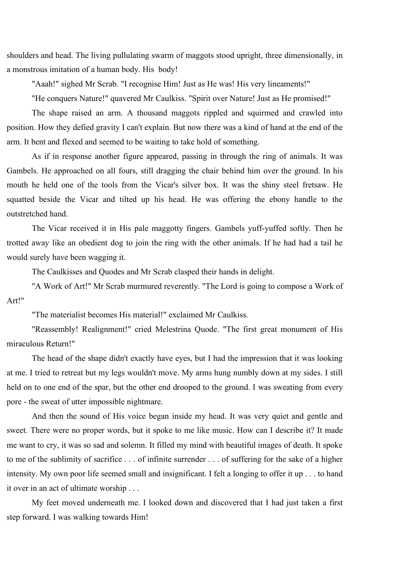shoulders and head. The living pullulating swarm of maggots stood upright, three dimensionally, in a monstrous imitation of a human body. His body!

"Aaah!" sighed Mr Scrab. "I recognise Him! Just as He was! His very lineaments!"

"He conquers Nature!" quavered Mr Caulkiss. "Spirit over Nature! Just as He promised!"

The shape raised an arm. A thousand maggots rippled and squirmed and crawled into position. How they defied gravity I can't explain. But now there was a kind of hand at the end of the arm. It bent and flexed and seemed to be waiting to take hold of something.

As if in response another figure appeared, passing in through the ring of animals. It was Gambels. He approached on all fours, still dragging the chair behind him over the ground. In his mouth he held one of the tools from the Vicar's silver box. It was the shiny steel fretsaw. He squatted beside the Vicar and tilted up his head. He was offering the ebony handle to the outstretched hand.

The Vicar received it in His pale maggotty fingers. Gambels yuff-yuffed softly. Then he trotted away like an obedient dog to join the ring with the other animals. If he had had a tail he would surely have been wagging it.

The Caulkisses and Quodes and Mr Scrab clasped their hands in delight.

"A Work of Art!" Mr Scrab murmured reverently. "The Lord is going to compose a Work of Art!"

"The materialist becomes His material!" exclaimed Mr Caulkiss.

"Reassembly! Realignment!" cried Melestrina Quode. "The first great monument of His miraculous Return!"

The head of the shape didn't exactly have eyes, but I had the impression that it was looking at me. I tried to retreat but my legs wouldn't move. My arms hung numbly down at my sides. I still held on to one end of the spar, but the other end drooped to the ground. I was sweating from every pore - the sweat of utter impossible nightmare.

And then the sound of His voice began inside my head. It was very quiet and gentle and sweet. There were no proper words, but it spoke to me like music. How can I describe it? It made me want to cry, it was so sad and solemn. It filled my mind with beautiful images of death. It spoke to me of the sublimity of sacrifice . . . of infinite surrender . . . of suffering for the sake of a higher intensity. My own poor life seemed small and insignificant. I felt a longing to offer it up . . . to hand it over in an act of ultimate worship . . .

My feet moved underneath me. I looked down and discovered that I had just taken a first step forward. I was walking towards Him!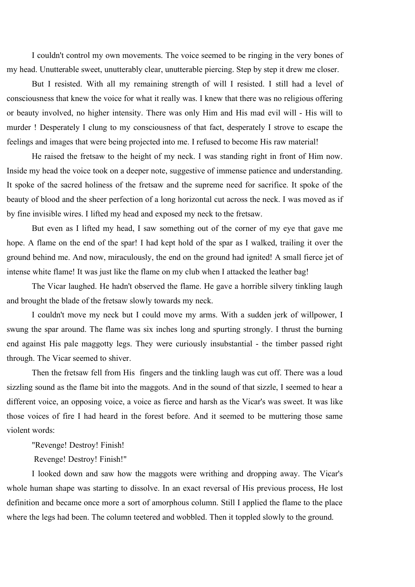I couldn't control my own movements. The voice seemed to be ringing in the very bones of my head. Unutterable sweet, unutterably clear, unutterable piercing. Step by step it drew me closer.

But I resisted. With all my remaining strength of will I resisted. I still had a level of consciousness that knew the voice for what it really was. I knew that there was no religious offering or beauty involved, no higher intensity. There was only Him and His mad evil will - His will to murder ! Desperately I clung to my consciousness of that fact, desperately I strove to escape the feelings and images that were being projected into me. I refused to become His raw material!

He raised the fretsaw to the height of my neck. I was standing right in front of Him now. Inside my head the voice took on a deeper note, suggestive of immense patience and understanding. It spoke of the sacred holiness of the fretsaw and the supreme need for sacrifice. It spoke of the beauty of blood and the sheer perfection of a long horizontal cut across the neck. I was moved as if by fine invisible wires. I lifted my head and exposed my neck to the fretsaw.

But even as I lifted my head, I saw something out of the corner of my eye that gave me hope. A flame on the end of the spar! I had kept hold of the spar as I walked, trailing it over the ground behind me. And now, miraculously, the end on the ground had ignited! A small fierce jet of intense white flame! It was just like the flame on my club when I attacked the leather bag!

The Vicar laughed. He hadn't observed the flame. He gave a horrible silvery tinkling laugh and brought the blade of the fretsaw slowly towards my neck.

I couldn't move my neck but I could move my arms. With a sudden jerk of willpower, I swung the spar around. The flame was six inches long and spurting strongly. I thrust the burning end against His pale maggotty legs. They were curiously insubstantial - the timber passed right through. The Vicar seemed to shiver.

Then the fretsaw fell from His fingers and the tinkling laugh was cut off. There was a loud sizzling sound as the flame bit into the maggots. And in the sound of that sizzle, I seemed to hear a different voice, an opposing voice, a voice as fierce and harsh as the Vicar's was sweet. It was like those voices of fire I had heard in the forest before. And it seemed to be muttering those same violent words:

"Revenge! Destroy! Finish!

Revenge! Destroy! Finish!"

I looked down and saw how the maggots were writhing and dropping away. The Vicar's whole human shape was starting to dissolve. In an exact reversal of His previous process, He lost definition and became once more a sort of amorphous column. Still I applied the flame to the place where the legs had been. The column teetered and wobbled. Then it toppled slowly to the ground.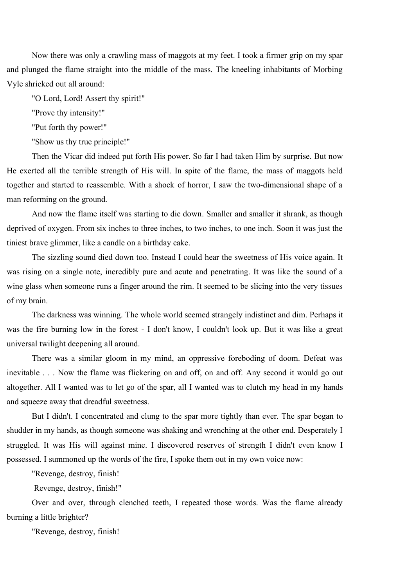Now there was only a crawling mass of maggots at my feet. I took a firmer grip on my spar and plunged the flame straight into the middle of the mass. The kneeling inhabitants of Morbing Vyle shrieked out all around:

"O Lord, Lord! Assert thy spirit!"

"Prove thy intensity!"

"Put forth thy power!"

"Show us thy true principle!"

Then the Vicar did indeed put forth His power. So far I had taken Him by surprise. But now He exerted all the terrible strength of His will. In spite of the flame, the mass of maggots held together and started to reassemble. With a shock of horror, I saw the two-dimensional shape of a man reforming on the ground.

And now the flame itself was starting to die down. Smaller and smaller it shrank, as though deprived of oxygen. From six inches to three inches, to two inches, to one inch. Soon it was just the tiniest brave glimmer, like a candle on a birthday cake.

The sizzling sound died down too. Instead I could hear the sweetness of His voice again. It was rising on a single note, incredibly pure and acute and penetrating. It was like the sound of a wine glass when someone runs a finger around the rim. It seemed to be slicing into the very tissues of my brain.

The darkness was winning. The whole world seemed strangely indistinct and dim. Perhaps it was the fire burning low in the forest - I don't know, I couldn't look up. But it was like a great universal twilight deepening all around.

There was a similar gloom in my mind, an oppressive foreboding of doom. Defeat was inevitable . . . Now the flame was flickering on and off, on and off. Any second it would go out altogether. All I wanted was to let go of the spar, all I wanted was to clutch my head in my hands and squeeze away that dreadful sweetness.

But I didn't. I concentrated and clung to the spar more tightly than ever. The spar began to shudder in my hands, as though someone was shaking and wrenching at the other end. Desperately I struggled. It was His will against mine. I discovered reserves of strength I didn't even know I possessed. I summoned up the words of the fire, I spoke them out in my own voice now:

"Revenge, destroy, finish!

Revenge, destroy, finish!"

Over and over, through clenched teeth, I repeated those words. Was the flame already burning a little brighter?

"Revenge, destroy, finish!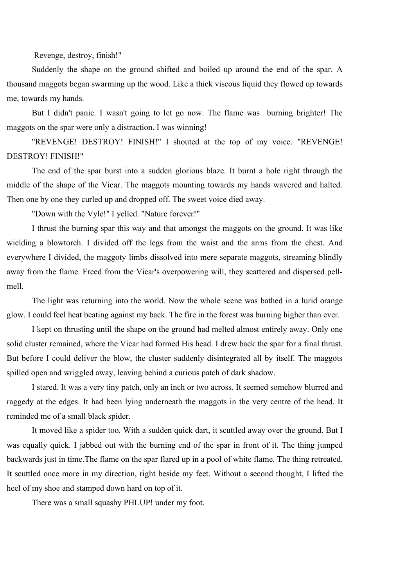Revenge, destroy, finish!"

Suddenly the shape on the ground shifted and boiled up around the end of the spar. A thousand maggots began swarming up the wood. Like a thick viscous liquid they flowed up towards me, towards my hands.

But I didn't panic. I wasn't going to let go now. The flame was burning brighter! The maggots on the spar were only a distraction. I was winning!

"REVENGE! DESTROY! FINISH!" I shouted at the top of my voice. "REVENGE! DESTROY! FINISH!"

The end of the spar burst into a sudden glorious blaze. It burnt a hole right through the middle of the shape of the Vicar. The maggots mounting towards my hands wavered and halted. Then one by one they curled up and dropped off. The sweet voice died away.

"Down with the Vyle!" I yelled. "Nature forever!"

I thrust the burning spar this way and that amongst the maggots on the ground. It was like wielding a blowtorch. I divided off the legs from the waist and the arms from the chest. And everywhere I divided, the maggoty limbs dissolved into mere separate maggots, streaming blindly away from the flame. Freed from the Vicar's overpowering will, they scattered and dispersed pellmell.

The light was returning into the world. Now the whole scene was bathed in a lurid orange glow. I could feel heat beating against my back. The fire in the forest was burning higher than ever.

I kept on thrusting until the shape on the ground had melted almost entirely away. Only one solid cluster remained, where the Vicar had formed His head. I drew back the spar for a final thrust. But before I could deliver the blow, the cluster suddenly disintegrated all by itself. The maggots spilled open and wriggled away, leaving behind a curious patch of dark shadow.

I stared. It was a very tiny patch, only an inch or two across. It seemed somehow blurred and raggedy at the edges. It had been lying underneath the maggots in the very centre of the head. It reminded me of a small black spider.

It moved like a spider too. With a sudden quick dart, it scuttled away over the ground. But I was equally quick. I jabbed out with the burning end of the spar in front of it. The thing jumped backwards just in time.The flame on the spar flared up in a pool of white flame. The thing retreated. It scuttled once more in my direction, right beside my feet. Without a second thought, I lifted the heel of my shoe and stamped down hard on top of it.

There was a small squashy PHLUP! under my foot.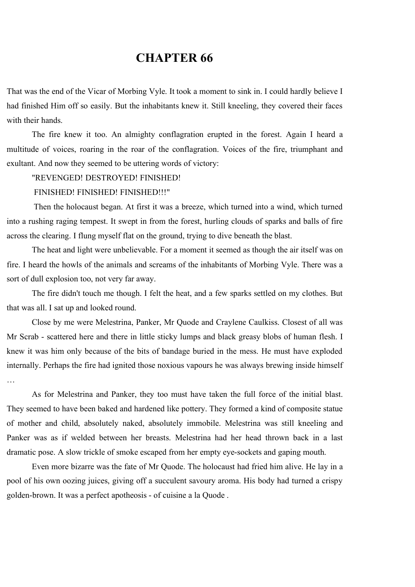# **CHAPTER 66**

That was the end of the Vicar of Morbing Vyle. It took a moment to sink in. I could hardly believe I had finished Him off so easily. But the inhabitants knew it. Still kneeling, they covered their faces with their hands.

The fire knew it too. An almighty conflagration erupted in the forest. Again I heard a multitude of voices, roaring in the roar of the conflagration. Voices of the fire, triumphant and exultant. And now they seemed to be uttering words of victory:

### "REVENGED! DESTROYED! FINISHED!

### FINISHED! FINISHED! FINISHED!!!"

 Then the holocaust began. At first it was a breeze, which turned into a wind, which turned into a rushing raging tempest. It swept in from the forest, hurling clouds of sparks and balls of fire across the clearing. I flung myself flat on the ground, trying to dive beneath the blast.

The heat and light were unbelievable. For a moment it seemed as though the air itself was on fire. I heard the howls of the animals and screams of the inhabitants of Morbing Vyle. There was a sort of dull explosion too, not very far away.

The fire didn't touch me though. I felt the heat, and a few sparks settled on my clothes. But that was all. I sat up and looked round.

Close by me were Melestrina, Panker, Mr Quode and Craylene Caulkiss. Closest of all was Mr Scrab - scattered here and there in little sticky lumps and black greasy blobs of human flesh. I knew it was him only because of the bits of bandage buried in the mess. He must have exploded internally. Perhaps the fire had ignited those noxious vapours he was always brewing inside himself …

As for Melestrina and Panker, they too must have taken the full force of the initial blast. They seemed to have been baked and hardened like pottery. They formed a kind of composite statue of mother and child, absolutely naked, absolutely immobile. Melestrina was still kneeling and Panker was as if welded between her breasts. Melestrina had her head thrown back in a last dramatic pose. A slow trickle of smoke escaped from her empty eye-sockets and gaping mouth.

Even more bizarre was the fate of Mr Quode. The holocaust had fried him alive. He lay in a pool of his own oozing juices, giving off a succulent savoury aroma. His body had turned a crispy golden-brown. It was a perfect apotheosis - of cuisine a la Quode .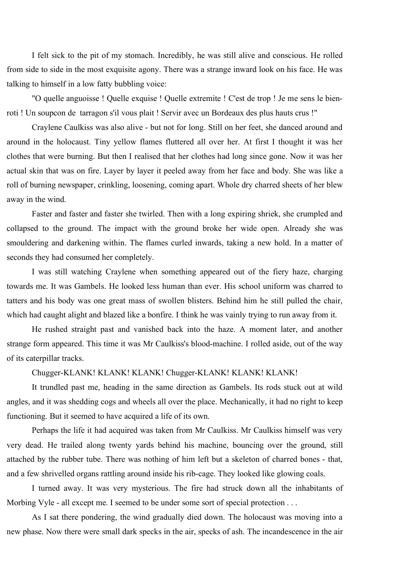I felt sick to the pit of my stomach. Incredibly, he was still alive and conscious. He rolled from side to side in the most exquisite agony. There was a strange inward look on his face. He was talking to himself in a low fatty bubbling voice:

"O quelle anguoisse ! Quelle exquise ! Quelle extremite ! C'est de trop ! Je me sens le bienroti ! Un soupcon de tarragon s'il vous plait ! Servir avec un Bordeaux des plus hauts crus !"

Craylene Caulkiss was also alive - but not for long. Still on her feet, she danced around and around in the holocaust. Tiny yellow flames fluttered all over her. At first I thought it was her clothes that were burning. But then I realised that her clothes had long since gone. Now it was her actual skin that was on fire. Layer by layer it peeled away from her face and body. She was like a roll of burning newspaper, crinkling, loosening, coming apart. Whole dry charred sheets of her blew away in the wind.

Faster and faster and faster she twirled. Then with a long expiring shriek, she crumpled and collapsed to the ground. The impact with the ground broke her wide open. Already she was smouldering and darkening within. The flames curled inwards, taking a new hold. In a matter of seconds they had consumed her completely.

I was still watching Craylene when something appeared out of the fiery haze, charging towards me. It was Gambels. He looked less human than ever. His school uniform was charred to tatters and his body was one great mass of swollen blisters. Behind him he still pulled the chair, which had caught alight and blazed like a bonfire. I think he was vainly trying to run away from it.

He rushed straight past and vanished back into the haze. A moment later, and another strange form appeared. This time it was Mr Caulkiss's blood-machine. I rolled aside, out of the way of its caterpillar tracks.

### Chugger-KLANK! KLANK! KLANK! Chugger-KLANK! KLANK! KLANK!

It trundled past me, heading in the same direction as Gambels. Its rods stuck out at wild angles, and it was shedding cogs and wheels all over the place. Mechanically, it had no right to keep functioning. But it seemed to have acquired a life of its own.

Perhaps the life it had acquired was taken from Mr Caulkiss. Mr Caulkiss himself was very very dead. He trailed along twenty yards behind his machine, bouncing over the ground, still attached by the rubber tube. There was nothing of him left but a skeleton of charred bones - that, and a few shrivelled organs rattling around inside his rib-cage. They looked like glowing coals.

I turned away. It was very mysterious. The fire had struck down all the inhabitants of Morbing Vyle - all except me. I seemed to be under some sort of special protection . . .

As I sat there pondering, the wind gradually died down. The holocaust was moving into a new phase. Now there were small dark specks in the air, specks of ash. The incandescence in the air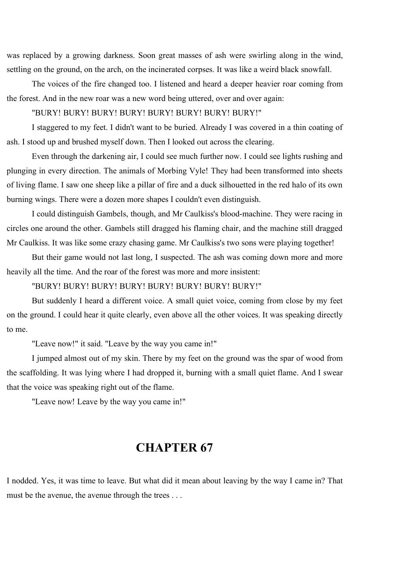was replaced by a growing darkness. Soon great masses of ash were swirling along in the wind, settling on the ground, on the arch, on the incinerated corpses. It was like a weird black snowfall.

The voices of the fire changed too. I listened and heard a deeper heavier roar coming from the forest. And in the new roar was a new word being uttered, over and over again:

## "BURY! BURY! BURY! BURY! BURY! BURY! BURY! BURY!"

I staggered to my feet. I didn't want to be buried. Already I was covered in a thin coating of ash. I stood up and brushed myself down. Then I looked out across the clearing.

Even through the darkening air, I could see much further now. I could see lights rushing and plunging in every direction. The animals of Morbing Vyle! They had been transformed into sheets of living flame. I saw one sheep like a pillar of fire and a duck silhouetted in the red halo of its own burning wings. There were a dozen more shapes I couldn't even distinguish.

I could distinguish Gambels, though, and Mr Caulkiss's blood-machine. They were racing in circles one around the other. Gambels still dragged his flaming chair, and the machine still dragged Mr Caulkiss. It was like some crazy chasing game. Mr Caulkiss's two sons were playing together!

But their game would not last long, I suspected. The ash was coming down more and more heavily all the time. And the roar of the forest was more and more insistent:

"BURY! BURY! BURY! BURY! BURY! BURY! BURY! BURY!"

But suddenly I heard a different voice. A small quiet voice, coming from close by my feet on the ground. I could hear it quite clearly, even above all the other voices. It was speaking directly to me.

"Leave now!" it said. "Leave by the way you came in!"

I jumped almost out of my skin. There by my feet on the ground was the spar of wood from the scaffolding. It was lying where I had dropped it, burning with a small quiet flame. And I swear that the voice was speaking right out of the flame.

"Leave now! Leave by the way you came in!"

# **CHAPTER 67**

I nodded. Yes, it was time to leave. But what did it mean about leaving by the way I came in? That must be the avenue, the avenue through the trees ...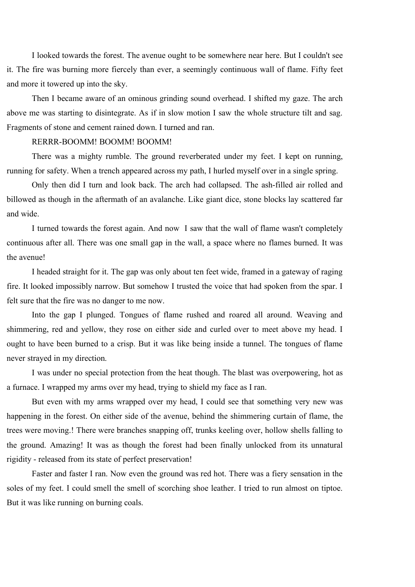I looked towards the forest. The avenue ought to be somewhere near here. But I couldn't see it. The fire was burning more fiercely than ever, a seemingly continuous wall of flame. Fifty feet and more it towered up into the sky.

Then I became aware of an ominous grinding sound overhead. I shifted my gaze. The arch above me was starting to disintegrate. As if in slow motion I saw the whole structure tilt and sag. Fragments of stone and cement rained down. I turned and ran.

### RERRR-BOOMM! BOOMM! BOOMM!

There was a mighty rumble. The ground reverberated under my feet. I kept on running, running for safety. When a trench appeared across my path, I hurled myself over in a single spring.

Only then did I turn and look back. The arch had collapsed. The ash-filled air rolled and billowed as though in the aftermath of an avalanche. Like giant dice, stone blocks lay scattered far and wide.

I turned towards the forest again. And now I saw that the wall of flame wasn't completely continuous after all. There was one small gap in the wall, a space where no flames burned. It was the avenue!

I headed straight for it. The gap was only about ten feet wide, framed in a gateway of raging fire. It looked impossibly narrow. But somehow I trusted the voice that had spoken from the spar. I felt sure that the fire was no danger to me now.

Into the gap I plunged. Tongues of flame rushed and roared all around. Weaving and shimmering, red and yellow, they rose on either side and curled over to meet above my head. I ought to have been burned to a crisp. But it was like being inside a tunnel. The tongues of flame never strayed in my direction.

I was under no special protection from the heat though. The blast was overpowering, hot as a furnace. I wrapped my arms over my head, trying to shield my face as I ran.

But even with my arms wrapped over my head, I could see that something very new was happening in the forest. On either side of the avenue, behind the shimmering curtain of flame, the trees were moving.! There were branches snapping off, trunks keeling over, hollow shells falling to the ground. Amazing! It was as though the forest had been finally unlocked from its unnatural rigidity - released from its state of perfect preservation!

Faster and faster I ran. Now even the ground was red hot. There was a fiery sensation in the soles of my feet. I could smell the smell of scorching shoe leather. I tried to run almost on tiptoe. But it was like running on burning coals.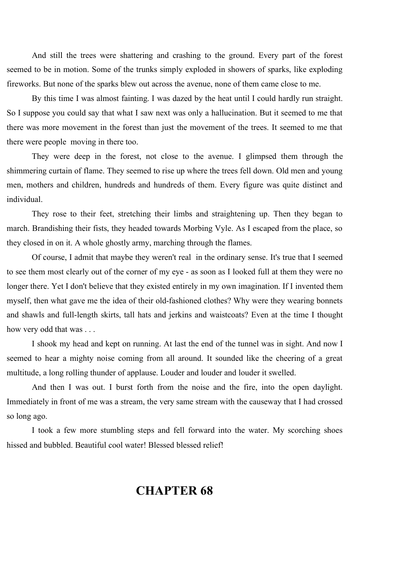And still the trees were shattering and crashing to the ground. Every part of the forest seemed to be in motion. Some of the trunks simply exploded in showers of sparks, like exploding fireworks. But none of the sparks blew out across the avenue, none of them came close to me.

By this time I was almost fainting. I was dazed by the heat until I could hardly run straight. So I suppose you could say that what I saw next was only a hallucination. But it seemed to me that there was more movement in the forest than just the movement of the trees. It seemed to me that there were people moving in there too.

They were deep in the forest, not close to the avenue. I glimpsed them through the shimmering curtain of flame. They seemed to rise up where the trees fell down. Old men and young men, mothers and children, hundreds and hundreds of them. Every figure was quite distinct and individual.

They rose to their feet, stretching their limbs and straightening up. Then they began to march. Brandishing their fists, they headed towards Morbing Vyle. As I escaped from the place, so they closed in on it. A whole ghostly army, marching through the flames.

Of course, I admit that maybe they weren't real in the ordinary sense. It's true that I seemed to see them most clearly out of the corner of my eye - as soon as I looked full at them they were no longer there. Yet I don't believe that they existed entirely in my own imagination. If I invented them myself, then what gave me the idea of their old-fashioned clothes? Why were they wearing bonnets and shawls and full-length skirts, tall hats and jerkins and waistcoats? Even at the time I thought how very odd that was . . .

I shook my head and kept on running. At last the end of the tunnel was in sight. And now I seemed to hear a mighty noise coming from all around. It sounded like the cheering of a great multitude, a long rolling thunder of applause. Louder and louder and louder it swelled.

And then I was out. I burst forth from the noise and the fire, into the open daylight. Immediately in front of me was a stream, the very same stream with the causeway that I had crossed so long ago.

I took a few more stumbling steps and fell forward into the water. My scorching shoes hissed and bubbled. Beautiful cool water! Blessed blessed relief!

# **CHAPTER 68**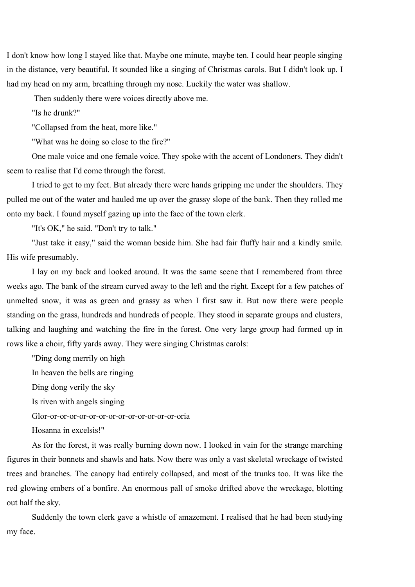I don't know how long I stayed like that. Maybe one minute, maybe ten. I could hear people singing in the distance, very beautiful. It sounded like a singing of Christmas carols. But I didn't look up. I had my head on my arm, breathing through my nose. Luckily the water was shallow.

Then suddenly there were voices directly above me.

"Is he drunk?"

"Collapsed from the heat, more like."

"What was he doing so close to the fire?"

One male voice and one female voice. They spoke with the accent of Londoners. They didn't seem to realise that I'd come through the forest.

I tried to get to my feet. But already there were hands gripping me under the shoulders. They pulled me out of the water and hauled me up over the grassy slope of the bank. Then they rolled me onto my back. I found myself gazing up into the face of the town clerk.

"It's OK," he said. "Don't try to talk."

"Just take it easy," said the woman beside him. She had fair fluffy hair and a kindly smile. His wife presumably.

I lay on my back and looked around. It was the same scene that I remembered from three weeks ago. The bank of the stream curved away to the left and the right. Except for a few patches of unmelted snow, it was as green and grassy as when I first saw it. But now there were people standing on the grass, hundreds and hundreds of people. They stood in separate groups and clusters, talking and laughing and watching the fire in the forest. One very large group had formed up in rows like a choir, fifty yards away. They were singing Christmas carols:

"Ding dong merrily on high

In heaven the bells are ringing

Ding dong verily the sky

Is riven with angels singing

Glor-or-or-or-or-or-or-or-or-or-or-or-or-or-oria

Hosanna in excelsis!"

As for the forest, it was really burning down now. I looked in vain for the strange marching figures in their bonnets and shawls and hats. Now there was only a vast skeletal wreckage of twisted trees and branches. The canopy had entirely collapsed, and most of the trunks too. It was like the red glowing embers of a bonfire. An enormous pall of smoke drifted above the wreckage, blotting out half the sky.

Suddenly the town clerk gave a whistle of amazement. I realised that he had been studying my face.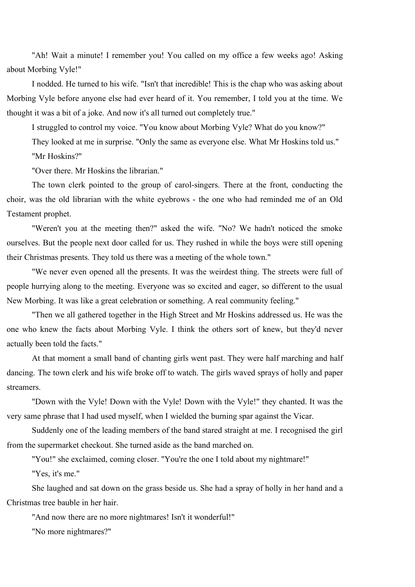"Ah! Wait a minute! I remember you! You called on my office a few weeks ago! Asking about Morbing Vyle!"

I nodded. He turned to his wife. "Isn't that incredible! This is the chap who was asking about Morbing Vyle before anyone else had ever heard of it. You remember, I told you at the time. We thought it was a bit of a joke. And now it's all turned out completely true."

I struggled to control my voice. "You know about Morbing Vyle? What do you know?"

They looked at me in surprise. "Only the same as everyone else. What Mr Hoskins told us." "Mr Hoskins?"

"Over there. Mr Hoskins the librarian."

The town clerk pointed to the group of carol-singers. There at the front, conducting the choir, was the old librarian with the white eyebrows - the one who had reminded me of an Old Testament prophet.

"Weren't you at the meeting then?" asked the wife. "No? We hadn't noticed the smoke ourselves. But the people next door called for us. They rushed in while the boys were still opening their Christmas presents. They told us there was a meeting of the whole town."

"We never even opened all the presents. It was the weirdest thing. The streets were full of people hurrying along to the meeting. Everyone was so excited and eager, so different to the usual New Morbing. It was like a great celebration or something. A real community feeling."

"Then we all gathered together in the High Street and Mr Hoskins addressed us. He was the one who knew the facts about Morbing Vyle. I think the others sort of knew, but they'd never actually been told the facts."

At that moment a small band of chanting girls went past. They were half marching and half dancing. The town clerk and his wife broke off to watch. The girls waved sprays of holly and paper streamers.

"Down with the Vyle! Down with the Vyle! Down with the Vyle!" they chanted. It was the very same phrase that I had used myself, when I wielded the burning spar against the Vicar.

Suddenly one of the leading members of the band stared straight at me. I recognised the girl from the supermarket checkout. She turned aside as the band marched on.

"You!" she exclaimed, coming closer. "You're the one I told about my nightmare!"

"Yes, it's me."

She laughed and sat down on the grass beside us. She had a spray of holly in her hand and a Christmas tree bauble in her hair.

"And now there are no more nightmares! Isn't it wonderful!"

"No more nightmares?"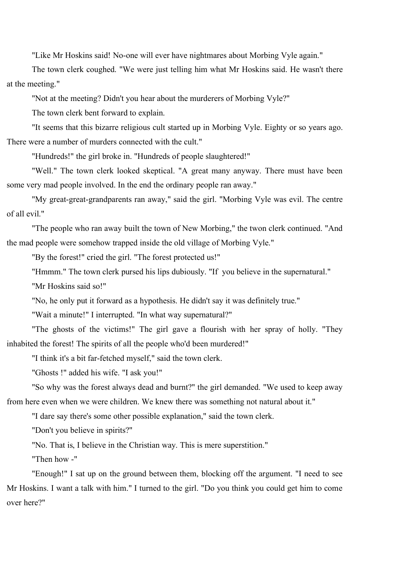"Like Mr Hoskins said! No-one will ever have nightmares about Morbing Vyle again."

The town clerk coughed. "We were just telling him what Mr Hoskins said. He wasn't there at the meeting."

"Not at the meeting? Didn't you hear about the murderers of Morbing Vyle?"

The town clerk bent forward to explain.

"It seems that this bizarre religious cult started up in Morbing Vyle. Eighty or so years ago. There were a number of murders connected with the cult."

"Hundreds!" the girl broke in. "Hundreds of people slaughtered!"

"Well." The town clerk looked skeptical. "A great many anyway. There must have been some very mad people involved. In the end the ordinary people ran away."

"My great-great-grandparents ran away," said the girl. "Morbing Vyle was evil. The centre of all evil."

"The people who ran away built the town of New Morbing," the twon clerk continued. "And the mad people were somehow trapped inside the old village of Morbing Vyle."

"By the forest!" cried the girl. "The forest protected us!"

"Hmmm." The town clerk pursed his lips dubiously. "If you believe in the supernatural." "Mr Hoskins said so!"

"No, he only put it forward as a hypothesis. He didn't say it was definitely true."

"Wait a minute!" I interrupted. "In what way supernatural?"

"The ghosts of the victims!" The girl gave a flourish with her spray of holly. "They inhabited the forest! The spirits of all the people who'd been murdered!"

"I think it's a bit far-fetched myself," said the town clerk.

"Ghosts !" added his wife. "I ask you!"

"So why was the forest always dead and burnt?" the girl demanded. "We used to keep away from here even when we were children. We knew there was something not natural about it."

"I dare say there's some other possible explanation," said the town clerk.

"Don't you believe in spirits?"

"No. That is, I believe in the Christian way. This is mere superstition."

"Then how -"

"Enough!" I sat up on the ground between them, blocking off the argument. "I need to see Mr Hoskins. I want a talk with him." I turned to the girl. "Do you think you could get him to come over here?"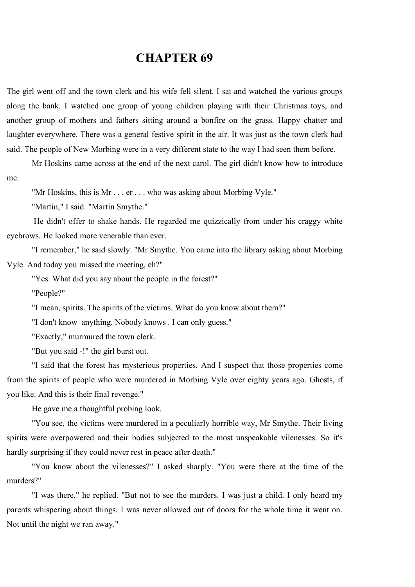## **CHAPTER 69**

The girl went off and the town clerk and his wife fell silent. I sat and watched the various groups along the bank. I watched one group of young children playing with their Christmas toys, and another group of mothers and fathers sitting around a bonfire on the grass. Happy chatter and laughter everywhere. There was a general festive spirit in the air. It was just as the town clerk had said. The people of New Morbing were in a very different state to the way I had seen them before.

Mr Hoskins came across at the end of the next carol. The girl didn't know how to introduce me.

"Mr Hoskins, this is Mr . . . er . . . who was asking about Morbing Vyle."

"Martin," I said. "Martin Smythe."

 He didn't offer to shake hands. He regarded me quizzically from under his craggy white eyebrows. He looked more venerable than ever.

"I remember," he said slowly. "Mr Smythe. You came into the library asking about Morbing Vyle. And today you missed the meeting, eh?"

"Yes. What did you say about the people in the forest?"

"People?"

"I mean, spirits. The spirits of the victims. What do you know about them?"

"I don't know anything. Nobody knows . I can only guess."

"Exactly," murmured the town clerk.

"But you said -!" the girl burst out.

"I said that the forest has mysterious properties. And I suspect that those properties come from the spirits of people who were murdered in Morbing Vyle over eighty years ago. Ghosts, if you like. And this is their final revenge."

He gave me a thoughtful probing look.

"You see, the victims were murdered in a peculiarly horrible way, Mr Smythe. Their living spirits were overpowered and their bodies subjected to the most unspeakable vilenesses. So it's hardly surprising if they could never rest in peace after death."

"You know about the vilenesses?" I asked sharply. "You were there at the time of the murders?"

"I was there," he replied. "But not to see the murders. I was just a child. I only heard my parents whispering about things. I was never allowed out of doors for the whole time it went on. Not until the night we ran away."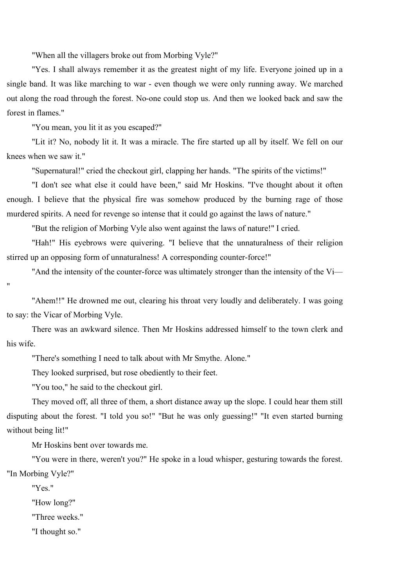"When all the villagers broke out from Morbing Vyle?"

"Yes. I shall always remember it as the greatest night of my life. Everyone joined up in a single band. It was like marching to war - even though we were only running away. We marched out along the road through the forest. No-one could stop us. And then we looked back and saw the forest in flames."

"You mean, you lit it as you escaped?"

"Lit it? No, nobody lit it. It was a miracle. The fire started up all by itself. We fell on our knees when we saw it."

"Supernatural!" cried the checkout girl, clapping her hands. "The spirits of the victims!"

"I don't see what else it could have been," said Mr Hoskins. "I've thought about it often enough. I believe that the physical fire was somehow produced by the burning rage of those murdered spirits. A need for revenge so intense that it could go against the laws of nature."

"But the religion of Morbing Vyle also went against the laws of nature!" I cried.

"Hah!" His eyebrows were quivering. "I believe that the unnaturalness of their religion stirred up an opposing form of unnaturalness! A corresponding counter-force!"

"And the intensity of the counter-force was ultimately stronger than the intensity of the Vi—

"Ahem!!" He drowned me out, clearing his throat very loudly and deliberately. I was going to say: the Vicar of Morbing Vyle.

There was an awkward silence. Then Mr Hoskins addressed himself to the town clerk and his wife.

"There's something I need to talk about with Mr Smythe. Alone."

They looked surprised, but rose obediently to their feet.

"You too," he said to the checkout girl.

They moved off, all three of them, a short distance away up the slope. I could hear them still disputing about the forest. "I told you so!" "But he was only guessing!" "It even started burning without being lit!"

Mr Hoskins bent over towards me.

"You were in there, weren't you?" He spoke in a loud whisper, gesturing towards the forest. "In Morbing Vyle?"

"Yes."

 $^{\prime\prime}$ 

"How long?"

"Three weeks."

"I thought so."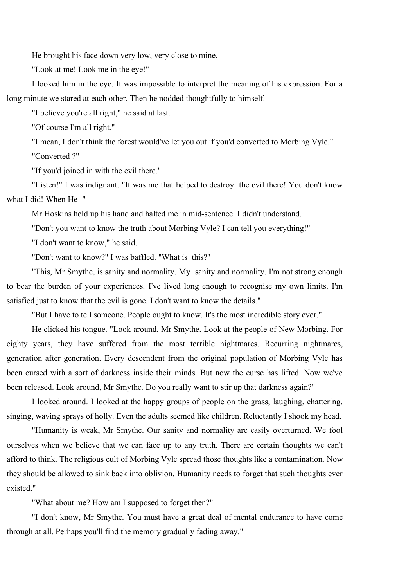He brought his face down very low, very close to mine.

"Look at me! Look me in the eye!"

I looked him in the eye. It was impossible to interpret the meaning of his expression. For a long minute we stared at each other. Then he nodded thoughtfully to himself.

"I believe you're all right," he said at last.

"Of course I'm all right."

"I mean, I don't think the forest would've let you out if you'd converted to Morbing Vyle."

"Converted ?"

"If you'd joined in with the evil there."

"Listen!" I was indignant. "It was me that helped to destroy the evil there! You don't know what I did! When He -"

Mr Hoskins held up his hand and halted me in mid-sentence. I didn't understand.

"Don't you want to know the truth about Morbing Vyle? I can tell you everything!"

"I don't want to know," he said.

"Don't want to know?" I was baffled. "What is this?"

"This, Mr Smythe, is sanity and normality. My sanity and normality. I'm not strong enough to bear the burden of your experiences. I've lived long enough to recognise my own limits. I'm satisfied just to know that the evil is gone. I don't want to know the details."

"But I have to tell someone. People ought to know. It's the most incredible story ever."

He clicked his tongue. "Look around, Mr Smythe. Look at the people of New Morbing. For eighty years, they have suffered from the most terrible nightmares. Recurring nightmares, generation after generation. Every descendent from the original population of Morbing Vyle has been cursed with a sort of darkness inside their minds. But now the curse has lifted. Now we've been released. Look around, Mr Smythe. Do you really want to stir up that darkness again?"

I looked around. I looked at the happy groups of people on the grass, laughing, chattering, singing, waving sprays of holly. Even the adults seemed like children. Reluctantly I shook my head.

"Humanity is weak, Mr Smythe. Our sanity and normality are easily overturned. We fool ourselves when we believe that we can face up to any truth. There are certain thoughts we can't afford to think. The religious cult of Morbing Vyle spread those thoughts like a contamination. Now they should be allowed to sink back into oblivion. Humanity needs to forget that such thoughts ever existed."

"What about me? How am I supposed to forget then?"

"I don't know, Mr Smythe. You must have a great deal of mental endurance to have come through at all. Perhaps you'll find the memory gradually fading away."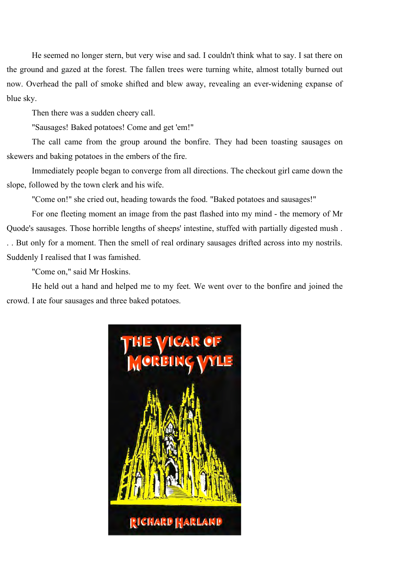He seemed no longer stern, but very wise and sad. I couldn't think what to say. I sat there on the ground and gazed at the forest. The fallen trees were turning white, almost totally burned out now. Overhead the pall of smoke shifted and blew away, revealing an ever-widening expanse of blue sky.

Then there was a sudden cheery call.

"Sausages! Baked potatoes! Come and get 'em!"

The call came from the group around the bonfire. They had been toasting sausages on skewers and baking potatoes in the embers of the fire.

Immediately people began to converge from all directions. The checkout girl came down the slope, followed by the town clerk and his wife.

"Come on!" she cried out, heading towards the food. "Baked potatoes and sausages!"

For one fleeting moment an image from the past flashed into my mind - the memory of Mr Quode's sausages. Those horrible lengths of sheeps' intestine, stuffed with partially digested mush .

. . But only for a moment. Then the smell of real ordinary sausages drifted across into my nostrils. Suddenly I realised that I was famished.

"Come on," said Mr Hoskins.

He held out a hand and helped me to my feet. We went over to the bonfire and joined the crowd. I ate four sausages and three baked potatoes.